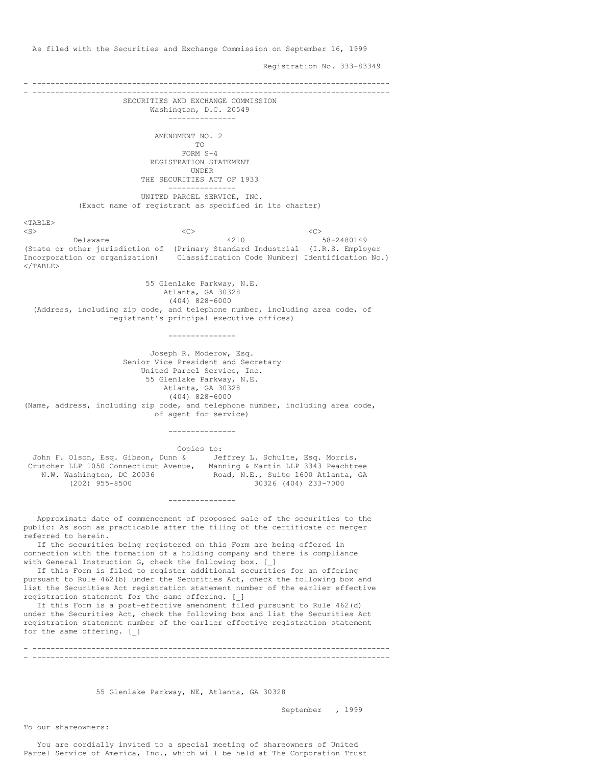As filed with the Securities and Exchange Commission on September 16, 1999

Registration No. 333-83349

- ------------------------------------------------------------------------------- - ------------------------------------------------------------------------------- SECURITIES AND EXCHANGE COMMISSION Washington, D.C. 20549 --------------- AMENDMENT NO. 2 TO FORM S-4 REGISTRATION STATEMENT UNDER THE SECURITIES ACT OF 1933 --------------- UNITED PARCEL SERVICE, INC. (Exact name of registrant as specified in its charter)  $<$ TABLE> <S><C><C><C><C><C> Delaware 4210 58-2480149 (State or other jurisdiction of (Primary Standard Industrial (I.R.S. Employer Incorporation or organization) Classification Code Number) Identification No.)  $\langle$ /TABLE> 55 Glenlake Parkway, N.E. Atlanta, GA 30328 (404) 828-6000 (Address, including zip code, and telephone number, including area code, of registrant's principal executive offices) --------------- Joseph R. Moderow, Esq. Senior Vice President and Secretary United Parcel Service, Inc. 55 Glenlake Parkway, N.E. Atlanta, GA 30328 (404) 828-6000 (Name, address, including zip code, and telephone number, including area code, of agent for service) --------------- Copies to: John F. Olson, Esq. Gibson, Dunn & Jeffrey L. Schulte, Esq. Morris,<br>Crutcher LLP 1050 Connecticut Avenue, Manning & Martin LLP 3343 Peachtree Crutcher LLP 1050 Connecticut Avenue, N.W. Washington, DC 20036 Road, N.E., Suite 1600 Atlanta, GA (202) 955-8500 803036 30326 (404) 233-7000 (202) 955-8500 30326 (404) 233-7000 --------------- Approximate date of commencement of proposed sale of the securities to the public: As soon as practicable after the filing of the certificate of merger referred to herein. If the securities being registered on this Form are being offered in connection with the formation of a holding company and there is compliance with General Instruction G, check the following box. [\_] If this Form is filed to register additional securities for an offering pursuant to Rule 462(b) under the Securities Act, check the following box and list the Securities Act registration statement number of the earlier effective registration statement for the same offering. [\_] If this Form is a post-effective amendment filed pursuant to Rule 462(d) under the Securities Act, check the following box and list the Securities Act registration statement number of the earlier effective registration statement for the same offering. [\_] - ------------------------------------------------------------------------------- - -------------------------------------------------------------------------------

55 Glenlake Parkway, NE, Atlanta, GA 30328

September , 1999

To our shareowners:

You are cordially invited to a special meeting of shareowners of United Parcel Service of America, Inc., which will be held at The Corporation Trust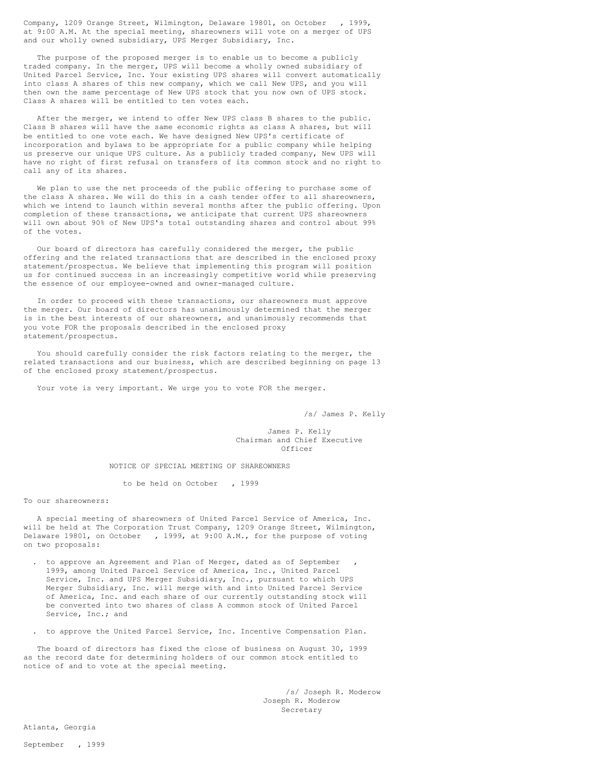Company, 1209 Orange Street, Wilmington, Delaware 19801, on October , 1999, at 9:00 A.M. At the special meeting, shareowners will vote on a merger of UPS and our wholly owned subsidiary, UPS Merger Subsidiary, Inc.

The purpose of the proposed merger is to enable us to become a publicly traded company. In the merger, UPS will become a wholly owned subsidiary of United Parcel Service, Inc. Your existing UPS shares will convert automatically into class A shares of this new company, which we call New UPS, and you will then own the same percentage of New UPS stock that you now own of UPS stock. Class A shares will be entitled to ten votes each.

After the merger, we intend to offer New UPS class B shares to the public. Class B shares will have the same economic rights as class A shares, but will be entitled to one vote each. We have designed New UPS's certificate of incorporation and bylaws to be appropriate for a public company while helping us preserve our unique UPS culture. As a publicly traded company, New UPS will have no right of first refusal on transfers of its common stock and no right to call any of its shares.

We plan to use the net proceeds of the public offering to purchase some of the class A shares. We will do this in a cash tender offer to all shareowners, which we intend to launch within several months after the public offering. Upon completion of these transactions, we anticipate that current UPS shareowners will own about 90% of New UPS's total outstanding shares and control about 99% of the votes.

Our board of directors has carefully considered the merger, the public offering and the related transactions that are described in the enclosed proxy statement/prospectus. We believe that implementing this program will position us for continued success in an increasingly competitive world while preserving the essence of our employee-owned and owner-managed culture.

In order to proceed with these transactions, our shareowners must approve the merger. Our board of directors has unanimously determined that the merger is in the best interests of our shareowners, and unanimously recommends that you vote FOR the proposals described in the enclosed proxy statement/prospectus.

You should carefully consider the risk factors relating to the merger, the related transactions and our business, which are described beginning on page 13 of the enclosed proxy statement/prospectus.

Your vote is very important. We urge you to vote FOR the merger.

/s/ James P. Kelly

James P. Kelly Chairman and Chief Executive Officer

NOTICE OF SPECIAL MEETING OF SHAREOWNERS

to be held on October , 1999

To our shareowners:

A special meeting of shareowners of United Parcel Service of America, Inc. will be held at The Corporation Trust Company, 1209 Orange Street, Wilmington, Delaware 19801, on October , 1999, at 9:00 A.M., for the purpose of voting on two proposals:

- . to approve an Agreement and Plan of Merger, dated as of September 1999, among United Parcel Service of America, Inc., United Parcel Service, Inc. and UPS Merger Subsidiary, Inc., pursuant to which UPS Merger Subsidiary, Inc. will merge with and into United Parcel Service of America, Inc. and each share of our currently outstanding stock will be converted into two shares of class A common stock of United Parcel Service, Inc.; and
- . to approve the United Parcel Service, Inc. Incentive Compensation Plan.

The board of directors has fixed the close of business on August 30, 1999 as the record date for determining holders of our common stock entitled to notice of and to vote at the special meeting.

> /s/ Joseph R. Moderow Joseph R. Moderow Secretary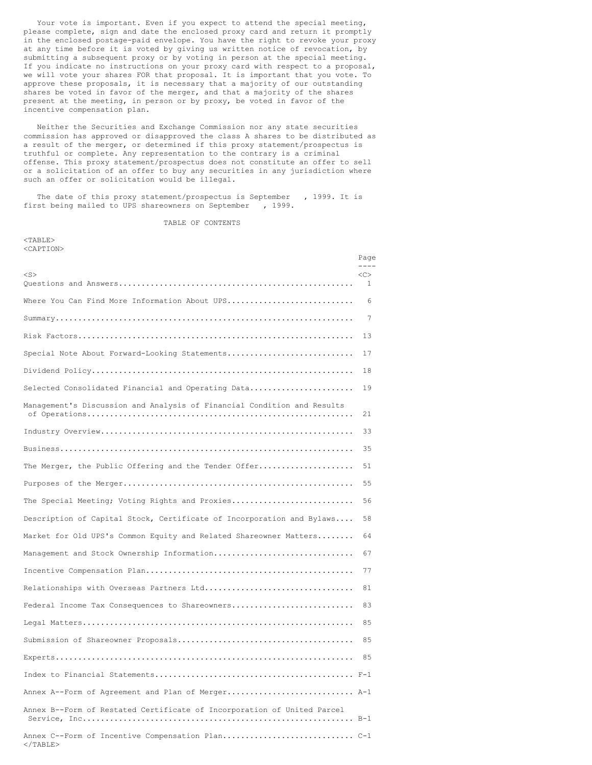Your vote is important. Even if you expect to attend the special meeting, please complete, sign and date the enclosed proxy card and return it promptly in the enclosed postage-paid envelope. You have the right to revoke your proxy at any time before it is voted by giving us written notice of revocation, by submitting a subsequent proxy or by voting in person at the special meeting. If you indicate no instructions on your proxy card with respect to a proposal, we will vote your shares FOR that proposal. It is important that you vote. To approve these proposals, it is necessary that a majority of our outstanding shares be voted in favor of the merger, and that a majority of the shares present at the meeting, in person or by proxy, be voted in favor of the incentive compensation plan.

Neither the Securities and Exchange Commission nor any state securities commission has approved or disapproved the class A shares to be distributed as a result of the merger, or determined if this proxy statement/prospectus is truthful or complete. Any representation to the contrary is a criminal offense. This proxy statement/prospectus does not constitute an offer to sell or a solicitation of an offer to buy any securities in any jurisdiction where such an offer or solicitation would be illegal.

The date of this proxy statement/prospectus is September , 1999. It is first being mailed to UPS shareowners on September , 1999.

TABLE OF CONTENTS

<TABLE> <CAPTION>

| <caption></caption>                                                     | Page    |
|-------------------------------------------------------------------------|---------|
| $<$ S>                                                                  | <<<br>1 |
| Where You Can Find More Information About UPS                           | 6       |
|                                                                         | 7       |
|                                                                         | 13      |
| Special Note About Forward-Looking Statements                           | 17      |
|                                                                         | 18      |
| Selected Consolidated Financial and Operating Data                      | 19      |
| Management's Discussion and Analysis of Financial Condition and Results | 21      |
|                                                                         | 33      |
|                                                                         | 35      |
| The Merger, the Public Offering and the Tender Offer                    | 51      |
|                                                                         | 55      |
| The Special Meeting; Voting Rights and Proxies                          | 56      |
| Description of Capital Stock, Certificate of Incorporation and Bylaws   | 58      |
| Market for Old UPS's Common Equity and Related Shareowner Matters       | 64      |
| Management and Stock Ownership Information                              | 67      |
|                                                                         | 77      |
| Relationships with Overseas Partners Ltd                                | 81      |
| Federal Income Tax Consequences to Shareowners                          | 83      |
|                                                                         | 85      |
|                                                                         | 85      |
|                                                                         | 85      |
|                                                                         |         |
| Annex A--Form of Agreement and Plan of Merger A-1                       |         |
| Annex B--Form of Restated Certificate of Incorporation of United Parcel |         |
| $\langle$ /TABLE>                                                       |         |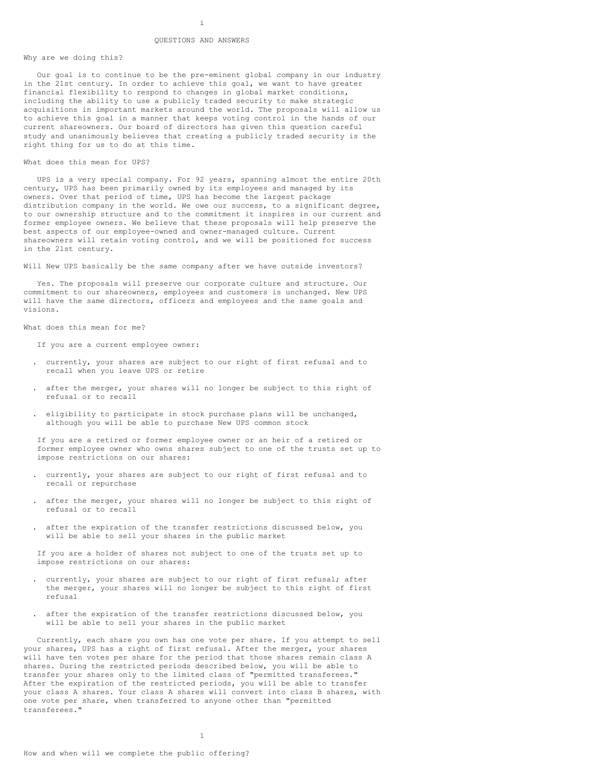# i QUESTIONS AND ANSWERS

#### Why are we doing this?

Our goal is to continue to be the pre-eminent global company in our industry in the 21st century. In order to achieve this goal, we want to have greater financial flexibility to respond to changes in global market conditions, including the ability to use a publicly traded security to make strategic acquisitions in important markets around the world. The proposals will allow us to achieve this goal in a manner that keeps voting control in the hands of our current shareowners. Our board of directors has given this question careful study and unanimously believes that creating a publicly traded security is the right thing for us to do at this time.

#### What does this mean for UPS?

UPS is a very special company. For 92 years, spanning almost the entire 20th century, UPS has been primarily owned by its employees and managed by its owners. Over that period of time, UPS has become the largest package distribution company in the world. We owe our success, to a significant degree, to our ownership structure and to the commitment it inspires in our current and former employee owners. We believe that these proposals will help preserve the best aspects of our employee-owned and owner-managed culture. Current shareowners will retain voting control, and we will be positioned for success in the 21st century.

Will New UPS basically be the same company after we have outside investors?

Yes. The proposals will preserve our corporate culture and structure. Our commitment to our shareowners, employees and customers is unchanged. New UPS will have the same directors, officers and employees and the same goals and visions.

What does this mean for me?

If you are a current employee owner:

- . currently, your shares are subject to our right of first refusal and to recall when you leave UPS or retire
- . after the merger, your shares will no longer be subject to this right of refusal or to recall
- . eligibility to participate in stock purchase plans will be unchanged, although you will be able to purchase New UPS common stock

If you are a retired or former employee owner or an heir of a retired or former employee owner who owns shares subject to one of the trusts set up to impose restrictions on our shares:

- . currently, your shares are subject to our right of first refusal and to recall or repurchase
- . after the merger, your shares will no longer be subject to this right of refusal or to recall
- . after the expiration of the transfer restrictions discussed below, you will be able to sell your shares in the public market

If you are a holder of shares not subject to one of the trusts set up to impose restrictions on our shares:

- . currently, your shares are subject to our right of first refusal; after the merger, your shares will no longer be subject to this right of first refusal
- . after the expiration of the transfer restrictions discussed below, you will be able to sell your shares in the public market

Currently, each share you own has one vote per share. If you attempt to sell your shares, UPS has a right of first refusal. After the merger, your shares will have ten votes per share for the period that those shares remain class A shares. During the restricted periods described below, you will be able to transfer your shares only to the limited class of "permitted transferees." After the expiration of the restricted periods, you will be able to transfer your class A shares. Your class A shares will convert into class B shares, with one vote per share, when transferred to anyone other than "permitted transferees."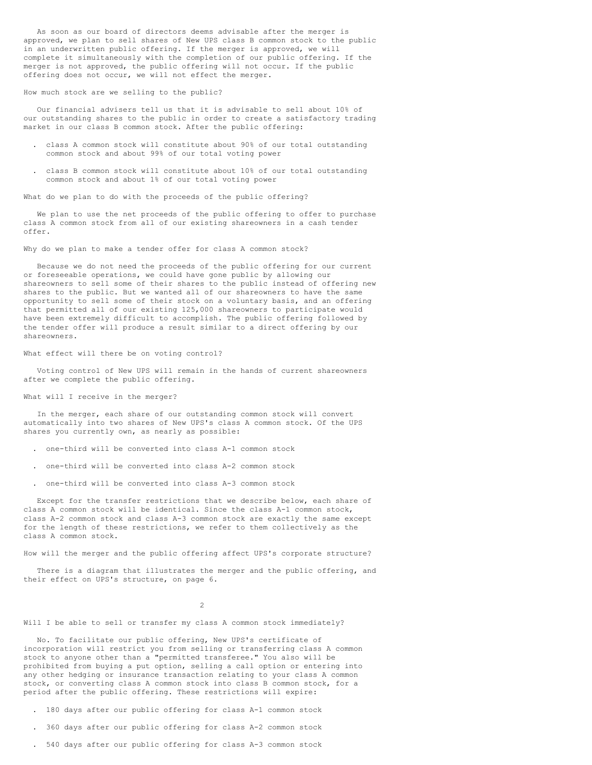As soon as our board of directors deems advisable after the merger is approved, we plan to sell shares of New UPS class B common stock to the public in an underwritten public offering. If the merger is approved, we will complete it simultaneously with the completion of our public offering. If the merger is not approved, the public offering will not occur. If the public offering does not occur, we will not effect the merger.

## How much stock are we selling to the public?

Our financial advisers tell us that it is advisable to sell about 10% of our outstanding shares to the public in order to create a satisfactory trading market in our class B common stock. After the public offering:

- . class A common stock will constitute about 90% of our total outstanding common stock and about 99% of our total voting power
- . class B common stock will constitute about 10% of our total outstanding common stock and about 1% of our total voting power

What do we plan to do with the proceeds of the public offering?

We plan to use the net proceeds of the public offering to offer to purchase class A common stock from all of our existing shareowners in a cash tender offer.

Why do we plan to make a tender offer for class A common stock?

Because we do not need the proceeds of the public offering for our current or foreseeable operations, we could have gone public by allowing our shareowners to sell some of their shares to the public instead of offering new shares to the public. But we wanted all of our shareowners to have the same opportunity to sell some of their stock on a voluntary basis, and an offering that permitted all of our existing 125,000 shareowners to participate would have been extremely difficult to accomplish. The public offering followed by the tender offer will produce a result similar to a direct offering by our shareowners.

## What effect will there be on voting control?

Voting control of New UPS will remain in the hands of current shareowners after we complete the public offering.

## What will I receive in the merger?

In the merger, each share of our outstanding common stock will convert automatically into two shares of New UPS's class A common stock. Of the UPS shares you currently own, as nearly as possible:

- . one-third will be converted into class A-1 common stock
- . one-third will be converted into class A-2 common stock
- . one-third will be converted into class A-3 common stock

Except for the transfer restrictions that we describe below, each share of class A common stock will be identical. Since the class A-1 common stock, class A-2 common stock and class A-3 common stock are exactly the same except for the length of these restrictions, we refer to them collectively as the class A common stock.

How will the merger and the public offering affect UPS's corporate structure?

There is a diagram that illustrates the merger and the public offering, and their effect on UPS's structure, on page 6.

 $\overline{2}$ 

# Will I be able to sell or transfer my class A common stock immediately?

No. To facilitate our public offering, New UPS's certificate of incorporation will restrict you from selling or transferring class A common stock to anyone other than a "permitted transferee." You also will be prohibited from buying a put option, selling a call option or entering into any other hedging or insurance transaction relating to your class A common stock, or converting class A common stock into class B common stock, for a period after the public offering. These restrictions will expire:

- . 180 days after our public offering for class A-1 common stock
- . 360 days after our public offering for class A-2 common stock
- . 540 days after our public offering for class A-3 common stock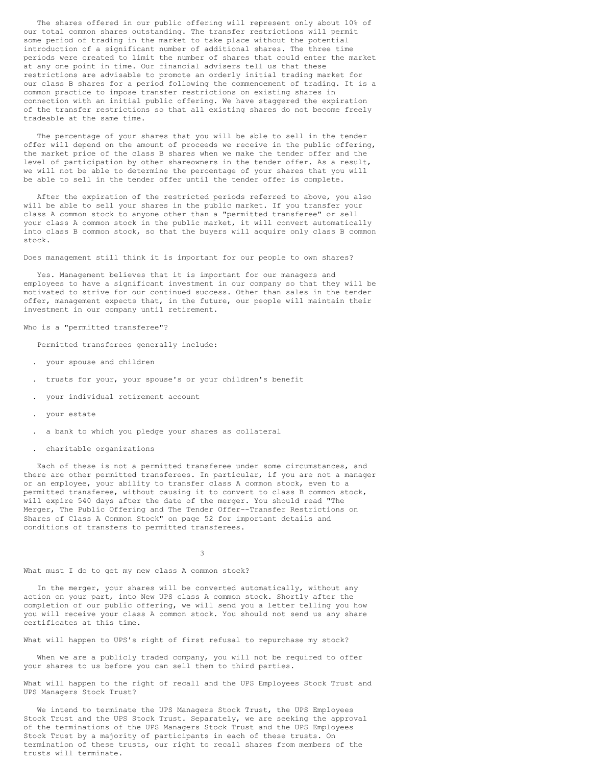The shares offered in our public offering will represent only about 10% of our total common shares outstanding. The transfer restrictions will permit some period of trading in the market to take place without the potential introduction of a significant number of additional shares. The three time periods were created to limit the number of shares that could enter the market at any one point in time. Our financial advisers tell us that these restrictions are advisable to promote an orderly initial trading market for our class B shares for a period following the commencement of trading. It is a common practice to impose transfer restrictions on existing shares in connection with an initial public offering. We have staggered the expiration of the transfer restrictions so that all existing shares do not become freely tradeable at the same time.

The percentage of your shares that you will be able to sell in the tender offer will depend on the amount of proceeds we receive in the public offering, the market price of the class B shares when we make the tender offer and the level of participation by other shareowners in the tender offer. As a result, we will not be able to determine the percentage of your shares that you will be able to sell in the tender offer until the tender offer is complete.

After the expiration of the restricted periods referred to above, you also will be able to sell your shares in the public market. If you transfer your class A common stock to anyone other than a "permitted transferee" or sell your class A common stock in the public market, it will convert automatically into class B common stock, so that the buyers will acquire only class B common stock.

Does management still think it is important for our people to own shares?

Yes. Management believes that it is important for our managers and employees to have a significant investment in our company so that they will be motivated to strive for our continued success. Other than sales in the tender offer, management expects that, in the future, our people will maintain their investment in our company until retirement.

Who is a "permitted transferee"?

Permitted transferees generally include:

- . your spouse and children
- . trusts for your, your spouse's or your children's benefit
- . your individual retirement account
- . your estate
- . a bank to which you pledge your shares as collateral
- . charitable organizations

Each of these is not a permitted transferee under some circumstances, and there are other permitted transferees. In particular, if you are not a manager or an employee, your ability to transfer class A common stock, even to a permitted transferee, without causing it to convert to class B common stock, will expire 540 days after the date of the merger. You should read "The Merger, The Public Offering and The Tender Offer--Transfer Restrictions on Shares of Class A Common Stock" on page 52 for important details and conditions of transfers to permitted transferees.

3

What must I do to get my new class A common stock?

In the merger, your shares will be converted automatically, without any action on your part, into New UPS class A common stock. Shortly after the completion of our public offering, we will send you a letter telling you how you will receive your class A common stock. You should not send us any share certificates at this time.

What will happen to UPS's right of first refusal to repurchase my stock?

When we are a publicly traded company, you will not be required to offer your shares to us before you can sell them to third parties.

What will happen to the right of recall and the UPS Employees Stock Trust and UPS Managers Stock Trust?

We intend to terminate the UPS Managers Stock Trust, the UPS Employees Stock Trust and the UPS Stock Trust. Separately, we are seeking the approval of the terminations of the UPS Managers Stock Trust and the UPS Employees Stock Trust by a majority of participants in each of these trusts. On termination of these trusts, our right to recall shares from members of the trusts will terminate.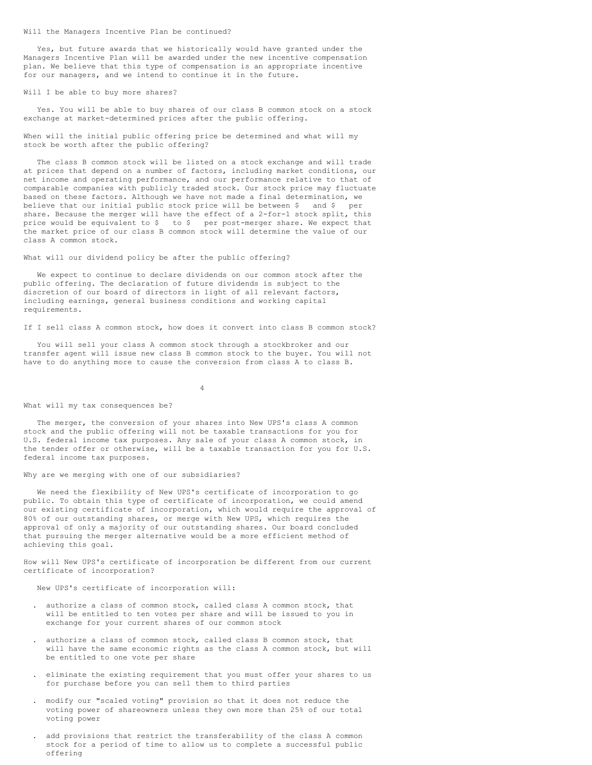Will the Managers Incentive Plan be continued?

Yes, but future awards that we historically would have granted under the Managers Incentive Plan will be awarded under the new incentive compensation plan. We believe that this type of compensation is an appropriate incentive for our managers, and we intend to continue it in the future.

### Will I be able to buy more shares?

Yes. You will be able to buy shares of our class B common stock on a stock exchange at market-determined prices after the public offering.

When will the initial public offering price be determined and what will my stock be worth after the public offering?

The class B common stock will be listed on a stock exchange and will trade at prices that depend on a number of factors, including market conditions, our net income and operating performance, and our performance relative to that of comparable companies with publicly traded stock. Our stock price may fluctuate based on these factors. Although we have not made a final determination, we believe that our initial public stock price will be between \$ and \$ per share. Because the merger will have the effect of a 2-for-1 stock split, this price would be equivalent to \$ to \$ per post-merger share. We expect that the market price of our class B common stock will determine the value of our class A common stock.

What will our dividend policy be after the public offering?

We expect to continue to declare dividends on our common stock after the public offering. The declaration of future dividends is subject to the discretion of our board of directors in light of all relevant factors, including earnings, general business conditions and working capital requirements.

If I sell class A common stock, how does it convert into class B common stock?

You will sell your class A common stock through a stockbroker and our transfer agent will issue new class B common stock to the buyer. You will not have to do anything more to cause the conversion from class A to class B.

4

#### What will my tax consequences be?

The merger, the conversion of your shares into New UPS's class A common stock and the public offering will not be taxable transactions for you for U.S. federal income tax purposes. Any sale of your class A common stock, in the tender offer or otherwise, will be a taxable transaction for you for U.S. federal income tax purposes.

Why are we merging with one of our subsidiaries?

We need the flexibility of New UPS's certificate of incorporation to go public. To obtain this type of certificate of incorporation, we could amend our existing certificate of incorporation, which would require the approval of 80% of our outstanding shares, or merge with New UPS, which requires the approval of only a majority of our outstanding shares. Our board concluded that pursuing the merger alternative would be a more efficient method of achieving this goal.

How will New UPS's certificate of incorporation be different from our current certificate of incorporation?

New UPS's certificate of incorporation will:

- . authorize a class of common stock, called class A common stock, that will be entitled to ten votes per share and will be issued to you in exchange for your current shares of our common stock
- . authorize a class of common stock, called class B common stock, that will have the same economic rights as the class A common stock, but will be entitled to one vote per share
- . eliminate the existing requirement that you must offer your shares to us for purchase before you can sell them to third parties
- . modify our "scaled voting" provision so that it does not reduce the voting power of shareowners unless they own more than 25% of our total voting power
- . add provisions that restrict the transferability of the class A common stock for a period of time to allow us to complete a successful public offering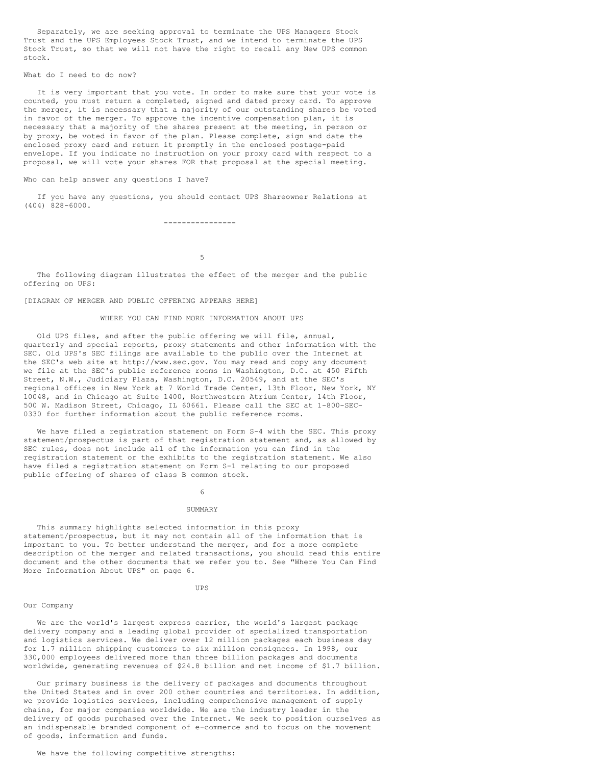Separately, we are seeking approval to terminate the UPS Managers Stock Trust and the UPS Employees Stock Trust, and we intend to terminate the UPS Stock Trust, so that we will not have the right to recall any New UPS common stock.

# What do I need to do now?

It is very important that you vote. In order to make sure that your vote is counted, you must return a completed, signed and dated proxy card. To approve the merger, it is necessary that a majority of our outstanding shares be voted in favor of the merger. To approve the incentive compensation plan, it is necessary that a majority of the shares present at the meeting, in person or by proxy, be voted in favor of the plan. Please complete, sign and date the enclosed proxy card and return it promptly in the enclosed postage-paid envelope. If you indicate no instruction on your proxy card with respect to a proposal, we will vote your shares FOR that proposal at the special meeting.

## Who can help answer any questions I have?

If you have any questions, you should contact UPS Shareowner Relations at (404) 828-6000.

----------------

5

The following diagram illustrates the effect of the merger and the public offering on UPS:

# [DIAGRAM OF MERGER AND PUBLIC OFFERING APPEARS HERE]

# WHERE YOU CAN FIND MORE INFORMATION ABOUT UPS

Old UPS files, and after the public offering we will file, annual, quarterly and special reports, proxy statements and other information with the SEC. Old UPS's SEC filings are available to the public over the Internet at the SEC's web site at http://www.sec.gov. You may read and copy any document we file at the SEC's public reference rooms in Washington, D.C. at 450 Fifth Street, N.W., Judiciary Plaza, Washington, D.C. 20549, and at the SEC's regional offices in New York at 7 World Trade Center, 13th Floor, New York, NY 10048, and in Chicago at Suite 1400, Northwestern Atrium Center, 14th Floor, 500 W. Madison Street, Chicago, IL 60661. Please call the SEC at 1-800-SEC-0330 for further information about the public reference rooms.

We have filed a registration statement on Form S-4 with the SEC. This proxy statement/prospectus is part of that registration statement and, as allowed by SEC rules, does not include all of the information you can find in the registration statement or the exhibits to the registration statement. We also have filed a registration statement on Form S-1 relating to our proposed public offering of shares of class B common stock.

#### 6

# SUMMARY

This summary highlights selected information in this proxy statement/prospectus, but it may not contain all of the information that is important to you. To better understand the merger, and for a more complete description of the merger and related transactions, you should read this entire document and the other documents that we refer you to. See "Where You Can Find More Information About UPS" on page 6.

#### UPS

# Our Company

We are the world's largest express carrier, the world's largest package delivery company and a leading global provider of specialized transportation and logistics services. We deliver over 12 million packages each business day for 1.7 million shipping customers to six million consignees. In 1998, our 330,000 employees delivered more than three billion packages and documents worldwide, generating revenues of \$24.8 billion and net income of \$1.7 billion.

Our primary business is the delivery of packages and documents throughout the United States and in over 200 other countries and territories. In addition, we provide logistics services, including comprehensive management of supply chains, for major companies worldwide. We are the industry leader in the delivery of goods purchased over the Internet. We seek to position ourselves as an indispensable branded component of e-commerce and to focus on the movement of goods, information and funds.

# We have the following competitive strengths: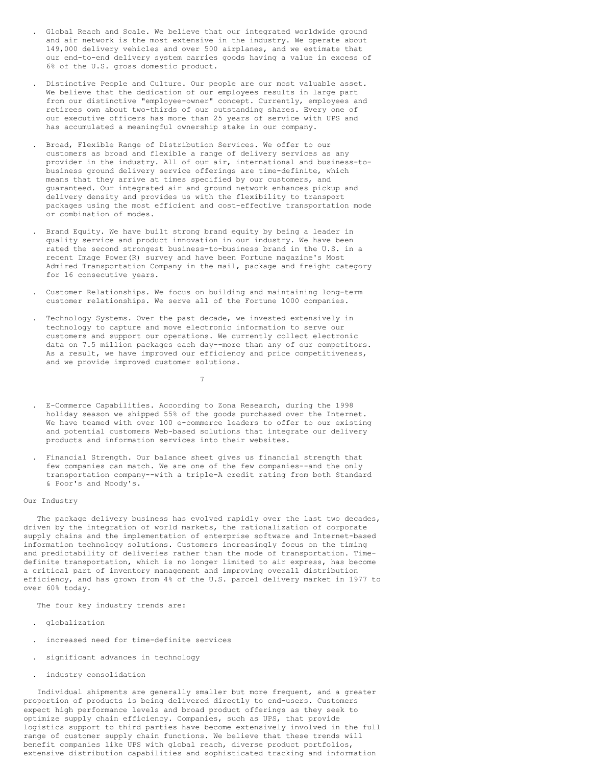- . Global Reach and Scale. We believe that our integrated worldwide ground and air network is the most extensive in the industry. We operate about 149,000 delivery vehicles and over 500 airplanes, and we estimate that our end-to-end delivery system carries goods having a value in excess of 6% of the U.S. gross domestic product.
- . Distinctive People and Culture. Our people are our most valuable asset. We believe that the dedication of our employees results in large part from our distinctive "employee-owner" concept. Currently, employees and retirees own about two-thirds of our outstanding shares. Every one of our executive officers has more than 25 years of service with UPS and has accumulated a meaningful ownership stake in our company.
- . Broad, Flexible Range of Distribution Services. We offer to our customers as broad and flexible a range of delivery services as any provider in the industry. All of our air, international and business-tobusiness ground delivery service offerings are time-definite, which means that they arrive at times specified by our customers, and guaranteed. Our integrated air and ground network enhances pickup and delivery density and provides us with the flexibility to transport packages using the most efficient and cost-effective transportation mode or combination of modes.
- . Brand Equity. We have built strong brand equity by being a leader in quality service and product innovation in our industry. We have been rated the second strongest business-to-business brand in the U.S. in a recent Image Power(R) survey and have been Fortune magazine's Most Admired Transportation Company in the mail, package and freight category for 16 consecutive years.
- . Customer Relationships. We focus on building and maintaining long-term customer relationships. We serve all of the Fortune 1000 companies.
- . Technology Systems. Over the past decade, we invested extensively in technology to capture and move electronic information to serve our customers and support our operations. We currently collect electronic data on 7.5 million packages each day--more than any of our competitors. As a result, we have improved our efficiency and price competitiveness, and we provide improved customer solutions.
- . E-Commerce Capabilities. According to Zona Research, during the 1998 holiday season we shipped 55% of the goods purchased over the Internet. We have teamed with over 100 e-commerce leaders to offer to our existing and potential customers Web-based solutions that integrate our delivery products and information services into their websites.

7

. Financial Strength. Our balance sheet gives us financial strength that few companies can match. We are one of the few companies--and the only transportation company--with a triple-A credit rating from both Standard & Poor's and Moody's.

## Our Industry

The package delivery business has evolved rapidly over the last two decades, driven by the integration of world markets, the rationalization of corporate supply chains and the implementation of enterprise software and Internet-based information technology solutions. Customers increasingly focus on the timing and predictability of deliveries rather than the mode of transportation. Timedefinite transportation, which is no longer limited to air express, has become a critical part of inventory management and improving overall distribution efficiency, and has grown from 4% of the U.S. parcel delivery market in 1977 to over 60% today.

The four key industry trends are:

- . globalization
- . increased need for time-definite services
- . significant advances in technology
- . industry consolidation

Individual shipments are generally smaller but more frequent, and a greater proportion of products is being delivered directly to end-users. Customers expect high performance levels and broad product offerings as they seek to optimize supply chain efficiency. Companies, such as UPS, that provide logistics support to third parties have become extensively involved in the full range of customer supply chain functions. We believe that these trends will benefit companies like UPS with global reach, diverse product portfolios, extensive distribution capabilities and sophisticated tracking and information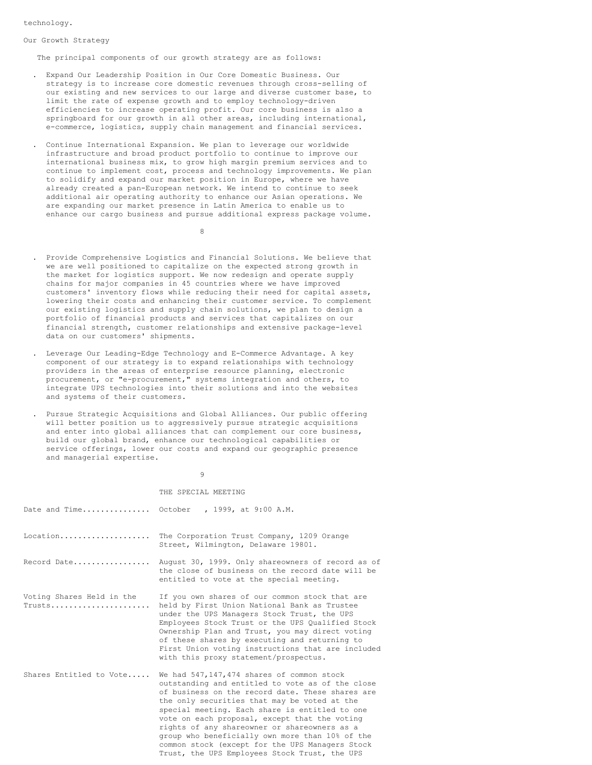technology.

#### Our Growth Strategy

The principal components of our growth strategy are as follows:

- . Expand Our Leadership Position in Our Core Domestic Business. Our strategy is to increase core domestic revenues through cross-selling of our existing and new services to our large and diverse customer base, to limit the rate of expense growth and to employ technology-driven efficiencies to increase operating profit. Our core business is also a springboard for our growth in all other areas, including international, e-commerce, logistics, supply chain management and financial services.
- . Continue International Expansion. We plan to leverage our worldwide infrastructure and broad product portfolio to continue to improve our international business mix, to grow high margin premium services and to continue to implement cost, process and technology improvements. We plan to solidify and expand our market position in Europe, where we have already created a pan-European network. We intend to continue to seek additional air operating authority to enhance our Asian operations. We are expanding our market presence in Latin America to enable us to enhance our cargo business and pursue additional express package volume.
	- 8
- . Provide Comprehensive Logistics and Financial Solutions. We believe that we are well positioned to capitalize on the expected strong growth in the market for logistics support. We now redesign and operate supply chains for major companies in 45 countries where we have improved customers' inventory flows while reducing their need for capital assets, lowering their costs and enhancing their customer service. To complement our existing logistics and supply chain solutions, we plan to design a portfolio of financial products and services that capitalizes on our financial strength, customer relationships and extensive package-level data on our customers' shipments.
- . Leverage Our Leading-Edge Technology and E-Commerce Advantage. A key component of our strategy is to expand relationships with technology providers in the areas of enterprise resource planning, electronic procurement, or "e-procurement," systems integration and others, to integrate UPS technologies into their solutions and into the websites and systems of their customers.
- . Pursue Strategic Acquisitions and Global Alliances. Our public offering will better position us to aggressively pursue strategic acquisitions and enter into global alliances that can complement our core business, build our global brand, enhance our technological capabilities or service offerings, lower our costs and expand our geographic presence and managerial expertise.

#### 9

## THE SPECIAL MEETING

|                                     | Date and Time October, 1999, at 9:00 A.M.                                                                                                                                                                                                                                                                                                                                                                                                                                                                   |
|-------------------------------------|-------------------------------------------------------------------------------------------------------------------------------------------------------------------------------------------------------------------------------------------------------------------------------------------------------------------------------------------------------------------------------------------------------------------------------------------------------------------------------------------------------------|
| Location                            | The Corporation Trust Company, 1209 Orange<br>Street, Wilmington, Delaware 19801.                                                                                                                                                                                                                                                                                                                                                                                                                           |
| Record Date                         | August 30, 1999. Only shareowners of record as of<br>the close of business on the record date will be<br>entitled to vote at the special meeting.                                                                                                                                                                                                                                                                                                                                                           |
| Voting Shares Held in the<br>Trusts | If you own shares of our common stock that are<br>held by First Union National Bank as Trustee<br>under the UPS Managers Stock Trust, the UPS<br>Employees Stock Trust or the UPS Qualified Stock<br>Ownership Plan and Trust, you may direct voting<br>of these shares by executing and returning to<br>First Union voting instructions that are included<br>with this proxy statement/prospectus.                                                                                                         |
| Shares Entitled to Vote             | We had 547,147,474 shares of common stock<br>outstanding and entitled to vote as of the close<br>of business on the record date. These shares are<br>the only securities that may be voted at the<br>special meeting. Each share is entitled to one<br>vote on each proposal, except that the voting<br>rights of any shareowner or shareowners as a<br>group who beneficially own more than 10% of the<br>common stock (except for the UPS Managers Stock<br>Trust, the UPS Employees Stock Trust, the UPS |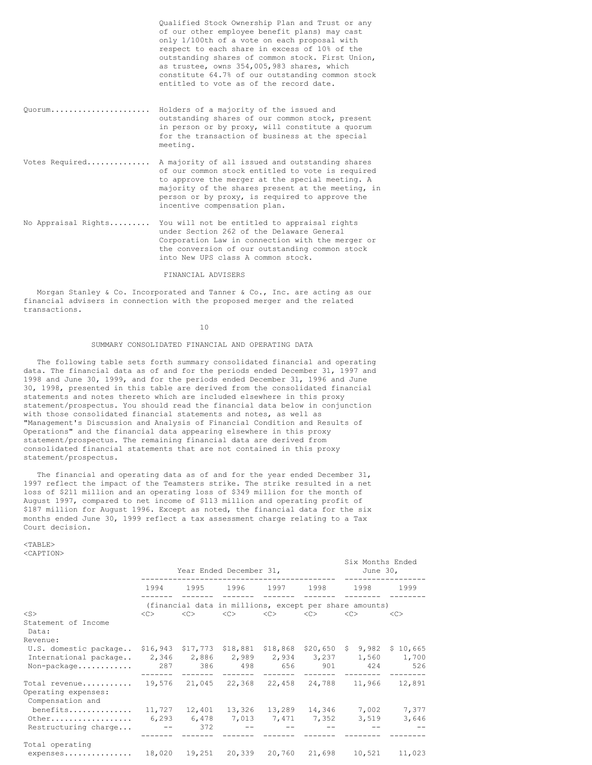|                     | Qualified Stock Ownership Plan and Trust or any<br>of our other employee benefit plans) may cast<br>only 1/100th of a vote on each proposal with<br>respect to each share in excess of 10% of the<br>outstanding shares of common stock. First Union,<br>as trustee, owns 354,005,983 shares, which<br>constitute 64.7% of our outstanding common stock<br>entitled to vote as of the record date. |
|---------------------|----------------------------------------------------------------------------------------------------------------------------------------------------------------------------------------------------------------------------------------------------------------------------------------------------------------------------------------------------------------------------------------------------|
| 0uorum              | Holders of a majority of the issued and<br>outstanding shares of our common stock, present<br>in person or by proxy, will constitute a quorum<br>for the transaction of business at the special<br>meeting.                                                                                                                                                                                        |
| Votes Required      | A majority of all issued and outstanding shares<br>of our common stock entitled to vote is required<br>to approve the merger at the special meeting. A<br>majority of the shares present at the meeting, in<br>person or by proxy, is required to approve the<br>incentive compensation plan.                                                                                                      |
| No Appraisal Rights | You will not be entitled to appraisal rights<br>under Section 262 of the Delaware General<br>Corporation Law in connection with the merger or<br>the conversion of our outstanding common stock<br>into New UPS class A common stock.                                                                                                                                                              |

## FINANCIAL ADVISERS

Morgan Stanley & Co. Incorporated and Tanner & Co., Inc. are acting as our financial advisers in connection with the proposed merger and the related transactions.

## 10

## SUMMARY CONSOLIDATED FINANCIAL AND OPERATING DATA

The following table sets forth summary consolidated financial and operating data. The financial data as of and for the periods ended December 31, 1997 and 1998 and June 30, 1999, and for the periods ended December 31, 1996 and June 30, 1998, presented in this table are derived from the consolidated financial statements and notes thereto which are included elsewhere in this proxy statement/prospectus. You should read the financial data below in conjunction with those consolidated financial statements and notes, as well as "Management's Discussion and Analysis of Financial Condition and Results of Operations" and the financial data appearing elsewhere in this proxy statement/prospectus. The remaining financial data are derived from consolidated financial statements that are not contained in this proxy statement/prospectus.

The financial and operating data as of and for the year ended December 31, 1997 reflect the impact of the Teamsters strike. The strike resulted in a net loss of \$211 million and an operating loss of \$349 million for the month of August 1997, compared to net income of \$113 million and operating profit of \$187 million for August 1996. Except as noted, the financial data for the six months ended June 30, 1999 reflect a tax assessment charge relating to a Tax Court decision.

 $<$ TABLE> <CAPTION>

|                                                                             |            | Year Ended December 31, | Six Months Ended<br>June $30r$      |                                                        |               |                                           |               |
|-----------------------------------------------------------------------------|------------|-------------------------|-------------------------------------|--------------------------------------------------------|---------------|-------------------------------------------|---------------|
|                                                                             | 1994       | 1995 1996 1997 1998     |                                     |                                                        |               | 1998                                      | 1999          |
|                                                                             |            |                         |                                     | (financial data in millions, except per share amounts) |               |                                           |               |
| $<$ S $>$                                                                   | <<         | <<                      | <<                                  | <<>                                                    | < <sub></sub> | <<                                        | < <sub></sub> |
| Statement of Income<br>Data:                                                |            |                         |                                     |                                                        |               |                                           |               |
| Revenue:                                                                    |            |                         |                                     |                                                        |               |                                           |               |
| U.S. domestic package \$16,943 \$17,773 \$18,881 \$18,868 \$20,650 \$ 9,982 |            |                         |                                     |                                                        |               |                                           | \$10,665      |
| International package                                                       |            |                         |                                     |                                                        |               | 2,346 2,886 2,989 2,934 3,237 1,560       | 1,700         |
| Non-package                                                                 |            |                         | 287 386 498 656                     |                                                        |               | 901 — 100<br>424                          | 526           |
| Total revenue<br>Operating expenses:<br>Compensation and                    |            |                         |                                     |                                                        |               | 19,576 21,045 22,368 22,458 24,788 11,966 | 12,891        |
| benefits                                                                    |            |                         | $11,727$ $12,401$ $13,326$ $13,289$ |                                                        |               | 14,346 7,002                              | 7,377         |
| Other                                                                       | 6,293      |                         | 6,478 7,013 7,471 7,352             |                                                        |               | 3,519                                     | 3,646         |
| Restructuring charge                                                        | $\sim$ $-$ | 372                     |                                     |                                                        |               |                                           |               |
| Total operating                                                             |            |                         |                                     |                                                        |               |                                           |               |
| expenses                                                                    | 18,020     | 19,251                  |                                     | 20,339 20,760                                          | 21,698        | 10,521                                    | 11,023        |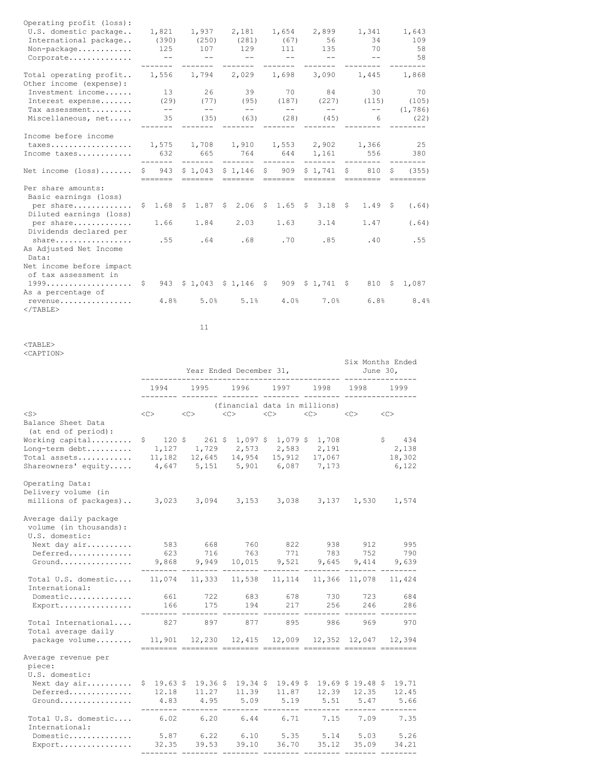| Operating profit (loss):<br>U.S. domestic package |                 |                               | 1,821 1,937 2,181 1,654                     |                                        | 2,899         | 1,341           |    | 1,643              |
|---------------------------------------------------|-----------------|-------------------------------|---------------------------------------------|----------------------------------------|---------------|-----------------|----|--------------------|
| International package                             | (390)           |                               | $(250)$ $(281)$ $(67)$                      |                                        | 56            | 34              |    | 109                |
| Non-package                                       | 125             | 107                           | 129                                         | 111                                    | 135           | 70              |    | 58                 |
| Corporate                                         | $\sim$ $-$      | and the state of the state of | <b>Service State</b>                        | and the state of the state<br>-------- | $\sim$ $-$    | $ -$            |    | 58                 |
| Total operating profit<br>Other income (expense): | 1,556           |                               | 1,794 2,029 1,698                           |                                        | 3,090 1,445   |                 |    | 1,868              |
| Investment income                                 | 13              | 26                            | 39                                          | 70                                     | 84            | 30              |    | 70                 |
| Interest expense                                  | (29)            | (77)                          | (95)                                        | (187)                                  | (227)         | (115)           |    | (105)              |
| Tax assessment                                    | $- -$           | $--$                          | $\qquad \qquad -$                           | $---$                                  | $--$          | $- -$           |    | (1, 786)           |
| Miscellaneous, net                                | 35              | (35)                          | (63)                                        | (28)                                   | (45)<br>$---$ | $6\overline{6}$ |    | (22)               |
| Income before income                              |                 |                               |                                             |                                        |               |                 |    |                    |
| taxes 1,575 1,708 1,910 1,553 2,902 1,366         |                 |                               |                                             |                                        |               |                 |    | 25                 |
| Income taxes                                      | 632<br>-------- | 665                           | 764                                         | 644 1,161 556                          |               |                 |    | 380                |
| Net income $(\text{loss}) \dots \dots$            |                 |                               | \$ 943 \$1,043 \$1,146 \$ 909 \$1,741 \$    |                                        |               | 810             | S. | (355)<br>--------- |
| Per share amounts:<br>Basic earnings (loss)       |                 |                               |                                             |                                        |               |                 |    |                    |
| per share<br>Diluted earnings (loss)              |                 |                               | $$1.68$ $$1.87$ $$2.06$ $$1.65$ $$3.18$ $$$ |                                        |               | 1.49S           |    | (.64)              |
| per share<br>Dividends declared per               | 1.66            | 1.84                          | 2.03                                        | 1.63                                   | 3.14          | 1.47            |    | (.64)              |
| share<br>As Adjusted Net Income<br>Data:          | .55             | .64                           | .68                                         | .70                                    | .85           | .40             |    | .55                |
| Net income before impact<br>of tax assessment in  |                 |                               |                                             |                                        |               |                 |    |                    |
| As a percentage of                                |                 |                               | 943 \$1,043 \$1,146 \$ 909 \$1,741 \$       |                                        |               | 810 \$          |    | 1,087              |
| revenue<br>$<$ /TABLE>                            | 4.8%            | 5.0%                          | 5.1%                                        | 4.0%                                   | 7.0%          | 6.8%            |    | 8.4%               |

11

<TABLE> <CAPTION>

|                                                                                                         |                                                                | Six Months Ended<br>June $301$<br>-------- |                                                                                                                             |                     |                                      |                     |                                    |
|---------------------------------------------------------------------------------------------------------|----------------------------------------------------------------|--------------------------------------------|-----------------------------------------------------------------------------------------------------------------------------|---------------------|--------------------------------------|---------------------|------------------------------------|
|                                                                                                         | 1994<br>------                                                 | 1995                                       | 1996                                                                                                                        | 1997                | 1998                                 | 1998                | 1999                               |
| $<$ S $>$<br>Balance Sheet Data                                                                         | < <sub></sub>                                                  | $<<$ $<$ $>$                               | (financial data in millions)<br><<                                                                                          | < <sub></sub>       | $<<$ $<$ $>$                         | <<                  | < <sub></sub>                      |
| (at end of period):<br>Working capital<br>Long-term debt<br>Total assets<br>Shareowners' equity         | 11,182                                                         |                                            | $$120 \t{5}$ 261 \$ 1,097 \$ 1,079 \$ 1,708<br>1, 127 1, 729 2, 573<br>$12,645$ $14,954$<br>$4,647$ 5,151 5,901 6,087 7,173 | 2,583<br>15,912     | 2,191<br>17,067                      |                     | \$ 434<br>2,138<br>18,302<br>6,122 |
| Operating Data:<br>Delivery volume (in<br>millions of packages)                                         | 3,023 3,094 3,153                                              |                                            |                                                                                                                             | 3,038               |                                      | 3,137 1,530         | 1,574                              |
| Average daily package<br>volume (in thousands):<br>U.S. domestic:<br>Next day air<br>Deferred<br>Ground | 583<br>623<br>9,868                                            | 668<br>716<br>9,949                        | 760<br>763<br>10,015                                                                                                        | 822<br>771<br>9,521 | 938<br>783<br>9,645                  | 912<br>752<br>9,414 | 995<br>790<br>9,639                |
| Total U.S. domestic 11,074 11,333<br>International:                                                     |                                                                |                                            | 11,538                                                                                                                      |                     | 11, 114 11, 366 11, 078              |                     | 11,424                             |
| Domestic<br>Export                                                                                      | 661<br>166                                                     | 722<br>175                                 | 683<br>194                                                                                                                  | 678<br>217          | 730<br>256                           | 723<br>246          | 684<br>286<br>$- - - -$            |
| Total International<br>Total average daily                                                              | 827                                                            | 897                                        | 877                                                                                                                         | 895                 | 986                                  | 969                 | 970                                |
| package volume                                                                                          | $11,901$ $12,230$ $12,415$ $12,009$ $12,352$ $12,047$ $12,394$ |                                            |                                                                                                                             |                     |                                      |                     |                                    |
| Average revenue per<br>piece:<br>U.S. domestic:                                                         |                                                                |                                            |                                                                                                                             |                     |                                      |                     |                                    |
| Next day air<br>Deferred<br>Ground                                                                      | 12.18<br>4.83                                                  | $$19.63$$ \$ 19.36 \$<br>11.27<br>4.95     | $19.34$ \$<br>11.39<br>5.09                                                                                                 | 11.87<br>5.19       | $19.49$ \$ 19.69 \$ 19.48 \$<br>5.51 | 12.39 12.35<br>5.47 | 19.71<br>12.45<br>5.66             |
| Total U.S. domestic<br>International:                                                                   | 6.02                                                           | 6.20                                       | 6.44                                                                                                                        | 6.71                | 7.15                                 | 7.09                | 7.35                               |
| Domestic<br>Export                                                                                      | 5.87<br>32.35                                                  | 6.22<br>39.53                              | 6.10<br>39.10                                                                                                               | 5.35<br>36.70       | 5.14<br>35.12                        | 5.03<br>35.09       | 5.26<br>34.21                      |

-------- -------- -------- -------- -------- ------- --------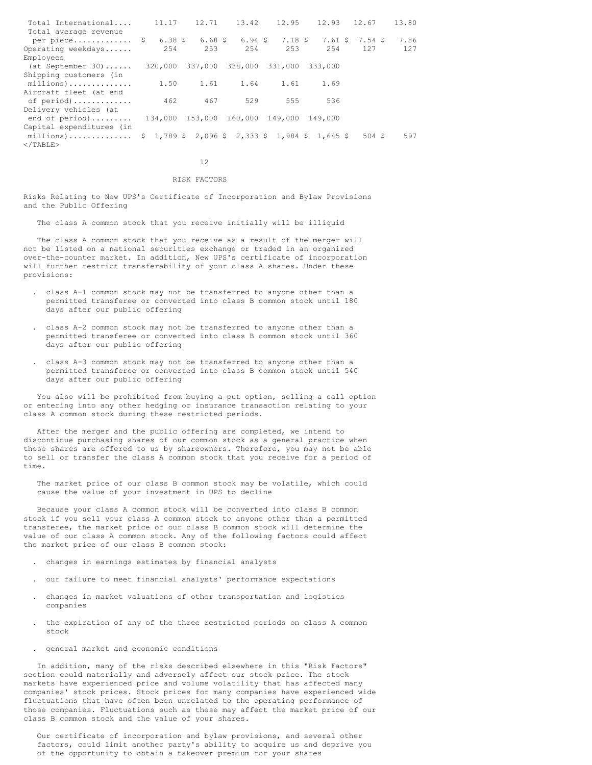| Total International        | 11.17 | 12.71                           | 13.42 | 12.95   | 12.93                                           | 12.67                                           | 13.80 |
|----------------------------|-------|---------------------------------|-------|---------|-------------------------------------------------|-------------------------------------------------|-------|
| Total average revenue      |       |                                 |       |         |                                                 |                                                 |       |
| per piece $\frac{1}{2}$    |       |                                 |       |         |                                                 | 6.38 \$ 6.68 \$ 6.94 \$ 7.18 \$ 7.61 \$ 7.54 \$ | 7.86  |
| Operating weekdays         | 2.54  | 253                             | 2.54  | 2.53    | 2.54                                            | 127                                             | 127   |
| Employees                  |       |                                 |       |         |                                                 |                                                 |       |
| $(at September 30) \ldots$ |       | 320,000 337,000 338,000 331,000 |       |         | 333,000                                         |                                                 |       |
| Shipping customers (in     |       |                                 |       |         |                                                 |                                                 |       |
| millions)                  | 1.50  | 1.61                            | 1.64  | 1.61    | 1.69                                            |                                                 |       |
| Aircraft fleet (at end     |       |                                 |       |         |                                                 |                                                 |       |
| of period)                 | 462   | 467                             | 529   | 555     | 536                                             |                                                 |       |
| Delivery vehicles (at      |       |                                 |       |         |                                                 |                                                 |       |
| end of period)             |       | 134,000 153,000 160,000         |       | 149.000 | 149.000                                         |                                                 |       |
| Capital expenditures (in   |       |                                 |       |         |                                                 |                                                 |       |
| millions)                  |       |                                 |       |         | $$1,789$ \$ 2,096 \$ 2,333 \$ 1,984 \$ 1,645 \$ | 504 S                                           | 597   |
| $<$ /TABLE>                |       |                                 |       |         |                                                 |                                                 |       |
|                            |       |                                 |       |         |                                                 |                                                 |       |

12

# RISK FACTORS

Risks Relating to New UPS's Certificate of Incorporation and Bylaw Provisions and the Public Offering

The class A common stock that you receive initially will be illiquid

The class A common stock that you receive as a result of the merger will not be listed on a national securities exchange or traded in an organized over-the-counter market. In addition, New UPS's certificate of incorporation will further restrict transferability of your class A shares. Under these provisions:

- . class A-1 common stock may not be transferred to anyone other than a permitted transferee or converted into class B common stock until 180 days after our public offering
- . class A-2 common stock may not be transferred to anyone other than a permitted transferee or converted into class B common stock until 360 days after our public offering
- . class A-3 common stock may not be transferred to anyone other than a permitted transferee or converted into class B common stock until 540 days after our public offering

You also will be prohibited from buying a put option, selling a call option or entering into any other hedging or insurance transaction relating to your class A common stock during these restricted periods.

After the merger and the public offering are completed, we intend to discontinue purchasing shares of our common stock as a general practice when those shares are offered to us by shareowners. Therefore, you may not be able to sell or transfer the class A common stock that you receive for a period of time.

The market price of our class B common stock may be volatile, which could cause the value of your investment in UPS to decline

Because your class A common stock will be converted into class B common stock if you sell your class A common stock to anyone other than a permitted transferee, the market price of our class B common stock will determine the value of our class A common stock. Any of the following factors could affect the market price of our class B common stock:

- . changes in earnings estimates by financial analysts
- . our failure to meet financial analysts' performance expectations
- . changes in market valuations of other transportation and logistics companies
- . the expiration of any of the three restricted periods on class A common stock
- . general market and economic conditions

In addition, many of the risks described elsewhere in this "Risk Factors" section could materially and adversely affect our stock price. The stock markets have experienced price and volume volatility that has affected many companies' stock prices. Stock prices for many companies have experienced wide fluctuations that have often been unrelated to the operating performance of those companies. Fluctuations such as these may affect the market price of our class B common stock and the value of your shares.

Our certificate of incorporation and bylaw provisions, and several other factors, could limit another party's ability to acquire us and deprive you of the opportunity to obtain a takeover premium for your shares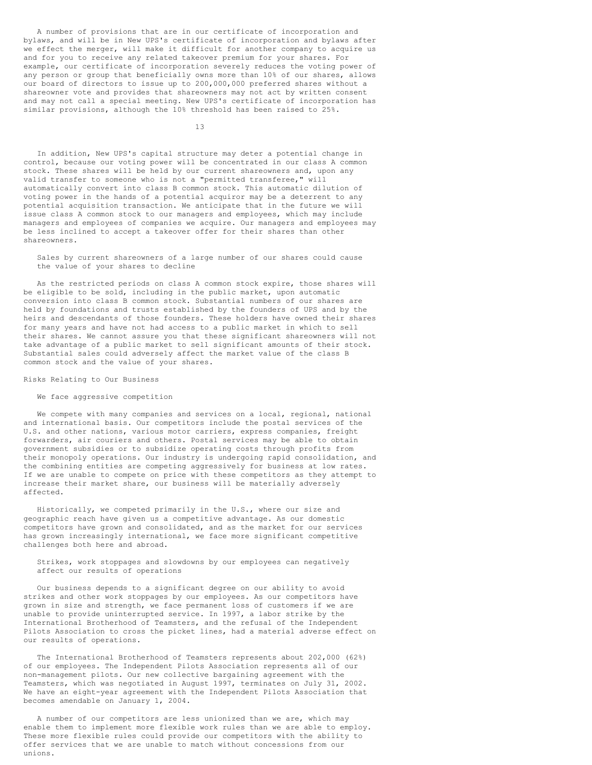A number of provisions that are in our certificate of incorporation and bylaws, and will be in New UPS's certificate of incorporation and bylaws after we effect the merger, will make it difficult for another company to acquire us and for you to receive any related takeover premium for your shares. For example, our certificate of incorporation severely reduces the voting power of any person or group that beneficially owns more than 10% of our shares, allows our board of directors to issue up to 200,000,000 preferred shares without a shareowner vote and provides that shareowners may not act by written consent and may not call a special meeting. New UPS's certificate of incorporation has similar provisions, although the 10% threshold has been raised to 25%.

13

In addition, New UPS's capital structure may deter a potential change in control, because our voting power will be concentrated in our class A common stock. These shares will be held by our current shareowners and, upon any valid transfer to someone who is not a "permitted transferee," will automatically convert into class B common stock. This automatic dilution of voting power in the hands of a potential acquiror may be a deterrent to any potential acquisition transaction. We anticipate that in the future we will issue class A common stock to our managers and employees, which may include managers and employees of companies we acquire. Our managers and employees may be less inclined to accept a takeover offer for their shares than other shareowners.

Sales by current shareowners of a large number of our shares could cause the value of your shares to decline

As the restricted periods on class A common stock expire, those shares will be eligible to be sold, including in the public market, upon automatic conversion into class B common stock. Substantial numbers of our shares are held by foundations and trusts established by the founders of UPS and by the heirs and descendants of those founders. These holders have owned their shares for many years and have not had access to a public market in which to sell their shares. We cannot assure you that these significant shareowners will not take advantage of a public market to sell significant amounts of their stock. Substantial sales could adversely affect the market value of the class B common stock and the value of your shares.

Risks Relating to Our Business

We face aggressive competition

We compete with many companies and services on a local, regional, national and international basis. Our competitors include the postal services of the U.S. and other nations, various motor carriers, express companies, freight forwarders, air couriers and others. Postal services may be able to obtain government subsidies or to subsidize operating costs through profits from their monopoly operations. Our industry is undergoing rapid consolidation, and the combining entities are competing aggressively for business at low rates. If we are unable to compete on price with these competitors as they attempt to increase their market share, our business will be materially adversely affected.

Historically, we competed primarily in the U.S., where our size and geographic reach have given us a competitive advantage. As our domestic competitors have grown and consolidated, and as the market for our services has grown increasingly international, we face more significant competitive challenges both here and abroad.

Strikes, work stoppages and slowdowns by our employees can negatively affect our results of operations

Our business depends to a significant degree on our ability to avoid strikes and other work stoppages by our employees. As our competitors have grown in size and strength, we face permanent loss of customers if we are unable to provide uninterrupted service. In 1997, a labor strike by the International Brotherhood of Teamsters, and the refusal of the Independent Pilots Association to cross the picket lines, had a material adverse effect on our results of operations.

The International Brotherhood of Teamsters represents about 202,000 (62%) of our employees. The Independent Pilots Association represents all of our non-management pilots. Our new collective bargaining agreement with the Teamsters, which was negotiated in August 1997, terminates on July 31, 2002. We have an eight-year agreement with the Independent Pilots Association that becomes amendable on January 1, 2004.

A number of our competitors are less unionized than we are, which may enable them to implement more flexible work rules than we are able to employ. These more flexible rules could provide our competitors with the ability to offer services that we are unable to match without concessions from our unions.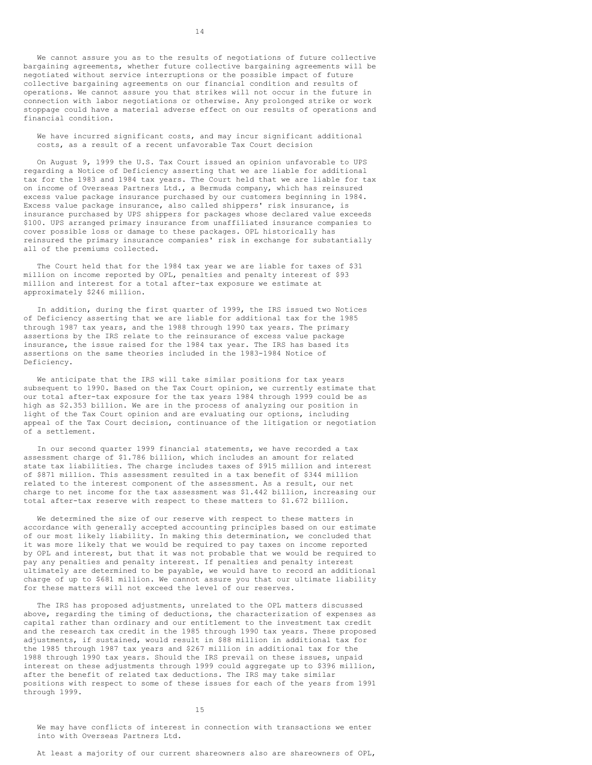We cannot assure you as to the results of negotiations of future collective bargaining agreements, whether future collective bargaining agreements will be negotiated without service interruptions or the possible impact of future collective bargaining agreements on our financial condition and results of operations. We cannot assure you that strikes will not occur in the future in connection with labor negotiations or otherwise. Any prolonged strike or work stoppage could have a material adverse effect on our results of operations and financial condition.

We have incurred significant costs, and may incur significant additional costs, as a result of a recent unfavorable Tax Court decision

On August 9, 1999 the U.S. Tax Court issued an opinion unfavorable to UPS regarding a Notice of Deficiency asserting that we are liable for additional tax for the 1983 and 1984 tax years. The Court held that we are liable for tax on income of Overseas Partners Ltd., a Bermuda company, which has reinsured excess value package insurance purchased by our customers beginning in 1984. Excess value package insurance, also called shippers' risk insurance, is insurance purchased by UPS shippers for packages whose declared value exceeds \$100. UPS arranged primary insurance from unaffiliated insurance companies to cover possible loss or damage to these packages. OPL historically has reinsured the primary insurance companies' risk in exchange for substantially all of the premiums collected.

The Court held that for the 1984 tax year we are liable for taxes of \$31 million on income reported by OPL, penalties and penalty interest of \$93 million and interest for a total after-tax exposure we estimate at approximately \$246 million.

In addition, during the first quarter of 1999, the IRS issued two Notices of Deficiency asserting that we are liable for additional tax for the 1985 through 1987 tax years, and the 1988 through 1990 tax years. The primary assertions by the IRS relate to the reinsurance of excess value package insurance, the issue raised for the 1984 tax year. The IRS has based its assertions on the same theories included in the 1983-1984 Notice of Deficiency.

We anticipate that the IRS will take similar positions for tax years subsequent to 1990. Based on the Tax Court opinion, we currently estimate that our total after-tax exposure for the tax years 1984 through 1999 could be as high as \$2.353 billion. We are in the process of analyzing our position in light of the Tax Court opinion and are evaluating our options, including appeal of the Tax Court decision, continuance of the litigation or negotiation of a settlement.

In our second quarter 1999 financial statements, we have recorded a tax assessment charge of \$1.786 billion, which includes an amount for related state tax liabilities. The charge includes taxes of \$915 million and interest of \$871 million. This assessment resulted in a tax benefit of \$344 million related to the interest component of the assessment. As a result, our net charge to net income for the tax assessment was \$1.442 billion, increasing our total after-tax reserve with respect to these matters to \$1.672 billion.

We determined the size of our reserve with respect to these matters in accordance with generally accepted accounting principles based on our estimate of our most likely liability. In making this determination, we concluded that it was more likely that we would be required to pay taxes on income reported by OPL and interest, but that it was not probable that we would be required to pay any penalties and penalty interest. If penalties and penalty interest ultimately are determined to be payable, we would have to record an additional charge of up to \$681 million. We cannot assure you that our ultimate liability for these matters will not exceed the level of our reserves.

The IRS has proposed adjustments, unrelated to the OPL matters discussed above, regarding the timing of deductions, the characterization of expenses as capital rather than ordinary and our entitlement to the investment tax credit and the research tax credit in the 1985 through 1990 tax years. These proposed adjustments, if sustained, would result in \$88 million in additional tax for the 1985 through 1987 tax years and \$267 million in additional tax for the 1988 through 1990 tax years. Should the IRS prevail on these issues, unpaid interest on these adjustments through 1999 could aggregate up to \$396 million, after the benefit of related tax deductions. The IRS may take similar positions with respect to some of these issues for each of the years from 1991 through 1999.

15

We may have conflicts of interest in connection with transactions we enter into with Overseas Partners Ltd.

At least a majority of our current shareowners also are shareowners of OPL,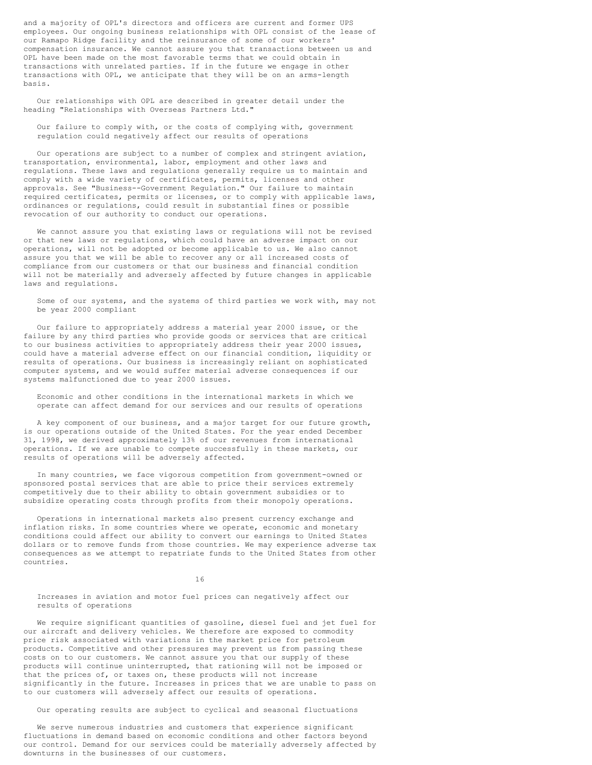and a majority of OPL's directors and officers are current and former UPS employees. Our ongoing business relationships with OPL consist of the lease of our Ramapo Ridge facility and the reinsurance of some of our workers' compensation insurance. We cannot assure you that transactions between us and OPL have been made on the most favorable terms that we could obtain in transactions with unrelated parties. If in the future we engage in other transactions with OPL, we anticipate that they will be on an arms-length basis.

Our relationships with OPL are described in greater detail under the heading "Relationships with Overseas Partners Ltd."

Our failure to comply with, or the costs of complying with, government regulation could negatively affect our results of operations

Our operations are subject to a number of complex and stringent aviation, transportation, environmental, labor, employment and other laws and regulations. These laws and regulations generally require us to maintain and comply with a wide variety of certificates, permits, licenses and other approvals. See "Business--Government Regulation." Our failure to maintain required certificates, permits or licenses, or to comply with applicable laws, ordinances or regulations, could result in substantial fines or possible revocation of our authority to conduct our operations.

We cannot assure you that existing laws or regulations will not be revised or that new laws or regulations, which could have an adverse impact on our operations, will not be adopted or become applicable to us. We also cannot assure you that we will be able to recover any or all increased costs of compliance from our customers or that our business and financial condition will not be materially and adversely affected by future changes in applicable laws and regulations.

Some of our systems, and the systems of third parties we work with, may not be year 2000 compliant

Our failure to appropriately address a material year 2000 issue, or the failure by any third parties who provide goods or services that are critical to our business activities to appropriately address their year 2000 issues, could have a material adverse effect on our financial condition, liquidity or results of operations. Our business is increasingly reliant on sophisticated computer systems, and we would suffer material adverse consequences if our systems malfunctioned due to year 2000 issues.

Economic and other conditions in the international markets in which we operate can affect demand for our services and our results of operations

A key component of our business, and a major target for our future growth, is our operations outside of the United States. For the year ended December 31, 1998, we derived approximately 13% of our revenues from international operations. If we are unable to compete successfully in these markets, our results of operations will be adversely affected.

In many countries, we face vigorous competition from government-owned or sponsored postal services that are able to price their services extremely competitively due to their ability to obtain government subsidies or to subsidize operating costs through profits from their monopoly operations.

Operations in international markets also present currency exchange and inflation risks. In some countries where we operate, economic and monetary conditions could affect our ability to convert our earnings to United States dollars or to remove funds from those countries. We may experience adverse tax consequences as we attempt to repatriate funds to the United States from other countries.

16

Increases in aviation and motor fuel prices can negatively affect our results of operations

We require significant quantities of gasoline, diesel fuel and jet fuel for our aircraft and delivery vehicles. We therefore are exposed to commodity price risk associated with variations in the market price for petroleum .<br>products. Competitive and other pressures may prevent us from passing these costs on to our customers. We cannot assure you that our supply of these products will continue uninterrupted, that rationing will not be imposed or that the prices of, or taxes on, these products will not increase significantly in the future. Increases in prices that we are unable to pass on to our customers will adversely affect our results of operations.

Our operating results are subject to cyclical and seasonal fluctuations

We serve numerous industries and customers that experience significant fluctuations in demand based on economic conditions and other factors beyond our control. Demand for our services could be materially adversely affected by downturns in the businesses of our customers.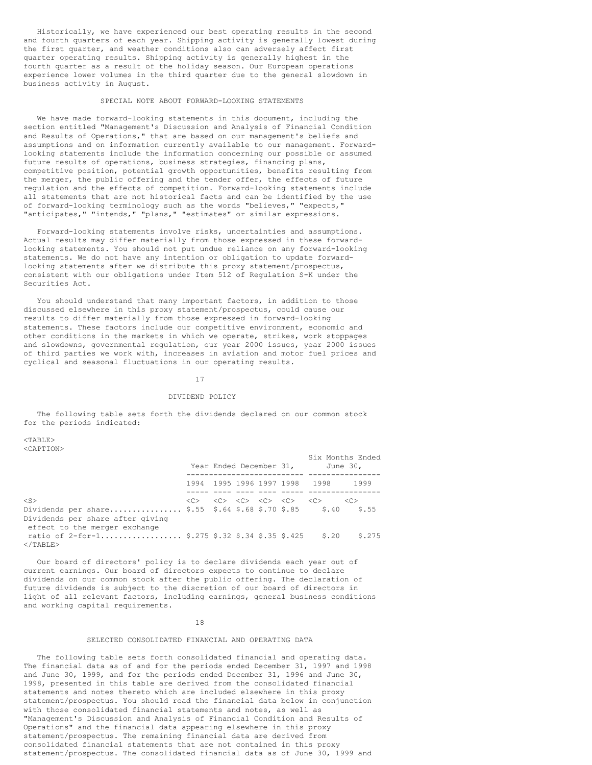Historically, we have experienced our best operating results in the second and fourth quarters of each year. Shipping activity is generally lowest during the first quarter, and weather conditions also can adversely affect first quarter operating results. Shipping activity is generally highest in the fourth quarter as a result of the holiday season. Our European operations experience lower volumes in the third quarter due to the general slowdown in business activity in August.

#### SPECIAL NOTE ABOUT FORWARD-LOOKING STATEMENTS

We have made forward-looking statements in this document, including the section entitled "Management's Discussion and Analysis of Financial Condition and Results of Operations," that are based on our management's beliefs and assumptions and on information currently available to our management. Forwardlooking statements include the information concerning our possible or assumed future results of operations, business strategies, financing plans, competitive position, potential growth opportunities, benefits resulting from the merger, the public offering and the tender offer, the effects of future regulation and the effects of competition. Forward-looking statements include all statements that are not historical facts and can be identified by the use of forward-looking terminology such as the words "believes," "expects," "anticipates," "intends," "plans," "estimates" or similar expressions.

Forward-looking statements involve risks, uncertainties and assumptions. Actual results may differ materially from those expressed in these forwardlooking statements. You should not put undue reliance on any forward-looking statements. We do not have any intention or obligation to update forwardlooking statements after we distribute this proxy statement/prospectus, consistent with our obligations under Item 512 of Regulation S-K under the Securities Act.

You should understand that many important factors, in addition to those discussed elsewhere in this proxy statement/prospectus, could cause our results to differ materially from those expressed in forward-looking statements. These factors include our competitive environment, economic and other conditions in the markets in which we operate, strikes, work stoppages and slowdowns, governmental regulation, our year 2000 issues, year 2000 issues of third parties we work with, increases in aviation and motor fuel prices and cyclical and seasonal fluctuations in our operating results.

17

# DIVIDEND POLICY

The following table sets forth the dividends declared on our common stock for the periods indicated:

# $<$ TABLE>

<CAPTION>

|                                                                                                                                           |               |  | Year Ended December 31,                                                                             |                               | Six Months Ended<br>June 30, |
|-------------------------------------------------------------------------------------------------------------------------------------------|---------------|--|-----------------------------------------------------------------------------------------------------|-------------------------------|------------------------------|
|                                                                                                                                           |               |  |                                                                                                     | 1994 1995 1996 1997 1998 1998 | 1999                         |
| $<$ S $>$<br>Dividends per share \$.55 \$.64 \$.68 \$.70 \$.85 \$.40<br>Dividends per share after giving<br>effect to the merger exchange | < <sub></sub> |  | $\langle C \rangle = \langle C \rangle = \langle C \rangle = \langle C \rangle = \langle C \rangle$ |                               | $<<$ C: $>$<br>\$.55         |
| ratio of 2-for-1 \$.275 \$.32 \$.34 \$.35 \$.425<br>$<$ /TABLE>                                                                           |               |  |                                                                                                     | \$.20                         | \$.275                       |

Our board of directors' policy is to declare dividends each year out of current earnings. Our board of directors expects to continue to declare dividends on our common stock after the public offering. The declaration of future dividends is subject to the discretion of our board of directors in light of all relevant factors, including earnings, general business conditions and working capital requirements.

#### 18

#### SELECTED CONSOLIDATED FINANCIAL AND OPERATING DATA

The following table sets forth consolidated financial and operating data. The financial data as of and for the periods ended December 31, 1997 and 1998 and June 30, 1999, and for the periods ended December 31, 1996 and June 30, 1998, presented in this table are derived from the consolidated financial statements and notes thereto which are included elsewhere in this proxy statement/prospectus. You should read the financial data below in conjunction with those consolidated financial statements and notes, as well as "Management's Discussion and Analysis of Financial Condition and Results of Operations" and the financial data appearing elsewhere in this proxy statement/prospectus. The remaining financial data are derived from consolidated financial statements that are not contained in this proxy statement/prospectus. The consolidated financial data as of June 30, 1999 and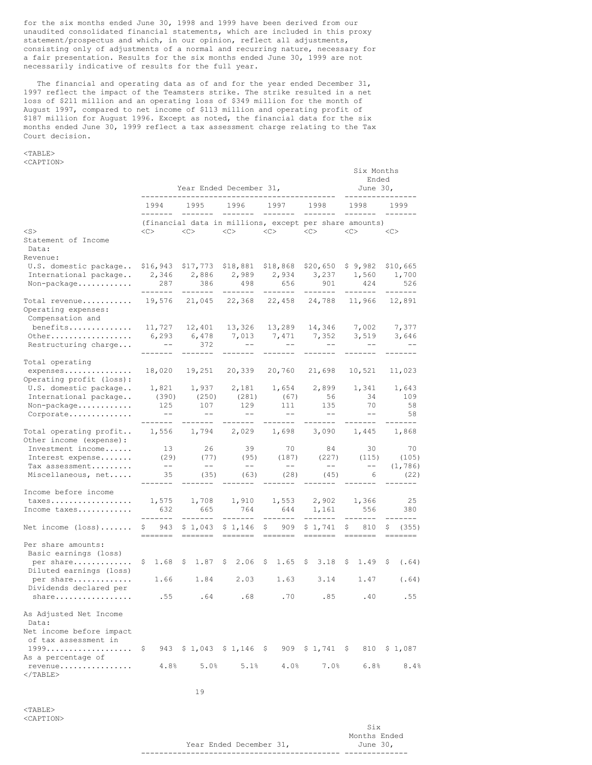for the six months ended June 30, 1998 and 1999 have been derived from our unaudited consolidated financial statements, which are included in this proxy statement/prospectus and which, in our opinion, reflect all adjustments, consisting only of adjustments of a normal and recurring nature, necessary for a fair presentation. Results for the six months ended June 30, 1999 are not necessarily indicative of results for the full year.

The financial and operating data as of and for the year ended December 31, 1997 reflect the impact of the Teamsters strike. The strike resulted in a net loss of \$211 million and an operating loss of \$349 million for the month of August 1997, compared to net income of \$113 million and operating profit of \$187 million for August 1996. Except as noted, the financial data for the six months ended June 30, 1999 reflect a tax assessment charge relating to the Tax Court decision.

> Six Months Ended

(105) -- -- (1,786)<br>(45) 6 (22) ---- ------- --------

# <TABLE>

<CAPTION> Year Ended December 31, June 30, ------------------------------------------- ---------------- 1994 1995 1996 1997 1998 1998 1999 ------- ------- ------- ------- ------- ------- ------- (financial data in millions, except per share amounts) <S> <C> <C> <C> <C> <C> <C> <C> Statement of Income Data: Revenue: U.S. domestic package.. \$16,943 \$17,773 \$18,881 \$18,868 \$20,650 \$ 9,982 \$10,665 International package.. 2,346 2,886 2,989 2,934 3,237 1,560 1,700 Non-package............ 287 386 498 656 901 424 526 ------- ------- ------- ------- ------- ------- ------- Total revenue........... 19,576 21,045 22,368 22,458 24,788 11,966 12,891 Operating expenses: Compensation and<br>benefits............. benefits.............. 11,727 12,401 13,326 13,289 14,346 7,002 7,377 Other.................. 6,293 6,478 7,013 7,471 7,352 3,519 3,646 Restructuring charge... -- 372 -- -- -- -- -- -- --------- ------- ------- ------- ------- ------- ------- Total operating expenses............... 18,020 19,251 20,339 20,760 21,698 10,521 11,023 Operating profit (loss): U.S. domestic package.. 1,821 1,937 2,181 1,654 2,899 1,341 1,643 International package.. (390) (250) (281) (67) 56 34 109 Non-package............ 125 107 129 111 135 70 58 Corporate.............. -- -- -- -- -- -- 58 ------- ------- ------- ------- ------- ------- ------- Total operating profit.. 1,556 1,794 2,029 1,698 3,090 1,445 1,868 Other income (expense):<br>Investment income...... Investment income...... 13 26 39 70 84 30 70 Interest expense....... (29) (77) (95) (187) (227) (115) (105) Tax assessment......... -- -- -- -- -- -- (1,786) ------- ------- ------- ------- ------- ------- ------- Income before income

| taxes 1,575 1,708 1,910 1,553 2,902 1,366<br>Income taxes                           | 632 665 |                                                           | 764 | 644 | 1,161 556 |             | 25<br>380                                   |
|-------------------------------------------------------------------------------------|---------|-----------------------------------------------------------|-----|-----|-----------|-------------|---------------------------------------------|
| Net income (loss) \$ 943 \$1,043 \$1,146 \$ 909 \$1,741 \$ 810 \$ (355)             |         |                                                           |     |     |           |             |                                             |
| Per share amounts:<br>Basic earnings (loss)                                         |         |                                                           |     |     |           |             |                                             |
| per share<br>Diluted earnings (loss)                                                |         | $$1.68$ $$1.87$ $$2.06$ $$1.65$ $$3.18$ $$1.49$ $$(0.64)$ |     |     |           |             |                                             |
| per share<br>Dividends declared per                                                 |         | $1.66$ $1.84$ $2.03$ $1.63$ $3.14$ $1.47$                 |     |     |           |             | (.64)                                       |
|                                                                                     |         |                                                           |     | .70 |           | $.85$ $.40$ | .55                                         |
| As Adjusted Net Income<br>Data:<br>Net income before impact<br>of tax assessment in |         |                                                           |     |     |           |             |                                             |
| 1999 \$ 943 \$1,043 \$1,146 \$ 909 \$1,741 \$ 810 \$1,087<br>As a percentage of     |         |                                                           |     |     |           |             |                                             |
| revenue                                                                             |         |                                                           |     |     |           |             | $4.8\%$ 5.0\% 5.1\% 4.0\% 7.0\% 6.8\% 8.4\% |

19

 $<$ TABLE> <CAPTION>

 $<$ /TABLE>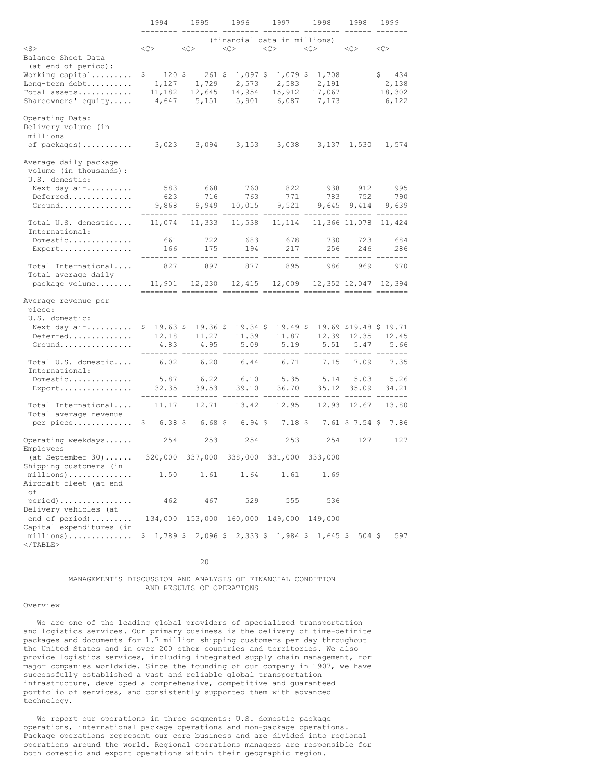|                                                                     | 1994                              | 1995<br>1996                |                         | 1997                                            | 1998                     | 1998            | 1999                   |  |
|---------------------------------------------------------------------|-----------------------------------|-----------------------------|-------------------------|-------------------------------------------------|--------------------------|-----------------|------------------------|--|
| $<$ S $>$                                                           | <<                                | <<                          | <<                      | (financial data in millions)<br><<              | $<\infty$                | <<              | <<                     |  |
| Balance Sheet Data<br>(at end of period):                           |                                   |                             |                         |                                                 |                          |                 |                        |  |
| Working capital<br>Long-term debt<br>Total assets                   | $120$ \$<br>\$<br>1,127<br>11,182 | $261$ \$<br>1,729<br>12,645 | 2,573<br>14,954         | $1,097$ \$ 1,079 \$<br>2,583<br>15,912          | 1,708<br>2,191<br>17,067 |                 | 434<br>2,138<br>18,302 |  |
| Shareowners' equity                                                 | 4,647                             | 5,151                       | 5,901                   | 6,087                                           | 7,173                    |                 | 6,122                  |  |
| Operating Data:<br>Delivery volume (in<br>millions                  |                                   |                             |                         |                                                 |                          |                 |                        |  |
| of packages)                                                        | 3,023                             | 3,094                       | 3,153                   | 3,038                                           |                          | 3,137 1,530     | 1,574                  |  |
| Average daily package<br>volume (in thousands):<br>U.S. domestic:   |                                   |                             |                         |                                                 |                          |                 |                        |  |
| Next day air                                                        | 583                               | 668                         | 760                     | 822                                             | 938                      | 912             | 995                    |  |
| Deferred<br>Ground                                                  | 623<br>9,868                      | 716<br>9,949                | 763<br>10,015           | 771<br>9,521                                    | 783<br>9,645             | 752<br>9,414    | 790<br>9,639           |  |
| Total U.S. domestic<br>International:                               | 11,074                            | 11,333                      | 11,538                  | 11,114                                          |                          | 11,366 11,078   | 11,424                 |  |
| Domestic                                                            | 661                               | 722                         | 683                     | 678                                             | 730                      | 723             | 684                    |  |
| Export                                                              | 166                               | 175                         | 194                     | 217                                             | 256                      | 246             | 286<br>$- - - -$       |  |
| Total International<br>Total average daily                          | 827                               | 897                         | 877                     | 895                                             | 986                      | 969             | 970                    |  |
| package volume                                                      | 11,901                            | 12,230                      | 12,415                  | 12,009                                          |                          |                 | 12,352 12,047 12,394   |  |
| Average revenue per<br>piece:                                       |                                   |                             |                         |                                                 |                          |                 |                        |  |
| U.S. domestic:                                                      | \$19.63\$                         | $19.36$ \$                  |                         | 19.49S                                          |                          |                 | 19.69 \$19.48 \$ 19.71 |  |
| Next day air<br>Deferred                                            | 12.18                             | 11.27                       | $19.34$ \$<br>11.39     | 11.87                                           | 12.39                    | 12.35           | 12.45                  |  |
| Ground                                                              | 4.83                              | 4.95                        | 5.09                    | 5.19                                            | 5.51                     | 5.47            | 5.66                   |  |
| Total U.S. domestic<br>International:                               | 6.02                              | 6.20                        | 6.44                    | 6.71                                            | 7.15                     | 7.09            | 7.35                   |  |
| Domestic                                                            | 5.87                              | 6.22                        | 6.10                    | 5.35                                            | 5.14                     | 5.03            | 5.26                   |  |
| Export                                                              | 32.35                             | 39.53                       | 39.10                   | 36.70                                           | 35.12                    | 35.09           | 34.21<br>$- - - - -$   |  |
| Total International<br>Total average revenue                        | 11.17                             | 12.71                       | 13.42                   | 12.95                                           | 12.93                    | 12.67           | 13.80                  |  |
| per piece                                                           | $6.38 \;$ \$<br>\$                | $6.68\;$ \$                 | $6.94$ \$               | 7.18S                                           |                          | 7.61 \$ 7.54 \$ | 7.86                   |  |
| Operating weekdays<br>Employees                                     | 254                               | 253                         | 254                     | 253                                             | 254                      | 127             | 127                    |  |
| $(at September 30)$<br>Shipping customers (in                       |                                   |                             |                         | 320,000 337,000 338,000 331,000 333,000         |                          |                 |                        |  |
| millions)<br>Aircraft fleet (at end<br>оf                           | 1.50                              | 1.61                        | 1.64                    | 1.61                                            | 1.69                     |                 |                        |  |
| $period)$                                                           | 462                               | 467                         | 529                     | 555                                             | 536                      |                 |                        |  |
| Delivery vehicles (at<br>end of period)<br>Capital expenditures (in |                                   |                             | 134,000 153,000 160,000 | 149,000                                         | 149,000                  |                 |                        |  |
| $millions)$<br>$<$ /TABLE>                                          |                                   |                             |                         | $$1,789$ \$ 2,096 \$ 2,333 \$ 1,984 \$ 1,645 \$ |                          | $504$ \$        | 597                    |  |

20

# MANAGEMENT'S DISCUSSION AND ANALYSIS OF FINANCIAL CONDITION AND RESULTS OF OPERATIONS

# Overview

We are one of the leading global providers of specialized transportation and logistics services. Our primary business is the delivery of time-definite packages and documents for 1.7 million shipping customers per day throughout the United States and in over 200 other countries and territories. We also provide logistics services, including integrated supply chain management, for major companies worldwide. Since the founding of our company in 1907, we have successfully established a vast and reliable global transportation infrastructure, developed a comprehensive, competitive and guaranteed portfolio of services, and consistently supported them with advanced technology.

We report our operations in three segments: U.S. domestic package operations, international package operations and non-package operations. Package operations represent our core business and are divided into regional operations around the world. Regional operations managers are responsible for both domestic and export operations within their geographic region.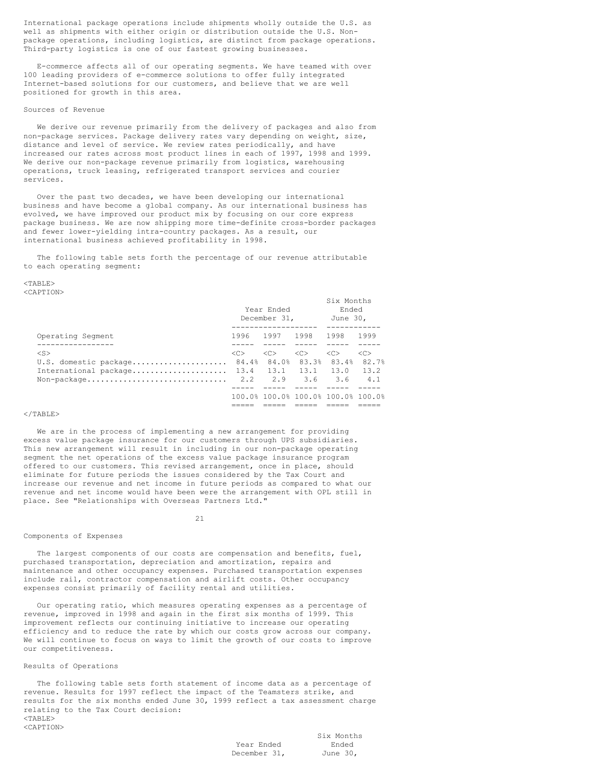International package operations include shipments wholly outside the U.S. as well as shipments with either origin or distribution outside the U.S. Nonpackage operations, including logistics, are distinct from package operations. Third-party logistics is one of our fastest growing businesses.

E-commerce affects all of our operating segments. We have teamed with over 100 leading providers of e-commerce solutions to offer fully integrated Internet-based solutions for our customers, and believe that we are well positioned for growth in this area.

# Sources of Revenue

We derive our revenue primarily from the delivery of packages and also from non-package services. Package delivery rates vary depending on weight, size, distance and level of service. We review rates periodically, and have increased our rates across most product lines in each of 1997, 1998 and 1999. We derive our non-package revenue primarily from logistics, warehousing operations, truck leasing, refrigerated transport services and courier services.

Over the past two decades, we have been developing our international business and have become a global company. As our international business has evolved, we have improved our product mix by focusing on our core express package business. We are now shipping more time-definite cross-border packages and fewer lower-yielding intra-country packages. As a result, our international business achieved profitability in 1998.

The following table sets forth the percentage of our revenue attributable to each operating segment:

#### $<$ TABLE> <CAPTION>

|                                             |               | Year Ended<br>December 31.         | Six Months<br>Ended<br>June 30, |                   |               |  |
|---------------------------------------------|---------------|------------------------------------|---------------------------------|-------------------|---------------|--|
| Operating Segment                           |               | 1996 1997 1998                     |                                 | 1998              | 1999          |  |
|                                             |               |                                    |                                 |                   |               |  |
| $<$ S $>$                                   | < <sub></sub> | < <sub></sub>                      | < <sub></sub>                   | < <sub></sub>     | < <sub></sub> |  |
| U.S. domestic package 84.4%                 |               | 84.0%                              |                                 | 83.3% 83.4% 82.7% |               |  |
| International package $13.4$ 13.1 13.1 13.0 |               |                                    |                                 |                   | 13.2          |  |
| Non-package                                 |               | 2.2 2.9 3.6 3.6                    |                                 |                   | 4.1           |  |
|                                             |               |                                    |                                 |                   |               |  |
|                                             |               | 100.0% 100.0% 100.0% 100.0% 100.0% |                                 |                   |               |  |
|                                             |               |                                    |                                 |                   |               |  |

# $\langle$ /TABLE>

We are in the process of implementing a new arrangement for providing excess value package insurance for our customers through UPS subsidiaries. This new arrangement will result in including in our non-package operating segment the net operations of the excess value package insurance program offered to our customers. This revised arrangement, once in place, should eliminate for future periods the issues considered by the Tax Court and increase our revenue and net income in future periods as compared to what our revenue and net income would have been were the arrangement with OPL still in place. See "Relationships with Overseas Partners Ltd."

#### 21

# Components of Expenses

The largest components of our costs are compensation and benefits, fuel, purchased transportation, depreciation and amortization, repairs and maintenance and other occupancy expenses. Purchased transportation expenses include rail, contractor compensation and airlift costs. Other occupancy expenses consist primarily of facility rental and utilities.

Our operating ratio, which measures operating expenses as a percentage of revenue, improved in 1998 and again in the first six months of 1999. This improvement reflects our continuing initiative to increase our operating efficiency and to reduce the rate by which our costs grow across our company. We will continue to focus on ways to limit the growth of our costs to improve our competitiveness.

# Results of Operations

The following table sets forth statement of income data as a percentage of revenue. Results for 1997 reflect the impact of the Teamsters strike, and results for the six months ended June 30, 1999 reflect a tax assessment charge relating to the Tax Court decision: <TABLE>

|              | Six Months |
|--------------|------------|
| Year Ended   | Ended      |
| December 31. | June 30.   |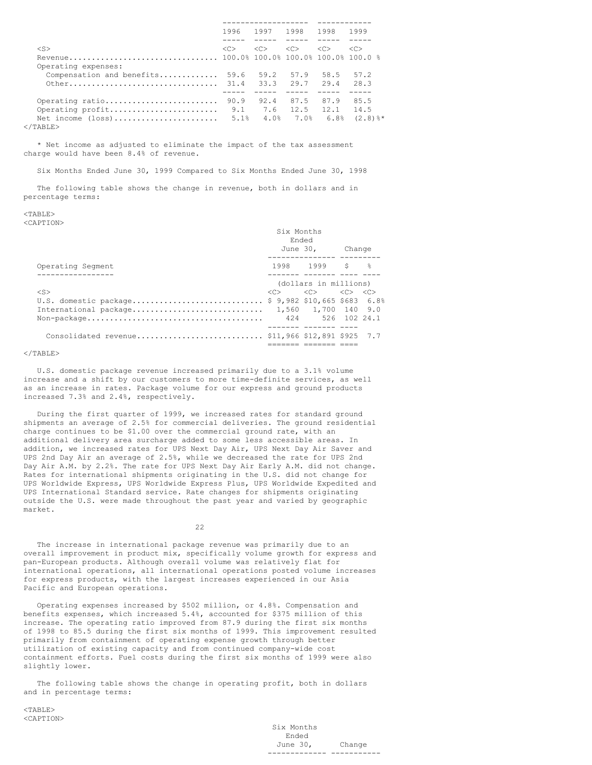|                           | 1996 | 1997                      | 1998           | 1998          | 1999          |
|---------------------------|------|---------------------------|----------------|---------------|---------------|
|                           |      |                           |                |               |               |
| $<$ S>                    | <<   | < <sub></sub>             | < <sub></sub>  | < <sub></sub> | < <sub></sub> |
|                           |      |                           |                |               |               |
| Operating expenses:       |      |                           |                |               |               |
| Compensation and benefits | 59.6 | 59.2                      | 57.9           | 58.5          | 57.2          |
|                           |      |                           |                |               | 28.3          |
|                           |      |                           |                |               |               |
| Operating ratio           | 90.9 |                           | 92.4 87.5 87.9 |               | 85.5          |
| Operating profit          |      | $9.1$ $7.6$ $12.5$ $12.1$ |                |               | 14.5          |
| Net income (loss)         |      | $5.1%$ $4.0%$             |                | 7.0% 6.8%     | $(2.8)$ $*$   |
|                           |      |                           |                |               |               |

  |  |  |  |  |\* Net income as adjusted to eliminate the impact of the tax assessment charge would have been 8.4% of revenue.

Six Months Ended June 30, 1999 Compared to Six Months Ended June 30, 1998

The following table shows the change in revenue, both in dollars and in percentage terms:

#### <TABLE> <CAPTION>

|                                                                                              | Six Months<br>Ended<br>June 30, Change                                          |  |  |
|----------------------------------------------------------------------------------------------|---------------------------------------------------------------------------------|--|--|
|                                                                                              | -------------- ------                                                           |  |  |
| Operating Segment                                                                            | 1998 1999 \$ %                                                                  |  |  |
|                                                                                              | ---- ------- ---- ---                                                           |  |  |
|                                                                                              | (dollars in millions)                                                           |  |  |
| $<$ S>                                                                                       | $\langle C \rangle$ $\langle C \rangle$ $\langle C \rangle$ $\langle C \rangle$ |  |  |
| U.S. domestic package \$ 9,982 \$10,665 \$683 6.8%                                           |                                                                                 |  |  |
| International package 1,560 1,700 140 9.0                                                    |                                                                                 |  |  |
| $\text{Non-package} \dots \dots \dots \dots \dots \dots \dots \dots \dots \dots \dots \dots$ | 424 526 102 24.1                                                                |  |  |
|                                                                                              |                                                                                 |  |  |
|                                                                                              |                                                                                 |  |  |
|                                                                                              |                                                                                 |  |  |

#### $\langle$ /TABLE>

U.S. domestic package revenue increased primarily due to a 3.1% volume increase and a shift by our customers to more time-definite services, as well as an increase in rates. Package volume for our express and ground products increased 7.3% and 2.4%, respectively.

During the first quarter of 1999, we increased rates for standard ground shipments an average of 2.5% for commercial deliveries. The ground residential charge continues to be \$1.00 over the commercial ground rate, with an additional delivery area surcharge added to some less accessible areas. In addition, we increased rates for UPS Next Day Air, UPS Next Day Air Saver and UPS 2nd Day Air an average of 2.5%, while we decreased the rate for UPS 2nd Day Air A.M. by 2.2%. The rate for UPS Next Day Air Early A.M. did not change. Rates for international shipments originating in the U.S. did not change for UPS Worldwide Express, UPS Worldwide Express Plus, UPS Worldwide Expedited and UPS International Standard service. Rate changes for shipments originating outside the U.S. were made throughout the past year and varied by geographic market.

22

The increase in international package revenue was primarily due to an overall improvement in product mix, specifically volume growth for express and pan-European products. Although overall volume was relatively flat for international operations, all international operations posted volume increases for express products, with the largest increases experienced in our Asia Pacific and European operations.

Operating expenses increased by \$502 million, or 4.8%. Compensation and benefits expenses, which increased 5.4%, accounted for \$375 million of this increase. The operating ratio improved from 87.9 during the first six months of 1998 to 85.5 during the first six months of 1999. This improvement resulted primarily from containment of operating expense growth through better utilization of existing capacity and from continued company-wide cost containment efforts. Fuel costs during the first six months of 1999 were also slightly lower.

The following table shows the change in operating profit, both in dollars and in percentage terms:

 $<$ TABLE> <CAPTION>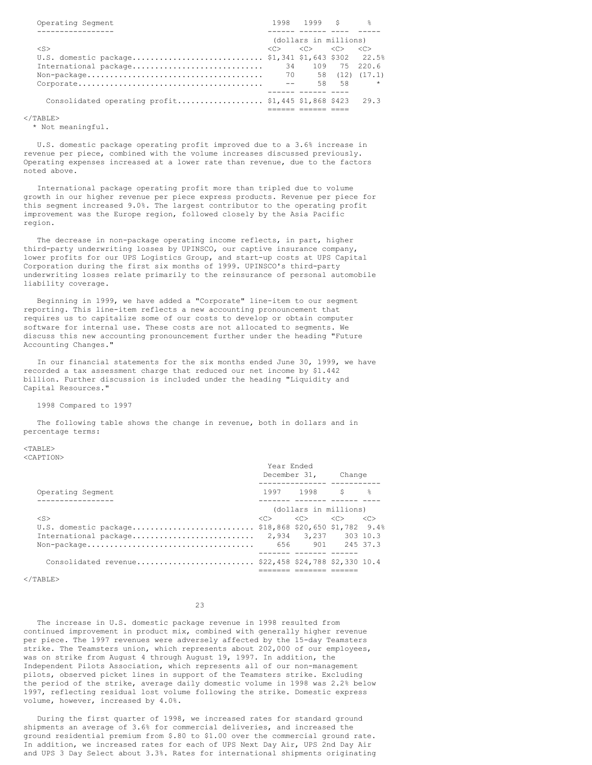| Operating Segment                                                                                    |                     | 1998 1999 \$ %                          |       |                     |
|------------------------------------------------------------------------------------------------------|---------------------|-----------------------------------------|-------|---------------------|
|                                                                                                      |                     |                                         |       |                     |
|                                                                                                      |                     | (dollars in millions)                   |       |                     |
| $\langle S \rangle$                                                                                  | $\langle C \rangle$ | $\langle C \rangle$ $\langle C \rangle$ |       | $\langle C \rangle$ |
| U.S. domestic package \$1,341 \$1,643 \$302 22.5%                                                    |                     |                                         |       |                     |
| International package                                                                                | 34 ·                |                                         |       | 109 75 220.6        |
| $Non-package \ldots \ldots \ldots \ldots \ldots \ldots \ldots \ldots \ldots \ldots \ldots \qquad 70$ |                     |                                         |       | 58 (12) (17.1)      |
|                                                                                                      | $- -$               |                                         | 58 58 | $\star$             |
|                                                                                                      |                     |                                         |       |                     |
| Consolidated operating $profit$ \$1,445 \$1,868 \$423                                                |                     |                                         |       | 29.3                |
|                                                                                                      |                     |                                         |       |                     |

 $\langle$ /TABLE>

\* Not meaningful.

U.S. domestic package operating profit improved due to a 3.6% increase in revenue per piece, combined with the volume increases discussed previously. Operating expenses increased at a lower rate than revenue, due to the factors noted above.

International package operating profit more than tripled due to volume growth in our higher revenue per piece express products. Revenue per piece for this segment increased 9.0%. The largest contributor to the operating profit improvement was the Europe region, followed closely by the Asia Pacific region.

The decrease in non-package operating income reflects, in part, higher third-party underwriting losses by UPINSCO, our captive insurance company, lower profits for our UPS Logistics Group, and start-up costs at UPS Capital Corporation during the first six months of 1999. UPINSCO's third-party underwriting losses relate primarily to the reinsurance of personal automobile liability coverage.

Beginning in 1999, we have added a "Corporate" line-item to our segment reporting. This line-item reflects a new accounting pronouncement that requires us to capitalize some of our costs to develop or obtain computer software for internal use. These costs are not allocated to segments. We discuss this new accounting pronouncement further under the heading "Future Accounting Changes."

In our financial statements for the six months ended June 30, 1999, we have recorded a tax assessment charge that reduced our net income by \$1.442 billion. Further discussion is included under the heading "Liquidity and Capital Resources."

1998 Compared to 1997

The following table shows the change in revenue, both in dollars and in percentage terms:

<TABLE> <CAPTION>

|                                                                                        | Year Ended |                                                                                 | December 31, Change |  |  |
|----------------------------------------------------------------------------------------|------------|---------------------------------------------------------------------------------|---------------------|--|--|
| Operating Segment                                                                      |            | 1997 1998 S କ                                                                   |                     |  |  |
| ------------                                                                           |            | (dollars in millions)                                                           |                     |  |  |
| $<$ S>                                                                                 |            | $\langle C \rangle$ $\langle C \rangle$ $\langle C \rangle$ $\langle C \rangle$ |                     |  |  |
| U.S. domestic package \$18,868 \$20,650 \$1,782 9.4%                                   |            |                                                                                 |                     |  |  |
|                                                                                        |            |                                                                                 |                     |  |  |
| $\text{Non-package} \dots \dots \dots \dots \dots \dots \dots \dots \dots \dots \dots$ |            | 656 901 245 37.3                                                                |                     |  |  |
|                                                                                        |            |                                                                                 |                     |  |  |
| Consolidated revenue \$22,458 \$24,788 \$2,330 10.4                                    |            |                                                                                 |                     |  |  |
|                                                                                        |            |                                                                                 |                     |  |  |

 $<$ /TABLE>

23

The increase in U.S. domestic package revenue in 1998 resulted from continued improvement in product mix, combined with generally higher revenue per piece. The 1997 revenues were adversely affected by the 15-day Teamsters strike. The Teamsters union, which represents about 202,000 of our employees, was on strike from August 4 through August 19, 1997. In addition, the Independent Pilots Association, which represents all of our non-management pilots, observed picket lines in support of the Teamsters strike. Excluding the period of the strike, average daily domestic volume in 1998 was 2.2% below 1997, reflecting residual lost volume following the strike. Domestic express volume, however, increased by 4.0%.

During the first quarter of 1998, we increased rates for standard ground shipments an average of 3.6% for commercial deliveries, and increased the ground residential premium from \$.80 to \$1.00 over the commercial ground rate. In addition, we increased rates for each of UPS Next Day Air, UPS 2nd Day Air and UPS 3 Day Select about 3.3%. Rates for international shipments originating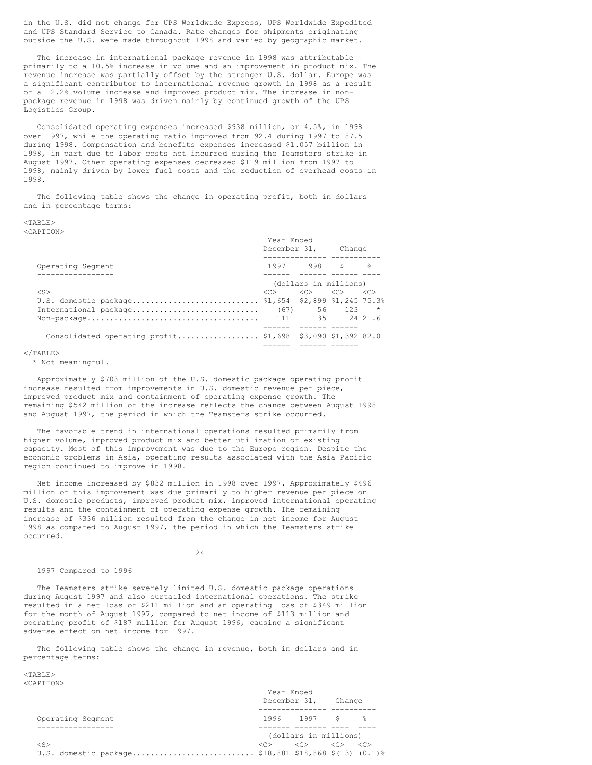in the U.S. did not change for UPS Worldwide Express, UPS Worldwide Expedited and UPS Standard Service to Canada. Rate changes for shipments originating outside the U.S. were made throughout 1998 and varied by geographic market.

The increase in international package revenue in 1998 was attributable primarily to a 10.5% increase in volume and an improvement in product mix. The revenue increase was partially offset by the stronger U.S. dollar. Europe was a significant contributor to international revenue growth in 1998 as a result of a 12.2% volume increase and improved product mix. The increase in nonpackage revenue in 1998 was driven mainly by continued growth of the UPS Logistics Group.

Consolidated operating expenses increased \$938 million, or 4.5%, in 1998 over 1997, while the operating ratio improved from 92.4 during 1997 to 87.5 during 1998. Compensation and benefits expenses increased \$1.057 billion in 1998, in part due to labor costs not incurred during the Teamsters strike in August 1997. Other operating expenses decreased \$119 million from 1997 to 1998, mainly driven by lower fuel costs and the reduction of overhead costs in 1998.

The following table shows the change in operating profit, both in dollars and in percentage terms:

#### $<$ TABLE> <CAPTION>

|                                                            | Year Ended<br>December 31, Change                           |                       |                     |
|------------------------------------------------------------|-------------------------------------------------------------|-----------------------|---------------------|
| Operating Segment                                          |                                                             | 1997 1998 \$ %        |                     |
| -------------                                              |                                                             | (dollars in millions) |                     |
| $\langle$ S>                                               | $\langle C \rangle$ $\langle C \rangle$ $\langle C \rangle$ |                       | $\langle C \rangle$ |
| U.S. domestic package \$1,654 \$2,899 \$1,245 75.3%        |                                                             |                       |                     |
| International package                                      |                                                             | $(67)$ 56 123 *       |                     |
|                                                            |                                                             |                       |                     |
|                                                            |                                                             |                       |                     |
| Consolidated operating profit \$1,698 \$3,090 \$1,392 82.0 |                                                             |                       |                     |
|                                                            |                                                             |                       |                     |

 $\langle$ /TABLE>

\* Not meaningful.

Approximately \$703 million of the U.S. domestic package operating profit increase resulted from improvements in U.S. domestic revenue per piece, improved product mix and containment of operating expense growth. The remaining \$542 million of the increase reflects the change between August 1998 and August 1997, the period in which the Teamsters strike occurred.

The favorable trend in international operations resulted primarily from higher volume, improved product mix and better utilization of existing capacity. Most of this improvement was due to the Europe region. Despite the economic problems in Asia, operating results associated with the Asia Pacific region continued to improve in 1998.

Net income increased by \$832 million in 1998 over 1997. Approximately \$496 million of this improvement was due primarily to higher revenue per piece on U.S. domestic products, improved product mix, improved international operating results and the containment of operating expense growth. The remaining increase of \$336 million resulted from the change in net income for August 1998 as compared to August 1997, the period in which the Teamsters strike occurred.

24

# 1997 Compared to 1996

The Teamsters strike severely limited U.S. domestic package operations during August 1997 and also curtailed international operations. The strike resulted in a net loss of \$211 million and an operating loss of \$349 million for the month of August 1997, compared to net income of \$113 million and operating profit of \$187 million for August 1996, causing a significant adverse effect on net income for 1997.

The following table shows the change in revenue, both in dollars and in percentage terms:

 $<$ TABLE> <CAPTION>

|                                                       | Year Ended<br>December 31,<br>Change |                       |                     |                     |  |
|-------------------------------------------------------|--------------------------------------|-----------------------|---------------------|---------------------|--|
| Operating Segment                                     |                                      | 1996 1997 \$ %        |                     |                     |  |
|                                                       |                                      | (dollars in millions) |                     |                     |  |
| $<$ S>                                                | $\langle \cap \rangle$               | < <sub></sub>         | $\langle C \rangle$ | $\langle C \rangle$ |  |
| U.S. domestic package \$18,881 \$18,868 \$(13) (0.1)% |                                      |                       |                     |                     |  |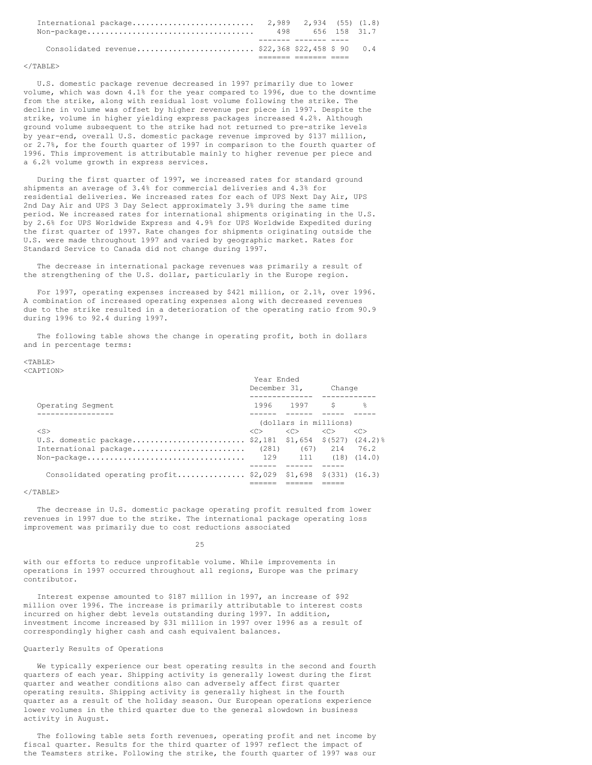| $\text{Non-package} \dots \dots \dots \dots \dots \dots \dots \dots \dots \dots \dots$ | 498 656 158 31.7 |  |
|----------------------------------------------------------------------------------------|------------------|--|
| Consolidated revenue \$22,368 \$22,458 \$ 90 0.4                                       |                  |  |
|                                                                                        |                  |  |

#### $<$ /TABLE>

U.S. domestic package revenue decreased in 1997 primarily due to lower volume, which was down 4.1% for the year compared to 1996, due to the downtime from the strike, along with residual lost volume following the strike. The decline in volume was offset by higher revenue per piece in 1997. Despite the strike, volume in higher yielding express packages increased 4.2%. Although ground volume subsequent to the strike had not returned to pre-strike levels by year-end, overall U.S. domestic package revenue improved by \$137 million, or 2.7%, for the fourth quarter of 1997 in comparison to the fourth quarter of 1996. This improvement is attributable mainly to higher revenue per piece and a 6.2% volume growth in express services.

During the first quarter of 1997, we increased rates for standard ground shipments an average of 3.4% for commercial deliveries and 4.3% for residential deliveries. We increased rates for each of UPS Next Day Air, UPS 2nd Day Air and UPS 3 Day Select approximately 3.9% during the same time period. We increased rates for international shipments originating in the U.S. by 2.6% for UPS Worldwide Express and 4.9% for UPS Worldwide Expedited during the first quarter of 1997. Rate changes for shipments originating outside the U.S. were made throughout 1997 and varied by geographic market. Rates for Standard Service to Canada did not change during 1997.

The decrease in international package revenues was primarily a result of the strengthening of the U.S. dollar, particularly in the Europe region.

For 1997, operating expenses increased by \$421 million, or 2.1%, over 1996. A combination of increased operating expenses along with decreased revenues due to the strike resulted in a deterioration of the operating ratio from 90.9 during 1996 to 92.4 during 1997.

The following table shows the change in operating profit, both in dollars and in percentage terms:

#### <TABLE> <CAPTION>

|                                                                | Year Ended<br>December 31,                           |                                         | Change |                     |  |
|----------------------------------------------------------------|------------------------------------------------------|-----------------------------------------|--------|---------------------|--|
| Operating Segment                                              |                                                      | 1996 1997 \$                            |        | ႜ                   |  |
|                                                                |                                                      |                                         |        |                     |  |
|                                                                |                                                      | (dollars in millions)                   |        |                     |  |
| $<$ S>                                                         | $\langle C \rangle$ . The set of $\langle C \rangle$ | $\langle C \rangle$ $\langle C \rangle$ |        | $\langle C \rangle$ |  |
| U.S. domestic package \$2,181 \$1,654 \$(527) (24.2)%          |                                                      |                                         |        |                     |  |
| International package                                          |                                                      | $(281)$ $(67)$ $214$ $76.2$             |        |                     |  |
|                                                                |                                                      |                                         |        |                     |  |
|                                                                |                                                      |                                         |        |                     |  |
| Consolidated operating profit \$2,029 \$1,698 \$(331) $(16.3)$ |                                                      |                                         |        |                     |  |
|                                                                |                                                      |                                         |        |                     |  |

# $\langle$ /TABLE>

The decrease in U.S. domestic package operating profit resulted from lower revenues in 1997 due to the strike. The international package operating loss improvement was primarily due to cost reductions associated

25

with our efforts to reduce unprofitable volume. While improvements in operations in 1997 occurred throughout all regions, Europe was the primary contributor.

Interest expense amounted to \$187 million in 1997, an increase of \$92 million over 1996. The increase is primarily attributable to interest costs incurred on higher debt levels outstanding during 1997. In addition, investment income increased by \$31 million in 1997 over 1996 as a result of correspondingly higher cash and cash equivalent balances.

## Quarterly Results of Operations

We typically experience our best operating results in the second and fourth quarters of each year. Shipping activity is generally lowest during the first quarter and weather conditions also can adversely affect first quarter operating results. Shipping activity is generally highest in the fourth quarter as a result of the holiday season. Our European operations experience lower volumes in the third quarter due to the general slowdown in business activity in August.

The following table sets forth revenues, operating profit and net income by fiscal quarter. Results for the third quarter of 1997 reflect the impact of the Teamsters strike. Following the strike, the fourth quarter of 1997 was our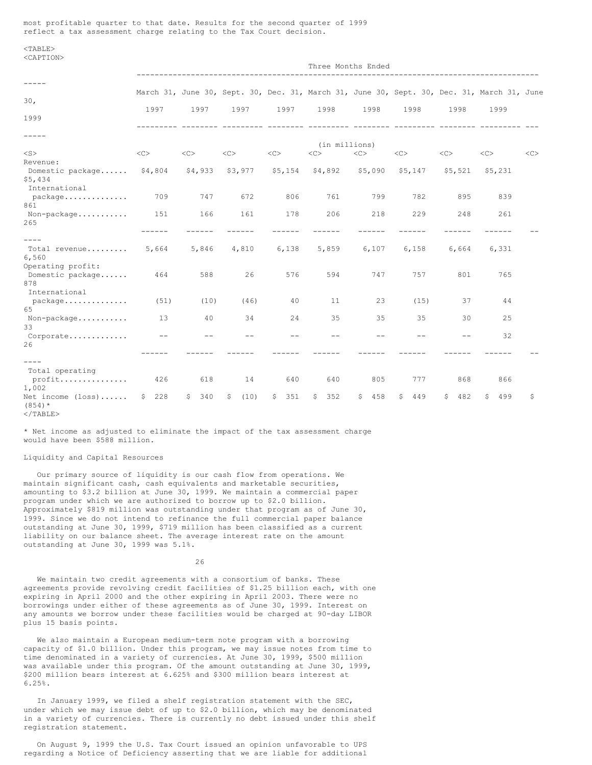most profitable quarter to that date. Results for the second quarter of 1999 reflect a tax assessment charge relating to the Tax Court decision.

 $<$ TABLE> <CAPTION>

|                                                | Three Months Ended  |           |            |           |               |            |           |           |                                                                                            |    |
|------------------------------------------------|---------------------|-----------|------------|-----------|---------------|------------|-----------|-----------|--------------------------------------------------------------------------------------------|----|
|                                                |                     |           |            |           |               |            |           |           |                                                                                            |    |
| 30 <sub>1</sub>                                |                     |           |            |           |               |            |           |           | March 31, June 30, Sept. 30, Dec. 31, March 31, June 30, Sept. 30, Dec. 31, March 31, June |    |
| 1999                                           | 1997                | 1997      | 1997       | 1997      | 1998          | 1998       | 1998      | 1998      | 1999                                                                                       |    |
|                                                |                     |           |            |           |               |            |           |           |                                                                                            |    |
|                                                |                     |           |            |           | (in millions) |            |           |           |                                                                                            |    |
| $<$ S $>$                                      | <<                  | <<        | $<\infty$  | $<\infty$ | <<            | $<\infty$  | $<\infty$ | $<\infty$ | $<\infty$                                                                                  | << |
| Revenue:                                       |                     |           |            |           |               |            |           |           |                                                                                            |    |
| Domestic package<br>\$5,434                    | \$4,804             | \$4,933   | \$3,977    | \$5,154   | \$4,892       | \$5,090    | \$5,147   | \$5,521   | \$5,231                                                                                    |    |
| International<br>package                       | 709                 | 747       | 672        | 806       | 761           | 799        | 782       | 895       | 839                                                                                        |    |
| 861                                            |                     |           |            |           |               |            |           |           |                                                                                            |    |
| Non-package<br>265                             | 151                 | 166       | 161        | 178       | 206           | 218        | 229       | 248       | 261                                                                                        |    |
|                                                |                     |           |            |           |               |            |           |           |                                                                                            |    |
| $- - - - -$                                    |                     |           |            |           |               |            |           |           |                                                                                            |    |
| Total revenue<br>6,560                         | 5,664               | 5,846     | 4,810      | 6,138     | 5,859         | 6,107      | 6,158     | 6,664     | 6,331                                                                                      |    |
| Operating profit:<br>Domestic package<br>878   | 464                 | 588       | 26         | 576       | 594           | 747        | 757       | 801       | 765                                                                                        |    |
| International                                  |                     |           |            |           |               |            |           |           |                                                                                            |    |
| package<br>65                                  | (51)                | (10)      | (46)       | 40        | 11            | 23         | (15)      | 37        | 44                                                                                         |    |
| Non-package<br>33                              | 13                  | 40        | 34         | 24        | 35            | 35         | 35        | 30        | 25                                                                                         |    |
| Corporate<br>26                                | $ -$                |           | --         |           |               |            |           |           | 32                                                                                         |    |
|                                                |                     |           |            |           |               |            |           |           |                                                                                            |    |
| $- - - -$                                      |                     |           |            |           |               |            |           |           |                                                                                            |    |
| Total operating                                |                     |           |            |           |               |            |           |           |                                                                                            |    |
| profit<br>1,002                                | 426                 | 618       | 14         | 640       | 640           | 805        | 777       | 868       | 866                                                                                        |    |
| Net income $(\text{loss}) \dots$ .<br>$(854)*$ | 228<br>$\mathsf{S}$ | 340<br>S. | \$<br>(10) | 351<br>\$ | 352<br>\$.    | 458<br>\$. | 449<br>S  | 482<br>S. | 499<br>S                                                                                   | S  |

 $\langle$ /TABLE>

\* Net income as adjusted to eliminate the impact of the tax assessment charge would have been \$588 million.

# Liquidity and Capital Resources

Our primary source of liquidity is our cash flow from operations. We maintain significant cash, cash equivalents and marketable securities, amounting to \$3.2 billion at June 30, 1999. We maintain a commercial paper program under which we are authorized to borrow up to \$2.0 billion. Approximately \$819 million was outstanding under that program as of June 30, 1999. Since we do not intend to refinance the full commercial paper balance outstanding at June 30, 1999, \$719 million has been classified as a current liability on our balance sheet. The average interest rate on the amount outstanding at June 30, 1999 was 5.1%.

26

We maintain two credit agreements with a consortium of banks. These agreements provide revolving credit facilities of \$1.25 billion each, with one expiring in April 2000 and the other expiring in April 2003. There were no borrowings under either of these agreements as of June 30, 1999. Interest on any amounts we borrow under these facilities would be charged at 90-day LIBOR plus 15 basis points.

We also maintain a European medium-term note program with a borrowing capacity of \$1.0 billion. Under this program, we may issue notes from time to time denominated in a variety of currencies. At June 30, 1999, \$500 million was available under this program. Of the amount outstanding at June 30, 1999, \$200 million bears interest at 6.625% and \$300 million bears interest at 6.25%.

In January 1999, we filed a shelf registration statement with the SEC, under which we may issue debt of up to \$2.0 billion, which may be denominated in a variety of currencies. There is currently no debt issued under this shelf registration statement.

On August 9, 1999 the U.S. Tax Court issued an opinion unfavorable to UPS regarding a Notice of Deficiency asserting that we are liable for additional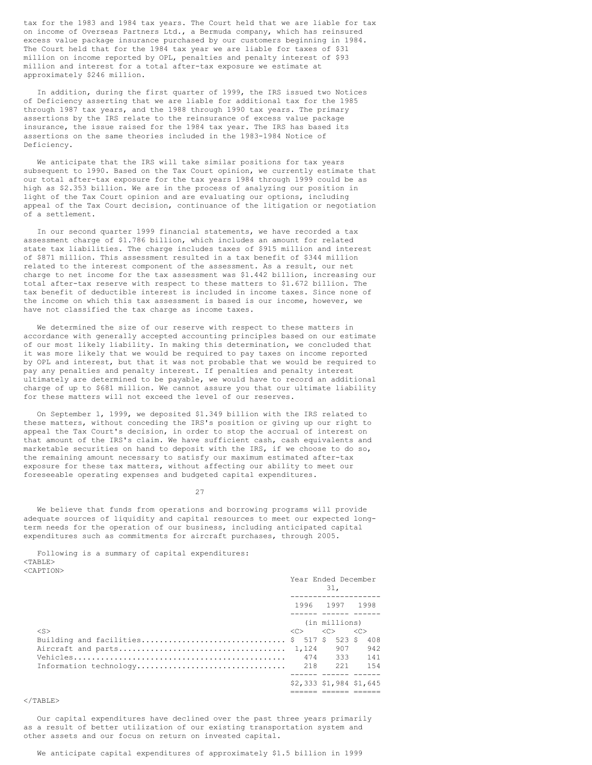tax for the 1983 and 1984 tax years. The Court held that we are liable for tax on income of Overseas Partners Ltd., a Bermuda company, which has reinsured excess value package insurance purchased by our customers beginning in 1984. The Court held that for the 1984 tax year we are liable for taxes of \$31 million on income reported by OPL, penalties and penalty interest of \$93 million and interest for a total after-tax exposure we estimate at approximately \$246 million.

In addition, during the first quarter of 1999, the IRS issued two Notices of Deficiency asserting that we are liable for additional tax for the 1985 through 1987 tax years, and the 1988 through 1990 tax years. The primary assertions by the IRS relate to the reinsurance of excess value package insurance, the issue raised for the 1984 tax year. The IRS has based its assertions on the same theories included in the 1983-1984 Notice of Deficiency.

We anticipate that the IRS will take similar positions for tax years subsequent to 1990. Based on the Tax Court opinion, we currently estimate that our total after-tax exposure for the tax years 1984 through 1999 could be as high as \$2.353 billion. We are in the process of analyzing our position in light of the Tax Court opinion and are evaluating our options, including appeal of the Tax Court decision, continuance of the litigation or negotiation of a settlement.

In our second quarter 1999 financial statements, we have recorded a tax assessment charge of \$1.786 billion, which includes an amount for related state tax liabilities. The charge includes taxes of \$915 million and interest of \$871 million. This assessment resulted in a tax benefit of \$344 million related to the interest component of the assessment. As a result, our net charge to net income for the tax assessment was \$1.442 billion, increasing our total after-tax reserve with respect to these matters to \$1.672 billion. The tax benefit of deductible interest is included in income taxes. Since none of the income on which this tax assessment is based is our income, however, we have not classified the tax charge as income taxes.

We determined the size of our reserve with respect to these matters in accordance with generally accepted accounting principles based on our estimate of our most likely liability. In making this determination, we concluded that it was more likely that we would be required to pay taxes on income reported by OPL and interest, but that it was not probable that we would be required to pay any penalties and penalty interest. If penalties and penalty interest ultimately are determined to be payable, we would have to record an additional charge of up to \$681 million. We cannot assure you that our ultimate liability for these matters will not exceed the level of our reserves.

On September 1, 1999, we deposited \$1.349 billion with the IRS related to these matters, without conceding the IRS's position or giving up our right to appeal the Tax Court's decision, in order to stop the accrual of interest on that amount of the IRS's claim. We have sufficient cash, cash equivalents and marketable securities on hand to deposit with the IRS, if we choose to do so, the remaining amount necessary to satisfy our maximum estimated after-tax exposure for these tax matters, without affecting our ability to meet our foreseeable operating expenses and budgeted capital expenditures.

27

We believe that funds from operations and borrowing programs will provide adequate sources of liquidity and capital resources to meet our expected longterm needs for the operation of our business, including anticipated capital expenditures such as commitments for aircraft purchases, through 2005.

# Following is a summary of capital expenditures: <TABLE>

| :A PT⊺ON> |  |
|-----------|--|
|           |  |

|                                          | Year Ended December<br>31. |                                                          |            |  |
|------------------------------------------|----------------------------|----------------------------------------------------------|------------|--|
|                                          |                            | 1996 1997 1998<br>_____ _______ ____                     |            |  |
| $<$ S>                                   | $<<$ $>$                   | (in millions)<br>$\langle C \rangle$ $\langle C \rangle$ |            |  |
| Building and facilities \$ 517 \$ 523 \$ |                            | 907                                                      | 408<br>942 |  |
|                                          |                            | 474 333 141<br>221                                       | 1.54       |  |
|                                          |                            | \$2,333 \$1,984 \$1,645                                  |            |  |
|                                          |                            |                                                          |            |  |

# $<$ /TABLE>

Our capital expenditures have declined over the past three years primarily as a result of better utilization of our existing transportation system and other assets and our focus on return on invested capital.

We anticipate capital expenditures of approximately \$1.5 billion in 1999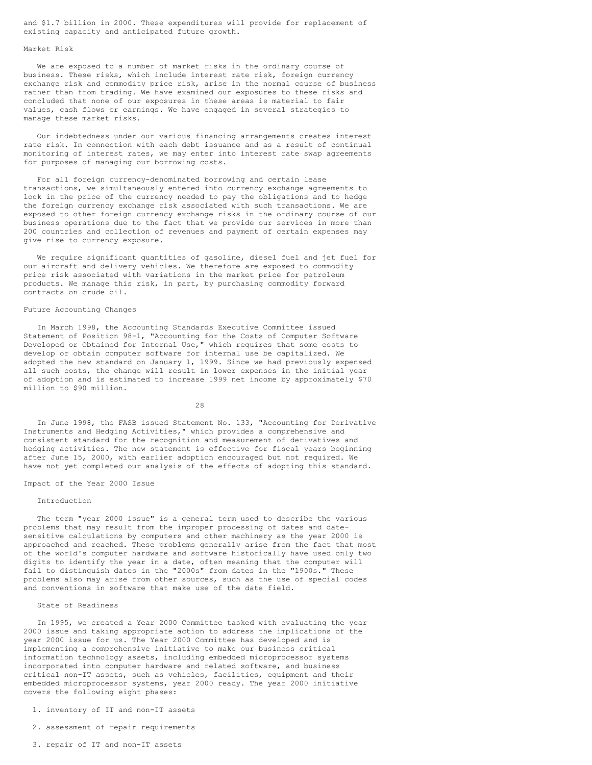and \$1.7 billion in 2000. These expenditures will provide for replacement of existing capacity and anticipated future growth.

# Market Risk

We are exposed to a number of market risks in the ordinary course of business. These risks, which include interest rate risk, foreign currency exchange risk and commodity price risk, arise in the normal course of business rather than from trading. We have examined our exposures to these risks and concluded that none of our exposures in these areas is material to fair values, cash flows or earnings. We have engaged in several strategies to manage these market risks.

Our indebtedness under our various financing arrangements creates interest rate risk. In connection with each debt issuance and as a result of continual monitoring of interest rates, we may enter into interest rate swap agreements for purposes of managing our borrowing costs.

For all foreign currency-denominated borrowing and certain lease transactions, we simultaneously entered into currency exchange agreements to lock in the price of the currency needed to pay the obligations and to hedge the foreign currency exchange risk associated with such transactions. We are exposed to other foreign currency exchange risks in the ordinary course of our business operations due to the fact that we provide our services in more than 200 countries and collection of revenues and payment of certain expenses may give rise to currency exposure.

We require significant quantities of gasoline, diesel fuel and jet fuel for our aircraft and delivery vehicles. We therefore are exposed to commodity price risk associated with variations in the market price for petroleum products. We manage this risk, in part, by purchasing commodity forward contracts on crude oil.

# Future Accounting Changes

In March 1998, the Accounting Standards Executive Committee issued Statement of Position 98-1, "Accounting for the Costs of Computer Software Developed or Obtained for Internal Use," which requires that some costs to develop or obtain computer software for internal use be capitalized. We adopted the new standard on January 1, 1999. Since we had previously expensed all such costs, the change will result in lower expenses in the initial year of adoption and is estimated to increase 1999 net income by approximately \$70 million to \$90 million.

28

In June 1998, the FASB issued Statement No. 133, "Accounting for Derivative Instruments and Hedging Activities," which provides a comprehensive and consistent standard for the recognition and measurement of derivatives and hedging activities. The new statement is effective for fiscal years beginning after June 15, 2000, with earlier adoption encouraged but not required. We have not yet completed our analysis of the effects of adopting this standard.

#### Impact of the Year 2000 Issue

#### Introduction

The term "year 2000 issue" is a general term used to describe the various problems that may result from the improper processing of dates and datesensitive calculations by computers and other machinery as the year 2000 is approached and reached. These problems generally arise from the fact that most of the world's computer hardware and software historically have used only two digits to identify the year in a date, often meaning that the computer will fail to distinguish dates in the "2000s" from dates in the "1900s." These problems also may arise from other sources, such as the use of special codes and conventions in software that make use of the date field.

# State of Readiness

In 1995, we created a Year 2000 Committee tasked with evaluating the year 2000 issue and taking appropriate action to address the implications of the year 2000 issue for us. The Year 2000 Committee has developed and is implementing a comprehensive initiative to make our business critical information technology assets, including embedded microprocessor systems incorporated into computer hardware and related software, and business critical non-IT assets, such as vehicles, facilities, equipment and their embedded microprocessor systems, year 2000 ready. The year 2000 initiative covers the following eight phases:

- 1. inventory of IT and non-IT assets
- 2. assessment of repair requirements
- 3. repair of IT and non-IT assets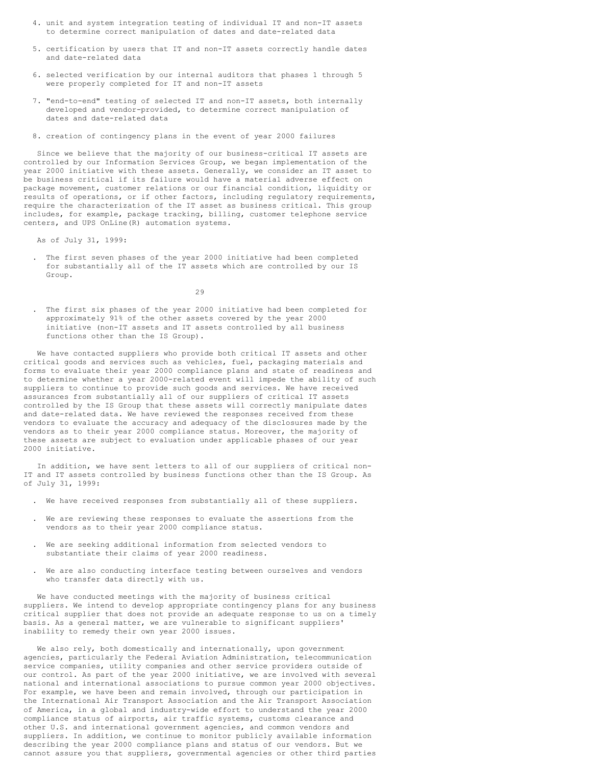- 4. unit and system integration testing of individual IT and non-IT assets to determine correct manipulation of dates and date-related data
- 5. certification by users that IT and non-IT assets correctly handle dates and date-related data
- 6. selected verification by our internal auditors that phases 1 through 5 were properly completed for IT and non-IT assets
- 7. "end-to-end" testing of selected IT and non-IT assets, both internally developed and vendor-provided, to determine correct manipulation of dates and date-related data
- 8. creation of contingency plans in the event of year 2000 failures

Since we believe that the majority of our business-critical IT assets are controlled by our Information Services Group, we began implementation of the year 2000 initiative with these assets. Generally, we consider an IT asset to be business critical if its failure would have a material adverse effect on package movement, customer relations or our financial condition, liquidity or results of operations, or if other factors, including regulatory requirements, require the characterization of the IT asset as business critical. This group includes, for example, package tracking, billing, customer telephone service centers, and UPS OnLine(R) automation systems.

As of July 31, 1999:

. The first seven phases of the year 2000 initiative had been completed for substantially all of the IT assets which are controlled by our IS Group.

 $29$ 

. The first six phases of the year 2000 initiative had been completed for approximately 91% of the other assets covered by the year 2000 initiative (non-IT assets and IT assets controlled by all business functions other than the IS Group).

We have contacted suppliers who provide both critical IT assets and other critical goods and services such as vehicles, fuel, packaging materials and forms to evaluate their year 2000 compliance plans and state of readiness and to determine whether a year 2000-related event will impede the ability of such suppliers to continue to provide such goods and services. We have received assurances from substantially all of our suppliers of critical IT assets controlled by the IS Group that these assets will correctly manipulate dates and date-related data. We have reviewed the responses received from these vendors to evaluate the accuracy and adequacy of the disclosures made by the vendors as to their year 2000 compliance status. Moreover, the majority of these assets are subject to evaluation under applicable phases of our year 2000 initiative.

In addition, we have sent letters to all of our suppliers of critical non-IT and IT assets controlled by business functions other than the IS Group. As of July 31, 1999:

- . We have received responses from substantially all of these suppliers.
- . We are reviewing these responses to evaluate the assertions from the vendors as to their year 2000 compliance status.
- . We are seeking additional information from selected vendors to substantiate their claims of year 2000 readiness.
- . We are also conducting interface testing between ourselves and vendors who transfer data directly with us.

We have conducted meetings with the majority of business critical suppliers. We intend to develop appropriate contingency plans for any business critical supplier that does not provide an adequate response to us on a timely basis. As a general matter, we are vulnerable to significant suppliers' inability to remedy their own year 2000 issues.

We also rely, both domestically and internationally, upon government agencies, particularly the Federal Aviation Administration, telecommunication service companies, utility companies and other service providers outside of our control. As part of the year 2000 initiative, we are involved with several national and international associations to pursue common year 2000 objectives. For example, we have been and remain involved, through our participation in the International Air Transport Association and the Air Transport Association of America, in a global and industry-wide effort to understand the year 2000 compliance status of airports, air traffic systems, customs clearance and other U.S. and international government agencies, and common vendors and suppliers. In addition, we continue to monitor publicly available information describing the year 2000 compliance plans and status of our vendors. But we cannot assure you that suppliers, governmental agencies or other third parties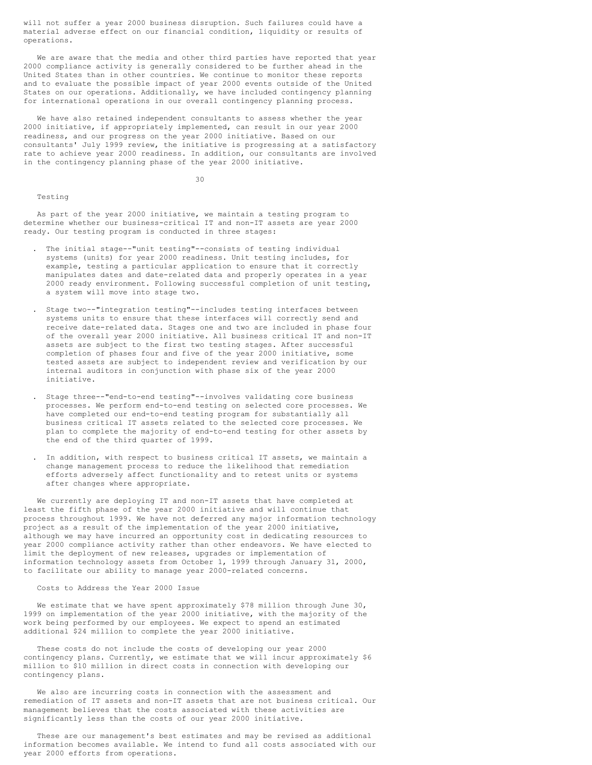will not suffer a year 2000 business disruption. Such failures could have a material adverse effect on our financial condition, liquidity or results of operations.

We are aware that the media and other third parties have reported that year 2000 compliance activity is generally considered to be further ahead in the United States than in other countries. We continue to monitor these reports and to evaluate the possible impact of year 2000 events outside of the United States on our operations. Additionally, we have included contingency planning for international operations in our overall contingency planning process.

We have also retained independent consultants to assess whether the year 2000 initiative, if appropriately implemented, can result in our year 2000 readiness, and our progress on the year 2000 initiative. Based on our consultants' July 1999 review, the initiative is progressing at a satisfactory rate to achieve year 2000 readiness. In addition, our consultants are involved in the contingency planning phase of the year 2000 initiative.

30

# Testing

As part of the year 2000 initiative, we maintain a testing program to determine whether our business-critical IT and non-IT assets are year 2000 ready. Our testing program is conducted in three stages:

- . The initial stage--"unit testing"--consists of testing individual systems (units) for year 2000 readiness. Unit testing includes, for example, testing a particular application to ensure that it correctly manipulates dates and date-related data and properly operates in a year 2000 ready environment. Following successful completion of unit testing, a system will move into stage two.
- . Stage two--"integration testing"--includes testing interfaces between systems units to ensure that these interfaces will correctly send and receive date-related data. Stages one and two are included in phase four of the overall year 2000 initiative. All business critical IT and non-IT assets are subject to the first two testing stages. After successful completion of phases four and five of the year 2000 initiative, some tested assets are subject to independent review and verification by our internal auditors in conjunction with phase six of the year 2000 initiative.
- . Stage three--"end-to-end testing"--involves validating core business processes. We perform end-to-end testing on selected core processes. We have completed our end-to-end testing program for substantially all business critical IT assets related to the selected core processes. We plan to complete the majority of end-to-end testing for other assets by the end of the third quarter of 1999.
- . In addition, with respect to business critical IT assets, we maintain a change management process to reduce the likelihood that remediation efforts adversely affect functionality and to retest units or systems after changes where appropriate.

We currently are deploying IT and non-IT assets that have completed at least the fifth phase of the year 2000 initiative and will continue that process throughout 1999. We have not deferred any major information technology project as a result of the implementation of the year 2000 initiative, although we may have incurred an opportunity cost in dedicating resources to year 2000 compliance activity rather than other endeavors. We have elected to limit the deployment of new releases, upgrades or implementation of information technology assets from October 1, 1999 through January 31, 2000, to facilitate our ability to manage year 2000-related concerns.

# Costs to Address the Year 2000 Issue

We estimate that we have spent approximately \$78 million through June 30, 1999 on implementation of the year 2000 initiative, with the majority of the work being performed by our employees. We expect to spend an estimated additional \$24 million to complete the year 2000 initiative.

These costs do not include the costs of developing our year 2000 contingency plans. Currently, we estimate that we will incur approximately \$6 million to \$10 million in direct costs in connection with developing our contingency plans.

We also are incurring costs in connection with the assessment and remediation of IT assets and non-IT assets that are not business critical. Our management believes that the costs associated with these activities are significantly less than the costs of our year 2000 initiative.

These are our management's best estimates and may be revised as additional information becomes available. We intend to fund all costs associated with our year 2000 efforts from operations.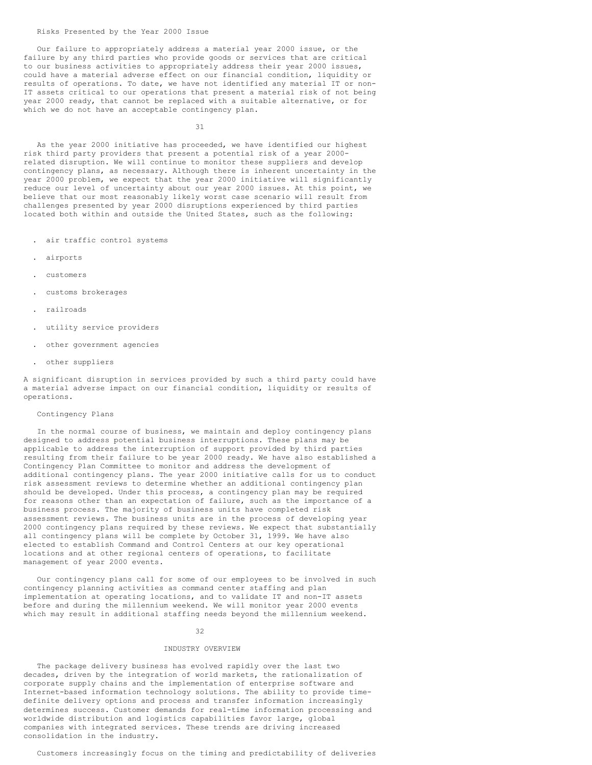Our failure to appropriately address a material year 2000 issue, or the failure by any third parties who provide goods or services that are critical to our business activities to appropriately address their year 2000 issues, could have a material adverse effect on our financial condition, liquidity or results of operations. To date, we have not identified any material IT or non-IT assets critical to our operations that present a material risk of not being year 2000 ready, that cannot be replaced with a suitable alternative, or for which we do not have an acceptable contingency plan.

31

As the year 2000 initiative has proceeded, we have identified our highest risk third party providers that present a potential risk of a year 2000 related disruption. We will continue to monitor these suppliers and develop contingency plans, as necessary. Although there is inherent uncertainty in the year 2000 problem, we expect that the year 2000 initiative will significantly reduce our level of uncertainty about our year 2000 issues. At this point, we believe that our most reasonably likely worst case scenario will result from challenges presented by year 2000 disruptions experienced by third parties located both within and outside the United States, such as the following:

- . air traffic control systems
- . airports
- . customers
- . customs brokerages
- . railroads
- . utility service providers
- . other government agencies
- . other suppliers

A significant disruption in services provided by such a third party could have a material adverse impact on our financial condition, liquidity or results of operations.

# Contingency Plans

In the normal course of business, we maintain and deploy contingency plans designed to address potential business interruptions. These plans may be applicable to address the interruption of support provided by third parties resulting from their failure to be year 2000 ready. We have also established a Contingency Plan Committee to monitor and address the development of additional contingency plans. The year 2000 initiative calls for us to conduct risk assessment reviews to determine whether an additional contingency plan should be developed. Under this process, a contingency plan may be required for reasons other than an expectation of failure, such as the importance of a business process. The majority of business units have completed risk assessment reviews. The business units are in the process of developing year 2000 contingency plans required by these reviews. We expect that substantially all contingency plans will be complete by October 31, 1999. We have also elected to establish Command and Control Centers at our key operational locations and at other regional centers of operations, to facilitate management of year 2000 events.

Our contingency plans call for some of our employees to be involved in such contingency planning activities as command center staffing and plan implementation at operating locations, and to validate IT and non-IT assets before and during the millennium weekend. We will monitor year 2000 events which may result in additional staffing needs beyond the millennium weekend.

32

# INDUSTRY OVERVIEW

The package delivery business has evolved rapidly over the last two decades, driven by the integration of world markets, the rationalization of corporate supply chains and the implementation of enterprise software and Internet-based information technology solutions. The ability to provide timedefinite delivery options and process and transfer information increasingly determines success. Customer demands for real-time information processing and worldwide distribution and logistics capabilities favor large, global companies with integrated services. These trends are driving increased consolidation in the industry.

Customers increasingly focus on the timing and predictability of deliveries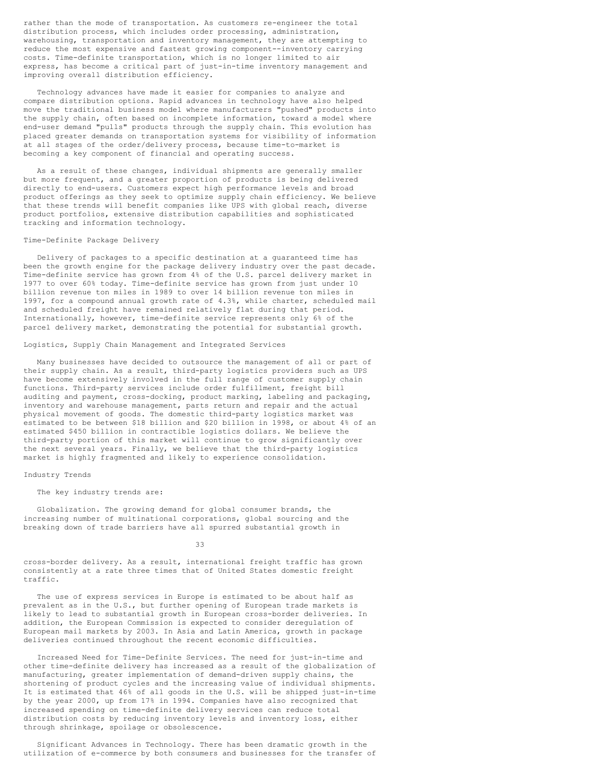rather than the mode of transportation. As customers re-engineer the total distribution process, which includes order processing, administration, warehousing, transportation and inventory management, they are attempting to reduce the most expensive and fastest growing component--inventory carrying costs. Time-definite transportation, which is no longer limited to air express, has become a critical part of just-in-time inventory management and improving overall distribution efficiency.

Technology advances have made it easier for companies to analyze and compare distribution options. Rapid advances in technology have also helped move the traditional business model where manufacturers "pushed" products into the supply chain, often based on incomplete information, toward a model where end-user demand "pulls" products through the supply chain. This evolution has placed greater demands on transportation systems for visibility of information at all stages of the order/delivery process, because time-to-market is becoming a key component of financial and operating success.

As a result of these changes, individual shipments are generally smaller but more frequent, and a greater proportion of products is being delivered directly to end-users. Customers expect high performance levels and broad product offerings as they seek to optimize supply chain efficiency. We believe that these trends will benefit companies like UPS with global reach, diverse product portfolios, extensive distribution capabilities and sophisticated tracking and information technology.

# Time-Definite Package Delivery

Delivery of packages to a specific destination at a guaranteed time has been the growth engine for the package delivery industry over the past decade. Time-definite service has grown from 4% of the U.S. parcel delivery market in 1977 to over 60% today. Time-definite service has grown from just under 10 billion revenue ton miles in 1989 to over 14 billion revenue ton miles in 1997, for a compound annual growth rate of 4.3%, while charter, scheduled mail and scheduled freight have remained relatively flat during that period. Internationally, however, time-definite service represents only 6% of the parcel delivery market, demonstrating the potential for substantial growth.

# Logistics, Supply Chain Management and Integrated Services

Many businesses have decided to outsource the management of all or part of their supply chain. As a result, third-party logistics providers such as UPS have become extensively involved in the full range of customer supply chain functions. Third-party services include order fulfillment, freight bill auditing and payment, cross-docking, product marking, labeling and packaging, inventory and warehouse management, parts return and repair and the actual physical movement of goods. The domestic third-party logistics market was estimated to be between \$18 billion and \$20 billion in 1998, or about 4% of an estimated \$450 billion in contractible logistics dollars. We believe the third-party portion of this market will continue to grow significantly over the next several years. Finally, we believe that the third-party logistics market is highly fragmented and likely to experience consolidation.

# Industry Trends

# The key industry trends are:

Globalization. The growing demand for global consumer brands, the increasing number of multinational corporations, global sourcing and the breaking down of trade barriers have all spurred substantial growth in

33

cross-border delivery. As a result, international freight traffic has grown consistently at a rate three times that of United States domestic freight traffic.

The use of express services in Europe is estimated to be about half as prevalent as in the U.S., but further opening of European trade markets is likely to lead to substantial growth in European cross-border deliveries. In addition, the European Commission is expected to consider deregulation of European mail markets by 2003. In Asia and Latin America, growth in package deliveries continued throughout the recent economic difficulties.

Increased Need for Time-Definite Services. The need for just-in-time and other time-definite delivery has increased as a result of the globalization of manufacturing, greater implementation of demand-driven supply chains, the shortening of product cycles and the increasing value of individual shipments. It is estimated that 46% of all goods in the U.S. will be shipped just-in-time by the year 2000, up from 17% in 1994. Companies have also recognized that increased spending on time-definite delivery services can reduce total distribution costs by reducing inventory levels and inventory loss, either through shrinkage, spoilage or obsolescence.

Significant Advances in Technology. There has been dramatic growth in the utilization of e-commerce by both consumers and businesses for the transfer of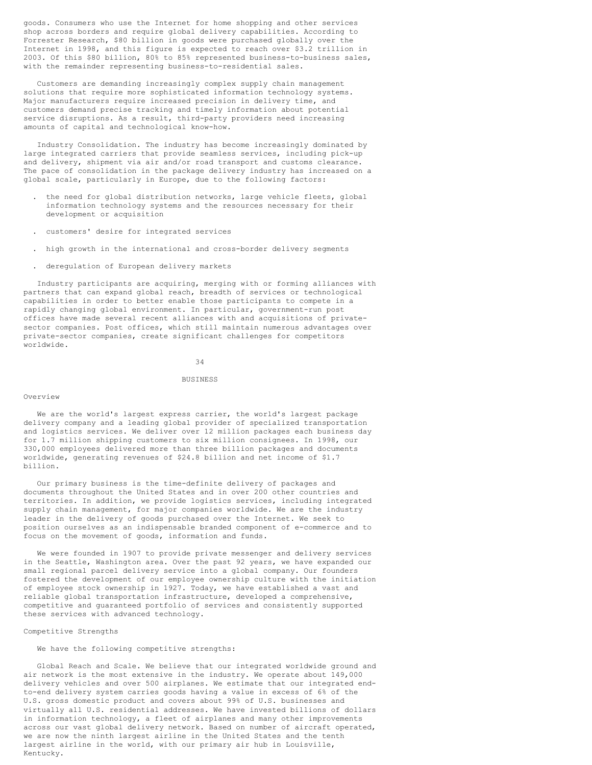goods. Consumers who use the Internet for home shopping and other services shop across borders and require global delivery capabilities. According to Forrester Research, \$80 billion in goods were purchased globally over the Internet in 1998, and this figure is expected to reach over \$3.2 trillion in 2003. Of this \$80 billion, 80% to 85% represented business-to-business sales, with the remainder representing business-to-residential sales.

Customers are demanding increasingly complex supply chain management solutions that require more sophisticated information technology systems. Major manufacturers require increased precision in delivery time, and customers demand precise tracking and timely information about potential service disruptions. As a result, third-party providers need increasing amounts of capital and technological know-how.

Industry Consolidation. The industry has become increasingly dominated by large integrated carriers that provide seamless services, including pick-up and delivery, shipment via air and/or road transport and customs clearance. The pace of consolidation in the package delivery industry has increased on a global scale, particularly in Europe, due to the following factors:

- . the need for global distribution networks, large vehicle fleets, global information technology systems and the resources necessary for their development or acquisition
- . customers' desire for integrated services
- . high growth in the international and cross-border delivery segments
- . deregulation of European delivery markets

Industry participants are acquiring, merging with or forming alliances with partners that can expand global reach, breadth of services or technological capabilities in order to better enable those participants to compete in a rapidly changing global environment. In particular, government-run post offices have made several recent alliances with and acquisitions of privatesector companies. Post offices, which still maintain numerous advantages over private-sector companies, create significant challenges for competitors worldwide.

34

#### **BUSINESS**

## Overview

We are the world's largest express carrier, the world's largest package delivery company and a leading global provider of specialized transportation and logistics services. We deliver over 12 million packages each business day for 1.7 million shipping customers to six million consignees. In 1998, our 330,000 employees delivered more than three billion packages and documents worldwide, generating revenues of \$24.8 billion and net income of \$1.7 billion.

Our primary business is the time-definite delivery of packages and documents throughout the United States and in over 200 other countries and territories. In addition, we provide logistics services, including integrated supply chain management, for major companies worldwide. We are the industry leader in the delivery of goods purchased over the Internet. We seek to position ourselves as an indispensable branded component of e-commerce and to focus on the movement of goods, information and funds.

We were founded in 1907 to provide private messenger and delivery services in the Seattle, Washington area. Over the past 92 years, we have expanded our small regional parcel delivery service into a global company. Our founders fostered the development of our employee ownership culture with the initiation of employee stock ownership in 1927. Today, we have established a vast and reliable global transportation infrastructure, developed a comprehensive, competitive and guaranteed portfolio of services and consistently supported these services with advanced technology.

## Competitive Strengths

## We have the following competitive strengths:

Global Reach and Scale. We believe that our integrated worldwide ground and air network is the most extensive in the industry. We operate about 149,000 delivery vehicles and over 500 airplanes. We estimate that our integrated endto-end delivery system carries goods having a value in excess of 6% of the U.S. gross domestic product and covers about 99% of U.S. businesses and virtually all U.S. residential addresses. We have invested billions of dollars in information technology, a fleet of airplanes and many other improvements across our vast global delivery network. Based on number of aircraft operated, we are now the ninth largest airline in the United States and the tenth largest airline in the world, with our primary air hub in Louisville, Kentucky.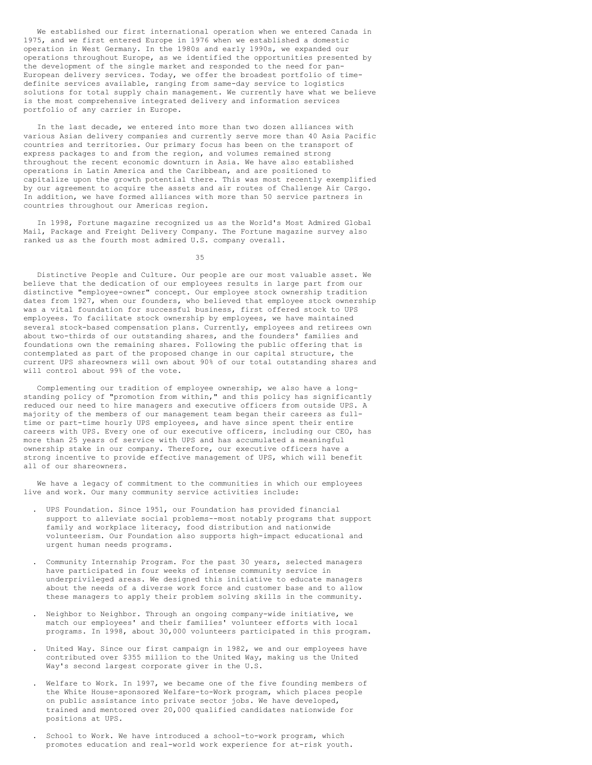We established our first international operation when we entered Canada in 1975, and we first entered Europe in 1976 when we established a domestic operation in West Germany. In the 1980s and early 1990s, we expanded our operations throughout Europe, as we identified the opportunities presented by the development of the single market and responded to the need for pan-European delivery services. Today, we offer the broadest portfolio of timedefinite services available, ranging from same-day service to logistics solutions for total supply chain management. We currently have what we believe is the most comprehensive integrated delivery and information services portfolio of any carrier in Europe.

In the last decade, we entered into more than two dozen alliances with various Asian delivery companies and currently serve more than 40 Asia Pacific countries and territories. Our primary focus has been on the transport of express packages to and from the region, and volumes remained strong throughout the recent economic downturn in Asia. We have also established operations in Latin America and the Caribbean, and are positioned to capitalize upon the growth potential there. This was most recently exemplified by our agreement to acquire the assets and air routes of Challenge Air Cargo. In addition, we have formed alliances with more than 50 service partners in countries throughout our Americas region.

In 1998, Fortune magazine recognized us as the World's Most Admired Global Mail, Package and Freight Delivery Company. The Fortune magazine survey also ranked us as the fourth most admired U.S. company overall.

35

Distinctive People and Culture. Our people are our most valuable asset. We believe that the dedication of our employees results in large part from our distinctive "employee-owner" concept. Our employee stock ownership tradition dates from 1927, when our founders, who believed that employee stock ownership was a vital foundation for successful business, first offered stock to UPS employees. To facilitate stock ownership by employees, we have maintained several stock-based compensation plans. Currently, employees and retirees own about two-thirds of our outstanding shares, and the founders' families and foundations own the remaining shares. Following the public offering that is contemplated as part of the proposed change in our capital structure, the current UPS shareowners will own about 90% of our total outstanding shares and will control about 99% of the vote.

Complementing our tradition of employee ownership, we also have a longstanding policy of "promotion from within," and this policy has significantly reduced our need to hire managers and executive officers from outside UPS. A majority of the members of our management team began their careers as fulltime or part-time hourly UPS employees, and have since spent their entire careers with UPS. Every one of our executive officers, including our CEO, has more than 25 years of service with UPS and has accumulated a meaningful ownership stake in our company. Therefore, our executive officers have a strong incentive to provide effective management of UPS, which will benefit all of our shareowners.

We have a legacy of commitment to the communities in which our employees live and work. Our many community service activities include:

- . UPS Foundation. Since 1951, our Foundation has provided financial support to alleviate social problems--most notably programs that support family and workplace literacy, food distribution and nationwide volunteerism. Our Foundation also supports high-impact educational and urgent human needs programs.
- . Community Internship Program. For the past 30 years, selected managers have participated in four weeks of intense community service in underprivileged areas. We designed this initiative to educate managers about the needs of a diverse work force and customer base and to allow these managers to apply their problem solving skills in the community.
- . Neighbor to Neighbor. Through an ongoing company-wide initiative, we match our employees' and their families' volunteer efforts with local programs. In 1998, about 30,000 volunteers participated in this program.
- . United Way. Since our first campaign in 1982, we and our employees have contributed over \$355 million to the United Way, making us the United Way's second largest corporate giver in the U.S.
- . Welfare to Work. In 1997, we became one of the five founding members of the White House-sponsored Welfare-to-Work program, which places people on public assistance into private sector jobs. We have developed, trained and mentored over 20,000 qualified candidates nationwide for positions at UPS.
- . School to Work. We have introduced a school-to-work program, which promotes education and real-world work experience for at-risk youth.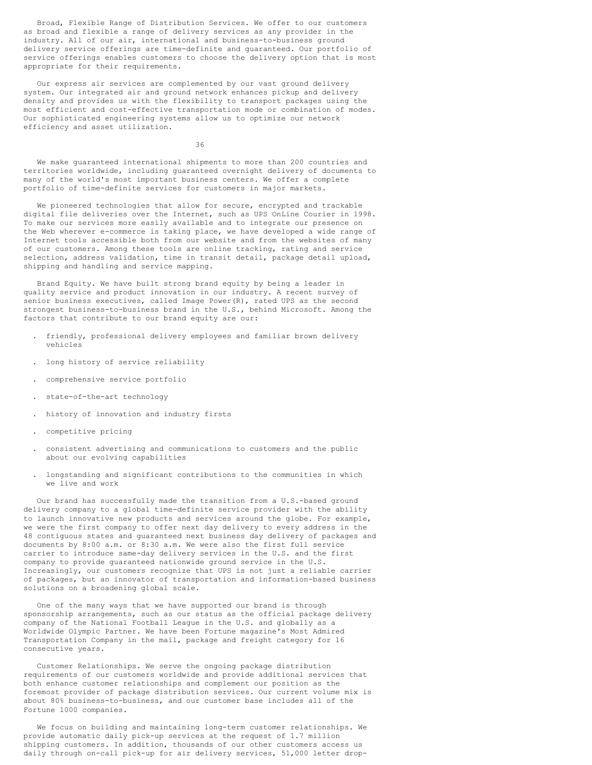Broad, Flexible Range of Distribution Services. We offer to our customers as broad and flexible a range of delivery services as any provider in the industry. All of our air, international and business-to-business ground delivery service offerings are time-definite and guaranteed. Our portfolio of service offerings enables customers to choose the delivery option that is most appropriate for their requirements.

Our express air services are complemented by our vast ground delivery system. Our integrated air and ground network enhances pickup and delivery density and provides us with the flexibility to transport packages using the most efficient and cost-effective transportation mode or combination of modes. Our sophisticated engineering systems allow us to optimize our network efficiency and asset utilization.

36

We make guaranteed international shipments to more than 200 countries and territories worldwide, including guaranteed overnight delivery of documents to many of the world's most important business centers. We offer a complete portfolio of time-definite services for customers in major markets.

We pioneered technologies that allow for secure, encrypted and trackable digital file deliveries over the Internet, such as UPS OnLine Courier in 1998. To make our services more easily available and to integrate our presence on the Web wherever e-commerce is taking place, we have developed a wide range of Internet tools accessible both from our website and from the websites of many of our customers. Among these tools are online tracking, rating and service selection, address validation, time in transit detail, package detail upload, shipping and handling and service mapping.

Brand Equity. We have built strong brand equity by being a leader in quality service and product innovation in our industry. A recent survey of senior business executives, called Image Power(R), rated UPS as the second strongest business-to-business brand in the U.S., behind Microsoft. Among the factors that contribute to our brand equity are our:

- . friendly, professional delivery employees and familiar brown delivery vehicles
- . long history of service reliability
- . comprehensive service portfolio
- . state-of-the-art technology
- . history of innovation and industry firsts
- . competitive pricing
- . consistent advertising and communications to customers and the public about our evolving capabilities
- . longstanding and significant contributions to the communities in which we live and work

Our brand has successfully made the transition from a U.S.-based ground delivery company to a global time-definite service provider with the ability to launch innovative new products and services around the globe. For example, we were the first company to offer next day delivery to every address in the 48 contiguous states and guaranteed next business day delivery of packages and documents by 8:00 a.m. or 8:30 a.m. We were also the first full service carrier to introduce same-day delivery services in the U.S. and the first company to provide guaranteed nationwide ground service in the U.S. Increasingly, our customers recognize that UPS is not just a reliable carrier of packages, but an innovator of transportation and information-based business solutions on a broadening global scale.

One of the many ways that we have supported our brand is through sponsorship arrangements, such as our status as the official package delivery company of the National Football League in the U.S. and globally as a Worldwide Olympic Partner. We have been Fortune magazine's Most Admired Transportation Company in the mail, package and freight category for 16 consecutive years.

Customer Relationships. We serve the ongoing package distribution requirements of our customers worldwide and provide additional services that both enhance customer relationships and complement our position as the foremost provider of package distribution services. Our current volume mix is about 80% business-to-business, and our customer base includes all of the Fortune 1000 companies.

We focus on building and maintaining long-term customer relationships. We provide automatic daily pick-up services at the request of 1.7 million shipping customers. In addition, thousands of our other customers access us daily through on-call pick-up for air delivery services, 51,000 letter drop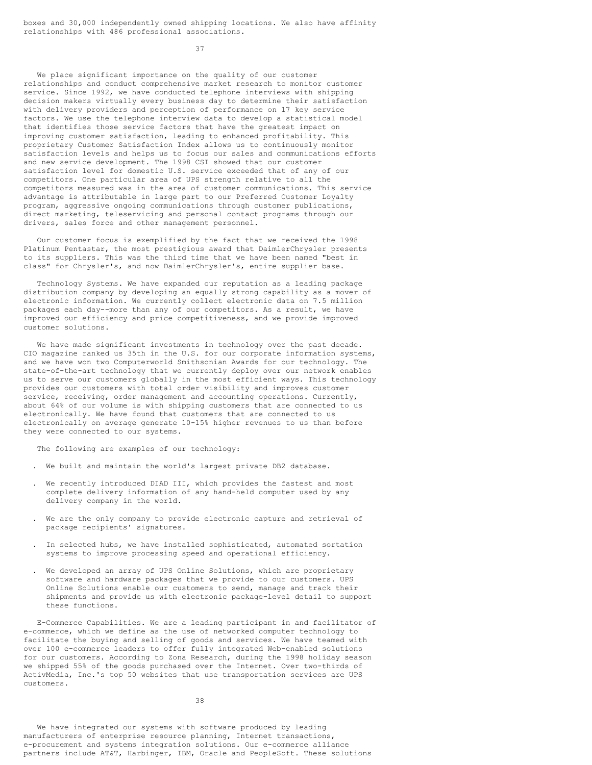boxes and 30,000 independently owned shipping locations. We also have affinity relationships with 486 professional associations.

37

We place significant importance on the quality of our customer relationships and conduct comprehensive market research to monitor customer service. Since 1992, we have conducted telephone interviews with shipping decision makers virtually every business day to determine their satisfaction with delivery providers and perception of performance on 17 key service factors. We use the telephone interview data to develop a statistical model that identifies those service factors that have the greatest impact on improving customer satisfaction, leading to enhanced profitability. This proprietary Customer Satisfaction Index allows us to continuously monitor satisfaction levels and helps us to focus our sales and communications efforts and new service development. The 1998 CSI showed that our customer satisfaction level for domestic U.S. service exceeded that of any of our competitors. One particular area of UPS strength relative to all the competitors measured was in the area of customer communications. This service advantage is attributable in large part to our Preferred Customer Loyalty program, aggressive ongoing communications through customer publications, direct marketing, teleservicing and personal contact programs through our drivers, sales force and other management personnel.

Our customer focus is exemplified by the fact that we received the 1998 Platinum Pentastar, the most prestigious award that DaimlerChrysler presents to its suppliers. This was the third time that we have been named "best in class" for Chrysler's, and now DaimlerChrysler's, entire supplier base.

Technology Systems. We have expanded our reputation as a leading package distribution company by developing an equally strong capability as a mover of electronic information. We currently collect electronic data on 7.5 million packages each day--more than any of our competitors. As a result, we have improved our efficiency and price competitiveness, and we provide improved customer solutions.

We have made significant investments in technology over the past decade. CIO magazine ranked us 35th in the U.S. for our corporate information systems, and we have won two Computerworld Smithsonian Awards for our technology. The state-of-the-art technology that we currently deploy over our network enables us to serve our customers globally in the most efficient ways. This technology provides our customers with total order visibility and improves customer service, receiving, order management and accounting operations. Currently, about 64% of our volume is with shipping customers that are connected to us electronically. We have found that customers that are connected to us electronically on average generate 10-15% higher revenues to us than before they were connected to our systems.

The following are examples of our technology:

- . We built and maintain the world's largest private DB2 database.
- We recently introduced DIAD III, which provides the fastest and most complete delivery information of any hand-held computer used by any delivery company in the world.
- . We are the only company to provide electronic capture and retrieval of package recipients' signatures.
- . In selected hubs, we have installed sophisticated, automated sortation systems to improve processing speed and operational efficiency.
- We developed an array of UPS Online Solutions, which are proprietary software and hardware packages that we provide to our customers. UPS Online Solutions enable our customers to send, manage and track their shipments and provide us with electronic package-level detail to support these functions.

E-Commerce Capabilities. We are a leading participant in and facilitator of e-commerce, which we define as the use of networked computer technology to facilitate the buying and selling of goods and services. We have teamed with over 100 e-commerce leaders to offer fully integrated Web-enabled solutions for our customers. According to Zona Research, during the 1998 holiday season we shipped 55% of the goods purchased over the Internet. Over two-thirds of ActivMedia, Inc.'s top 50 websites that use transportation services are UPS customers.

38

We have integrated our systems with software produced by leading manufacturers of enterprise resource planning, Internet transactions, e-procurement and systems integration solutions. Our e-commerce alliance partners include AT&T, Harbinger, IBM, Oracle and PeopleSoft. These solutions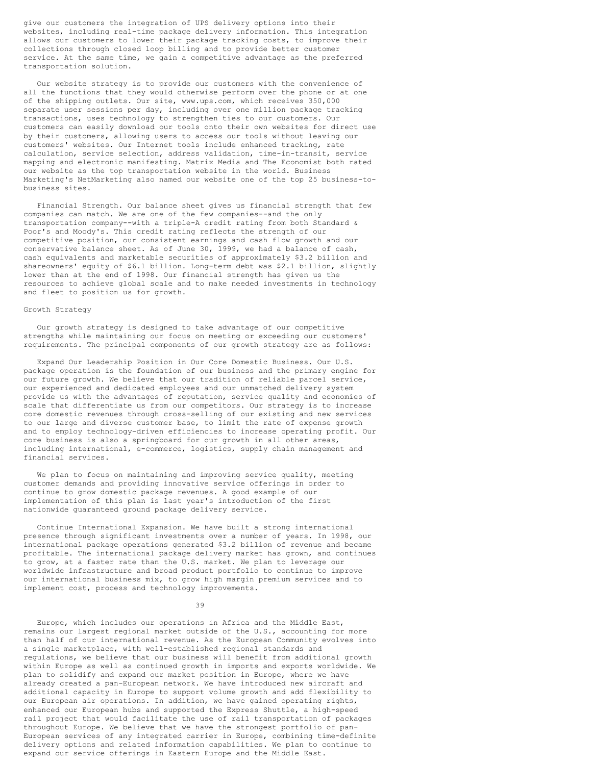give our customers the integration of UPS delivery options into their websites, including real-time package delivery information. This integration allows our customers to lower their package tracking costs, to improve their collections through closed loop billing and to provide better customer service. At the same time, we gain a competitive advantage as the preferred transportation solution.

Our website strategy is to provide our customers with the convenience of all the functions that they would otherwise perform over the phone or at one of the shipping outlets. Our site, www.ups.com, which receives 350,000 separate user sessions per day, including over one million package tracking transactions, uses technology to strengthen ties to our customers. Our customers can easily download our tools onto their own websites for direct use by their customers, allowing users to access our tools without leaving our customers' websites. Our Internet tools include enhanced tracking, rate calculation, service selection, address validation, time-in-transit, service mapping and electronic manifesting. Matrix Media and The Economist both rated our website as the top transportation website in the world. Business Marketing's NetMarketing also named our website one of the top 25 business-tobusiness sites.

Financial Strength. Our balance sheet gives us financial strength that few companies can match. We are one of the few companies--and the only transportation company--with a triple-A credit rating from both Standard & Poor's and Moody's. This credit rating reflects the strength of our competitive position, our consistent earnings and cash flow growth and our conservative balance sheet. As of June 30, 1999, we had a balance of cash, cash equivalents and marketable securities of approximately \$3.2 billion and shareowners' equity of \$6.1 billion. Long-term debt was \$2.1 billion, slightly lower than at the end of 1998. Our financial strength has given us the resources to achieve global scale and to make needed investments in technology and fleet to position us for growth.

#### Growth Strategy

Our growth strategy is designed to take advantage of our competitive strengths while maintaining our focus on meeting or exceeding our customers' requirements. The principal components of our growth strategy are as follows:

Expand Our Leadership Position in Our Core Domestic Business. Our U.S. package operation is the foundation of our business and the primary engine for our future growth. We believe that our tradition of reliable parcel service, our experienced and dedicated employees and our unmatched delivery system provide us with the advantages of reputation, service quality and economies of scale that differentiate us from our competitors. Our strategy is to increase core domestic revenues through cross-selling of our existing and new services to our large and diverse customer base, to limit the rate of expense growth and to employ technology-driven efficiencies to increase operating profit. Our core business is also a springboard for our growth in all other areas, including international, e-commerce, logistics, supply chain management and financial services.

We plan to focus on maintaining and improving service quality, meeting customer demands and providing innovative service offerings in order to continue to grow domestic package revenues. A good example of our implementation of this plan is last year's introduction of the first nationwide guaranteed ground package delivery service.

Continue International Expansion. We have built a strong international presence through significant investments over a number of years. In 1998, our international package operations generated \$3.2 billion of revenue and became profitable. The international package delivery market has grown, and continues to grow, at a faster rate than the U.S. market. We plan to leverage our worldwide infrastructure and broad product portfolio to continue to improve our international business mix, to grow high margin premium services and to implement cost, process and technology improvements.

39

Europe, which includes our operations in Africa and the Middle East, remains our largest regional market outside of the U.S., accounting for more than half of our international revenue. As the European Community evolves into a single marketplace, with well-established regional standards and regulations, we believe that our business will benefit from additional growth within Europe as well as continued growth in imports and exports worldwide. We plan to solidify and expand our market position in Europe, where we have already created a pan-European network. We have introduced new aircraft and additional capacity in Europe to support volume growth and add flexibility to our European air operations. In addition, we have gained operating rights, enhanced our European hubs and supported the Express Shuttle, a high-speed rail project that would facilitate the use of rail transportation of packages throughout Europe. We believe that we have the strongest portfolio of pan-European services of any integrated carrier in Europe, combining time-definite delivery options and related information capabilities. We plan to continue to expand our service offerings in Eastern Europe and the Middle East.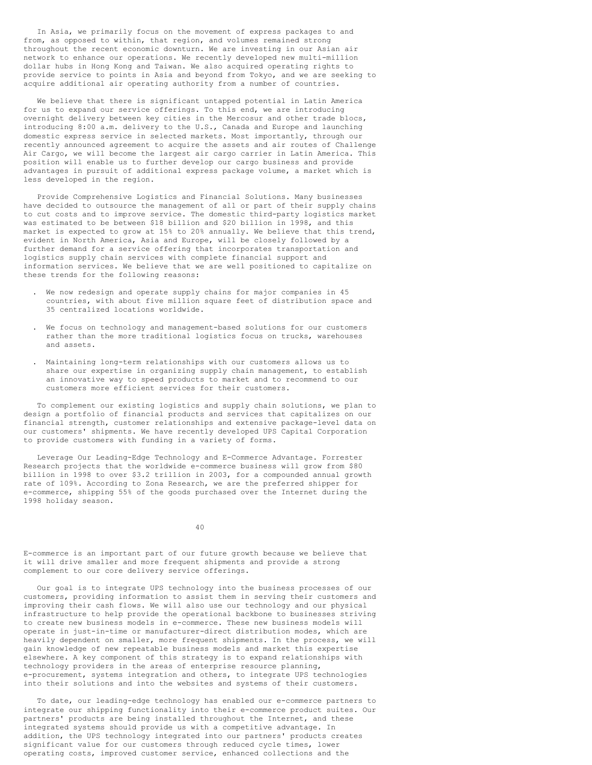In Asia, we primarily focus on the movement of express packages to and from, as opposed to within, that region, and volumes remained strong throughout the recent economic downturn. We are investing in our Asian air network to enhance our operations. We recently developed new multi-million dollar hubs in Hong Kong and Taiwan. We also acquired operating rights to provide service to points in Asia and beyond from Tokyo, and we are seeking to acquire additional air operating authority from a number of countries.

We believe that there is significant untapped potential in Latin America for us to expand our service offerings. To this end, we are introducing overnight delivery between key cities in the Mercosur and other trade blocs, introducing 8:00 a.m. delivery to the U.S., Canada and Europe and launching domestic express service in selected markets. Most importantly, through our recently announced agreement to acquire the assets and air routes of Challenge Air Cargo, we will become the largest air cargo carrier in Latin America. This position will enable us to further develop our cargo business and provide advantages in pursuit of additional express package volume, a market which is less developed in the region.

Provide Comprehensive Logistics and Financial Solutions. Many businesses have decided to outsource the management of all or part of their supply chains to cut costs and to improve service. The domestic third-party logistics market was estimated to be between \$18 billion and \$20 billion in 1998, and this market is expected to grow at 15% to 20% annually. We believe that this trend, evident in North America, Asia and Europe, will be closely followed by a further demand for a service offering that incorporates transportation and logistics supply chain services with complete financial support and information services. We believe that we are well positioned to capitalize on these trends for the following reasons:

- . We now redesign and operate supply chains for major companies in 45 countries, with about five million square feet of distribution space and 35 centralized locations worldwide.
- . We focus on technology and management-based solutions for our customers rather than the more traditional logistics focus on trucks, warehouses and assets.
- . Maintaining long-term relationships with our customers allows us to share our expertise in organizing supply chain management, to establish an innovative way to speed products to market and to recommend to our customers more efficient services for their customers.

To complement our existing logistics and supply chain solutions, we plan to design a portfolio of financial products and services that capitalizes on our financial strength, customer relationships and extensive package-level data on our customers' shipments. We have recently developed UPS Capital Corporation to provide customers with funding in a variety of forms.

Leverage Our Leading-Edge Technology and E-Commerce Advantage. Forrester Research projects that the worldwide e-commerce business will grow from \$80 billion in 1998 to over \$3.2 trillion in 2003, for a compounded annual growth rate of 109%. According to Zona Research, we are the preferred shipper for e-commerce, shipping 55% of the goods purchased over the Internet during the 1998 holiday season.

40

E-commerce is an important part of our future growth because we believe that it will drive smaller and more frequent shipments and provide a strong complement to our core delivery service offerings.

Our goal is to integrate UPS technology into the business processes of our customers, providing information to assist them in serving their customers and improving their cash flows. We will also use our technology and our physical infrastructure to help provide the operational backbone to businesses striving to create new business models in e-commerce. These new business models will operate in just-in-time or manufacturer-direct distribution modes, which are heavily dependent on smaller, more frequent shipments. In the process, we will gain knowledge of new repeatable business models and market this expertise elsewhere. A key component of this strategy is to expand relationships with technology providers in the areas of enterprise resource planning, e-procurement, systems integration and others, to integrate UPS technologies into their solutions and into the websites and systems of their customers.

To date, our leading-edge technology has enabled our e-commerce partners to integrate our shipping functionality into their e-commerce product suites. Our partners' products are being installed throughout the Internet, and these integrated systems should provide us with a competitive advantage. In addition, the UPS technology integrated into our partners' products creates significant value for our customers through reduced cycle times, lower operating costs, improved customer service, enhanced collections and the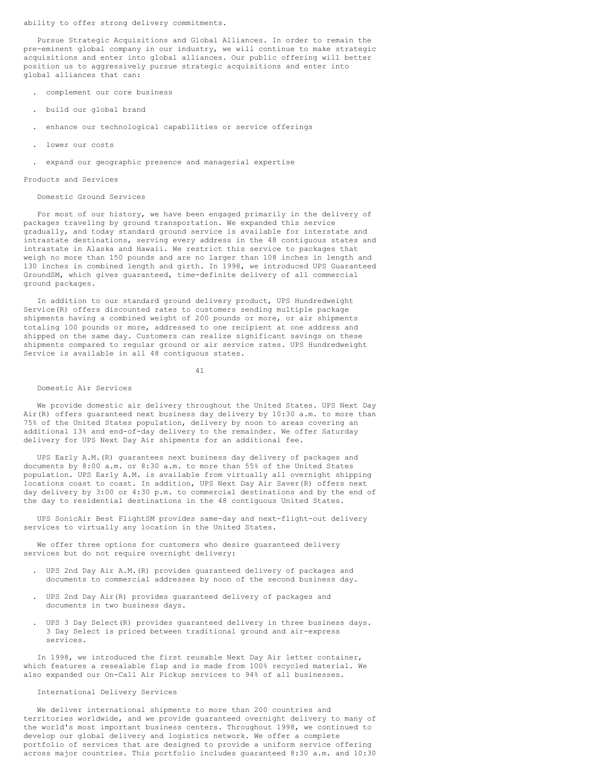ability to offer strong delivery commitments.

Pursue Strategic Acquisitions and Global Alliances. In order to remain the pre-eminent global company in our industry, we will continue to make strategic acquisitions and enter into global alliances. Our public offering will better position us to aggressively pursue strategic acquisitions and enter into global alliances that can:

- . complement our core business
- . build our global brand
- . enhance our technological capabilities or service offerings
- . lower our costs
- . expand our geographic presence and managerial expertise

#### Products and Services

### Domestic Ground Services

For most of our history, we have been engaged primarily in the delivery of packages traveling by ground transportation. We expanded this service gradually, and today standard ground service is available for interstate and intrastate destinations, serving every address in the 48 contiguous states and intrastate in Alaska and Hawaii. We restrict this service to packages that weigh no more than 150 pounds and are no larger than 108 inches in length and 130 inches in combined length and girth. In 1998, we introduced UPS Guaranteed GroundSM, which gives guaranteed, time-definite delivery of all commercial ground packages.

In addition to our standard ground delivery product, UPS Hundredweight Service(R) offers discounted rates to customers sending multiple package shipments having a combined weight of 200 pounds or more, or air shipments totaling 100 pounds or more, addressed to one recipient at one address and shipped on the same day. Customers can realize significant savings on these shipments compared to regular ground or air service rates. UPS Hundredweight Service is available in all 48 contiguous states.

41

#### Domestic Air Services

We provide domestic air delivery throughout the United States. UPS Next Day Air(R) offers guaranteed next business day delivery by 10:30 a.m. to more than 75% of the United States population, delivery by noon to areas covering an additional 13% and end-of-day delivery to the remainder. We offer Saturday delivery for UPS Next Day Air shipments for an additional fee.

UPS Early A.M.(R) guarantees next business day delivery of packages and documents by 8:00 a.m. or 8:30 a.m. to more than 55% of the United States population. UPS Early A.M. is available from virtually all overnight shipping locations coast to coast. In addition, UPS Next Day Air Saver(R) offers next day delivery by 3:00 or 4:30 p.m. to commercial destinations and by the end of the day to residential destinations in the 48 contiguous United States.

UPS SonicAir Best FlightSM provides same-day and next-flight-out delivery services to virtually any location in the United States.

We offer three options for customers who desire guaranteed delivery services but do not require overnight delivery:

- . UPS 2nd Day Air A.M.(R) provides guaranteed delivery of packages and documents to commercial addresses by noon of the second business day.
- . UPS 2nd Day Air(R) provides guaranteed delivery of packages and documents in two business days.
- . UPS 3 Day Select(R) provides guaranteed delivery in three business days. 3 Day Select is priced between traditional ground and air-express services.

In 1998, we introduced the first reusable Next Day Air letter container, which features a resealable flap and is made from 100% recycled material. We also expanded our On-Call Air Pickup services to 94% of all businesses.

#### International Delivery Services

We deliver international shipments to more than 200 countries and territories worldwide, and we provide guaranteed overnight delivery to many of the world's most important business centers. Throughout 1998, we continued to develop our global delivery and logistics network. We offer a complete portfolio of services that are designed to provide a uniform service offering across major countries. This portfolio includes guaranteed 8:30 a.m. and 10:30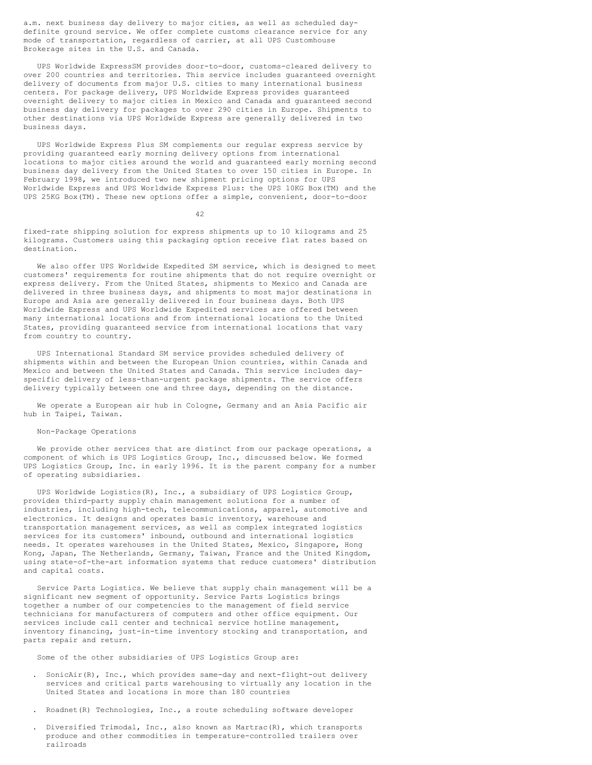a.m. next business day delivery to major cities, as well as scheduled daydefinite ground service. We offer complete customs clearance service for any mode of transportation, regardless of carrier, at all UPS Customhouse Brokerage sites in the U.S. and Canada.

UPS Worldwide ExpressSM provides door-to-door, customs-cleared delivery to over 200 countries and territories. This service includes guaranteed overnight delivery of documents from major U.S. cities to many international business centers. For package delivery, UPS Worldwide Express provides guaranteed overnight delivery to major cities in Mexico and Canada and guaranteed second business day delivery for packages to over 290 cities in Europe. Shipments to other destinations via UPS Worldwide Express are generally delivered in two business days.

UPS Worldwide Express Plus SM complements our regular express service by providing guaranteed early morning delivery options from international locations to major cities around the world and guaranteed early morning second business day delivery from the United States to over 150 cities in Europe. In February 1998, we introduced two new shipment pricing options for UPS Worldwide Express and UPS Worldwide Express Plus: the UPS 10KG Box(TM) and the UPS 25KG Box(TM). These new options offer a simple, convenient, door-to-door

42

fixed-rate shipping solution for express shipments up to 10 kilograms and 25 kilograms. Customers using this packaging option receive flat rates based on destination.

We also offer UPS Worldwide Expedited SM service, which is designed to meet customers' requirements for routine shipments that do not require overnight or express delivery. From the United States, shipments to Mexico and Canada are delivered in three business days, and shipments to most major destinations in Europe and Asia are generally delivered in four business days. Both UPS Worldwide Express and UPS Worldwide Expedited services are offered between many international locations and from international locations to the United States, providing guaranteed service from international locations that vary from country to country.

UPS International Standard SM service provides scheduled delivery of shipments within and between the European Union countries, within Canada and Mexico and between the United States and Canada. This service includes dayspecific delivery of less-than-urgent package shipments. The service offers delivery typically between one and three days, depending on the distance.

We operate a European air hub in Cologne, Germany and an Asia Pacific air hub in Taipei, Taiwan.

## Non-Package Operations

We provide other services that are distinct from our package operations, a component of which is UPS Logistics Group, Inc., discussed below. We formed UPS Logistics Group, Inc. in early 1996. It is the parent company for a number of operating subsidiaries.

UPS Worldwide Logistics(R), Inc., a subsidiary of UPS Logistics Group, provides third-party supply chain management solutions for a number of industries, including high-tech, telecommunications, apparel, automotive and electronics. It designs and operates basic inventory, warehouse and transportation management services, as well as complex integrated logistics services for its customers' inbound, outbound and international logistics needs. It operates warehouses in the United States, Mexico, Singapore, Hong Kong, Japan, The Netherlands, Germany, Taiwan, France and the United Kingdom, using state-of-the-art information systems that reduce customers' distribution and capital costs.

Service Parts Logistics. We believe that supply chain management will be a significant new segment of opportunity. Service Parts Logistics brings together a number of our competencies to the management of field service technicians for manufacturers of computers and other office equipment. Our services include call center and technical service hotline management, inventory financing, just-in-time inventory stocking and transportation, and parts repair and return.

Some of the other subsidiaries of UPS Logistics Group are:

- . SonicAir(R), Inc., which provides same-day and next-flight-out delivery services and critical parts warehousing to virtually any location in the United States and locations in more than 180 countries
- . Roadnet(R) Technologies, Inc., a route scheduling software developer
- . Diversified Trimodal, Inc., also known as Martrac(R), which transports produce and other commodities in temperature-controlled trailers over railroads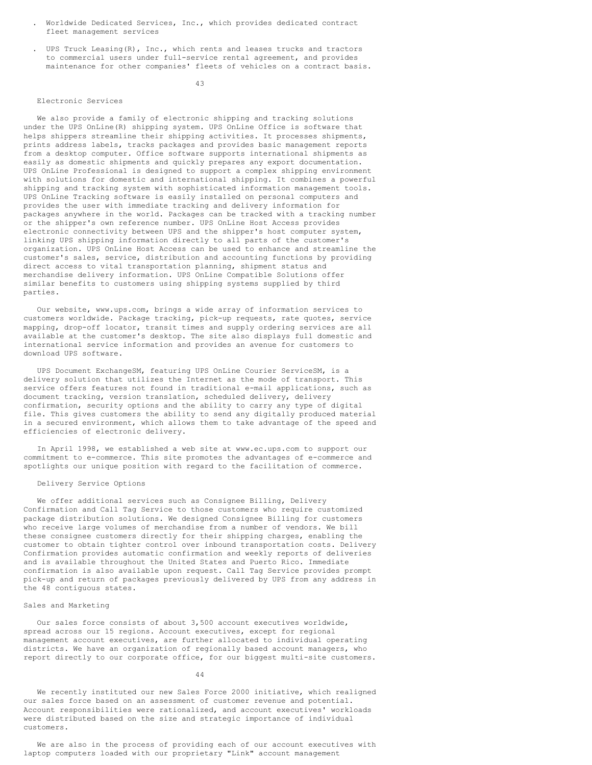- . Worldwide Dedicated Services, Inc., which provides dedicated contract fleet management services
- . UPS Truck Leasing(R), Inc., which rents and leases trucks and tractors to commercial users under full-service rental agreement, and provides maintenance for other companies' fleets of vehicles on a contract basis.

43

#### Electronic Services

We also provide a family of electronic shipping and tracking solutions under the UPS OnLine(R) shipping system. UPS OnLine Office is software that helps shippers streamline their shipping activities. It processes shipments, prints address labels, tracks packages and provides basic management reports from a desktop computer. Office software supports international shipments as easily as domestic shipments and quickly prepares any export documentation. UPS OnLine Professional is designed to support a complex shipping environment with solutions for domestic and international shipping. It combines a powerful shipping and tracking system with sophisticated information management tools. UPS OnLine Tracking software is easily installed on personal computers and provides the user with immediate tracking and delivery information for packages anywhere in the world. Packages can be tracked with a tracking number or the shipper's own reference number. UPS OnLine Host Access provides electronic connectivity between UPS and the shipper's host computer system, linking UPS shipping information directly to all parts of the customer's organization. UPS OnLine Host Access can be used to enhance and streamline the customer's sales, service, distribution and accounting functions by providing direct access to vital transportation planning, shipment status and merchandise delivery information. UPS OnLine Compatible Solutions offer similar benefits to customers using shipping systems supplied by third parties.

Our website, www.ups.com, brings a wide array of information services to customers worldwide. Package tracking, pick-up requests, rate quotes, service mapping, drop-off locator, transit times and supply ordering services are all available at the customer's desktop. The site also displays full domestic and international service information and provides an avenue for customers to download UPS software.

UPS Document ExchangeSM, featuring UPS OnLine Courier ServiceSM, is a delivery solution that utilizes the Internet as the mode of transport. This service offers features not found in traditional e-mail applications, such as document tracking, version translation, scheduled delivery, delivery confirmation, security options and the ability to carry any type of digital file. This gives customers the ability to send any digitally produced material in a secured environment, which allows them to take advantage of the speed and efficiencies of electronic delivery.

In April 1998, we established a web site at www.ec.ups.com to support our commitment to e-commerce. This site promotes the advantages of e-commerce and spotlights our unique position with regard to the facilitation of commerce.

#### Delivery Service Options

We offer additional services such as Consignee Billing, Delivery Confirmation and Call Tag Service to those customers who require customized package distribution solutions. We designed Consignee Billing for customers who receive large volumes of merchandise from a number of vendors. We bill these consignee customers directly for their shipping charges, enabling the customer to obtain tighter control over inbound transportation costs. Delivery Confirmation provides automatic confirmation and weekly reports of deliveries and is available throughout the United States and Puerto Rico. Immediate confirmation is also available upon request. Call Tag Service provides prompt pick-up and return of packages previously delivered by UPS from any address in the 48 contiguous states.

### Sales and Marketing

Our sales force consists of about 3,500 account executives worldwide, spread across our 15 regions. Account executives, except for regional management account executives, are further allocated to individual operating districts. We have an organization of regionally based account managers, who report directly to our corporate office, for our biggest multi-site customers.

44

We recently instituted our new Sales Force 2000 initiative, which realigned our sales force based on an assessment of customer revenue and potential. Account responsibilities were rationalized, and account executives' workloads were distributed based on the size and strategic importance of individual customers.

We are also in the process of providing each of our account executives with laptop computers loaded with our proprietary "Link" account management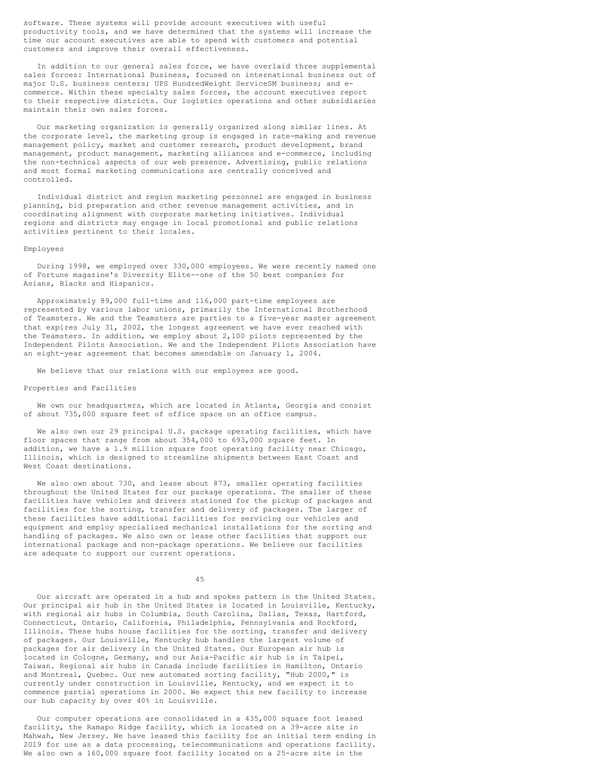software. These systems will provide account executives with useful productivity tools, and we have determined that the systems will increase the time our account executives are able to spend with customers and potential customers and improve their overall effectiveness.

In addition to our general sales force, we have overlaid three supplemental sales forces: International Business, focused on international business out of major U.S. business centers; UPS HundredWeight ServiceSM business; and ecommerce. Within these specialty sales forces, the account executives report to their respective districts. Our logistics operations and other subsidiaries maintain their own sales forces.

Our marketing organization is generally organized along similar lines. At the corporate level, the marketing group is engaged in rate-making and revenue management policy, market and customer research, product development, brand management, product management, marketing alliances and e-commerce, including the non-technical aspects of our web presence. Advertising, public relations and most formal marketing communications are centrally conceived and controlled.

Individual district and region marketing personnel are engaged in business planning, bid preparation and other revenue management activities, and in coordinating alignment with corporate marketing initiatives. Individual regions and districts may engage in local promotional and public relations activities pertinent to their locales.

#### Employees

During 1998, we employed over 330,000 employees. We were recently named one of Fortune magazine's Diversity Elite--one of the 50 best companies for Asians, Blacks and Hispanics.

Approximately 89,000 full-time and 116,000 part-time employees are represented by various labor unions, primarily the International Brotherhood of Teamsters. We and the Teamsters are parties to a five-year master agreement that expires July 31, 2002, the longest agreement we have ever reached with the Teamsters. In addition, we employ about 2,100 pilots represented by the Independent Pilots Association. We and the Independent Pilots Association have an eight-year agreement that becomes amendable on January 1, 2004.

We believe that our relations with our employees are good.

### Properties and Facilities

We own our headquarters, which are located in Atlanta, Georgia and consist of about 735,000 square feet of office space on an office campus.

We also own our 29 principal U.S. package operating facilities, which have floor spaces that range from about 354,000 to 693,000 square feet. In addition, we have a 1.9 million square foot operating facility near Chicago, Illinois, which is designed to streamline shipments between East Coast and West Coast destinations.

We also own about 730, and lease about 873, smaller operating facilities throughout the United States for our package operations. The smaller of these facilities have vehicles and drivers stationed for the pickup of packages and facilities for the sorting, transfer and delivery of packages. The larger of these facilities have additional facilities for servicing our vehicles and equipment and employ specialized mechanical installations for the sorting and handling of packages. We also own or lease other facilities that support our international package and non-package operations. We believe our facilities are adequate to support our current operations.

45

Our aircraft are operated in a hub and spokes pattern in the United States. Our principal air hub in the United States is located in Louisville, Kentucky, with regional air hubs in Columbia, South Carolina, Dallas, Texas, Hartford, Connecticut, Ontario, California, Philadelphia, Pennsylvania and Rockford, Illinois. These hubs house facilities for the sorting, transfer and delivery of packages. Our Louisville, Kentucky hub handles the largest volume of packages for air delivery in the United States. Our European air hub is located in Cologne, Germany, and our Asia-Pacific air hub is in Taipei, Taiwan. Regional air hubs in Canada include facilities in Hamilton, Ontario and Montreal, Quebec. Our new automated sorting facility, "Hub 2000," is currently under construction in Louisville, Kentucky, and we expect it to commence partial operations in 2000. We expect this new facility to increase our hub capacity by over 40% in Louisville.

Our computer operations are consolidated in a 435,000 square foot leased facility, the Ramapo Ridge facility, which is located on a 39-acre site in Mahwah, New Jersey. We have leased this facility for an initial term ending in 2019 for use as a data processing, telecommunications and operations facility. We also own a 160,000 square foot facility located on a 25-acre site in the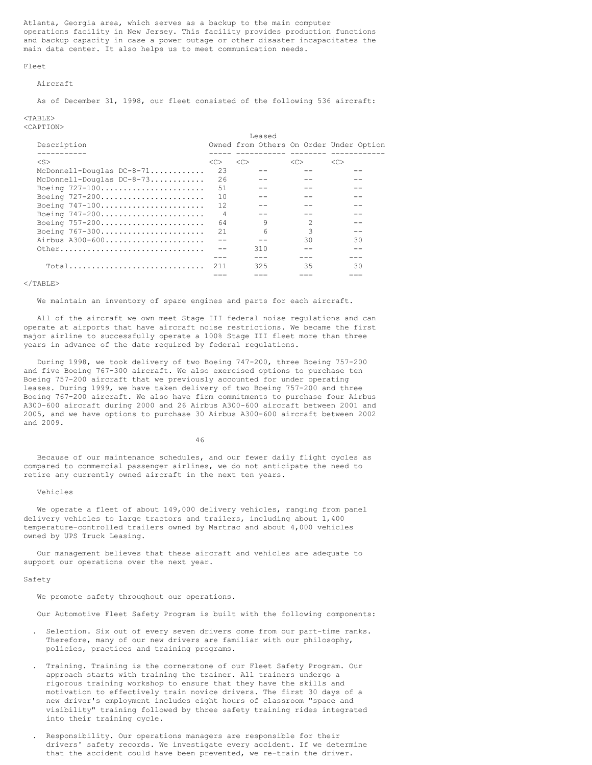Atlanta, Georgia area, which serves as a backup to the main computer operations facility in New Jersey. This facility provides production functions and backup capacity in case a power outage or other disaster incapacitates the main data center. It also helps us to meet communication needs.

#### Fleet

### Aircraft

As of December 31, 1998, our fleet consisted of the following 536 aircraft:

# $<$ TABLE>

<CAPTION>

|                             |                |    | Leased |                                         |    |    |
|-----------------------------|----------------|----|--------|-----------------------------------------|----|----|
| Description                 |                |    |        | Owned from Others On Order Under Option |    |    |
|                             |                |    |        |                                         |    |    |
| $<$ S $>$                   | < <sub></sub>  | << |        | < <sub></sub>                           | << |    |
| McDonnell-Douglas $DC-8-71$ | 23             |    |        |                                         |    |    |
| McDonnell-Douglas DC-8-73   | 26             |    |        |                                         |    |    |
| Boeing 727-100              | .51            |    |        |                                         |    |    |
| Boeing 727-200              | 10             |    |        |                                         |    |    |
| Boeing 747-100              | 12             |    |        |                                         |    |    |
| Boeing 747-200              | $\overline{4}$ |    |        |                                         |    |    |
| Boeing 757-200              | 64             |    | 9      | 2                                       |    |    |
| Boeing $767-300$            | 21             |    | 6      | 3                                       |    |    |
| Airbus A300-600             |                |    |        | 30                                      |    | 30 |
| Other                       |                |    | 310    |                                         |    |    |
|                             |                |    |        |                                         |    |    |
| $Total$                     | 211            |    | 325    | 35                                      |    | 30 |
|                             |                |    |        |                                         |    |    |

#### $<$ /TABLE>

We maintain an inventory of spare engines and parts for each aircraft.

All of the aircraft we own meet Stage III federal noise regulations and can operate at airports that have aircraft noise restrictions. We became the first major airline to successfully operate a 100% Stage III fleet more than three years in advance of the date required by federal regulations.

During 1998, we took delivery of two Boeing 747-200, three Boeing 757-200 and five Boeing 767-300 aircraft. We also exercised options to purchase ten Boeing 757-200 aircraft that we previously accounted for under operating leases. During 1999, we have taken delivery of two Boeing 757-200 and three Boeing 767-200 aircraft. We also have firm commitments to purchase four Airbus A300-600 aircraft during 2000 and 26 Airbus A300-600 aircraft between 2001 and 2005, and we have options to purchase 30 Airbus A300-600 aircraft between 2002 and 2009.

46

Because of our maintenance schedules, and our fewer daily flight cycles as compared to commercial passenger airlines, we do not anticipate the need to retire any currently owned aircraft in the next ten years.

### Vehicles

We operate a fleet of about 149,000 delivery vehicles, ranging from panel delivery vehicles to large tractors and trailers, including about 1,400 temperature-controlled trailers owned by Martrac and about 4,000 vehicles owned by UPS Truck Leasing.

Our management believes that these aircraft and vehicles are adequate to support our operations over the next year.

#### Safety

We promote safety throughout our operations.

Our Automotive Fleet Safety Program is built with the following components:

- . Selection. Six out of every seven drivers come from our part-time ranks. Therefore, many of our new drivers are familiar with our philosophy, policies, practices and training programs.
- . Training. Training is the cornerstone of our Fleet Safety Program. Our approach starts with training the trainer. All trainers undergo a rigorous training workshop to ensure that they have the skills and motivation to effectively train novice drivers. The first 30 days of a new driver's employment includes eight hours of classroom "space and visibility" training followed by three safety training rides integrated into their training cycle.
- . Responsibility. Our operations managers are responsible for their drivers' safety records. We investigate every accident. If we determine that the accident could have been prevented, we re-train the driver.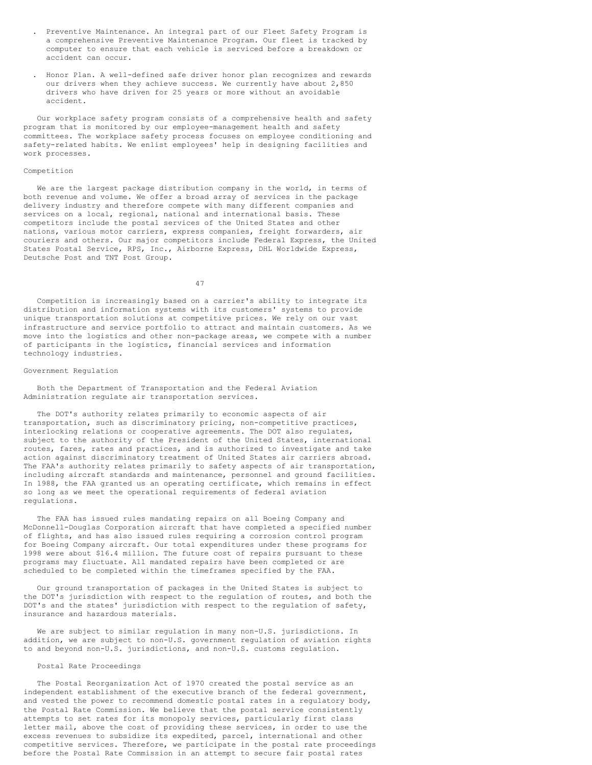- . Preventive Maintenance. An integral part of our Fleet Safety Program is a comprehensive Preventive Maintenance Program. Our fleet is tracked by computer to ensure that each vehicle is serviced before a breakdown or accident can occur.
- . Honor Plan. A well-defined safe driver honor plan recognizes and rewards our drivers when they achieve success. We currently have about 2,850 drivers who have driven for 25 years or more without an avoidable accident.

Our workplace safety program consists of a comprehensive health and safety program that is monitored by our employee-management health and safety committees. The workplace safety process focuses on employee conditioning and safety-related habits. We enlist employees' help in designing facilities and work processes.

## Competition

We are the largest package distribution company in the world, in terms of both revenue and volume. We offer a broad array of services in the package delivery industry and therefore compete with many different companies and services on a local, regional, national and international basis. These competitors include the postal services of the United States and other nations, various motor carriers, express companies, freight forwarders, air couriers and others. Our major competitors include Federal Express, the United States Postal Service, RPS, Inc., Airborne Express, DHL Worldwide Express, Deutsche Post and TNT Post Group.

47

Competition is increasingly based on a carrier's ability to integrate its distribution and information systems with its customers' systems to provide unique transportation solutions at competitive prices. We rely on our vast infrastructure and service portfolio to attract and maintain customers. As we move into the logistics and other non-package areas, we compete with a number of participants in the logistics, financial services and information technology industries.

## Government Regulation

Both the Department of Transportation and the Federal Aviation Administration regulate air transportation services.

The DOT's authority relates primarily to economic aspects of air transportation, such as discriminatory pricing, non-competitive practices, interlocking relations or cooperative agreements. The DOT also regulates, subject to the authority of the President of the United States, international routes, fares, rates and practices, and is authorized to investigate and take action against discriminatory treatment of United States air carriers abroad. The FAA's authority relates primarily to safety aspects of air transportation, including aircraft standards and maintenance, personnel and ground facilities. In 1988, the FAA granted us an operating certificate, which remains in effect so long as we meet the operational requirements of federal aviation regulations.

The FAA has issued rules mandating repairs on all Boeing Company and McDonnell-Douglas Corporation aircraft that have completed a specified number of flights, and has also issued rules requiring a corrosion control program for Boeing Company aircraft. Our total expenditures under these programs for 1998 were about \$16.4 million. The future cost of repairs pursuant to these programs may fluctuate. All mandated repairs have been completed or are scheduled to be completed within the timeframes specified by the FAA.

Our ground transportation of packages in the United States is subject to the DOT's jurisdiction with respect to the regulation of routes, and both the DOT's and the states' jurisdiction with respect to the regulation of safety, insurance and hazardous materials.

We are subject to similar regulation in many non-U.S. jurisdictions. In addition, we are subject to non-U.S. government regulation of aviation rights to and beyond non-U.S. jurisdictions, and non-U.S. customs regulation.

# Postal Rate Proceedings

The Postal Reorganization Act of 1970 created the postal service as an independent establishment of the executive branch of the federal government, and vested the power to recommend domestic postal rates in a regulatory body, the Postal Rate Commission. We believe that the postal service consistently attempts to set rates for its monopoly services, particularly first class letter mail, above the cost of providing these services, in order to use the excess revenues to subsidize its expedited, parcel, international and other competitive services. Therefore, we participate in the postal rate proceedings before the Postal Rate Commission in an attempt to secure fair postal rates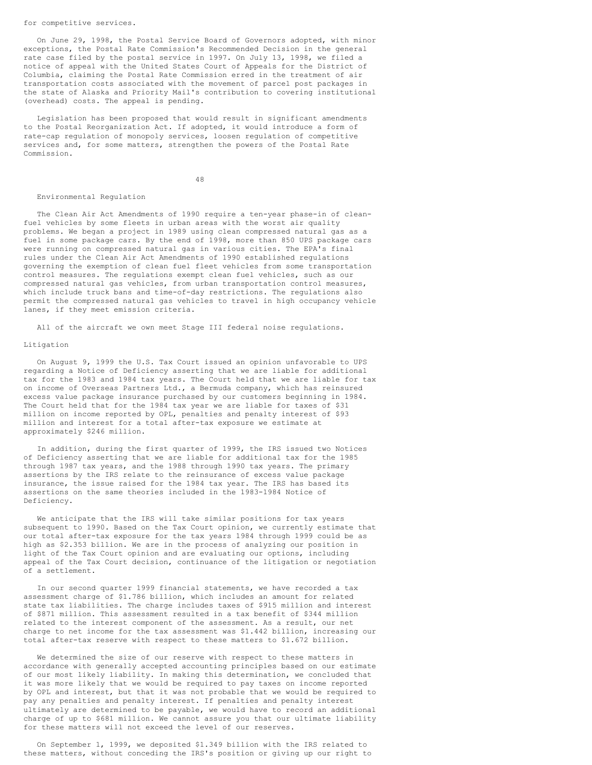#### for competitive services.

On June 29, 1998, the Postal Service Board of Governors adopted, with minor exceptions, the Postal Rate Commission's Recommended Decision in the general rate case filed by the postal service in 1997. On July 13, 1998, we filed a notice of appeal with the United States Court of Appeals for the District of Columbia, claiming the Postal Rate Commission erred in the treatment of air transportation costs associated with the movement of parcel post packages in the state of Alaska and Priority Mail's contribution to covering institutional (overhead) costs. The appeal is pending.

Legislation has been proposed that would result in significant amendments to the Postal Reorganization Act. If adopted, it would introduce a form of rate-cap regulation of monopoly services, loosen regulation of competitive services and, for some matters, strengthen the powers of the Postal Rate Commission.

48

### Environmental Regulation

The Clean Air Act Amendments of 1990 require a ten-year phase-in of cleanfuel vehicles by some fleets in urban areas with the worst air quality problems. We began a project in 1989 using clean compressed natural gas as a fuel in some package cars. By the end of 1998, more than 850 UPS package cars were running on compressed natural gas in various cities. The EPA's final rules under the Clean Air Act Amendments of 1990 established regulations governing the exemption of clean fuel fleet vehicles from some transportation control measures. The regulations exempt clean fuel vehicles, such as our compressed natural gas vehicles, from urban transportation control measures, which include truck bans and time-of-day restrictions. The regulations also permit the compressed natural gas vehicles to travel in high occupancy vehicle lanes, if they meet emission criteria.

All of the aircraft we own meet Stage III federal noise regulations.

# Litigation

On August 9, 1999 the U.S. Tax Court issued an opinion unfavorable to UPS regarding a Notice of Deficiency asserting that we are liable for additional tax for the 1983 and 1984 tax years. The Court held that we are liable for tax on income of Overseas Partners Ltd., a Bermuda company, which has reinsured excess value package insurance purchased by our customers beginning in 1984. The Court held that for the 1984 tax year we are liable for taxes of \$31 million on income reported by OPL, penalties and penalty interest of \$93 million and interest for a total after-tax exposure we estimate at approximately \$246 million.

In addition, during the first quarter of 1999, the IRS issued two Notices of Deficiency asserting that we are liable for additional tax for the 1985 through 1987 tax years, and the 1988 through 1990 tax years. The primary assertions by the IRS relate to the reinsurance of excess value package insurance, the issue raised for the 1984 tax year. The IRS has based its assertions on the same theories included in the 1983-1984 Notice of Deficiency.

We anticipate that the IRS will take similar positions for tax years subsequent to 1990. Based on the Tax Court opinion, we currently estimate that our total after-tax exposure for the tax years 1984 through 1999 could be as high as \$2.353 billion. We are in the process of analyzing our position in light of the Tax Court opinion and are evaluating our options, including appeal of the Tax Court decision, continuance of the litigation or negotiation of a settlement.

In our second quarter 1999 financial statements, we have recorded a tax assessment charge of \$1.786 billion, which includes an amount for related state tax liabilities. The charge includes taxes of \$915 million and interest of \$871 million. This assessment resulted in a tax benefit of \$344 million related to the interest component of the assessment. As a result, our net charge to net income for the tax assessment was \$1.442 billion, increasing our total after-tax reserve with respect to these matters to \$1.672 billion.

We determined the size of our reserve with respect to these matters in accordance with generally accepted accounting principles based on our estimate of our most likely liability. In making this determination, we concluded that it was more likely that we would be required to pay taxes on income reported by OPL and interest, but that it was not probable that we would be required to pay any penalties and penalty interest. If penalties and penalty interest ultimately are determined to be payable, we would have to record an additional charge of up to \$681 million. We cannot assure you that our ultimate liability for these matters will not exceed the level of our reserves.

On September 1, 1999, we deposited \$1.349 billion with the IRS related to these matters, without conceding the IRS's position or giving up our right to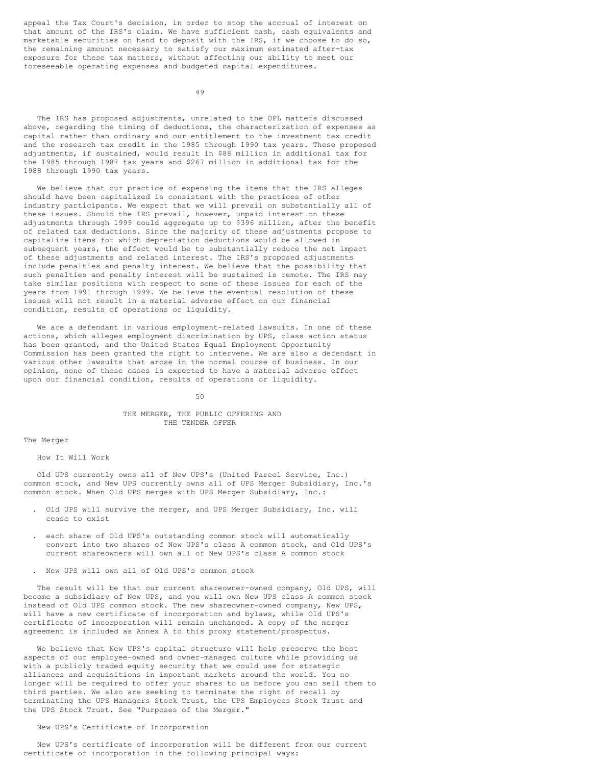appeal the Tax Court's decision, in order to stop the accrual of interest on that amount of the IRS's claim. We have sufficient cash, cash equivalents and marketable securities on hand to deposit with the IRS, if we choose to do so, the remaining amount necessary to satisfy our maximum estimated after-tax exposure for these tax matters, without affecting our ability to meet our foreseeable operating expenses and budgeted capital expenditures.

49

The IRS has proposed adjustments, unrelated to the OPL matters discussed above, regarding the timing of deductions, the characterization of expenses as capital rather than ordinary and our entitlement to the investment tax credit and the research tax credit in the 1985 through 1990 tax years. These proposed adjustments, if sustained, would result in \$88 million in additional tax for the 1985 through 1987 tax years and \$267 million in additional tax for the 1988 through 1990 tax years.

We believe that our practice of expensing the items that the IRS alleges should have been capitalized is consistent with the practices of other industry participants. We expect that we will prevail on substantially all of these issues. Should the IRS prevail, however, unpaid interest on these adjustments through 1999 could aggregate up to \$396 million, after the benefit of related tax deductions. Since the majority of these adjustments propose to capitalize items for which depreciation deductions would be allowed in subsequent years, the effect would be to substantially reduce the net impact of these adjustments and related interest. The IRS's proposed adjustments include penalties and penalty interest. We believe that the possibility that such penalties and penalty interest will be sustained is remote. The IRS may take similar positions with respect to some of these issues for each of the years from 1991 through 1999. We believe the eventual resolution of these issues will not result in a material adverse effect on our financial condition, results of operations or liquidity.

We are a defendant in various employment-related lawsuits. In one of these actions, which alleges employment discrimination by UPS, class action status has been granted, and the United States Equal Employment Opportunity Commission has been granted the right to intervene. We are also a defendant in various other lawsuits that arose in the normal course of business. In our opinion, none of these cases is expected to have a material adverse effect upon our financial condition, results of operations or liquidity.

#### 50

# THE MERGER, THE PUBLIC OFFERING AND THE TENDER OFFER

The Merger

How It Will Work

Old UPS currently owns all of New UPS's (United Parcel Service, Inc.) common stock, and New UPS currently owns all of UPS Merger Subsidiary, Inc.'s common stock. When Old UPS merges with UPS Merger Subsidiary, Inc.:

- . Old UPS will survive the merger, and UPS Merger Subsidiary, Inc. will cease to exist
- . each share of Old UPS's outstanding common stock will automatically convert into two shares of New UPS's class A common stock, and Old UPS's current shareowners will own all of New UPS's class A common stock
- . New UPS will own all of Old UPS's common stock

The result will be that our current shareowner-owned company, Old UPS, will become a subsidiary of New UPS, and you will own New UPS class A common stock instead of Old UPS common stock. The new shareowner-owned company, New UPS, will have a new certificate of incorporation and bylaws, while Old UPS's certificate of incorporation will remain unchanged. A copy of the merger agreement is included as Annex A to this proxy statement/prospectus.

We believe that New UPS's capital structure will help preserve the best aspects of our employee-owned and owner-managed culture while providing us with a publicly traded equity security that we could use for strategic alliances and acquisitions in important markets around the world. You no longer will be required to offer your shares to us before you can sell them to third parties. We also are seeking to terminate the right of recall by terminating the UPS Managers Stock Trust, the UPS Employees Stock Trust and the UPS Stock Trust. See "Purposes of the Merger."

# New UPS's Certificate of Incorporation

New UPS's certificate of incorporation will be different from our current certificate of incorporation in the following principal ways: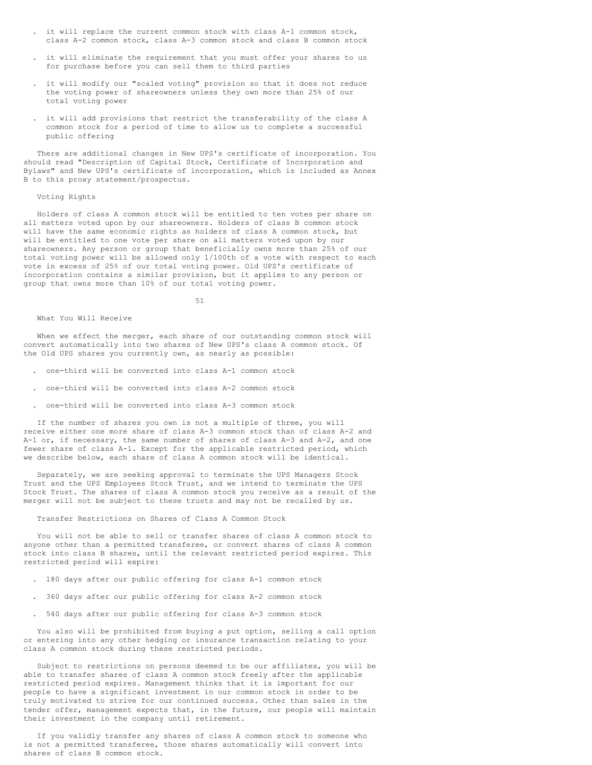- . it will replace the current common stock with class A-1 common stock, class A-2 common stock, class A-3 common stock and class B common stock
- . it will eliminate the requirement that you must offer your shares to us for purchase before you can sell them to third parties
- . it will modify our "scaled voting" provision so that it does not reduce the voting power of shareowners unless they own more than 25% of our total voting power
- . it will add provisions that restrict the transferability of the class A common stock for a period of time to allow us to complete a successful public offering

There are additional changes in New UPS's certificate of incorporation. You should read "Description of Capital Stock, Certificate of Incorporation and Bylaws" and New UPS's certificate of incorporation, which is included as Annex B to this proxy statement/prospectus.

### Voting Rights

Holders of class A common stock will be entitled to ten votes per share on all matters voted upon by our shareowners. Holders of class B common stock will have the same economic rights as holders of class A common stock, but will be entitled to one vote per share on all matters voted upon by our shareowners. Any person or group that beneficially owns more than 25% of our total voting power will be allowed only 1/100th of a vote with respect to each vote in excess of 25% of our total voting power. Old UPS's certificate of incorporation contains a similar provision, but it applies to any person or group that owns more than 10% of our total voting power.

51

### What You Will Receive

When we effect the merger, each share of our outstanding common stock will convert automatically into two shares of New UPS's class A common stock. Of the Old UPS shares you currently own, as nearly as possible:

- . one-third will be converted into class A-1 common stock
- . one-third will be converted into class A-2 common stock
- . one-third will be converted into class A-3 common stock

If the number of shares you own is not a multiple of three, you will receive either one more share of class A-3 common stock than of class A-2 and A-1 or, if necessary, the same number of shares of class A-3 and A-2, and one fewer share of class A-1. Except for the applicable restricted period, which we describe below, each share of class A common stock will be identical.

Separately, we are seeking approval to terminate the UPS Managers Stock Trust and the UPS Employees Stock Trust, and we intend to terminate the UPS Stock Trust. The shares of class A common stock you receive as a result of the merger will not be subject to these trusts and may not be recalled by us.

#### Transfer Restrictions on Shares of Class A Common Stock

You will not be able to sell or transfer shares of class A common stock to anyone other than a permitted transferee, or convert shares of class A common stock into class B shares, until the relevant restricted period expires. This restricted period will expire:

- . 180 days after our public offering for class A-1 common stock
- . 360 days after our public offering for class A-2 common stock
- . 540 days after our public offering for class A-3 common stock

You also will be prohibited from buying a put option, selling a call option or entering into any other hedging or insurance transaction relating to your class A common stock during these restricted periods.

Subject to restrictions on persons deemed to be our affiliates, you will be able to transfer shares of class A common stock freely after the applicable restricted period expires. Management thinks that it is important for our people to have a significant investment in our common stock in order to be truly motivated to strive for our continued success. Other than sales in the tender offer, management expects that, in the future, our people will maintain their investment in the company until retirement.

If you validly transfer any shares of class A common stock to someone who is not a permitted transferee, those shares automatically will convert into shares of class B common stock.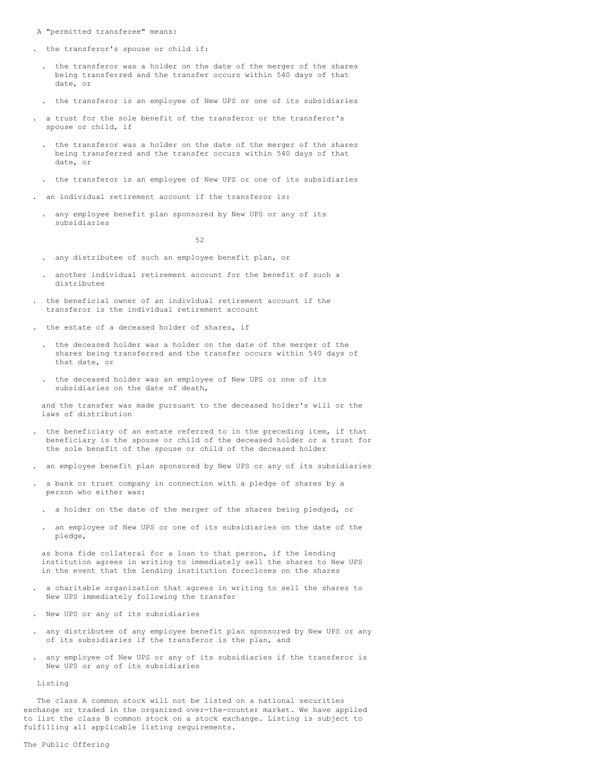- A "permitted transferee" means:
- . the transferor's spouse or child if:
- . the transferor was a holder on the date of the merger of the shares being transferred and the transfer occurs within 540 days of that date, or
- . the transferor is an employee of New UPS or one of its subsidiaries
- . a trust for the sole benefit of the transferor or the transferor's spouse or child, if
- . the transferor was a holder on the date of the merger of the shares being transferred and the transfer occurs within 540 days of that date, or
- . the transferor is an employee of New UPS or one of its subsidiaries
- . an individual retirement account if the transferor is:
	- . any employee benefit plan sponsored by New UPS or any of its subsidiaries

52

- . any distributee of such an employee benefit plan, or
- . another individual retirement account for the benefit of such a distributee
- . the beneficial owner of an individual retirement account if the transferor is the individual retirement account
- . the estate of a deceased holder of shares, if
	- . the deceased holder was a holder on the date of the merger of the shares being transferred and the transfer occurs within 540 days of that date, or
- . the deceased holder was an employee of New UPS or one of its subsidiaries on the date of death,

and the transfer was made pursuant to the deceased holder's will or the laws of distribution

- . the beneficiary of an estate referred to in the preceding item, if that beneficiary is the spouse or child of the deceased holder or a trust for the sole benefit of the spouse or child of the deceased holder
- . an employee benefit plan sponsored by New UPS or any of its subsidiaries
- . a bank or trust company in connection with a pledge of shares by a person who either was:
	- a holder on the date of the merger of the shares being pledged, or
	- . an employee of New UPS or one of its subsidiaries on the date of the pledge,

as bona fide collateral for a loan to that person, if the lending institution agrees in writing to immediately sell the shares to New UPS in the event that the lending institution forecloses on the shares

- . a charitable organization that agrees in writing to sell the shares to New UPS immediately following the transfer
- . New UPS or any of its subsidiaries
- . any distributee of any employee benefit plan sponsored by New UPS or any of its subsidiaries if the transferor is the plan, and
- . any employee of New UPS or any of its subsidiaries if the transferor is New UPS or any of its subsidiaries

Listing

The class A common stock will not be listed on a national securities exchange or traded in the organized over-the-counter market. We have applied to list the class B common stock on a stock exchange. Listing is subject to fulfilling all applicable listing requirements.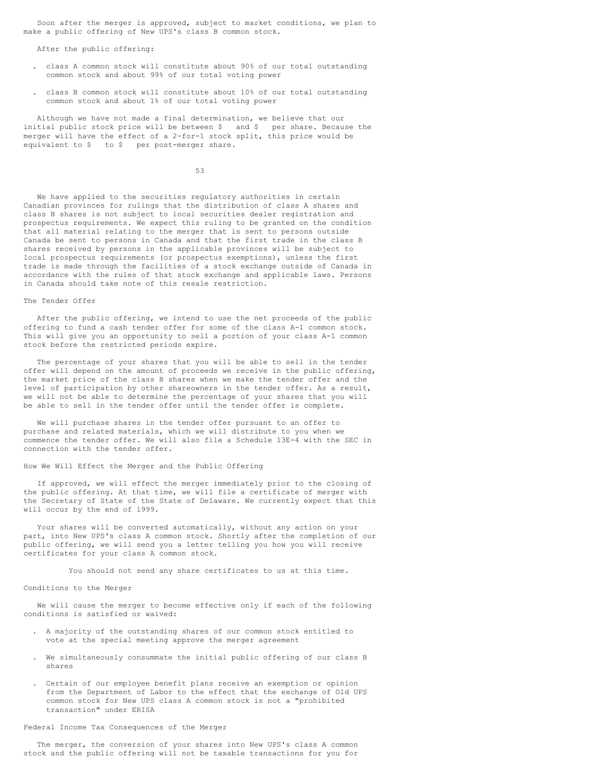Soon after the merger is approved, subject to market conditions, we plan to make a public offering of New UPS's class B common stock.

After the public offering:

- . class A common stock will constitute about 90% of our total outstanding common stock and about 99% of our total voting power
- . class B common stock will constitute about 10% of our total outstanding common stock and about 1% of our total voting power

Although we have not made a final determination, we believe that our initial public stock price will be between \$ and \$ per share. Because the merger will have the effect of a 2-for-1 stock split, this price would be equivalent to \$ to \$ per post-merger share.

53

We have applied to the securities regulatory authorities in certain Canadian provinces for rulings that the distribution of class A shares and class B shares is not subject to local securities dealer registration and prospectus requirements. We expect this ruling to be granted on the condition that all material relating to the merger that is sent to persons outside Canada be sent to persons in Canada and that the first trade in the class B shares received by persons in the applicable provinces will be subject to local prospectus requirements (or prospectus exemptions), unless the first trade is made through the facilities of a stock exchange outside of Canada in accordance with the rules of that stock exchange and applicable laws. Persons in Canada should take note of this resale restriction.

### The Tender Offer

After the public offering, we intend to use the net proceeds of the public offering to fund a cash tender offer for some of the class A-1 common stock. This will give you an opportunity to sell a portion of your class A-1 common stock before the restricted periods expire.

The percentage of your shares that you will be able to sell in the tender offer will depend on the amount of proceeds we receive in the public offering, the market price of the class B shares when we make the tender offer and the level of participation by other shareowners in the tender offer. As a result, we will not be able to determine the percentage of your shares that you will be able to sell in the tender offer until the tender offer is complete.

We will purchase shares in the tender offer pursuant to an offer to purchase and related materials, which we will distribute to you when we commence the tender offer. We will also file a Schedule 13E-4 with the SEC in connection with the tender offer.

How We Will Effect the Merger and the Public Offering

If approved, we will effect the merger immediately prior to the closing of the public offering. At that time, we will file a certificate of merger with the Secretary of State of the State of Delaware. We currently expect that this will occur by the end of 1999.

Your shares will be converted automatically, without any action on your part, into New UPS's class A common stock. Shortly after the completion of our public offering, we will send you a letter telling you how you will receive certificates for your class A common stock.

You should not send any share certificates to us at this time.

#### Conditions to the Merger

We will cause the merger to become effective only if each of the following conditions is satisfied or waived:

- . A majority of the outstanding shares of our common stock entitled to vote at the special meeting approve the merger agreement
- We simultaneously consummate the initial public offering of our class B shares
- . Certain of our employee benefit plans receive an exemption or opinion from the Department of Labor to the effect that the exchange of Old UPS common stock for New UPS class A common stock is not a "prohibited transaction" under ERISA

# Federal Income Tax Consequences of the Merger

The merger, the conversion of your shares into New UPS's class A common stock and the public offering will not be taxable transactions for you for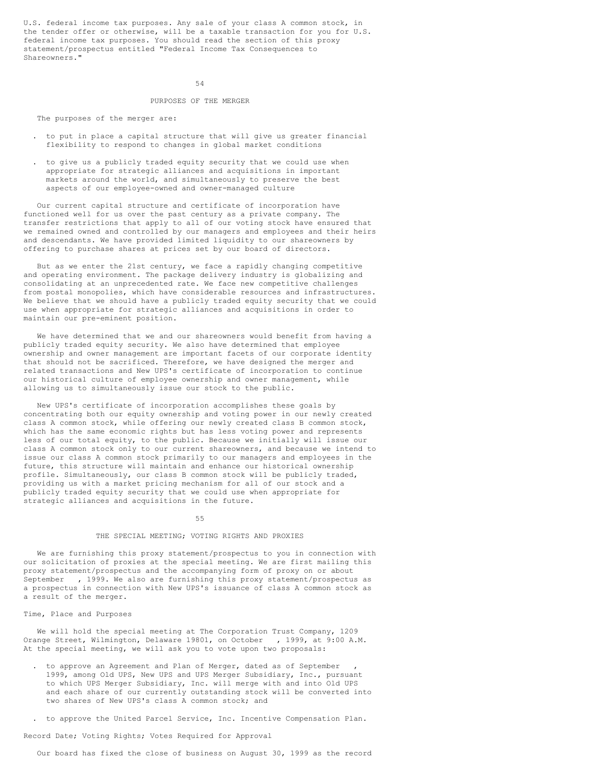U.S. federal income tax purposes. Any sale of your class A common stock, in the tender offer or otherwise, will be a taxable transaction for you for U.S. federal income tax purposes. You should read the section of this proxy statement/prospectus entitled "Federal Income Tax Consequences to Shareowners."

 $54$ 

#### PURPOSES OF THE MERGER

The purposes of the merger are:

- . to put in place a capital structure that will give us greater financial flexibility to respond to changes in global market conditions
- . to give us a publicly traded equity security that we could use when appropriate for strategic alliances and acquisitions in important markets around the world, and simultaneously to preserve the best aspects of our employee-owned and owner-managed culture

Our current capital structure and certificate of incorporation have functioned well for us over the past century as a private company. The transfer restrictions that apply to all of our voting stock have ensured that we remained owned and controlled by our managers and employees and their heirs and descendants. We have provided limited liquidity to our shareowners by offering to purchase shares at prices set by our board of directors.

But as we enter the 21st century, we face a rapidly changing competitive and operating environment. The package delivery industry is globalizing and consolidating at an unprecedented rate. We face new competitive challenges from postal monopolies, which have considerable resources and infrastructures. We believe that we should have a publicly traded equity security that we could use when appropriate for strategic alliances and acquisitions in order to maintain our pre-eminent position.

We have determined that we and our shareowners would benefit from having a publicly traded equity security. We also have determined that employee ownership and owner management are important facets of our corporate identity that should not be sacrificed. Therefore, we have designed the merger and related transactions and New UPS's certificate of incorporation to continue our historical culture of employee ownership and owner management, while allowing us to simultaneously issue our stock to the public.

New UPS's certificate of incorporation accomplishes these goals by concentrating both our equity ownership and voting power in our newly created class A common stock, while offering our newly created class B common stock, which has the same economic rights but has less voting power and represents less of our total equity, to the public. Because we initially will issue our class A common stock only to our current shareowners, and because we intend to issue our class A common stock primarily to our managers and employees in the future, this structure will maintain and enhance our historical ownership profile. Simultaneously, our class B common stock will be publicly traded, providing us with a market pricing mechanism for all of our stock and a publicly traded equity security that we could use when appropriate for strategic alliances and acquisitions in the future.

#### 55

### THE SPECIAL MEETING; VOTING RIGHTS AND PROXIES

We are furnishing this proxy statement/prospectus to you in connection with our solicitation of proxies at the special meeting. We are first mailing this proxy statement/prospectus and the accompanying form of proxy on or about September , 1999. We also are furnishing this proxy statement/prospectus as a prospectus in connection with New UPS's issuance of class A common stock as a result of the merger.

#### Time, Place and Purposes

We will hold the special meeting at The Corporation Trust Company, 1209 Orange Street, Wilmington, Delaware 19801, on October , 1999, at 9:00 A.M. At the special meeting, we will ask you to vote upon two proposals:

- . to approve an Agreement and Plan of Merger, dated as of September 1999, among Old UPS, New UPS and UPS Merger Subsidiary, Inc., pursuant to which UPS Merger Subsidiary, Inc. will merge with and into Old UPS and each share of our currently outstanding stock will be converted into two shares of New UPS's class A common stock; and
- . to approve the United Parcel Service, Inc. Incentive Compensation Plan.

Record Date; Voting Rights; Votes Required for Approval

Our board has fixed the close of business on August 30, 1999 as the record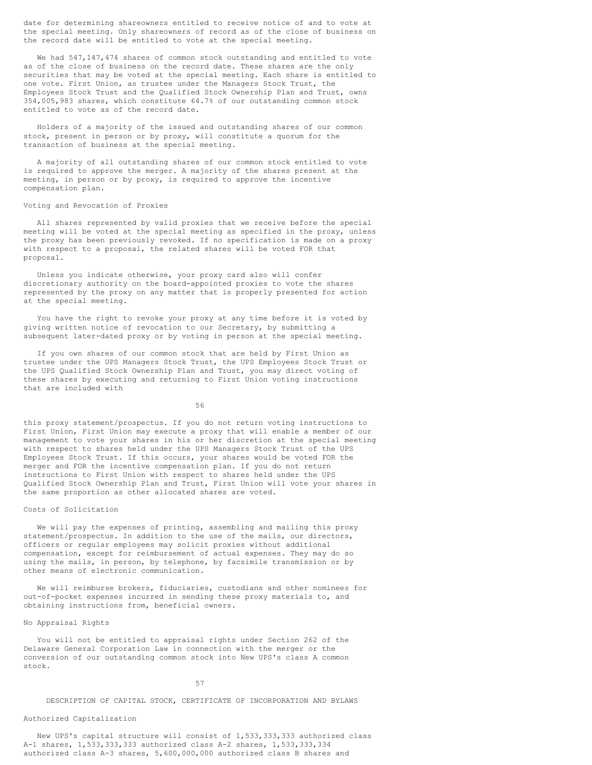date for determining shareowners entitled to receive notice of and to vote at the special meeting. Only shareowners of record as of the close of business on the record date will be entitled to vote at the special meeting.

We had 547,147,474 shares of common stock outstanding and entitled to vote as of the close of business on the record date. These shares are the only securities that may be voted at the special meeting. Each share is entitled to one vote. First Union, as trustee under the Managers Stock Trust, the Employees Stock Trust and the Qualified Stock Ownership Plan and Trust, owns 354,005,983 shares, which constitute 64.7% of our outstanding common stock entitled to vote as of the record date.

Holders of a majority of the issued and outstanding shares of our common stock, present in person or by proxy, will constitute a quorum for the transaction of business at the special meeting.

A majority of all outstanding shares of our common stock entitled to vote is required to approve the merger. A majority of the shares present at the meeting, in person or by proxy, is required to approve the incentive compensation plan.

#### Voting and Revocation of Proxies

All shares represented by valid proxies that we receive before the special meeting will be voted at the special meeting as specified in the proxy, unless the proxy has been previously revoked. If no specification is made on a proxy with respect to a proposal, the related shares will be voted FOR that proposal.

Unless you indicate otherwise, your proxy card also will confer discretionary authority on the board-appointed proxies to vote the shares represented by the proxy on any matter that is properly presented for action at the special meeting.

You have the right to revoke your proxy at any time before it is voted by giving written notice of revocation to our Secretary, by submitting a subsequent later-dated proxy or by voting in person at the special meeting.

If you own shares of our common stock that are held by First Union as trustee under the UPS Managers Stock Trust, the UPS Employees Stock Trust or the UPS Qualified Stock Ownership Plan and Trust, you may direct voting of these shares by executing and returning to First Union voting instructions that are included with

56

this proxy statement/prospectus. If you do not return voting instructions to First Union, First Union may execute a proxy that will enable a member of our management to vote your shares in his or her discretion at the special meeting with respect to shares held under the UPS Managers Stock Trust of the UPS Employees Stock Trust. If this occurs, your shares would be voted FOR the merger and FOR the incentive compensation plan. If you do not return instructions to First Union with respect to shares held under the UPS Qualified Stock Ownership Plan and Trust, First Union will vote your shares in the same proportion as other allocated shares are voted.

### Costs of Solicitation

We will pay the expenses of printing, assembling and mailing this proxy statement/prospectus. In addition to the use of the mails, our directors, officers or regular employees may solicit proxies without additional compensation, except for reimbursement of actual expenses. They may do so using the mails, in person, by telephone, by facsimile transmission or by other means of electronic communication.

We will reimburse brokers, fiduciaries, custodians and other nominees for out-of-pocket expenses incurred in sending these proxy materials to, and obtaining instructions from, beneficial owners.

## No Appraisal Rights

You will not be entitled to appraisal rights under Section 262 of the Delaware General Corporation Law in connection with the merger or the conversion of our outstanding common stock into New UPS's class A common stock.

## 57

DESCRIPTION OF CAPITAL STOCK, CERTIFICATE OF INCORPORATION AND BYLAWS

# Authorized Capitalization

New UPS's capital structure will consist of 1,533,333,333 authorized class A-1 shares, 1,533,333,333 authorized class A-2 shares, 1,533,333,334 authorized class A-3 shares, 5,600,000,000 authorized class B shares and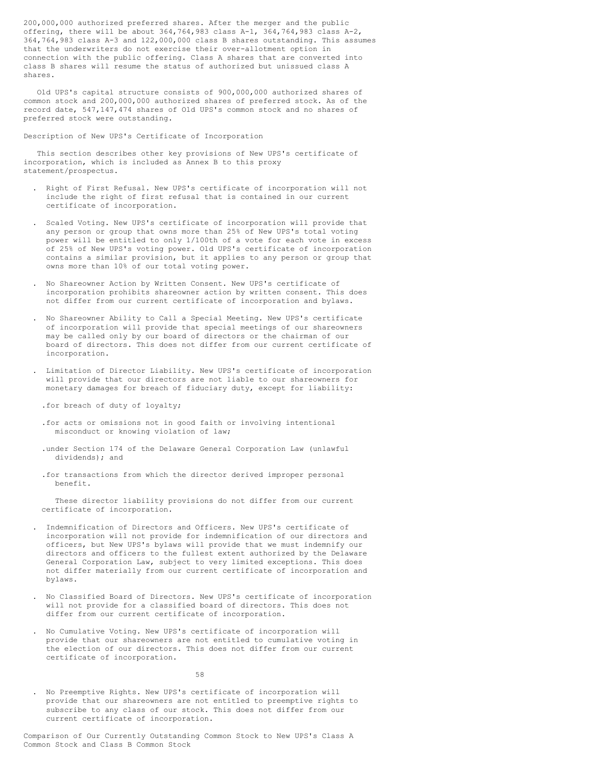200,000,000 authorized preferred shares. After the merger and the public offering, there will be about 364,764,983 class A-1, 364,764,983 class A-2, 364,764,983 class A-3 and 122,000,000 class B shares outstanding. This assumes that the underwriters do not exercise their over-allotment option in connection with the public offering. Class A shares that are converted into class B shares will resume the status of authorized but unissued class A shares.

Old UPS's capital structure consists of 900,000,000 authorized shares of common stock and 200,000,000 authorized shares of preferred stock. As of the record date, 547,147,474 shares of Old UPS's common stock and no shares of preferred stock were outstanding.

Description of New UPS's Certificate of Incorporation

This section describes other key provisions of New UPS's certificate of incorporation, which is included as Annex B to this proxy statement/prospectus.

- . Right of First Refusal. New UPS's certificate of incorporation will not include the right of first refusal that is contained in our current certificate of incorporation.
- . Scaled Voting. New UPS's certificate of incorporation will provide that any person or group that owns more than 25% of New UPS's total voting power will be entitled to only 1/100th of a vote for each vote in excess of 25% of New UPS's voting power. Old UPS's certificate of incorporation contains a similar provision, but it applies to any person or group that owns more than 10% of our total voting power.
- . No Shareowner Action by Written Consent. New UPS's certificate of incorporation prohibits shareowner action by written consent. This does not differ from our current certificate of incorporation and bylaws.
- . No Shareowner Ability to Call a Special Meeting. New UPS's certificate of incorporation will provide that special meetings of our shareowners may be called only by our board of directors or the chairman of our board of directors. This does not differ from our current certificate of incorporation.
- . Limitation of Director Liability. New UPS's certificate of incorporation will provide that our directors are not liable to our shareowners for monetary damages for breach of fiduciary duty, except for liability:

.for breach of duty of loyalty;

- .for acts or omissions not in good faith or involving intentional misconduct or knowing violation of law;
- .under Section 174 of the Delaware General Corporation Law (unlawful dividends); and
- .for transactions from which the director derived improper personal benefit.

These director liability provisions do not differ from our current certificate of incorporation.

- . Indemnification of Directors and Officers. New UPS's certificate of incorporation will not provide for indemnification of our directors and officers, but New UPS's bylaws will provide that we must indemnify our directors and officers to the fullest extent authorized by the Delaware General Corporation Law, subject to very limited exceptions. This does not differ materially from our current certificate of incorporation and bylaws.
- . No Classified Board of Directors. New UPS's certificate of incorporation will not provide for a classified board of directors. This does not differ from our current certificate of incorporation.
- . No Cumulative Voting. New UPS's certificate of incorporation will provide that our shareowners are not entitled to cumulative voting in the election of our directors. This does not differ from our current certificate of incorporation.

58

. No Preemptive Rights. New UPS's certificate of incorporation will provide that our shareowners are not entitled to preemptive rights to subscribe to any class of our stock. This does not differ from our current certificate of incorporation.

Comparison of Our Currently Outstanding Common Stock to New UPS's Class A Common Stock and Class B Common Stock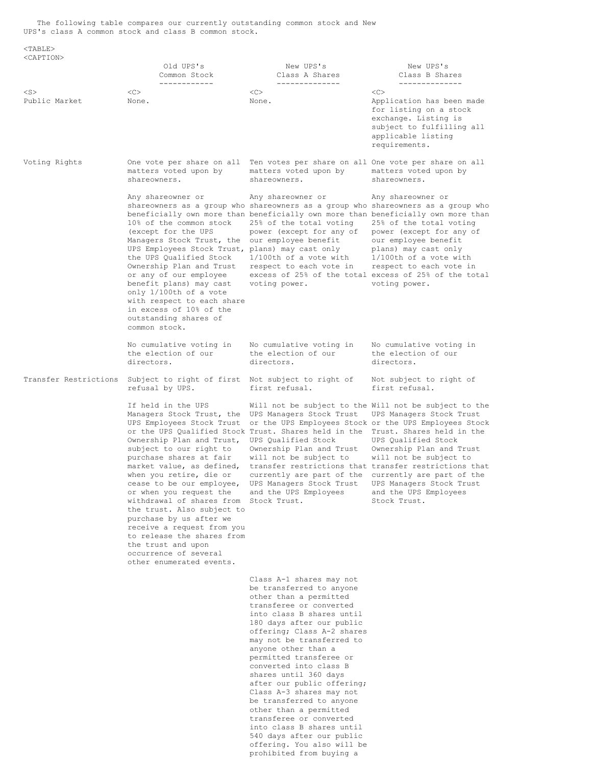The following table compares our currently outstanding common stock and New UPS's class A common stock and class B common stock.

 $<$ TABLE $>$ 

| <caption></caption>        |                                                                                                                                                                                                                                                                                                                                                                                                                                                                                                                           |                                                                                                                                                                                                                                                                                                                                                                                                                                                                                                                                                                        |                                                                                                                                                                                                                                                                                                                                                                                                                 |
|----------------------------|---------------------------------------------------------------------------------------------------------------------------------------------------------------------------------------------------------------------------------------------------------------------------------------------------------------------------------------------------------------------------------------------------------------------------------------------------------------------------------------------------------------------------|------------------------------------------------------------------------------------------------------------------------------------------------------------------------------------------------------------------------------------------------------------------------------------------------------------------------------------------------------------------------------------------------------------------------------------------------------------------------------------------------------------------------------------------------------------------------|-----------------------------------------------------------------------------------------------------------------------------------------------------------------------------------------------------------------------------------------------------------------------------------------------------------------------------------------------------------------------------------------------------------------|
|                            | Old UPS's<br>Common Stock<br>------------                                                                                                                                                                                                                                                                                                                                                                                                                                                                                 | New UPS's<br>Class A Shares<br>______________                                                                                                                                                                                                                                                                                                                                                                                                                                                                                                                          | New UPS's<br>Class B Shares<br>______________                                                                                                                                                                                                                                                                                                                                                                   |
| $<$ S $>$<br>Public Market | <<<br>None.                                                                                                                                                                                                                                                                                                                                                                                                                                                                                                               | <<<br>None.                                                                                                                                                                                                                                                                                                                                                                                                                                                                                                                                                            | < <sub><br/>Application has been made<br/>for listing on a stock<br/>exchange. Listing is<br/>subject to fulfilling all<br/>applicable listing<br/>requirements.</sub>                                                                                                                                                                                                                                          |
| Voting Rights              | matters voted upon by<br>shareowners.                                                                                                                                                                                                                                                                                                                                                                                                                                                                                     | One vote per share on all Ten votes per share on all One vote per share on all<br>matters voted upon by<br>shareowners.                                                                                                                                                                                                                                                                                                                                                                                                                                                | matters voted upon by<br>shareowners.                                                                                                                                                                                                                                                                                                                                                                           |
|                            | Any shareowner or<br>10% of the common stock<br>(except for the UPS<br>Managers Stock Trust, the<br>UPS Employees Stock Trust, plans) may cast only<br>the UPS Qualified Stock<br>Ownership Plan and Trust<br>or any of our employee<br>benefit plans) may cast<br>only 1/100th of a vote<br>with respect to each share<br>in excess of 10% of the<br>outstanding shares of<br>common stock.                                                                                                                              | Any shareowner or<br>shareowners as a group who shareowners as a group who shareowners as a group who<br>beneficially own more than beneficially own more than beneficially own more than<br>25% of the total voting<br>power (except for any of<br>our employee benefit<br>$1/100$ th of a vote with<br>respect to each vote in<br>voting power.                                                                                                                                                                                                                      | Any shareowner or<br>25% of the total voting<br>power (except for any of<br>our employee benefit<br>plans) may cast only<br>$1/100$ th of a vote with<br>respect to each vote in<br>excess of 25% of the total excess of 25% of the total<br>voting power.                                                                                                                                                      |
|                            | No cumulative voting in<br>the election of our<br>directors.                                                                                                                                                                                                                                                                                                                                                                                                                                                              | No cumulative voting in<br>the election of our<br>directors.                                                                                                                                                                                                                                                                                                                                                                                                                                                                                                           | No cumulative voting in<br>the election of our<br>directors.                                                                                                                                                                                                                                                                                                                                                    |
| Transfer Restrictions      | Subject to right of first Not subject to right of<br>refusal by UPS.                                                                                                                                                                                                                                                                                                                                                                                                                                                      | first refusal.                                                                                                                                                                                                                                                                                                                                                                                                                                                                                                                                                         | Not subject to right of<br>first refusal.                                                                                                                                                                                                                                                                                                                                                                       |
|                            | If held in the UPS<br>Managers Stock Trust, the<br>UPS Employees Stock Trust<br>Ownership Plan and Trust,<br>subject to our right to<br>purchase shares at fair<br>market value, as defined,<br>when you retire, die or<br>cease to be our employee,<br>or when you request the<br>withdrawal of shares from Stock Trust.<br>the trust. Also subject to<br>purchase by us after we<br>receive a request from you<br>to release the shares from<br>the trust and upon<br>occurrence of several<br>other enumerated events. | UPS Managers Stock Trust<br>or the UPS Qualified Stock Trust. Shares held in the<br>UPS Qualified Stock<br>Ownership Plan and Trust<br>will not be subject to<br>currently are part of the<br>UPS Managers Stock Trust<br>and the UPS Employees                                                                                                                                                                                                                                                                                                                        | Will not be subject to the Will not be subject to the<br>UPS Managers Stock Trust<br>or the UPS Employees Stock or the UPS Employees Stock<br>Trust. Shares held in the<br>UPS Oualified Stock<br>Ownership Plan and Trust<br>will not be subject to<br>transfer restrictions that transfer restrictions that<br>currently are part of the<br>UPS Managers Stock Trust<br>and the UPS Employees<br>Stock Trust. |
|                            |                                                                                                                                                                                                                                                                                                                                                                                                                                                                                                                           | Class A-1 shares may not<br>be transferred to anyone<br>other than a permitted<br>transferee or converted<br>into class B shares until<br>180 days after our public<br>offering; Class A-2 shares<br>may not be transferred to<br>anyone other than a<br>permitted transferee or<br>converted into class B<br>shares until 360 days<br>after our public offering;<br>Class A-3 shares may not<br>be transferred to anyone<br>other than a permitted<br>transferee or converted<br>into class B shares until<br>540 days after our public<br>offering. You also will be |                                                                                                                                                                                                                                                                                                                                                                                                                 |

prohibited from buying a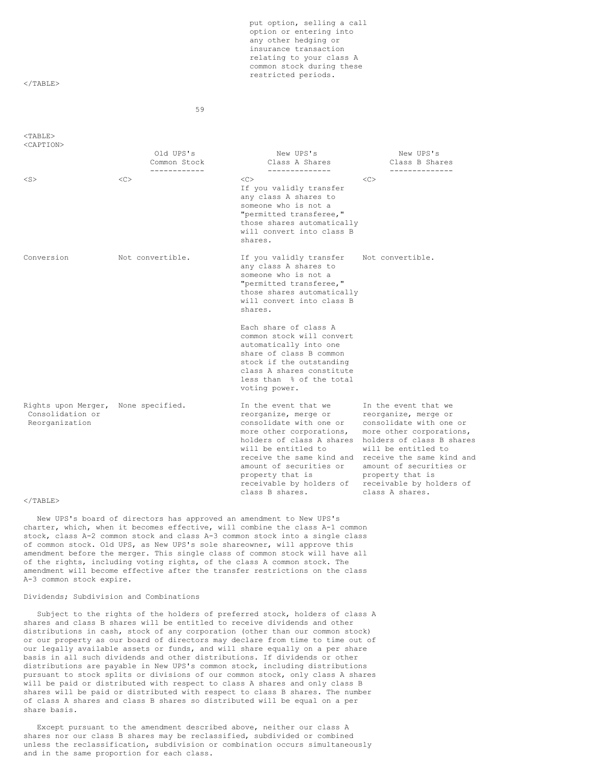put option, selling a call option or entering into any other hedging or insurance transaction relating to your class A common stock during these restricted periods.

## $<$ /TABLE>

59

#### <TABLE> <CAPTION>

|                                                           | Old UPS's<br>Common Stock<br>------------ | New UPS's<br>Class A Shares<br>--------------                                                                                                                                                                                                                                      | New UPS's<br>Class B Shares<br>--------------                                                                                                                                                                                                                                      |
|-----------------------------------------------------------|-------------------------------------------|------------------------------------------------------------------------------------------------------------------------------------------------------------------------------------------------------------------------------------------------------------------------------------|------------------------------------------------------------------------------------------------------------------------------------------------------------------------------------------------------------------------------------------------------------------------------------|
| $<$ S $>$                                                 | < <sub></sub>                             | <<<br>If you validly transfer<br>any class A shares to<br>someone who is not a<br>"permitted transferee,"<br>those shares automatically<br>will convert into class B<br>shares.                                                                                                    | < <sub></sub>                                                                                                                                                                                                                                                                      |
| Conversion                                                | Not convertible.                          | If you validly transfer<br>any class A shares to<br>someone who is not a<br>"permitted transferee,"<br>those shares automatically<br>will convert into class B<br>shares.                                                                                                          | Not convertible.                                                                                                                                                                                                                                                                   |
|                                                           |                                           | Each share of class A<br>common stock will convert<br>automatically into one<br>share of class B common<br>stock if the outstanding<br>class A shares constitute<br>less than % of the total<br>voting power.                                                                      |                                                                                                                                                                                                                                                                                    |
| Rights upon Merger,<br>Consolidation or<br>Reorganization | None specified.                           | In the event that we<br>reorganize, merge or<br>consolidate with one or<br>more other corporations,<br>holders of class A shares<br>will be entitled to<br>receive the same kind and<br>amount of securities or<br>property that is<br>receivable by holders of<br>class B shares. | In the event that we<br>reorganize, merge or<br>consolidate with one or<br>more other corporations,<br>holders of class B shares<br>will be entitled to<br>receive the same kind and<br>amount of securities or<br>property that is<br>receivable by holders of<br>class A shares. |

#### $\langle$ /TABLE>

New UPS's board of directors has approved an amendment to New UPS's charter, which, when it becomes effective, will combine the class A-1 common stock, class A-2 common stock and class A-3 common stock into a single class of common stock. Old UPS, as New UPS's sole shareowner, will approve this amendment before the merger. This single class of common stock will have all of the rights, including voting rights, of the class A common stock. The amendment will become effective after the transfer restrictions on the class A-3 common stock expire.

# Dividends; Subdivision and Combinations

Subject to the rights of the holders of preferred stock, holders of class A shares and class B shares will be entitled to receive dividends and other distributions in cash, stock of any corporation (other than our common stock) or our property as our board of directors may declare from time to time out of our legally available assets or funds, and will share equally on a per share basis in all such dividends and other distributions. If dividends or other distributions are payable in New UPS's common stock, including distributions pursuant to stock splits or divisions of our common stock, only class A shares will be paid or distributed with respect to class A shares and only class B shares will be paid or distributed with respect to class B shares. The number of class A shares and class B shares so distributed will be equal on a per share basis.

Except pursuant to the amendment described above, neither our class A shares nor our class B shares may be reclassified, subdivided or combined unless the reclassification, subdivision or combination occurs simultaneously and in the same proportion for each class.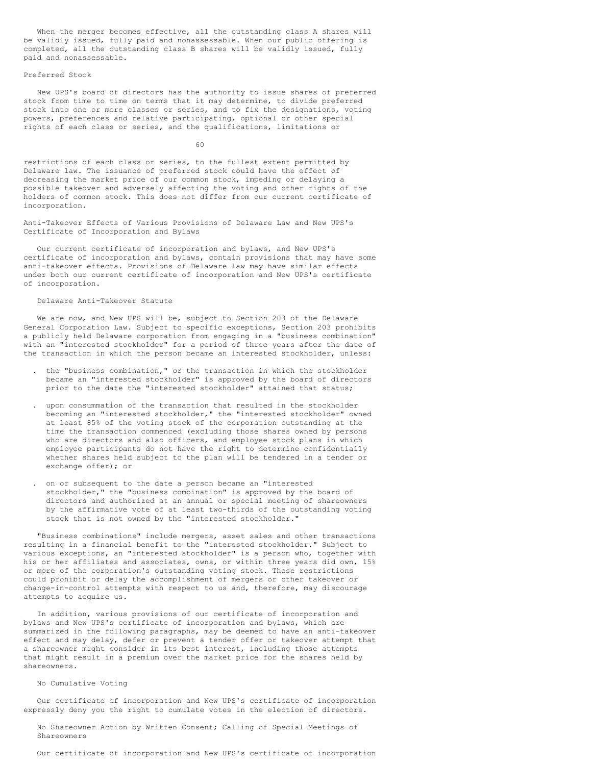When the merger becomes effective, all the outstanding class A shares will be validly issued, fully paid and nonassessable. When our public offering is completed, all the outstanding class B shares will be validly issued, fully paid and nonassessable.

#### Preferred Stock

New UPS's board of directors has the authority to issue shares of preferred stock from time to time on terms that it may determine, to divide preferred stock into one or more classes or series, and to fix the designations, voting powers, preferences and relative participating, optional or other special rights of each class or series, and the qualifications, limitations or

60

restrictions of each class or series, to the fullest extent permitted by Delaware law. The issuance of preferred stock could have the effect of decreasing the market price of our common stock, impeding or delaying a possible takeover and adversely affecting the voting and other rights of the holders of common stock. This does not differ from our current certificate of incorporation.

Anti-Takeover Effects of Various Provisions of Delaware Law and New UPS's Certificate of Incorporation and Bylaws

Our current certificate of incorporation and bylaws, and New UPS's certificate of incorporation and bylaws, contain provisions that may have some anti-takeover effects. Provisions of Delaware law may have similar effects under both our current certificate of incorporation and New UPS's certificate of incorporation.

## Delaware Anti-Takeover Statute

We are now, and New UPS will be, subject to Section 203 of the Delaware General Corporation Law. Subject to specific exceptions, Section 203 prohibits a publicly held Delaware corporation from engaging in a "business combination" with an "interested stockholder" for a period of three years after the date of the transaction in which the person became an interested stockholder, unless:

- . the "business combination," or the transaction in which the stockholder became an "interested stockholder" is approved by the board of directors prior to the date the "interested stockholder" attained that status;
- . upon consummation of the transaction that resulted in the stockholder becoming an "interested stockholder," the "interested stockholder" owned at least 85% of the voting stock of the corporation outstanding at the time the transaction commenced (excluding those shares owned by persons who are directors and also officers, and employee stock plans in which employee participants do not have the right to determine confidentially whether shares held subject to the plan will be tendered in a tender or exchange offer); or
- . on or subsequent to the date a person became an "interested stockholder," the "business combination" is approved by the board of directors and authorized at an annual or special meeting of shareowners by the affirmative vote of at least two-thirds of the outstanding voting stock that is not owned by the "interested stockholder."

"Business combinations" include mergers, asset sales and other transactions resulting in a financial benefit to the "interested stockholder." Subject to various exceptions, an "interested stockholder" is a person who, together with his or her affiliates and associates, owns, or within three years did own, 15% or more of the corporation's outstanding voting stock. These restrictions could prohibit or delay the accomplishment of mergers or other takeover or change-in-control attempts with respect to us and, therefore, may discourage attempts to acquire us.

In addition, various provisions of our certificate of incorporation and bylaws and New UPS's certificate of incorporation and bylaws, which are summarized in the following paragraphs, may be deemed to have an anti-takeover effect and may delay, defer or prevent a tender offer or takeover attempt that a shareowner might consider in its best interest, including those attempts that might result in a premium over the market price for the shares held by shareowners.

## No Cumulative Voting

Our certificate of incorporation and New UPS's certificate of incorporation expressly deny you the right to cumulate votes in the election of directors.

No Shareowner Action by Written Consent; Calling of Special Meetings of Shareowners

Our certificate of incorporation and New UPS's certificate of incorporation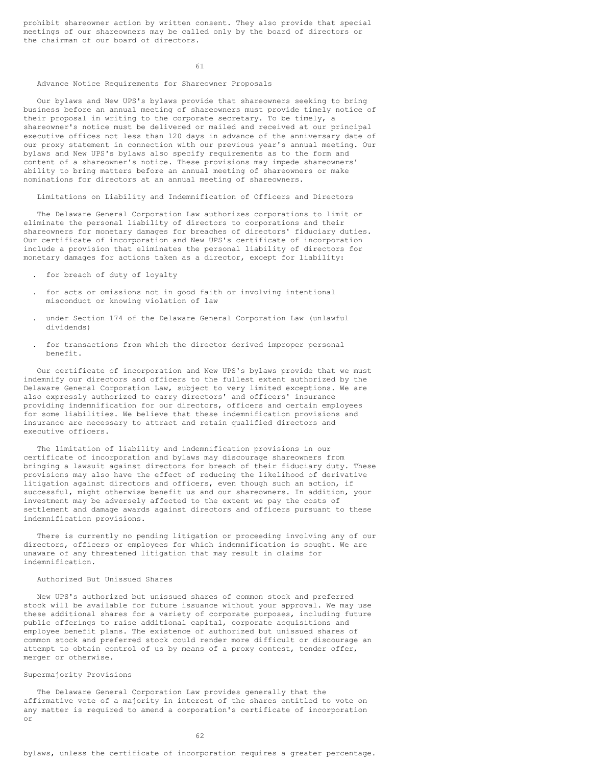prohibit shareowner action by written consent. They also provide that special meetings of our shareowners may be called only by the board of directors or the chairman of our board of directors.

61

## Advance Notice Requirements for Shareowner Proposals

Our bylaws and New UPS's bylaws provide that shareowners seeking to bring business before an annual meeting of shareowners must provide timely notice of their proposal in writing to the corporate secretary. To be timely, a shareowner's notice must be delivered or mailed and received at our principal executive offices not less than 120 days in advance of the anniversary date of our proxy statement in connection with our previous year's annual meeting. Our bylaws and New UPS's bylaws also specify requirements as to the form and content of a shareowner's notice. These provisions may impede shareowners' ability to bring matters before an annual meeting of shareowners or make nominations for directors at an annual meeting of shareowners.

## Limitations on Liability and Indemnification of Officers and Directors

The Delaware General Corporation Law authorizes corporations to limit or eliminate the personal liability of directors to corporations and their shareowners for monetary damages for breaches of directors' fiduciary duties. Our certificate of incorporation and New UPS's certificate of incorporation include a provision that eliminates the personal liability of directors for monetary damages for actions taken as a director, except for liability:

. for breach of duty of loyalty

- . for acts or omissions not in good faith or involving intentional misconduct or knowing violation of law
- . under Section 174 of the Delaware General Corporation Law (unlawful dividends)
- . for transactions from which the director derived improper personal benefit.

Our certificate of incorporation and New UPS's bylaws provide that we must indemnify our directors and officers to the fullest extent authorized by the Delaware General Corporation Law, subject to very limited exceptions. We are also expressly authorized to carry directors' and officers' insurance providing indemnification for our directors, officers and certain employees for some liabilities. We believe that these indemnification provisions and insurance are necessary to attract and retain qualified directors and executive officers.

The limitation of liability and indemnification provisions in our certificate of incorporation and bylaws may discourage shareowners from bringing a lawsuit against directors for breach of their fiduciary duty. These provisions may also have the effect of reducing the likelihood of derivative litigation against directors and officers, even though such an action, if successful, might otherwise benefit us and our shareowners. In addition, your investment may be adversely affected to the extent we pay the costs of settlement and damage awards against directors and officers pursuant to these indemnification provisions.

There is currently no pending litigation or proceeding involving any of our directors, officers or employees for which indemnification is sought. We are unaware of any threatened litigation that may result in claims for indemnification.

### Authorized But Unissued Shares

New UPS's authorized but unissued shares of common stock and preferred stock will be available for future issuance without your approval. We may use these additional shares for a variety of corporate purposes, including future public offerings to raise additional capital, corporate acquisitions and employee benefit plans. The existence of authorized but unissued shares of common stock and preferred stock could render more difficult or discourage an attempt to obtain control of us by means of a proxy contest, tender offer, merger or otherwise.

#### Supermajority Provisions

The Delaware General Corporation Law provides generally that the affirmative vote of a majority in interest of the shares entitled to vote on any matter is required to amend a corporation's certificate of incorporation or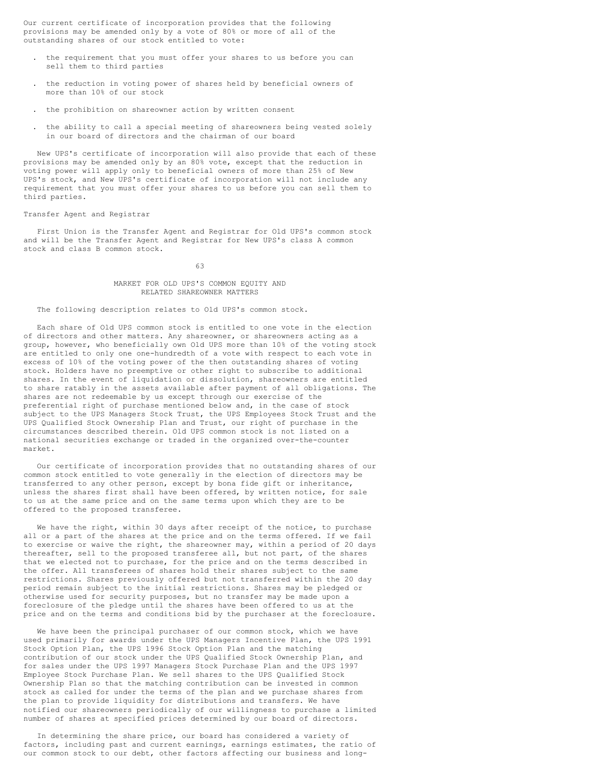Our current certificate of incorporation provides that the following provisions may be amended only by a vote of 80% or more of all of the outstanding shares of our stock entitled to vote:

- . the requirement that you must offer your shares to us before you can sell them to third parties
- . the reduction in voting power of shares held by beneficial owners of more than 10% of our stock
- . the prohibition on shareowner action by written consent
- . the ability to call a special meeting of shareowners being vested solely in our board of directors and the chairman of our board

New UPS's certificate of incorporation will also provide that each of these provisions may be amended only by an 80% vote, except that the reduction in voting power will apply only to beneficial owners of more than 25% of New UPS's stock, and New UPS's certificate of incorporation will not include any requirement that you must offer your shares to us before you can sell them to third parties.

#### Transfer Agent and Registrar

First Union is the Transfer Agent and Registrar for Old UPS's common stock and will be the Transfer Agent and Registrar for New UPS's class A common stock and class B common stock.

### 63

### MARKET FOR OLD UPS'S COMMON EQUITY AND RELATED SHAREOWNER MATTERS

### The following description relates to Old UPS's common stock.

Each share of Old UPS common stock is entitled to one vote in the election of directors and other matters. Any shareowner, or shareowners acting as a group, however, who beneficially own Old UPS more than 10% of the voting stock are entitled to only one one-hundredth of a vote with respect to each vote in excess of 10% of the voting power of the then outstanding shares of voting stock. Holders have no preemptive or other right to subscribe to additional shares. In the event of liquidation or dissolution, shareowners are entitled to share ratably in the assets available after payment of all obligations. The shares are not redeemable by us except through our exercise of the preferential right of purchase mentioned below and, in the case of stock subject to the UPS Managers Stock Trust, the UPS Employees Stock Trust and the UPS Qualified Stock Ownership Plan and Trust, our right of purchase in the circumstances described therein. Old UPS common stock is not listed on a national securities exchange or traded in the organized over-the-counter market.

Our certificate of incorporation provides that no outstanding shares of our common stock entitled to vote generally in the election of directors may be transferred to any other person, except by bona fide gift or inheritance, unless the shares first shall have been offered, by written notice, for sale to us at the same price and on the same terms upon which they are to be offered to the proposed transferee.

We have the right, within 30 days after receipt of the notice, to purchase all or a part of the shares at the price and on the terms offered. If we fail to exercise or waive the right, the shareowner may, within a period of 20 days thereafter, sell to the proposed transferee all, but not part, of the shares that we elected not to purchase, for the price and on the terms described in the offer. All transferees of shares hold their shares subject to the same restrictions. Shares previously offered but not transferred within the 20 day period remain subject to the initial restrictions. Shares may be pledged or otherwise used for security purposes, but no transfer may be made upon a foreclosure of the pledge until the shares have been offered to us at the price and on the terms and conditions bid by the purchaser at the foreclosure.

We have been the principal purchaser of our common stock, which we have used primarily for awards under the UPS Managers Incentive Plan, the UPS 1991 Stock Option Plan, the UPS 1996 Stock Option Plan and the matching contribution of our stock under the UPS Qualified Stock Ownership Plan, and for sales under the UPS 1997 Managers Stock Purchase Plan and the UPS 1997 Employee Stock Purchase Plan. We sell shares to the UPS Qualified Stock Ownership Plan so that the matching contribution can be invested in common stock as called for under the terms of the plan and we purchase shares from the plan to provide liquidity for distributions and transfers. We have notified our shareowners periodically of our willingness to purchase a limited number of shares at specified prices determined by our board of directors.

In determining the share price, our board has considered a variety of factors, including past and current earnings, earnings estimates, the ratio of our common stock to our debt, other factors affecting our business and long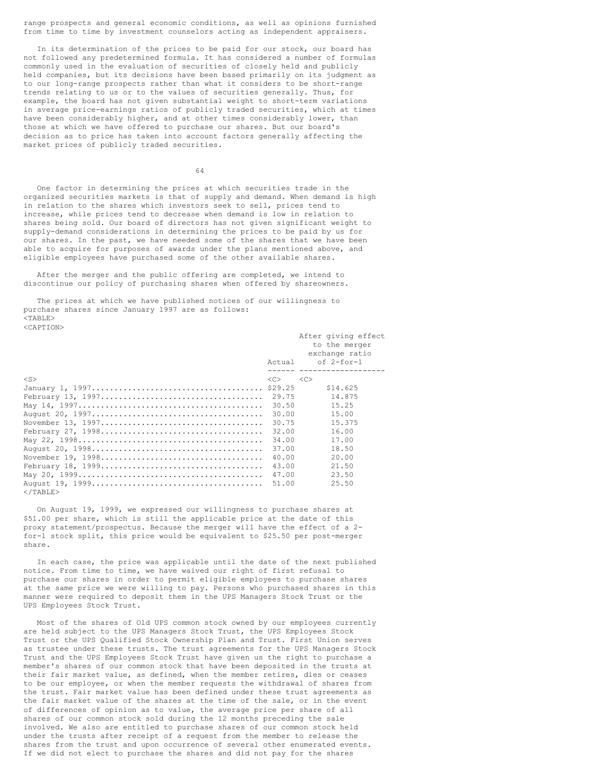range prospects and general economic conditions, as well as opinions furnished from time to time by investment counselors acting as independent appraisers.

In its determination of the prices to be paid for our stock, our board has not followed any predetermined formula. It has considered a number of formulas commonly used in the evaluation of securities of closely held and publicly held companies, but its decisions have been based primarily on its judgment as to our long-range prospects rather than what it considers to be short-range trends relating to us or to the values of securities generally. Thus, for example, the board has not given substantial weight to short-term variations in average price-earnings ratios of publicly traded securities, which at times have been considerably higher, and at other times considerably lower, than those at which we have offered to purchase our shares. But our board's decision as to price has taken into account factors generally affecting the market prices of publicly traded securities.

64

One factor in determining the prices at which securities trade in the organized securities markets is that of supply and demand. When demand is high in relation to the shares which investors seek to sell, prices tend to increase, while prices tend to decrease when demand is low in relation to shares being sold. Our board of directors has not given significant weight to supply-demand considerations in determining the prices to be paid by us for our shares. In the past, we have needed some of the shares that we have been able to acquire for purposes of awards under the plans mentioned above, and eligible employees have purchased some of the other available shares.

After the merger and the public offering are completed, we intend to discontinue our policy of purchasing shares when offered by shareowners.

The prices at which we have published notices of our willingness to purchase shares since January 1997 are as follows: <TABLE> <CAPTION>

|             |               | After giving effect |
|-------------|---------------|---------------------|
|             |               | to the merger       |
|             |               | exchange ratio      |
|             | Actual        | of 2-for-1          |
|             |               |                     |
| $<$ S $>$   | < <sub></sub> | <<                  |
|             |               | \$14.625            |
|             | 29.75         | 14.875              |
|             | 30.50         | 15.25               |
|             | 30.00         | 15.00               |
|             | 30.75         | 15.375              |
|             | 32.00         | 16.00               |
|             | 34.00         | 17.00               |
|             | 37.00         | 18.50               |
|             | 40.00         | 20.00               |
|             | 43.00         | 21.50               |
|             | 47.00         | 23.50               |
|             | 51.00         | 25.50               |
| $<$ /TABLE> |               |                     |

On August 19, 1999, we expressed our willingness to purchase shares at \$51.00 per share, which is still the applicable price at the date of this proxy statement/prospectus. Because the merger will have the effect of a 2 for-1 stock split, this price would be equivalent to \$25.50 per post-merger share.

In each case, the price was applicable until the date of the next published notice. From time to time, we have waived our right of first refusal to purchase our shares in order to permit eligible employees to purchase shares at the same price we were willing to pay. Persons who purchased shares in this manner were required to deposit them in the UPS Managers Stock Trust or the UPS Employees Stock Trust.

Most of the shares of Old UPS common stock owned by our employees currently are held subject to the UPS Managers Stock Trust, the UPS Employees Stock Trust or the UPS Qualified Stock Ownership Plan and Trust. First Union serves as trustee under these trusts. The trust agreements for the UPS Managers Stock Trust and the UPS Employees Stock Trust have given us the right to purchase a member's shares of our common stock that have been deposited in the trusts at their fair market value, as defined, when the member retires, dies or ceases to be our employee, or when the member requests the withdrawal of shares from the trust. Fair market value has been defined under these trust agreements as the fair market value of the shares at the time of the sale, or in the event of differences of opinion as to value, the average price per share of all shares of our common stock sold during the 12 months preceding the sale involved. We also are entitled to purchase shares of our common stock held under the trusts after receipt of a request from the member to release the shares from the trust and upon occurrence of several other enumerated events. If we did not elect to purchase the shares and did not pay for the shares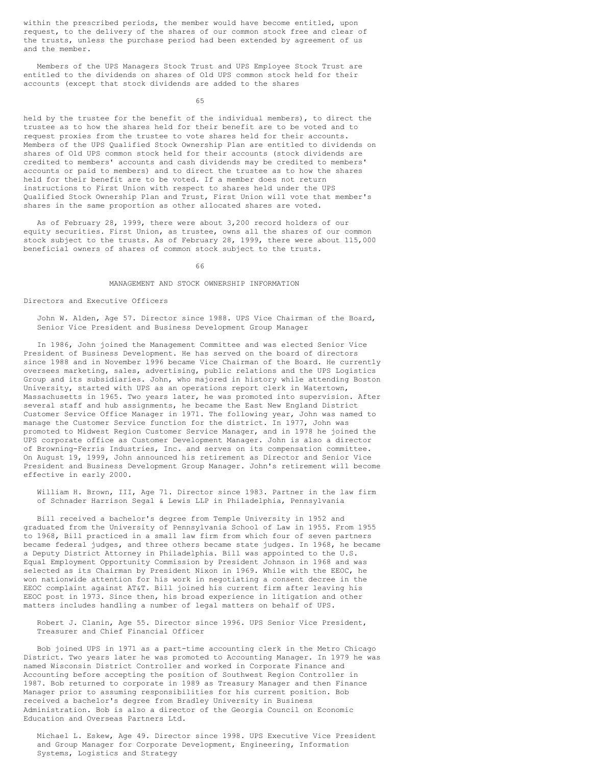within the prescribed periods, the member would have become entitled, upon request, to the delivery of the shares of our common stock free and clear of the trusts, unless the purchase period had been extended by agreement of us and the member.

Members of the UPS Managers Stock Trust and UPS Employee Stock Trust are entitled to the dividends on shares of Old UPS common stock held for their accounts (except that stock dividends are added to the shares

65

held by the trustee for the benefit of the individual members), to direct the trustee as to how the shares held for their benefit are to be voted and to request proxies from the trustee to vote shares held for their accounts. Members of the UPS Qualified Stock Ownership Plan are entitled to dividends on shares of Old UPS common stock held for their accounts (stock dividends are credited to members' accounts and cash dividends may be credited to members' accounts or paid to members) and to direct the trustee as to how the shares held for their benefit are to be voted. If a member does not return instructions to First Union with respect to shares held under the UPS Qualified Stock Ownership Plan and Trust, First Union will vote that member's shares in the same proportion as other allocated shares are voted.

As of February 28, 1999, there were about 3,200 record holders of our equity securities. First Union, as trustee, owns all the shares of our common stock subject to the trusts. As of February 28, 1999, there were about 115,000 beneficial owners of shares of common stock subject to the trusts.

### 66

#### MANAGEMENT AND STOCK OWNERSHIP INFORMATION

## Directors and Executive Officers

John W. Alden, Age 57. Director since 1988. UPS Vice Chairman of the Board, Senior Vice President and Business Development Group Manager

In 1986, John joined the Management Committee and was elected Senior Vice President of Business Development. He has served on the board of directors since 1988 and in November 1996 became Vice Chairman of the Board. He currently oversees marketing, sales, advertising, public relations and the UPS Logistics Group and its subsidiaries. John, who majored in history while attending Boston University, started with UPS as an operations report clerk in Watertown, Massachusetts in 1965. Two years later, he was promoted into supervision. After several staff and hub assignments, he became the East New England District Customer Service Office Manager in 1971. The following year, John was named to manage the Customer Service function for the district. In 1977, John was promoted to Midwest Region Customer Service Manager, and in 1978 he joined the UPS corporate office as Customer Development Manager. John is also a director of Browning-Ferris Industries, Inc. and serves on its compensation committee. On August 19, 1999, John announced his retirement as Director and Senior Vice President and Business Development Group Manager. John's retirement will become effective in early 2000.

William H. Brown, III, Age 71. Director since 1983. Partner in the law firm of Schnader Harrison Segal & Lewis LLP in Philadelphia, Pennsylvania

Bill received a bachelor's degree from Temple University in 1952 and graduated from the University of Pennsylvania School of Law in 1955. From 1955 to 1968, Bill practiced in a small law firm from which four of seven partners became federal judges, and three others became state judges. In 1968, he became a Deputy District Attorney in Philadelphia. Bill was appointed to the U.S. Equal Employment Opportunity Commission by President Johnson in 1968 and was selected as its Chairman by President Nixon in 1969. While with the EEOC, he won nationwide attention for his work in negotiating a consent decree in the EEOC complaint against AT&T. Bill joined his current firm after leaving his EEOC post in 1973. Since then, his broad experience in litigation and other matters includes handling a number of legal matters on behalf of UPS.

Robert J. Clanin, Age 55. Director since 1996. UPS Senior Vice President, Treasurer and Chief Financial Officer

Bob joined UPS in 1971 as a part-time accounting clerk in the Metro Chicago District. Two years later he was promoted to Accounting Manager. In 1979 he was named Wisconsin District Controller and worked in Corporate Finance and Accounting before accepting the position of Southwest Region Controller in 1987. Bob returned to corporate in 1989 as Treasury Manager and then Finance Manager prior to assuming responsibilities for his current position. Bob received a bachelor's degree from Bradley University in Business Administration. Bob is also a director of the Georgia Council on Economic Education and Overseas Partners Ltd.

Michael L. Eskew, Age 49. Director since 1998. UPS Executive Vice President and Group Manager for Corporate Development, Engineering, Information Systems, Logistics and Strategy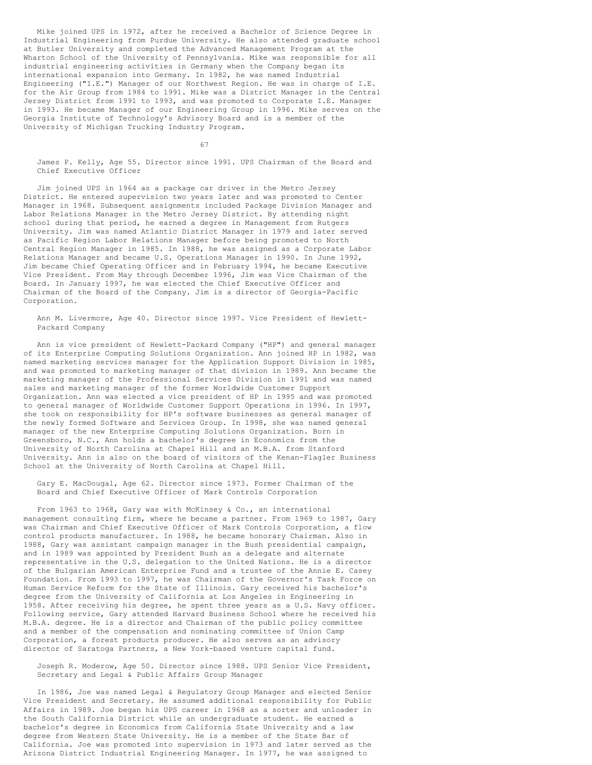Mike joined UPS in 1972, after he received a Bachelor of Science Degree in Industrial Engineering from Purdue University. He also attended graduate school at Butler University and completed the Advanced Management Program at the Wharton School of the University of Pennsylvania. Mike was responsible for all industrial engineering activities in Germany when the Company began its international expansion into Germany. In 1982, he was named Industrial Engineering ("I.E.") Manager of our Northwest Region. He was in charge of I.E. for the Air Group from 1984 to 1991. Mike was a District Manager in the Central Jersey District from 1991 to 1993, and was promoted to Corporate I.E. Manager in 1993. He became Manager of our Engineering Group in 1996. Mike serves on the Georgia Institute of Technology's Advisory Board and is a member of the University of Michigan Trucking Industry Program.

67

James P. Kelly, Age 55. Director since 1991. UPS Chairman of the Board and Chief Executive Officer

Jim joined UPS in 1964 as a package car driver in the Metro Jersey District. He entered supervision two years later and was promoted to Center Manager in 1968. Subsequent assignments included Package Division Manager and Labor Relations Manager in the Metro Jersey District. By attending night school during that period, he earned a degree in Management from Rutgers University. Jim was named Atlantic District Manager in 1979 and later served as Pacific Region Labor Relations Manager before being promoted to North Central Region Manager in 1985. In 1988, he was assigned as a Corporate Labor Relations Manager and became U.S. Operations Manager in 1990. In June 1992, Jim became Chief Operating Officer and in February 1994, he became Executive Vice President. From May through December 1996, Jim was Vice Chairman of the Board. In January 1997, he was elected the Chief Executive Officer and Chairman of the Board of the Company. Jim is a director of Georgia-Pacific Corporation.

Ann M. Livermore, Age 40. Director since 1997. Vice President of Hewlett-Packard Company

Ann is vice president of Hewlett-Packard Company ("HP") and general manager of its Enterprise Computing Solutions Organization. Ann joined HP in 1982, was named marketing services manager for the Application Support Division in 1985, and was promoted to marketing manager of that division in 1989. Ann became the marketing manager of the Professional Services Division in 1991 and was named sales and marketing manager of the former Worldwide Customer Support Organization. Ann was elected a vice president of HP in 1995 and was promoted to general manager of Worldwide Customer Support Operations in 1996. In 1997, she took on responsibility for HP's software businesses as general manager of the newly formed Software and Services Group. In 1998, she was named general manager of the new Enterprise Computing Solutions Organization. Born in Greensboro, N.C., Ann holds a bachelor's degree in Economics from the University of North Carolina at Chapel Hill and an M.B.A. from Stanford University. Ann is also on the board of visitors of the Kenan-Flagler Business School at the University of North Carolina at Chapel Hill.

Gary E. MacDougal, Age 62. Director since 1973. Former Chairman of the Board and Chief Executive Officer of Mark Controls Corporation

From 1963 to 1968, Gary was with McKinsey & Co., an international management consulting firm, where he became a partner. From 1969 to 1987, Gary was Chairman and Chief Executive Officer of Mark Controls Corporation, a flow control products manufacturer. In 1988, he became honorary Chairman. Also in 1988, Gary was assistant campaign manager in the Bush presidential campaign, and in 1989 was appointed by President Bush as a delegate and alternate representative in the U.S. delegation to the United Nations. He is a director of the Bulgarian American Enterprise Fund and a trustee of the Annie E. Casey Foundation. From 1993 to 1997, he was Chairman of the Governor's Task Force on Human Service Reform for the State of Illinois. Gary received his bachelor's degree from the University of California at Los Angeles in Engineering in 1958. After receiving his degree, he spent three years as a U.S. Navy officer. Following service, Gary attended Harvard Business School where he received his M.B.A. degree. He is a director and Chairman of the public policy committee and a member of the compensation and nominating committee of Union Camp Corporation, a forest products producer. He also serves as an advisory director of Saratoga Partners, a New York-based venture capital fund.

Joseph R. Moderow, Age 50. Director since 1988. UPS Senior Vice President, Secretary and Legal & Public Affairs Group Manager

In 1986, Joe was named Legal & Regulatory Group Manager and elected Senior Vice President and Secretary. He assumed additional responsibility for Public Affairs in 1989. Joe began his UPS career in 1968 as a sorter and unloader in the South California District while an undergraduate student. He earned a bachelor's degree in Economics from California State University and a law degree from Western State University. He is a member of the State Bar of California. Joe was promoted into supervision in 1973 and later served as the Arizona District Industrial Engineering Manager. In 1977, he was assigned to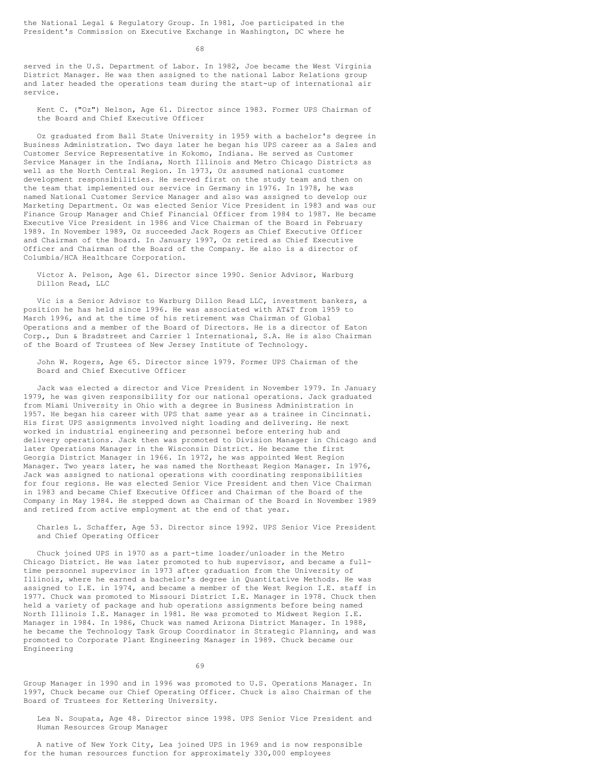68

served in the U.S. Department of Labor. In 1982, Joe became the West Virginia District Manager. He was then assigned to the national Labor Relations group and later headed the operations team during the start-up of international air service.

Kent C. ("Oz") Nelson, Age 61. Director since 1983. Former UPS Chairman of the Board and Chief Executive Officer

Oz graduated from Ball State University in 1959 with a bachelor's degree in Business Administration. Two days later he began his UPS career as a Sales and Customer Service Representative in Kokomo, Indiana. He served as Customer Service Manager in the Indiana, North Illinois and Metro Chicago Districts as well as the North Central Region. In 1973, Oz assumed national customer development responsibilities. He served first on the study team and then on the team that implemented our service in Germany in 1976. In 1978, he was named National Customer Service Manager and also was assigned to develop our Marketing Department. Oz was elected Senior Vice President in 1983 and was our Finance Group Manager and Chief Financial Officer from 1984 to 1987. He became Executive Vice President in 1986 and Vice Chairman of the Board in February 1989. In November 1989, Oz succeeded Jack Rogers as Chief Executive Officer and Chairman of the Board. In January 1997, Oz retired as Chief Executive Officer and Chairman of the Board of the Company. He also is a director of Columbia/HCA Healthcare Corporation.

Victor A. Pelson, Age 61. Director since 1990. Senior Advisor, Warburg Dillon Read, LLC

Vic is a Senior Advisor to Warburg Dillon Read LLC, investment bankers, a position he has held since 1996. He was associated with AT&T from 1959 to March 1996, and at the time of his retirement was Chairman of Global Operations and a member of the Board of Directors. He is a director of Eaton Corp., Dun & Bradstreet and Carrier 1 International, S.A. He is also Chairman of the Board of Trustees of New Jersey Institute of Technology.

John W. Rogers, Age 65. Director since 1979. Former UPS Chairman of the Board and Chief Executive Officer

Jack was elected a director and Vice President in November 1979. In January 1979, he was given responsibility for our national operations. Jack graduated from Miami University in Ohio with a degree in Business Administration in 1957. He began his career with UPS that same year as a trainee in Cincinnati. His first UPS assignments involved night loading and delivering. He next worked in industrial engineering and personnel before entering hub and delivery operations. Jack then was promoted to Division Manager in Chicago and later Operations Manager in the Wisconsin District. He became the first Georgia District Manager in 1966. In 1972, he was appointed West Region Manager. Two years later, he was named the Northeast Region Manager. In 1976, Jack was assigned to national operations with coordinating responsibilities for four regions. He was elected Senior Vice President and then Vice Chairman in 1983 and became Chief Executive Officer and Chairman of the Board of the Company in May 1984. He stepped down as Chairman of the Board in November 1989 and retired from active employment at the end of that year.

Charles L. Schaffer, Age 53. Director since 1992. UPS Senior Vice President and Chief Operating Officer

Chuck joined UPS in 1970 as a part-time loader/unloader in the Metro Chicago District. He was later promoted to hub supervisor, and became a fulltime personnel supervisor in 1973 after graduation from the University of Illinois, where he earned a bachelor's degree in Quantitative Methods. He was assigned to I.E. in 1974, and became a member of the West Region I.E. staff in 1977. Chuck was promoted to Missouri District I.E. Manager in 1978. Chuck then held a variety of package and hub operations assignments before being named North Illinois I.E. Manager in 1981. He was promoted to Midwest Region I.E. Manager in 1984. In 1986, Chuck was named Arizona District Manager. In 1988, he became the Technology Task Group Coordinator in Strategic Planning, and was promoted to Corporate Plant Engineering Manager in 1989. Chuck became our Engineering

69

Group Manager in 1990 and in 1996 was promoted to U.S. Operations Manager. In 1997, Chuck became our Chief Operating Officer. Chuck is also Chairman of the Board of Trustees for Kettering University.

Lea N. Soupata, Age 48. Director since 1998. UPS Senior Vice President and Human Resources Group Manager

A native of New York City, Lea joined UPS in 1969 and is now responsible for the human resources function for approximately 330,000 employees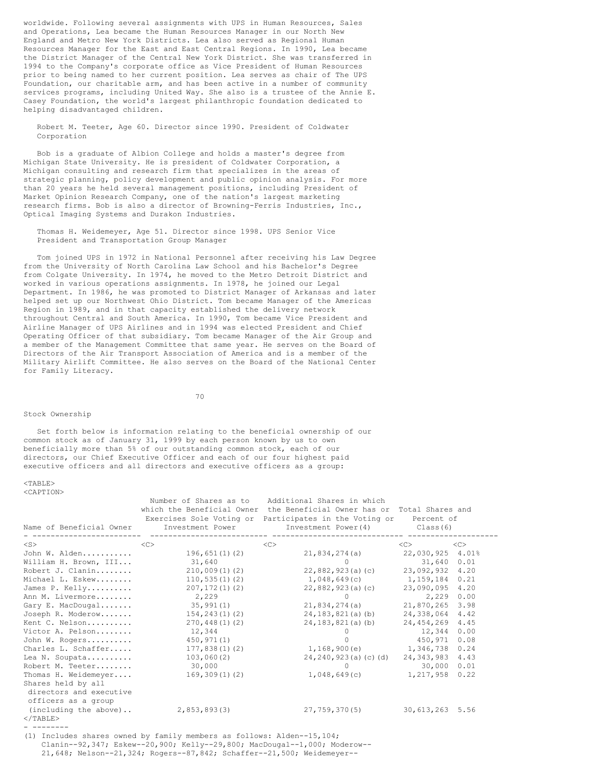worldwide. Following several assignments with UPS in Human Resources, Sales and Operations, Lea became the Human Resources Manager in our North New England and Metro New York Districts. Lea also served as Regional Human Resources Manager for the East and East Central Regions. In 1990, Lea became the District Manager of the Central New York District. She was transferred in 1994 to the Company's corporate office as Vice President of Human Resources prior to being named to her current position. Lea serves as chair of The UPS Foundation, our charitable arm, and has been active in a number of community services programs, including United Way. She also is a trustee of the Annie E. Casey Foundation, the world's largest philanthropic foundation dedicated to helping disadvantaged children.

Robert M. Teeter, Age 60. Director since 1990. President of Coldwater Corporation

Bob is a graduate of Albion College and holds a master's degree from Michigan State University. He is president of Coldwater Corporation, a Michigan consulting and research firm that specializes in the areas of strategic planning, policy development and public opinion analysis. For more than 20 years he held several management positions, including President of Market Opinion Research Company, one of the nation's largest marketing research firms. Bob is also a director of Browning-Ferris Industries, Inc., Optical Imaging Systems and Durakon Industries.

Thomas H. Weidemeyer, Age 51. Director since 1998. UPS Senior Vice President and Transportation Group Manager

Tom joined UPS in 1972 in National Personnel after receiving his Law Degree from the University of North Carolina Law School and his Bachelor's Degree from Colgate University. In 1974, he moved to the Metro Detroit District and worked in various operations assignments. In 1978, he joined our Legal Department. In 1986, he was promoted to District Manager of Arkansas and later helped set up our Northwest Ohio District. Tom became Manager of the Americas Region in 1989, and in that capacity established the delivery network throughout Central and South America. In 1990, Tom became Vice President and Airline Manager of UPS Airlines and in 1994 was elected President and Chief Operating Officer of that subsidiary. Tom became Manager of the Air Group and a member of the Management Committee that same year. He serves on the Board of Directors of the Air Transport Association of America and is a member of the Military Airlift Committee. He also serves on the Board of the National Center for Family Literacy.

70

### Stock Ownership

Set forth below is information relating to the beneficial ownership of our common stock as of January 31, 1999 by each person known by us to own beneficially more than 5% of our outstanding common stock, each of our directors, our Chief Executive Officer and each of our four highest paid executive officers and all directors and executive officers as a group:

 $<$ TABLE> <CAPTION>

| Name of Beneficial Owner                                             | Number of Shares as to<br>which the Beneficial Owner<br>Investment Power | Additional Shares in which<br>the Beneficial Owner has or Total Shares and<br>Exercises Sole Voting or Participates in the Voting or Percent of<br>Investment Power(4) | Class(6)         |      |
|----------------------------------------------------------------------|--------------------------------------------------------------------------|------------------------------------------------------------------------------------------------------------------------------------------------------------------------|------------------|------|
| $<$ S $>$                                                            | <<                                                                       | <<                                                                                                                                                                     | $\langle$ C>     | <<   |
| John W. Alden                                                        | 196,651(1)(2)                                                            | 21,834,274(a)                                                                                                                                                          | 22,030,925 4.01% |      |
| William H. Brown, III                                                | 31,640                                                                   | $\bigcap$                                                                                                                                                              | 31,640           | 0.01 |
| Robert J. Clanin                                                     | 210,009(1)(2)                                                            | 22,882,923(a)(c)                                                                                                                                                       | 23.092.932 4.20  |      |
| Michael L. Eskew                                                     | 110, 535(1)(2)                                                           | 1,048,649(c)                                                                                                                                                           | 1,159,184        | 0.21 |
| James P. Kelly                                                       | 207, 172(1)(2)                                                           | 22,882,923(a)(c)                                                                                                                                                       | 23,090,095       | 4.20 |
| Ann M. Livermore                                                     | 2,229                                                                    | $\Omega$                                                                                                                                                               | 2,229            | 0.00 |
| Gary E. MacDougal                                                    | 35,991(1)                                                                | 21,834,274(a)                                                                                                                                                          | 21,870,265       | 3.98 |
| Joseph R. Moderow                                                    | 154, 243(1)(2)                                                           | 24,183,821(a)(b)                                                                                                                                                       | 24,338,064       | 4.42 |
| Kent C. Nelson                                                       | 270,448(1)(2)                                                            | 24,183,821(a)(b)                                                                                                                                                       | 24,454,269       | 4.45 |
| Victor A. Pelson                                                     | 12,344                                                                   | $\bigcap$                                                                                                                                                              | 12,344           | 0.00 |
| John W. Rogers                                                       | 450,971(1)                                                               |                                                                                                                                                                        | 450.971          | 0.08 |
| Charles L. Schaffer                                                  | 177,838(1)(2)                                                            | 1,168,900(e)                                                                                                                                                           | 1,346,738        | 0.24 |
| Lea N. Soupata                                                       | 103,060(2)                                                               | 24,240,923(a)(c)(d)                                                                                                                                                    | 24, 343, 983     | 4.43 |
| Robert M. Teeter                                                     | 30,000                                                                   | $\Omega$                                                                                                                                                               | 30,000           | 0.01 |
| Thomas H. Weidemeyer                                                 | $169, 309(1)$ (2)                                                        | 1,048,649(c)                                                                                                                                                           | 1,217,958        | 0.22 |
| Shares held by all<br>directors and executive<br>officers as a group |                                                                          |                                                                                                                                                                        |                  |      |
| $(including the above)$                                              | 2,853,893(3)                                                             | 27,759,370(5)                                                                                                                                                          | 30,613,263 5.56  |      |
| $<$ /TABLE>                                                          |                                                                          |                                                                                                                                                                        |                  |      |
|                                                                      |                                                                          |                                                                                                                                                                        |                  |      |

(1) Includes shares owned by family members as follows: Alden--15,104; Clanin--92,347; Eskew--20,900; Kelly--29,800; MacDougal--1,000; Moderow-- 21,648; Nelson--21,324; Rogers--87,842; Schaffer--21,500; Weidemeyer--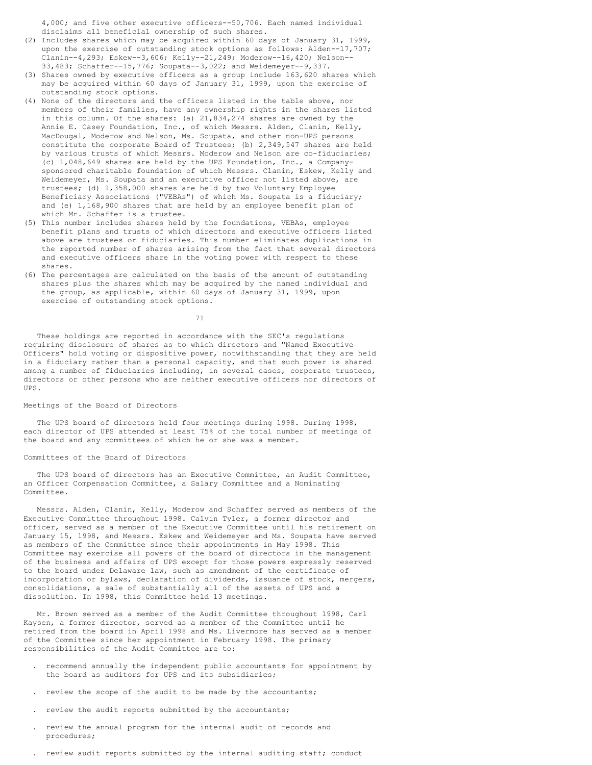4,000; and five other executive officers--50,706. Each named individual disclaims all beneficial ownership of such shares.

- (2) Includes shares which may be acquired within 60 days of January 31, 1999, upon the exercise of outstanding stock options as follows: Alden--17,707; Clanin--4,293; Eskew--3,606; Kelly--21,249; Moderow--16,420; Nelson-- 33,483; Schaffer--15,776; Soupata--3,022; and Weidemeyer--9,337.
- (3) Shares owned by executive officers as a group include 163,620 shares which may be acquired within 60 days of January 31, 1999, upon the exercise of outstanding stock options.
- (4) None of the directors and the officers listed in the table above, nor members of their families, have any ownership rights in the shares listed in this column. Of the shares: (a) 21,834,274 shares are owned by the Annie E. Casey Foundation, Inc., of which Messrs. Alden, Clanin, Kelly, MacDougal, Moderow and Nelson, Ms. Soupata, and other non-UPS persons constitute the corporate Board of Trustees; (b) 2,349,547 shares are held by various trusts of which Messrs. Moderow and Nelson are co-fiduciaries; (c) 1,048,649 shares are held by the UPS Foundation, Inc., a Companysponsored charitable foundation of which Messrs. Clanin, Eskew, Kelly and Weidemeyer, Ms. Soupata and an executive officer not listed above, are trustees; (d) 1,358,000 shares are held by two Voluntary Employee Beneficiary Associations ("VEBAs") of which Ms. Soupata is a fiduciary; and (e) 1,168,900 shares that are held by an employee benefit plan of which Mr. Schaffer is a trustee.
- (5) This number includes shares held by the foundations, VEBAs, employee benefit plans and trusts of which directors and executive officers listed above are trustees or fiduciaries. This number eliminates duplications in the reported number of shares arising from the fact that several directors and executive officers share in the voting power with respect to these shares.
- (6) The percentages are calculated on the basis of the amount of outstanding shares plus the shares which may be acquired by the named individual and the group, as applicable, within 60 days of January 31, 1999, upon exercise of outstanding stock options.

71

These holdings are reported in accordance with the SEC's regulations requiring disclosure of shares as to which directors and "Named Executive Officers" hold voting or dispositive power, notwithstanding that they are held in a fiduciary rather than a personal capacity, and that such power is shared among a number of fiduciaries including, in several cases, corporate trustees, directors or other persons who are neither executive officers nor directors of UPS.

#### Meetings of the Board of Directors

The UPS board of directors held four meetings during 1998. During 1998, each director of UPS attended at least 75% of the total number of meetings of the board and any committees of which he or she was a member.

#### Committees of the Board of Directors

The UPS board of directors has an Executive Committee, an Audit Committee, an Officer Compensation Committee, a Salary Committee and a Nominating Committee.

Messrs. Alden, Clanin, Kelly, Moderow and Schaffer served as members of the Executive Committee throughout 1998. Calvin Tyler, a former director and officer, served as a member of the Executive Committee until his retirement on January 15, 1998, and Messrs. Eskew and Weidemeyer and Ms. Soupata have served as members of the Committee since their appointments in May 1998. This Committee may exercise all powers of the board of directors in the management of the business and affairs of UPS except for those powers expressly reserved to the board under Delaware law, such as amendment of the certificate of incorporation or bylaws, declaration of dividends, issuance of stock, mergers, consolidations, a sale of substantially all of the assets of UPS and a dissolution. In 1998, this Committee held 13 meetings.

Mr. Brown served as a member of the Audit Committee throughout 1998, Carl Kaysen, a former director, served as a member of the Committee until he retired from the board in April 1998 and Ms. Livermore has served as a member of the Committee since her appointment in February 1998. The primary responsibilities of the Audit Committee are to:

- . recommend annually the independent public accountants for appointment by the board as auditors for UPS and its subsidiaries;
- review the scope of the audit to be made by the accountants;
- . review the audit reports submitted by the accountants;
- . review the annual program for the internal audit of records and procedures;
- . review audit reports submitted by the internal auditing staff; conduct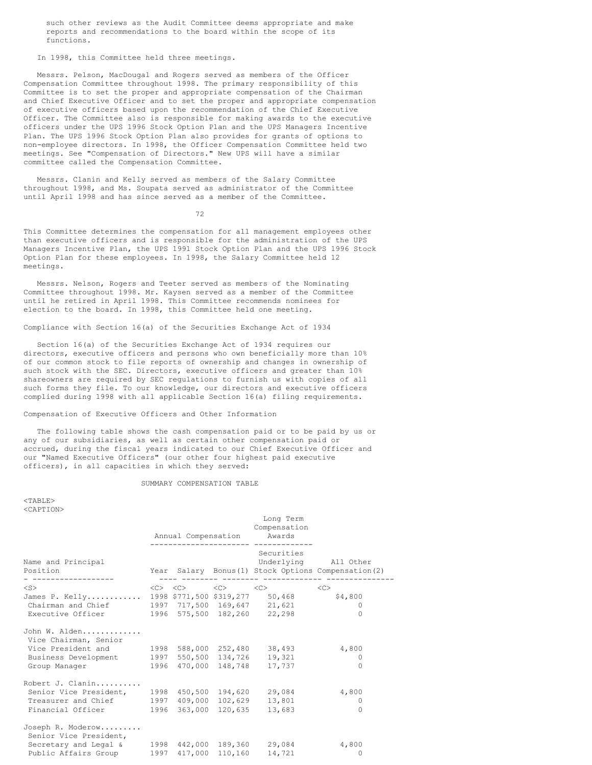such other reviews as the Audit Committee deems appropriate and make reports and recommendations to the board within the scope of its functions.

In 1998, this Committee held three meetings.

Messrs. Pelson, MacDougal and Rogers served as members of the Officer Compensation Committee throughout 1998. The primary responsibility of this Committee is to set the proper and appropriate compensation of the Chairman and Chief Executive Officer and to set the proper and appropriate compensation of executive officers based upon the recommendation of the Chief Executive Officer. The Committee also is responsible for making awards to the executive officers under the UPS 1996 Stock Option Plan and the UPS Managers Incentive Plan. The UPS 1996 Stock Option Plan also provides for grants of options to non-employee directors. In 1998, the Officer Compensation Committee held two meetings. See "Compensation of Directors." New UPS will have a similar committee called the Compensation Committee.

Messrs. Clanin and Kelly served as members of the Salary Committee throughout 1998, and Ms. Soupata served as administrator of the Committee until April 1998 and has since served as a member of the Committee.

72

This Committee determines the compensation for all management employees other than executive officers and is responsible for the administration of the UPS Managers Incentive Plan, the UPS 1991 Stock Option Plan and the UPS 1996 Stock Option Plan for these employees. In 1998, the Salary Committee held 12 meetings.

Messrs. Nelson, Rogers and Teeter served as members of the Nominating Committee throughout 1998. Mr. Kaysen served as a member of the Committee until he retired in April 1998. This Committee recommends nominees for election to the board. In 1998, this Committee held one meeting.

Compliance with Section 16(a) of the Securities Exchange Act of 1934

Section 16(a) of the Securities Exchange Act of 1934 requires our directors, executive officers and persons who own beneficially more than 10% of our common stock to file reports of ownership and changes in ownership of such stock with the SEC. Directors, executive officers and greater than 10% shareowners are required by SEC regulations to furnish us with copies of all such forms they file. To our knowledge, our directors and executive officers complied during 1998 with all applicable Section 16(a) filing requirements.

Compensation of Executive Officers and Other Information

The following table shows the cash compensation paid or to be paid by us or any of our subsidiaries, as well as certain other compensation paid or accrued, during the fiscal years indicated to our Chief Executive Officer and our "Named Executive Officers" (our other four highest paid executive officers), in all capacities in which they served:

#### SUMMARY COMPENSATION TABLE

 $<$ TABLE> <CAPTION>

|                                                                                                                                                                            |  | --------------------- | Long Term<br>Compensation<br>Annual Compensation Awards<br>-------------        |                                                                              |
|----------------------------------------------------------------------------------------------------------------------------------------------------------------------------|--|-----------------------|---------------------------------------------------------------------------------|------------------------------------------------------------------------------|
| Name and Principal<br>Position                                                                                                                                             |  |                       | Securities<br>--------- -------- ------------- ----                             | Underlying All Other<br>Year Salary Bonus (1) Stock Options Compensation (2) |
| $<$ S $>$<br>James P. Kelly 1998 \$771,500 \$319,277 50,468<br>Chairman and Chief 1997 717,500 169,647 21,621<br>Executive Officer 1996 575,500 182,260 22,298             |  |                       | $\langle C \rangle$ $\langle C \rangle$ $\langle C \rangle$ $\langle C \rangle$ | <<<br>\$4,800<br>$\Omega$<br>$\Omega$                                        |
| John W. Alden<br>Vice Chairman, Senior<br>Vice President and 1998 588,000 252,480 38,493<br>Business Development 1997 550,500 134,726 19,321<br>Group Manager              |  |                       | 1996 470,000 148,748 17,737                                                     | 4,800<br>$\Omega$<br>$\Omega$                                                |
| Robert J. Clanin<br>Senior Vice President, 1998 450,500 194,620 29,084<br>Treasurer and Chief 1997 409,000 102,629 13,801<br>Financial Officer 1996 363,000 120,635 13,683 |  |                       |                                                                                 | 4,800<br>0<br>$\Omega$                                                       |
| Joseph R. Moderow<br>Senior Vice President,<br>Secretary and Legal & 1998 442,000 189,360 29,084<br>Public Affairs Group 1997 417,000 110,160 14,721                       |  |                       |                                                                                 | 4,800<br>$\Omega$                                                            |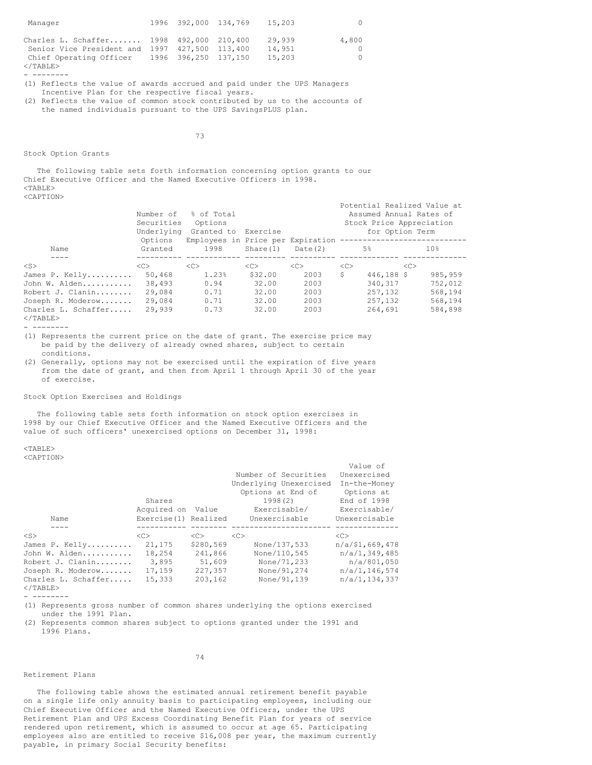| Manager                                                                                                                                                         | 1996 392,000 134,769 | 15,203                     | ()                |
|-----------------------------------------------------------------------------------------------------------------------------------------------------------------|----------------------|----------------------------|-------------------|
| Charles L. Schaffer 1998 492,000 210,400<br>Senior Vice President and 1997 427,500 113,400<br>Chief Operating Officer 1996 396,250 137,150<br>$\langle$ /TABLE> |                      | 29.939<br>14,951<br>15,203 | 4,800<br>$\Omega$ |

- --------

- (1) Reflects the value of awards accrued and paid under the UPS Managers Incentive Plan for the respective fiscal years.
- (2) Reflects the value of common stock contributed by us to the accounts of the named individuals pursuant to the UPS SavingsPLUS plan.

Stock Option Grants

The following table sets forth information concerning option grants to our Chief Executive Officer and the Named Executive Officers in 1998.  $<$ TABLE $>$ <CAPTION>

73

|                                    | Number of<br>Securities<br>Underlying | % of Total<br>Options<br>Granted to                             | Exercise |               | Potential Realized Value at<br>Stock Price Appreciation | Assumed Annual Rates of<br>for Option Term |          |
|------------------------------------|---------------------------------------|-----------------------------------------------------------------|----------|---------------|---------------------------------------------------------|--------------------------------------------|----------|
| Name                               | Options<br>Granted                    | Employees in Price per Expiration ---------------------<br>1998 | Share(1) | Date (2)      | 5%                                                      |                                            | 10%      |
| $<$ S $>$                          | < <sub></sub>                         | <<                                                              | <<       | < <sub></sub> | <<                                                      | <<                                         |          |
| James P. Kelly                     | 50,468                                | 1.23%                                                           | \$32.00  | 2003          | \$                                                      | 446,188 \$                                 | 985, 959 |
| John W. Alden                      | 38,493                                | 0.94                                                            | 32.00    | 2003          | 340, 317                                                |                                            | 752,012  |
| Robert J. Clanin                   | 29,084                                | 0.71                                                            | 32.00    | 2003          | 257,132                                                 |                                            | 568,194  |
| Joseph R. Moderow                  | 29,084                                | 0.71                                                            | 32.00    | 2003          | 257, 132                                                |                                            | 568,194  |
| Charles L. Schaffer<br>$<$ /TABLE> | 29,939                                | 0.73                                                            | 32.00    | 2003          | 264,691                                                 |                                            | 584,898  |

- --------

(1) Represents the current price on the date of grant. The exercise price may be paid by the delivery of already owned shares, subject to certain conditions.

(2) Generally, options may not be exercised until the expiration of five years from the date of grant, and then from April 1 through April 30 of the year of exercise.

### Stock Option Exercises and Holdings

The following table sets forth information on stock option exercises in 1998 by our Chief Executive Officer and the Named Executive Officers and the value of such officers' unexercised options on December 31, 1998:

# <TABLE>

<CAPTION>

|                     |                       |               |                        | Value of           |
|---------------------|-----------------------|---------------|------------------------|--------------------|
|                     |                       |               | Number of Securities   | Unexercised        |
|                     |                       |               | Underlying Unexercised | In-the-Money       |
|                     |                       |               | Options at End of      | Options at         |
|                     | Shares                |               | 1998(2)                | End of 1998        |
|                     | Acquired on           | Value         | Exercisable/           | Exercisable/       |
| Name                | Exercise (1) Realized |               | Unexercisable          | Unexercisable      |
|                     |                       |               |                        |                    |
| $<$ S>              | <<                    | < <sub></sub> | < <sub></sub>          | < <sub></sub>      |
| James P. Kelly      | 21,175                | \$280,569     | None/137,533           | $n/a$ /\$1,669,478 |
| John W. Alden       | 18,254                | 241,866       | None/110.545           | n/a/1,349,485      |
| Robert J. Clanin    | 3,895                 | 51,609        | None/71,233            | n/a/801,050        |
| Joseph R. Moderow   | 17,159                | 227,357       | None/91,274            | n/a/1,146,574      |
| Charles L. Schaffer | 15,333                | 203,162       | None/91,139            | n/a/1, 134, 337    |
| $<$ /TABLE>         |                       |               |                        |                    |

- --------

(1) Represents gross number of common shares underlying the options exercised under the 1991 Plan.

(2) Represents common shares subject to options granted under the 1991 and 1996 Plans.

# 74

#### Retirement Plans

The following table shows the estimated annual retirement benefit payable on a single life only annuity basis to participating employees, including our Chief Executive Officer and the Named Executive Officers, under the UPS Retirement Plan and UPS Excess Coordinating Benefit Plan for years of service rendered upon retirement, which is assumed to occur at age 65. Participating employees also are entitled to receive \$16,008 per year, the maximum currently payable, in primary Social Security benefits: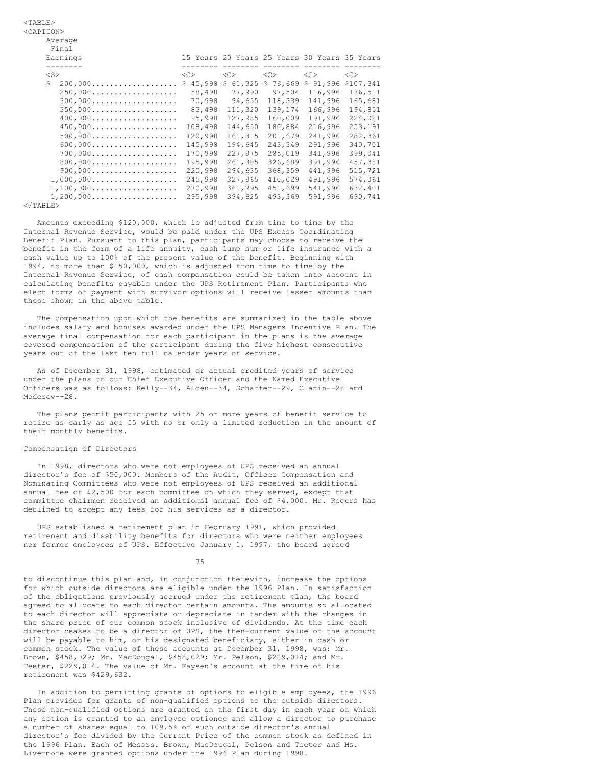| Earnings                                                |                        |              |          | 15 Years 20 Years 25 Years 30 Years 35 Years |               |
|---------------------------------------------------------|------------------------|--------------|----------|----------------------------------------------|---------------|
| --------                                                |                        |              | -----    |                                              |               |
| $<$ S $>$                                               | <<>                    | <<>          | <<>      | < <sub></sub>                                | < <sub></sub> |
| Ŝ.<br>$200,000$                                         | 45,998<br>$\mathsf{S}$ | 61,325<br>\$ | \$76,669 | \$91,996                                     | \$107,341     |
| $250,000$                                               | 58,498                 | 77,990       | 97,504   | 116,996                                      | 136,511       |
| $300,000$                                               | 70,998                 | 94,655       | 118,339  | 141,996                                      | 165,681       |
| $350,000$                                               | 83,498                 | 111,320      | 139,174  | 166,996                                      | 194,851       |
| $400,000$                                               | 95,998                 | 127.985      | 160,009  | 191,996                                      | 224,021       |
| $450,000$                                               | 108,498                | 144.650      | 180,884  | 216,996                                      | 253,191       |
| $500,000$                                               | 120,998                | 161,315      | 201,679  | 241,996                                      | 282,361       |
| $600,000$                                               | 145,998                | 194,645      | 243,349  | 291,996                                      | 340,701       |
| $700,000$                                               | 170,998                | 227,975      | 285,019  | 341,996                                      | 399,041       |
| 800,000                                                 | 195,998                | 261,305      | 326,689  | 391,996                                      | 457,381       |
| $900,000$                                               | 220,998                | 294,635      | 368,359  | 441,996                                      | 515,721       |
| $1,000,000 \ldots \ldots \ldots \ldots \ldots \ldots$   | 245,998                | 327,965      | 410,029  | 491,996                                      | 574,061       |
| $1,100,000 \ldots \ldots \ldots \ldots \ldots \ldots$   | 270,998                | 361,295      | 451,699  | 541,996                                      | 632,401       |
| $1, 200, 000 \ldots \ldots \ldots \ldots \ldots \ldots$ | 295,998                | 394.625      | 493,369  | 591,996                                      | 690,741       |

Amounts exceeding \$120,000, which is adjusted from time to time by the Internal Revenue Service, would be paid under the UPS Excess Coordinating Benefit Plan. Pursuant to this plan, participants may choose to receive the benefit in the form of a life annuity, cash lump sum or life insurance with a cash value up to 100% of the present value of the benefit. Beginning with 1994, no more than \$150,000, which is adjusted from time to time by the Internal Revenue Service, of cash compensation could be taken into account in calculating benefits payable under the UPS Retirement Plan. Participants who elect forms of payment with survivor options will receive lesser amounts than those shown in the above table.

The compensation upon which the benefits are summarized in the table above includes salary and bonuses awarded under the UPS Managers Incentive Plan. The average final compensation for each participant in the plans is the average covered compensation of the participant during the five highest consecutive years out of the last ten full calendar years of service.

As of December 31, 1998, estimated or actual credited years of service under the plans to our Chief Executive Officer and the Named Executive Officers was as follows: Kelly--34, Alden--34, Schaffer--29, Clanin--28 and Moderow--28.

The plans permit participants with 25 or more years of benefit service to retire as early as age 55 with no or only a limited reduction in the amount of their monthly benefits.

### Compensation of Directors

<TABLE> <CAPTION>

Average

In 1998, directors who were not employees of UPS received an annual director's fee of \$50,000. Members of the Audit, Officer Compensation and Nominating Committees who were not employees of UPS received an additional annual fee of \$2,500 for each committee on which they served, except that committee chairmen received an additional annual fee of \$4,000. Mr. Rogers has declined to accept any fees for his services as a director.

UPS established a retirement plan in February 1991, which provided retirement and disability benefits for directors who were neither employees nor former employees of UPS. Effective January 1, 1997, the board agreed

75

to discontinue this plan and, in conjunction therewith, increase the options for which outside directors are eligible under the 1996 Plan. In satisfaction of the obligations previously accrued under the retirement plan, the board agreed to allocate to each director certain amounts. The amounts so allocated to each director will appreciate or depreciate in tandem with the changes in the share price of our common stock inclusive of dividends. At the time each director ceases to be a director of UPS, the then-current value of the account will be payable to him, or his designated beneficiary, either in cash or common stock. The value of these accounts at December 31, 1998, was: Mr. Brown, \$458,029; Mr. MacDougal, \$458,029; Mr. Pelson, \$229,014; and Mr. Teeter, \$229,014. The value of Mr. Kaysen's account at the time of his retirement was \$429,632.

In addition to permitting grants of options to eligible employees, the 1996 Plan provides for grants of non-qualified options to the outside directors. These non-qualified options are granted on the first day in each year on which any option is granted to an employee optionee and allow a director to purchase a number of shares equal to 109.5% of such outside director's annual director's fee divided by the Current Price of the common stock as defined in the 1996 Plan. Each of Messrs. Brown, MacDougal, Pelson and Teeter and Ms. Livermore were granted options under the 1996 Plan during 1998.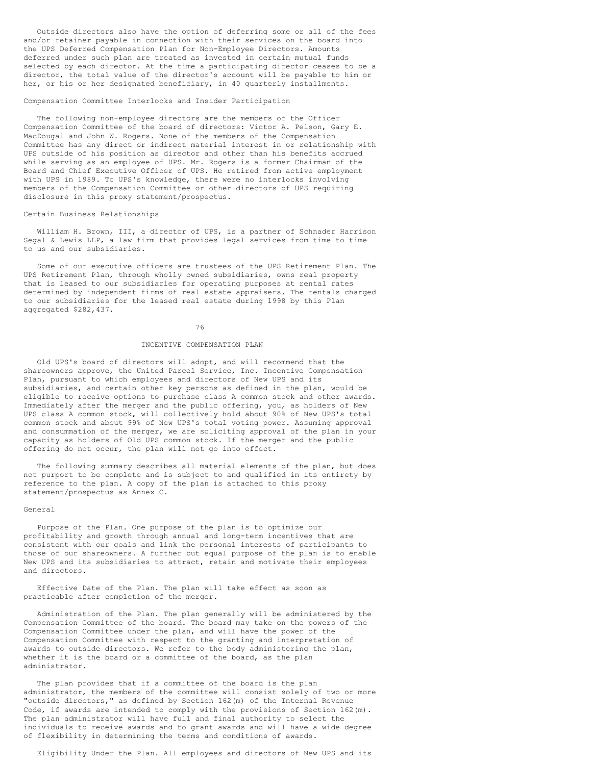Outside directors also have the option of deferring some or all of the fees and/or retainer payable in connection with their services on the board into the UPS Deferred Compensation Plan for Non-Employee Directors. Amounts deferred under such plan are treated as invested in certain mutual funds selected by each director. At the time a participating director ceases to be a director, the total value of the director's account will be payable to him or her, or his or her designated beneficiary, in 40 quarterly installments.

#### Compensation Committee Interlocks and Insider Participation

The following non-employee directors are the members of the Officer Compensation Committee of the board of directors: Victor A. Pelson, Gary E. MacDougal and John W. Rogers. None of the members of the Compensation Committee has any direct or indirect material interest in or relationship with UPS outside of his position as director and other than his benefits accrued while serving as an employee of UPS. Mr. Rogers is a former Chairman of the Board and Chief Executive Officer of UPS. He retired from active employment with UPS in 1989. To UPS's knowledge, there were no interlocks involving members of the Compensation Committee or other directors of UPS requiring disclosure in this proxy statement/prospectus.

#### Certain Business Relationships

William H. Brown, III, a director of UPS, is a partner of Schnader Harrison Segal & Lewis LLP, a law firm that provides legal services from time to time to us and our subsidiaries.

Some of our executive officers are trustees of the UPS Retirement Plan. The UPS Retirement Plan, through wholly owned subsidiaries, owns real property that is leased to our subsidiaries for operating purposes at rental rates determined by independent firms of real estate appraisers. The rentals charged to our subsidiaries for the leased real estate during 1998 by this Plan aggregated \$282,437.

#### 76

### INCENTIVE COMPENSATION PLAN

Old UPS's board of directors will adopt, and will recommend that the shareowners approve, the United Parcel Service, Inc. Incentive Compensation Plan, pursuant to which employees and directors of New UPS and its subsidiaries, and certain other key persons as defined in the plan, would be eligible to receive options to purchase class A common stock and other awards. Immediately after the merger and the public offering, you, as holders of New UPS class A common stock, will collectively hold about 90% of New UPS's total common stock and about 99% of New UPS's total voting power. Assuming approval and consummation of the merger, we are soliciting approval of the plan in your capacity as holders of Old UPS common stock. If the merger and the public offering do not occur, the plan will not go into effect.

The following summary describes all material elements of the plan, but does not purport to be complete and is subject to and qualified in its entirety by reference to the plan. A copy of the plan is attached to this proxy statement/prospectus as Annex C.

#### General

Purpose of the Plan. One purpose of the plan is to optimize our profitability and growth through annual and long-term incentives that are consistent with our goals and link the personal interests of participants to those of our shareowners. A further but equal purpose of the plan is to enable New UPS and its subsidiaries to attract, retain and motivate their employees and directors.

Effective Date of the Plan. The plan will take effect as soon as practicable after completion of the merger.

Administration of the Plan. The plan generally will be administered by the Compensation Committee of the board. The board may take on the powers of the Compensation Committee under the plan, and will have the power of the Compensation Committee with respect to the granting and interpretation of awards to outside directors. We refer to the body administering the plan, whether it is the board or a committee of the board, as the plan administrator.

The plan provides that if a committee of the board is the plan administrator, the members of the committee will consist solely of two or more "outside directors," as defined by Section 162(m) of the Internal Revenue Code, if awards are intended to comply with the provisions of Section 162(m). The plan administrator will have full and final authority to select the individuals to receive awards and to grant awards and will have a wide degree of flexibility in determining the terms and conditions of awards.

Eligibility Under the Plan. All employees and directors of New UPS and its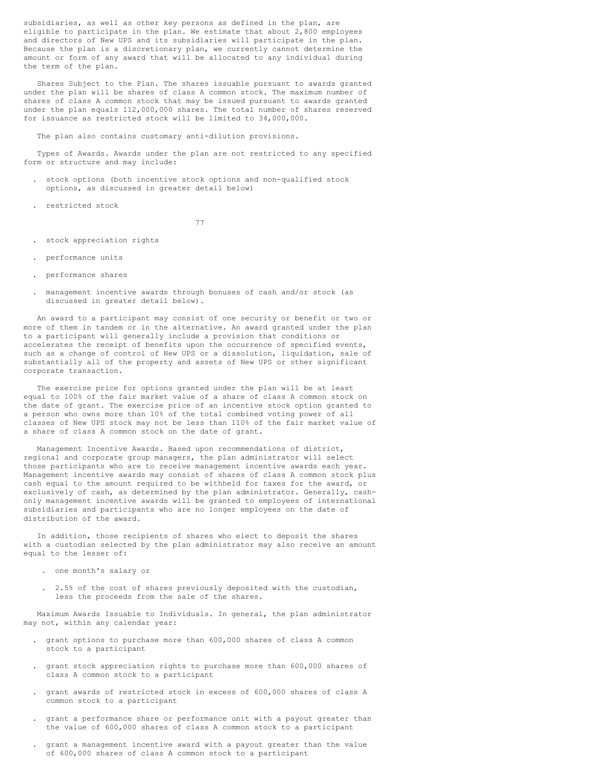subsidiaries, as well as other key persons as defined in the plan, are eligible to participate in the plan. We estimate that about 2,800 employees and directors of New UPS and its subsidiaries will participate in the plan. Because the plan is a discretionary plan, we currently cannot determine the amount or form of any award that will be allocated to any individual during the term of the plan.

Shares Subject to the Plan. The shares issuable pursuant to awards granted under the plan will be shares of class A common stock. The maximum number of shares of class A common stock that may be issued pursuant to awards granted under the plan equals 112,000,000 shares. The total number of shares reserved for issuance as restricted stock will be limited to 34,000,000.

The plan also contains customary anti-dilution provisions.

Types of Awards. Awards under the plan are not restricted to any specified form or structure and may include:

- . stock options (both incentive stock options and non-qualified stock options, as discussed in greater detail below)
- . restricted stock

77

- . stock appreciation rights
- . performance units
- . performance shares
- . management incentive awards through bonuses of cash and/or stock (as discussed in greater detail below).

An award to a participant may consist of one security or benefit or two or more of them in tandem or in the alternative. An award granted under the plan to a participant will generally include a provision that conditions or accelerates the receipt of benefits upon the occurrence of specified events, such as a change of control of New UPS or a dissolution, liquidation, sale of substantially all of the property and assets of New UPS or other significant corporate transaction.

The exercise price for options granted under the plan will be at least equal to 100% of the fair market value of a share of class A common stock on the date of grant. The exercise price of an incentive stock option granted to a person who owns more than 10% of the total combined voting power of all classes of New UPS stock may not be less than 110% of the fair market value of a share of class A common stock on the date of grant.

Management Incentive Awards. Based upon recommendations of district, regional and corporate group managers, the plan administrator will select those participants who are to receive management incentive awards each year. Management incentive awards may consist of shares of class A common stock plus cash equal to the amount required to be withheld for taxes for the award, or exclusively of cash, as determined by the plan administrator. Generally, cashonly management incentive awards will be granted to employees of international subsidiaries and participants who are no longer employees on the date of distribution of the award.

In addition, those recipients of shares who elect to deposit the shares with a custodian selected by the plan administrator may also receive an amount equal to the lesser of:

- . one month's salary or
- . 2.5% of the cost of shares previously deposited with the custodian, less the proceeds from the sale of the shares.

Maximum Awards Issuable to Individuals. In general, the plan administrator may not, within any calendar year:

- . grant options to purchase more than 600,000 shares of class A common stock to a participant
- . grant stock appreciation rights to purchase more than 600,000 shares of class A common stock to a participant
- . grant awards of restricted stock in excess of 600,000 shares of class A common stock to a participant
- . grant a performance share or performance unit with a payout greater than the value of 600,000 shares of class A common stock to a participant
- . grant a management incentive award with a payout greater than the value of 600,000 shares of class A common stock to a participant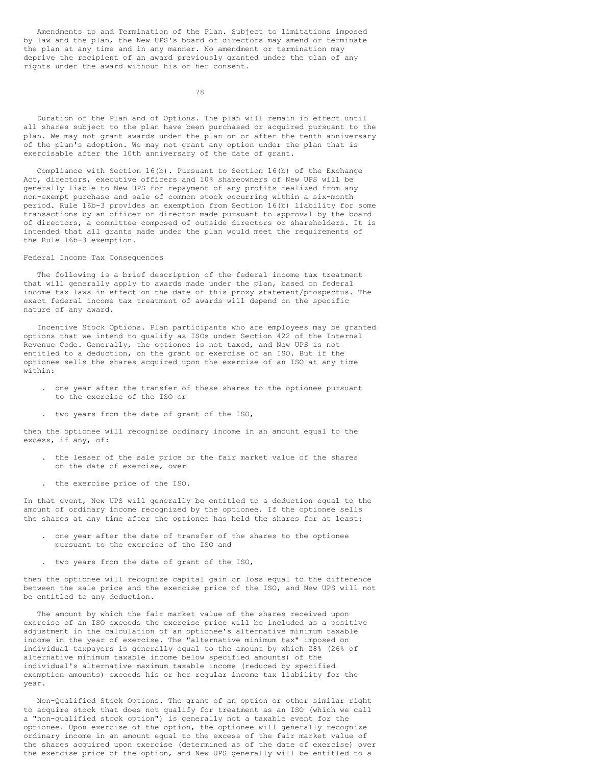Amendments to and Termination of the Plan. Subject to limitations imposed by law and the plan, the New UPS's board of directors may amend or terminate the plan at any time and in any manner. No amendment or termination may deprive the recipient of an award previously granted under the plan of any rights under the award without his or her consent.

78

Duration of the Plan and of Options. The plan will remain in effect until all shares subject to the plan have been purchased or acquired pursuant to the plan. We may not grant awards under the plan on or after the tenth anniversary of the plan's adoption. We may not grant any option under the plan that is exercisable after the 10th anniversary of the date of grant.

Compliance with Section 16(b). Pursuant to Section 16(b) of the Exchange Act, directors, executive officers and 10% shareowners of New UPS will be generally liable to New UPS for repayment of any profits realized from any non-exempt purchase and sale of common stock occurring within a six-month period. Rule 16b-3 provides an exemption from Section 16(b) liability for some transactions by an officer or director made pursuant to approval by the board of directors, a committee composed of outside directors or shareholders. It is intended that all grants made under the plan would meet the requirements of the Rule 16b-3 exemption.

#### Federal Income Tax Consequences

The following is a brief description of the federal income tax treatment that will generally apply to awards made under the plan, based on federal income tax laws in effect on the date of this proxy statement/prospectus. The exact federal income tax treatment of awards will depend on the specific nature of any award.

Incentive Stock Options. Plan participants who are employees may be granted options that we intend to qualify as ISOs under Section 422 of the Internal Revenue Code. Generally, the optionee is not taxed, and New UPS is not entitled to a deduction, on the grant or exercise of an ISO. But if the optionee sells the shares acquired upon the exercise of an ISO at any time within:

- . one year after the transfer of these shares to the optionee pursuant to the exercise of the ISO or
- . two years from the date of grant of the ISO,

then the optionee will recognize ordinary income in an amount equal to the excess, if any, of:

- . the lesser of the sale price or the fair market value of the shares on the date of exercise, over
- . the exercise price of the ISO.

In that event, New UPS will generally be entitled to a deduction equal to the amount of ordinary income recognized by the optionee. If the optionee sells the shares at any time after the optionee has held the shares for at least:

- . one year after the date of transfer of the shares to the optionee pursuant to the exercise of the ISO and
- . two years from the date of grant of the ISO,

then the optionee will recognize capital gain or loss equal to the difference between the sale price and the exercise price of the ISO, and New UPS will not be entitled to any deduction.

The amount by which the fair market value of the shares received upon exercise of an ISO exceeds the exercise price will be included as a positive adjustment in the calculation of an optionee's alternative minimum taxable income in the year of exercise. The "alternative minimum tax" imposed on individual taxpayers is generally equal to the amount by which 28% (26% of alternative minimum taxable income below specified amounts) of the individual's alternative maximum taxable income (reduced by specified exemption amounts) exceeds his or her regular income tax liability for the year.

Non-Qualified Stock Options. The grant of an option or other similar right to acquire stock that does not qualify for treatment as an ISO (which we call a "non-qualified stock option") is generally not a taxable event for the optionee. Upon exercise of the option, the optionee will generally recognize ordinary income in an amount equal to the excess of the fair market value of the shares acquired upon exercise (determined as of the date of exercise) over the exercise price of the option, and New UPS generally will be entitled to a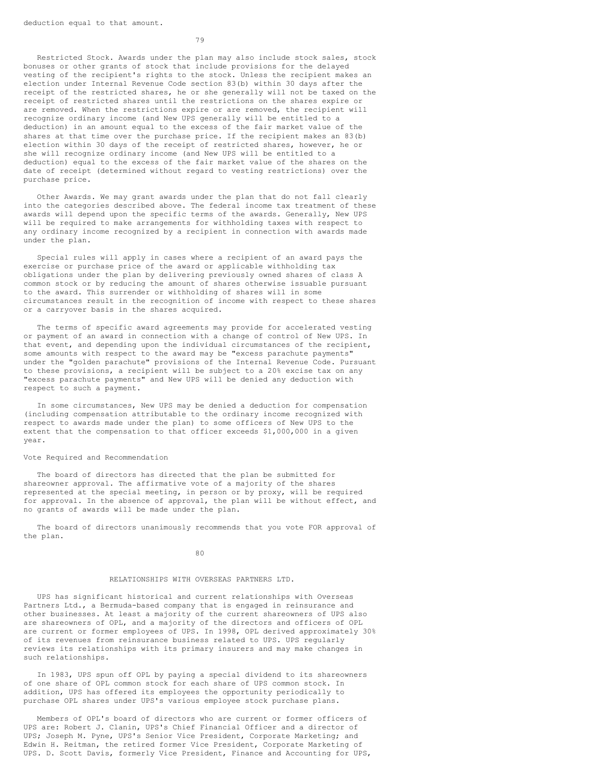79

Restricted Stock. Awards under the plan may also include stock sales, stock bonuses or other grants of stock that include provisions for the delayed vesting of the recipient's rights to the stock. Unless the recipient makes an election under Internal Revenue Code section 83(b) within 30 days after the receipt of the restricted shares, he or she generally will not be taxed on the receipt of restricted shares until the restrictions on the shares expire or are removed. When the restrictions expire or are removed, the recipient will recognize ordinary income (and New UPS generally will be entitled to a deduction) in an amount equal to the excess of the fair market value of the shares at that time over the purchase price. If the recipient makes an 83(b) election within 30 days of the receipt of restricted shares, however, he or she will recognize ordinary income (and New UPS will be entitled to a deduction) equal to the excess of the fair market value of the shares on the date of receipt (determined without regard to vesting restrictions) over the purchase price.

Other Awards. We may grant awards under the plan that do not fall clearly into the categories described above. The federal income tax treatment of these awards will depend upon the specific terms of the awards. Generally, New UPS will be required to make arrangements for withholding taxes with respect to any ordinary income recognized by a recipient in connection with awards made under the plan.

Special rules will apply in cases where a recipient of an award pays the exercise or purchase price of the award or applicable withholding tax obligations under the plan by delivering previously owned shares of class A common stock or by reducing the amount of shares otherwise issuable pursuant to the award. This surrender or withholding of shares will in some circumstances result in the recognition of income with respect to these shares or a carryover basis in the shares acquired.

The terms of specific award agreements may provide for accelerated vesting or payment of an award in connection with a change of control of New UPS. In that event, and depending upon the individual circumstances of the recipient, some amounts with respect to the award may be "excess parachute payments" under the "golden parachute" provisions of the Internal Revenue Code. Pursuant to these provisions, a recipient will be subject to a 20% excise tax on any "excess parachute payments" and New UPS will be denied any deduction with respect to such a payment.

In some circumstances, New UPS may be denied a deduction for compensation (including compensation attributable to the ordinary income recognized with respect to awards made under the plan) to some officers of New UPS to the extent that the compensation to that officer exceeds \$1,000,000 in a given year.

#### Vote Required and Recommendation

The board of directors has directed that the plan be submitted for shareowner approval. The affirmative vote of a majority of the shares represented at the special meeting, in person or by proxy, will be required for approval. In the absence of approval, the plan will be without effect, and no grants of awards will be made under the plan.

The board of directors unanimously recommends that you vote FOR approval of the plan.

80

# RELATIONSHIPS WITH OVERSEAS PARTNERS LTD.

UPS has significant historical and current relationships with Overseas Partners Ltd., a Bermuda-based company that is engaged in reinsurance and other businesses. At least a majority of the current shareowners of UPS also are shareowners of OPL, and a majority of the directors and officers of OPL are current or former employees of UPS. In 1998, OPL derived approximately 30% of its revenues from reinsurance business related to UPS. UPS regularly reviews its relationships with its primary insurers and may make changes in such relationships.

In 1983, UPS spun off OPL by paying a special dividend to its shareowners of one share of OPL common stock for each share of UPS common stock. In addition, UPS has offered its employees the opportunity periodically to purchase OPL shares under UPS's various employee stock purchase plans.

Members of OPL's board of directors who are current or former officers of UPS are: Robert J. Clanin, UPS's Chief Financial Officer and a director of UPS; Joseph M. Pyne, UPS's Senior Vice President, Corporate Marketing; and Edwin H. Reitman, the retired former Vice President, Corporate Marketing of UPS. D. Scott Davis, formerly Vice President, Finance and Accounting for UPS,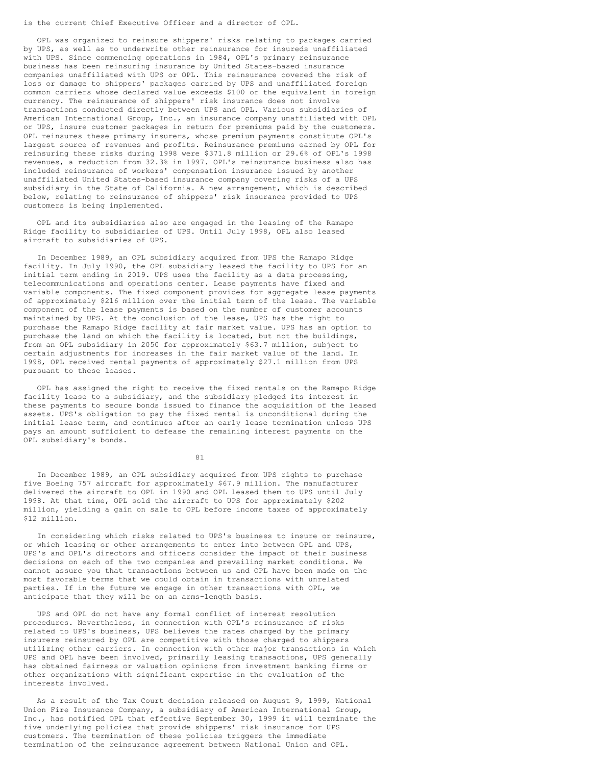is the current Chief Executive Officer and a director of OPL.

OPL was organized to reinsure shippers' risks relating to packages carried by UPS, as well as to underwrite other reinsurance for insureds unaffiliated with UPS. Since commencing operations in 1984, OPL's primary reinsurance business has been reinsuring insurance by United States-based insurance companies unaffiliated with UPS or OPL. This reinsurance covered the risk of loss or damage to shippers' packages carried by UPS and unaffiliated foreign common carriers whose declared value exceeds \$100 or the equivalent in foreign currency. The reinsurance of shippers' risk insurance does not involve transactions conducted directly between UPS and OPL. Various subsidiaries of American International Group, Inc., an insurance company unaffiliated with OPL or UPS, insure customer packages in return for premiums paid by the customers. OPL reinsures these primary insurers, whose premium payments constitute OPL's largest source of revenues and profits. Reinsurance premiums earned by OPL for reinsuring these risks during 1998 were \$371.8 million or 29.6% of OPL's 1998 revenues, a reduction from 32.3% in 1997. OPL's reinsurance business also has included reinsurance of workers' compensation insurance issued by another unaffiliated United States-based insurance company covering risks of a UPS subsidiary in the State of California. A new arrangement, which is described below, relating to reinsurance of shippers' risk insurance provided to UPS customers is being implemented.

OPL and its subsidiaries also are engaged in the leasing of the Ramapo Ridge facility to subsidiaries of UPS. Until July 1998, OPL also leased aircraft to subsidiaries of UPS.

In December 1989, an OPL subsidiary acquired from UPS the Ramapo Ridge facility. In July 1990, the OPL subsidiary leased the facility to UPS for an initial term ending in 2019. UPS uses the facility as a data processing, telecommunications and operations center. Lease payments have fixed and variable components. The fixed component provides for aggregate lease payments of approximately \$216 million over the initial term of the lease. The variable component of the lease payments is based on the number of customer accounts maintained by UPS. At the conclusion of the lease, UPS has the right to purchase the Ramapo Ridge facility at fair market value. UPS has an option to purchase the land on which the facility is located, but not the buildings, from an OPL subsidiary in 2050 for approximately \$63.7 million, subject to certain adjustments for increases in the fair market value of the land. In 1998, OPL received rental payments of approximately \$27.1 million from UPS pursuant to these leases.

OPL has assigned the right to receive the fixed rentals on the Ramapo Ridge facility lease to a subsidiary, and the subsidiary pledged its interest in these payments to secure bonds issued to finance the acquisition of the leased assets. UPS's obligation to pay the fixed rental is unconditional during the initial lease term, and continues after an early lease termination unless UPS pays an amount sufficient to defease the remaining interest payments on the OPL subsidiary's bonds.

81

In December 1989, an OPL subsidiary acquired from UPS rights to purchase five Boeing 757 aircraft for approximately \$67.9 million. The manufacturer delivered the aircraft to OPL in 1990 and OPL leased them to UPS until July 1998. At that time, OPL sold the aircraft to UPS for approximately \$202 million, yielding a gain on sale to OPL before income taxes of approximately \$12 million.

In considering which risks related to UPS's business to insure or reinsure, or which leasing or other arrangements to enter into between OPL and UPS, UPS's and OPL's directors and officers consider the impact of their business decisions on each of the two companies and prevailing market conditions. We cannot assure you that transactions between us and OPL have been made on the most favorable terms that we could obtain in transactions with unrelated parties. If in the future we engage in other transactions with OPL, we anticipate that they will be on an arms-length basis.

UPS and OPL do not have any formal conflict of interest resolution procedures. Nevertheless, in connection with OPL's reinsurance of risks related to UPS's business, UPS believes the rates charged by the primary insurers reinsured by OPL are competitive with those charged to shippers utilizing other carriers. In connection with other major transactions in which UPS and OPL have been involved, primarily leasing transactions, UPS generally has obtained fairness or valuation opinions from investment banking firms or other organizations with significant expertise in the evaluation of the interests involved.

As a result of the Tax Court decision released on August 9, 1999, National Union Fire Insurance Company, a subsidiary of American International Group, Inc., has notified OPL that effective September 30, 1999 it will terminate the five underlying policies that provide shippers' risk insurance for UPS customers. The termination of these policies triggers the immediate termination of the reinsurance agreement between National Union and OPL.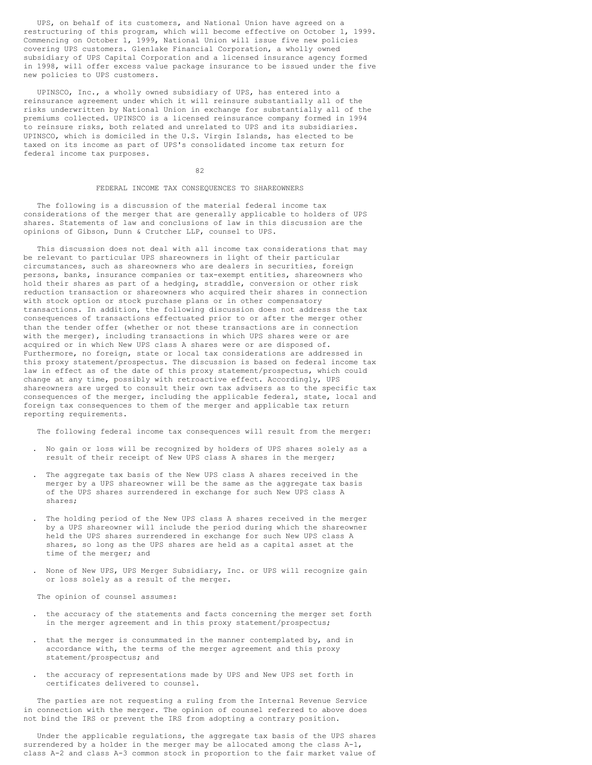UPS, on behalf of its customers, and National Union have agreed on a restructuring of this program, which will become effective on October 1, 1999. Commencing on October 1, 1999, National Union will issue five new policies covering UPS customers. Glenlake Financial Corporation, a wholly owned subsidiary of UPS Capital Corporation and a licensed insurance agency formed in 1998, will offer excess value package insurance to be issued under the five new policies to UPS customers.

UPINSCO, Inc., a wholly owned subsidiary of UPS, has entered into a reinsurance agreement under which it will reinsure substantially all of the risks underwritten by National Union in exchange for substantially all of the premiums collected. UPINSCO is a licensed reinsurance company formed in 1994 to reinsure risks, both related and unrelated to UPS and its subsidiaries. UPINSCO, which is domiciled in the U.S. Virgin Islands, has elected to be taxed on its income as part of UPS's consolidated income tax return for federal income tax purposes.

# 82

#### FEDERAL INCOME TAX CONSEQUENCES TO SHAREOWNERS

The following is a discussion of the material federal income tax considerations of the merger that are generally applicable to holders of UPS shares. Statements of law and conclusions of law in this discussion are the opinions of Gibson, Dunn & Crutcher LLP, counsel to UPS.

This discussion does not deal with all income tax considerations that may be relevant to particular UPS shareowners in light of their particular circumstances, such as shareowners who are dealers in securities, foreign persons, banks, insurance companies or tax-exempt entities, shareowners who hold their shares as part of a hedging, straddle, conversion or other risk reduction transaction or shareowners who acquired their shares in connection with stock option or stock purchase plans or in other compensatory transactions. In addition, the following discussion does not address the tax consequences of transactions effectuated prior to or after the merger other than the tender offer (whether or not these transactions are in connection with the merger), including transactions in which UPS shares were or are acquired or in which New UPS class A shares were or are disposed of. Furthermore, no foreign, state or local tax considerations are addressed in this proxy statement/prospectus. The discussion is based on federal income tax law in effect as of the date of this proxy statement/prospectus, which could change at any time, possibly with retroactive effect. Accordingly, UPS shareowners are urged to consult their own tax advisers as to the specific tax consequences of the merger, including the applicable federal, state, local and foreign tax consequences to them of the merger and applicable tax return reporting requirements.

The following federal income tax consequences will result from the merger:

- . No gain or loss will be recognized by holders of UPS shares solely as a result of their receipt of New UPS class A shares in the merger;
- . The aggregate tax basis of the New UPS class A shares received in the merger by a UPS shareowner will be the same as the aggregate tax basis of the UPS shares surrendered in exchange for such New UPS class A shares;
- . The holding period of the New UPS class A shares received in the merger by a UPS shareowner will include the period during which the shareowner held the UPS shares surrendered in exchange for such New UPS class A shares, so long as the UPS shares are held as a capital asset at the time of the merger; and
- . None of New UPS, UPS Merger Subsidiary, Inc. or UPS will recognize gain or loss solely as a result of the merger.

The opinion of counsel assumes:

- . the accuracy of the statements and facts concerning the merger set forth in the merger agreement and in this proxy statement/prospectus;
- that the merger is consummated in the manner contemplated by, and in accordance with, the terms of the merger agreement and this proxy statement/prospectus; and
- . the accuracy of representations made by UPS and New UPS set forth in certificates delivered to counsel.

The parties are not requesting a ruling from the Internal Revenue Service in connection with the merger. The opinion of counsel referred to above does not bind the IRS or prevent the IRS from adopting a contrary position.

Under the applicable regulations, the aggregate tax basis of the UPS shares surrendered by a holder in the merger may be allocated among the class A-1, class A-2 and class A-3 common stock in proportion to the fair market value of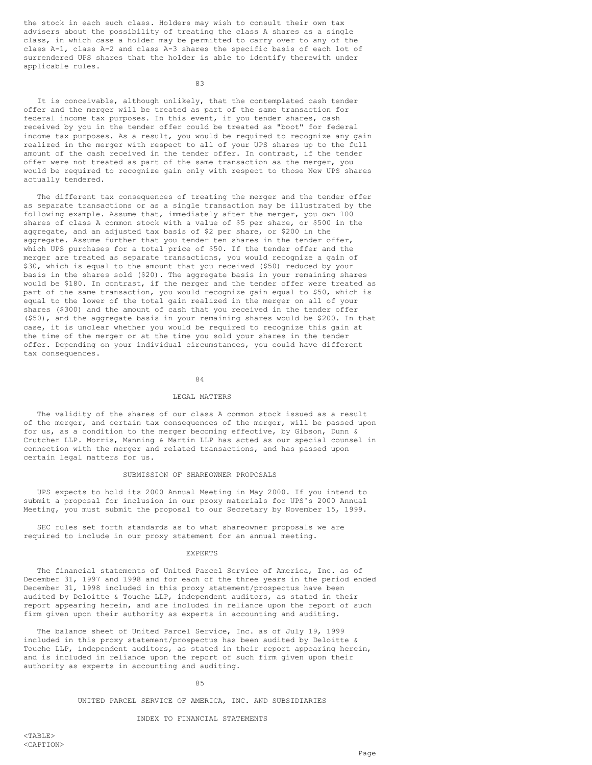the stock in each such class. Holders may wish to consult their own tax advisers about the possibility of treating the class A shares as a single class, in which case a holder may be permitted to carry over to any of the class A-1, class A-2 and class A-3 shares the specific basis of each lot of surrendered UPS shares that the holder is able to identify therewith under applicable rules.

83

It is conceivable, although unlikely, that the contemplated cash tender offer and the merger will be treated as part of the same transaction for federal income tax purposes. In this event, if you tender shares, cash received by you in the tender offer could be treated as "boot" for federal income tax purposes. As a result, you would be required to recognize any gain realized in the merger with respect to all of your UPS shares up to the full amount of the cash received in the tender offer. In contrast, if the tender offer were not treated as part of the same transaction as the merger, you would be required to recognize gain only with respect to those New UPS shares actually tendered.

The different tax consequences of treating the merger and the tender offer as separate transactions or as a single transaction may be illustrated by the following example. Assume that, immediately after the merger, you own 100 shares of class A common stock with a value of \$5 per share, or \$500 in the aggregate, and an adjusted tax basis of \$2 per share, or \$200 in the aggregate. Assume further that you tender ten shares in the tender offer, which UPS purchases for a total price of \$50. If the tender offer and the merger are treated as separate transactions, you would recognize a gain of \$30, which is equal to the amount that you received (\$50) reduced by your basis in the shares sold (\$20). The aggregate basis in your remaining shares would be \$180. In contrast, if the merger and the tender offer were treated as part of the same transaction, you would recognize gain equal to \$50, which is equal to the lower of the total gain realized in the merger on all of your shares (\$300) and the amount of cash that you received in the tender offer (\$50), and the aggregate basis in your remaining shares would be \$200. In that case, it is unclear whether you would be required to recognize this gain at the time of the merger or at the time you sold your shares in the tender offer. Depending on your individual circumstances, you could have different tax consequences.

84

### LEGAL MATTERS

The validity of the shares of our class A common stock issued as a result of the merger, and certain tax consequences of the merger, will be passed upon for us, as a condition to the merger becoming effective, by Gibson, Dunn & Crutcher LLP. Morris, Manning & Martin LLP has acted as our special counsel in connection with the merger and related transactions, and has passed upon certain legal matters for us.

### SUBMISSION OF SHAREOWNER PROPOSALS

UPS expects to hold its 2000 Annual Meeting in May 2000. If you intend to submit a proposal for inclusion in our proxy materials for UPS's 2000 Annual Meeting, you must submit the proposal to our Secretary by November 15, 1999.

SEC rules set forth standards as to what shareowner proposals we are required to include in our proxy statement for an annual meeting.

# EXPERTS

The financial statements of United Parcel Service of America, Inc. as of December 31, 1997 and 1998 and for each of the three years in the period ended December 31, 1998 included in this proxy statement/prospectus have been audited by Deloitte & Touche LLP, independent auditors, as stated in their report appearing herein, and are included in reliance upon the report of such firm given upon their authority as experts in accounting and auditing.

The balance sheet of United Parcel Service, Inc. as of July 19, 1999 included in this proxy statement/prospectus has been audited by Deloitte & Touche LLP, independent auditors, as stated in their report appearing herein, and is included in reliance upon the report of such firm given upon their authority as experts in accounting and auditing.

#### 85

### UNITED PARCEL SERVICE OF AMERICA, INC. AND SUBSIDIARIES

# INDEX TO FINANCIAL STATEMENTS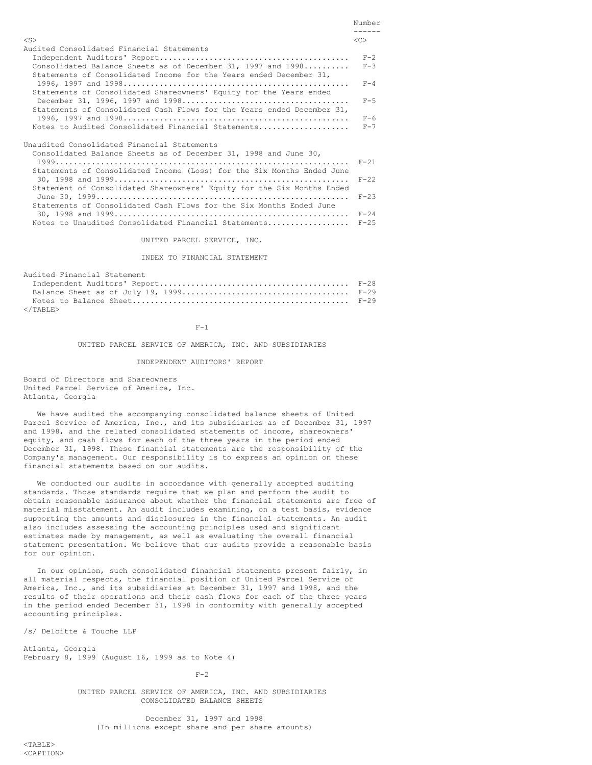|                                                                                                                                                                                                                                                                                                                                                                                       | Number<br>------                                         |
|---------------------------------------------------------------------------------------------------------------------------------------------------------------------------------------------------------------------------------------------------------------------------------------------------------------------------------------------------------------------------------------|----------------------------------------------------------|
| $<$ S $>$                                                                                                                                                                                                                                                                                                                                                                             | < <sub></sub>                                            |
| Audited Consolidated Financial Statements<br>Consolidated Balance Sheets as of December 31, 1997 and 1998<br>Statements of Consolidated Income for the Years ended December 31,<br>Statements of Consolidated Shareowners' Equity for the Years ended<br>Statements of Consolidated Cash Flows for the Years ended December 31,<br>Notes to Audited Consolidated Financial Statements | $F - 2$<br>$F-3$<br>$F - 4$<br>$F-5$<br>$F-6$<br>$F - 7$ |
| Unaudited Consolidated Financial Statements<br>Consolidated Balance Sheets as of December 31, 1998 and June 30,<br>Statements of Consolidated Income (Loss) for the Six Months Ended June<br>Statement of Consolidated Shareowners' Equity for the Six Months Ended<br>Statements of Consolidated Cash Flows for the Six Months Ended June                                            | $F-21$<br>$F - 22$<br>$F - 2.3$                          |

Notes to Unaudited Consolidated Financial Statements.................. F-25 UNITED PARCEL SERVICE, INC.

INDEX TO FINANCIAL STATEMENT

30, 1998 and 1999.................................................... F-24

| Audited Financial Statement |  |
|-----------------------------|--|
|                             |  |
|                             |  |
|                             |  |
| $\langle$ /TABLE>           |  |

 $F-1$ 

UNITED PARCEL SERVICE OF AMERICA, INC. AND SUBSIDIARIES

#### INDEPENDENT AUDITORS' REPORT

Board of Directors and Shareowners United Parcel Service of America, Inc. Atlanta, Georgia

We have audited the accompanying consolidated balance sheets of United Parcel Service of America, Inc., and its subsidiaries as of December 31, 1997 and 1998, and the related consolidated statements of income, shareowners' equity, and cash flows for each of the three years in the period ended December 31, 1998. These financial statements are the responsibility of the Company's management. Our responsibility is to express an opinion on these financial statements based on our audits.

We conducted our audits in accordance with generally accepted auditing standards. Those standards require that we plan and perform the audit to obtain reasonable assurance about whether the financial statements are free of material misstatement. An audit includes examining, on a test basis, evidence supporting the amounts and disclosures in the financial statements. An audit also includes assessing the accounting principles used and significant estimates made by management, as well as evaluating the overall financial statement presentation. We believe that our audits provide a reasonable basis for our opinion.

In our opinion, such consolidated financial statements present fairly, in all material respects, the financial position of United Parcel Service of America, Inc., and its subsidiaries at December 31, 1997 and 1998, and the results of their operations and their cash flows for each of the three years in the period ended December 31, 1998 in conformity with generally accepted accounting principles.

/s/ Deloitte & Touche LLP

Atlanta, Georgia February 8, 1999 (August 16, 1999 as to Note 4)

 $F-2$ 

UNITED PARCEL SERVICE OF AMERICA, INC. AND SUBSIDIARIES CONSOLIDATED BALANCE SHEETS

December 31, 1997 and 1998 (In millions except share and per share amounts)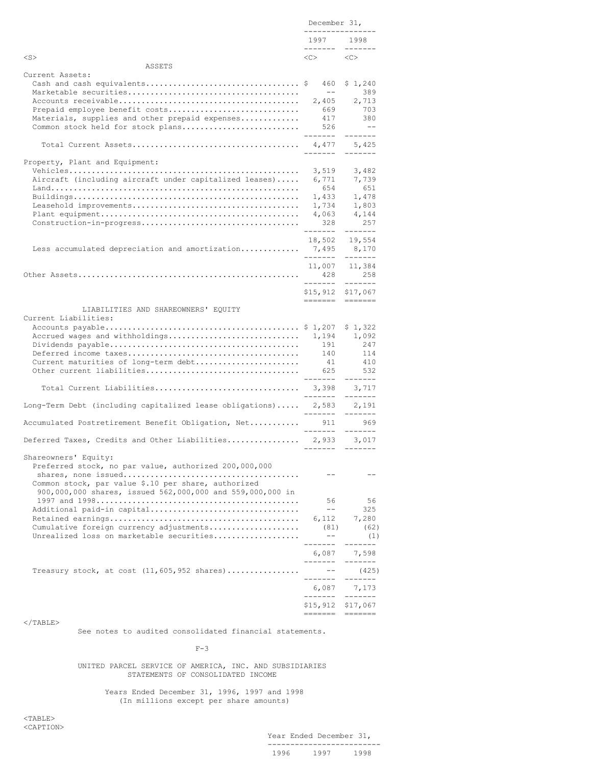|                                                                                                                  | December 31,<br>----------------        |                                  |
|------------------------------------------------------------------------------------------------------------------|-----------------------------------------|----------------------------------|
|                                                                                                                  | 1997 1998<br>--------                   | $- - - - - - -$                  |
| $<$ S $>$                                                                                                        | $\langle C \rangle$ $\langle C \rangle$ |                                  |
| ASSETS<br>Current Assets:                                                                                        |                                         |                                  |
|                                                                                                                  | 460                                     | \$1,240                          |
|                                                                                                                  | $\qquad \qquad -$                       | 389                              |
|                                                                                                                  | 2,405                                   | 2,713                            |
| Prepaid employee benefit costs                                                                                   | 669                                     | 703                              |
| Materials, supplies and other prepaid expenses<br>Common stock held for stock plans                              | 417<br>526                              | 380<br>$- -$                     |
|                                                                                                                  | --------                                | --------                         |
|                                                                                                                  | --------                                | $- - - - - - -$                  |
| Property, Plant and Equipment:                                                                                   |                                         |                                  |
|                                                                                                                  | 3,519                                   | 3,482                            |
| Aircraft (including aircraft under capitalized leases)                                                           | 6,771                                   | 7,739                            |
|                                                                                                                  | 654                                     | 651                              |
|                                                                                                                  | 1,433<br>1,734                          | 1,478<br>1,803                   |
|                                                                                                                  | 4,063                                   | 4,144                            |
|                                                                                                                  | 328                                     | 257                              |
|                                                                                                                  | --------                                | -------                          |
|                                                                                                                  | 18,502                                  | 19,554                           |
| Less accumulated depreciation and amortization 7,495                                                             | --------                                | 8,170                            |
|                                                                                                                  |                                         | $- - - - - - -$<br>11,007 11,384 |
|                                                                                                                  | 428                                     | 258                              |
|                                                                                                                  | --------                                | $- - - - - - -$                  |
|                                                                                                                  | \$15,912 \$17,067                       |                                  |
| LIABILITIES AND SHAREOWNERS' EQUITY                                                                              |                                         |                                  |
| Current Liabilities:                                                                                             |                                         |                                  |
|                                                                                                                  |                                         | \$1,322                          |
| Accrued wages and withholdings                                                                                   | 1,194                                   | 1,092                            |
|                                                                                                                  | 191                                     | 247                              |
|                                                                                                                  | 140                                     | 114                              |
| Current maturities of long-term debt                                                                             | 41                                      | 410                              |
|                                                                                                                  | 625<br>--------                         | 532<br>--------                  |
| Total Current Liabilities                                                                                        | 3,398                                   | 3,717                            |
|                                                                                                                  | --------                                |                                  |
| Long-Term Debt (including capitalized lease obligations) 2,583 2,191                                             | --------                                | $- - - - - - -$                  |
| Accumulated Postretirement Benefit Obligation, Net                                                               | 911<br>-------                          | 969<br>$- - - - - - -$           |
| Deferred Taxes, Credits and Other Liabilities 2,933 3,017                                                        |                                         |                                  |
|                                                                                                                  | --------                                | $- - - - - - -$                  |
| Shareowners' Equity:                                                                                             |                                         |                                  |
| Preferred stock, no par value, authorized 200,000,000                                                            |                                         |                                  |
|                                                                                                                  |                                         |                                  |
| Common stock, par value \$.10 per share, authorized<br>900,000,000 shares, issued 562,000,000 and 559,000,000 in |                                         |                                  |
|                                                                                                                  | 56                                      | 56                               |
| Additional paid-in capital                                                                                       | $ -$                                    | 325                              |
|                                                                                                                  | 6,112                                   | 7,280                            |
| Cumulative foreign currency adjustments                                                                          | (81)                                    | (62)                             |
| Unrealized loss on marketable securities                                                                         | $ -$                                    | (1)                              |
|                                                                                                                  | -------<br>6,087                        | 7,598                            |
|                                                                                                                  | -------                                 | ----                             |
| Treasury stock, at cost $(11, 605, 952 \text{ shares}) \dots \dots \dots \dots$                                  | $\qquad \qquad -$                       | (425)                            |
|                                                                                                                  | -------                                 | -------                          |
|                                                                                                                  | 6,087<br>--------                       | 7,173<br>--------                |
|                                                                                                                  | \$15,912 \$17,067                       |                                  |
|                                                                                                                  |                                         |                                  |

See notes to audited consolidated financial statements.

 $F-3$ 

### UNITED PARCEL SERVICE OF AMERICA, INC. AND SUBSIDIARIES STATEMENTS OF CONSOLIDATED INCOME

Years Ended December 31, 1996, 1997 and 1998 (In millions except per share amounts)

 $<$ TABLE> <CAPTION>

Year Ended December 31, ------------------------- 1996 1997 1998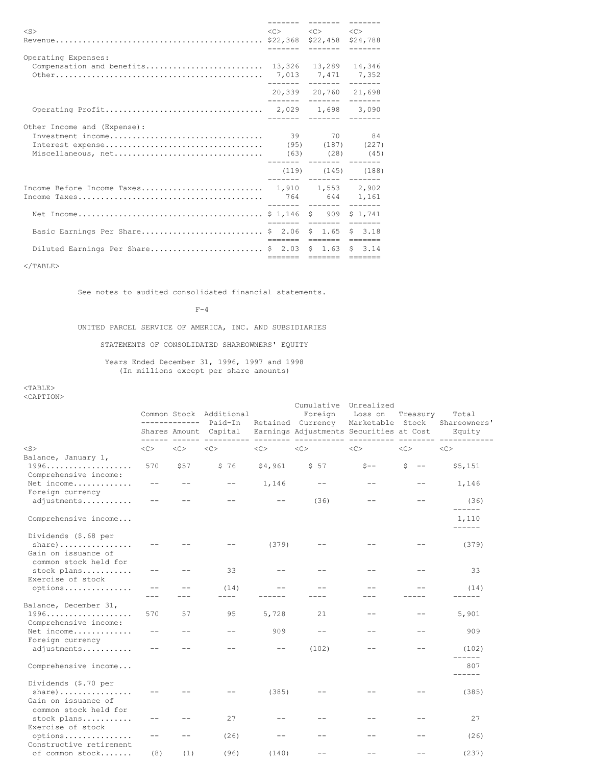|                                                    | --------                                                    |         |
|----------------------------------------------------|-------------------------------------------------------------|---------|
| $<$ S>                                             | $\langle C \rangle$ $\langle C \rangle$ $\langle C \rangle$ |         |
|                                                    |                                                             |         |
|                                                    |                                                             |         |
| Operating Expenses:                                |                                                             |         |
|                                                    |                                                             |         |
|                                                    |                                                             |         |
|                                                    |                                                             |         |
|                                                    | 20,339 20,760 21,698                                        |         |
|                                                    |                                                             |         |
|                                                    |                                                             |         |
|                                                    |                                                             |         |
| Other Income and (Expense):                        |                                                             |         |
|                                                    |                                                             |         |
|                                                    |                                                             |         |
|                                                    |                                                             |         |
|                                                    | ------- ------- ------                                      |         |
|                                                    | $(119)$ $(145)$ $(188)$                                     |         |
|                                                    |                                                             |         |
|                                                    |                                                             |         |
|                                                    |                                                             |         |
|                                                    |                                                             | \$1.741 |
|                                                    | eesses eesses eesses                                        |         |
| Basic Earnings Per Share \$ 2.06 \$ 1.65 \$ 3.18   |                                                             |         |
|                                                    | eesses eesses eesses                                        |         |
| Diluted Earnings Per Share \$ 2.03 \$ 1.63 \$ 3.14 |                                                             |         |
|                                                    | eesses eesses eesses                                        |         |
|                                                    |                                                             |         |

See notes to audited consolidated financial statements.

 $F-4$ 

UNITED PARCEL SERVICE OF AMERICA, INC. AND SUBSIDIARIES

STATEMENTS OF CONSOLIDATED SHAREOWNERS' EQUITY

Years Ended December 31, 1996, 1997 and 1998 (In millions except per share amounts)

|                                                                                  |       | -------------                  | Common Stock Additional<br>Paid-In |           | Cumulative<br>Foreign<br>Retained Currency | Unrealized<br>Loss on<br>Marketable Stock | Treasury               | Total<br>Shareowners' |
|----------------------------------------------------------------------------------|-------|--------------------------------|------------------------------------|-----------|--------------------------------------------|-------------------------------------------|------------------------|-----------------------|
|                                                                                  |       | Shares Amount<br>------ ------ | Capital                            | --------- | Earnings Adjustments Securities at Cost    |                                           |                        | Equity                |
| $<$ S $>$<br>Balance, January 1,                                                 | <<    | <<                             | $<\infty$                          | <<        | $<$ C $>$                                  | <<                                        | $<$ C $>$              | $<\infty$             |
| Comprehensive income:                                                            | 570   | \$57                           | \$76                               | \$4,961   | \$57                                       | $S --$                                    | S<br>$\qquad \qquad -$ | \$5,151               |
| Net income<br>Foreign currency                                                   |       |                                |                                    | 1,146     |                                            |                                           |                        | 1,146                 |
| adjustments                                                                      |       |                                |                                    | $ -$      | (36)                                       |                                           |                        | (36)<br>------        |
| Comprehensive income                                                             |       |                                |                                    |           |                                            |                                           |                        | 1,110<br>------       |
| Dividends (\$.68 per<br>$share)$<br>Gain on issuance of<br>common stock held for |       |                                |                                    | (379)     |                                            |                                           |                        | (379)                 |
| stock plans<br>Exercise of stock                                                 | $- -$ |                                | 33                                 | $ -$      |                                            |                                           |                        | 33                    |
| options                                                                          |       |                                | (14)                               |           |                                            |                                           |                        | (14)                  |
| Balance, December 31,<br>Comprehensive income:                                   | 570   | 57                             | 95                                 | 5,728     | 21                                         |                                           |                        | 5,901                 |
| Net income<br>Foreign currency                                                   |       |                                |                                    | 909       |                                            |                                           |                        | 909                   |
| adjustments                                                                      |       |                                |                                    |           | (102)                                      |                                           |                        | (102)<br>------       |
| Comprehensive income                                                             |       |                                |                                    |           |                                            |                                           |                        | 807<br>------         |
| Dividends (\$.70 per<br>$share)$<br>Gain on issuance of<br>common stock held for |       |                                |                                    | (385)     |                                            |                                           |                        | (385)                 |
| stock plans<br>Exercise of stock                                                 |       |                                | 27                                 |           |                                            |                                           |                        | 27                    |
| options<br>Constructive retirement                                               |       |                                | (26)                               |           |                                            |                                           |                        | (26)                  |
| of common stock                                                                  | (8)   | (1)                            | (96)                               | (140)     |                                            |                                           |                        | (237)                 |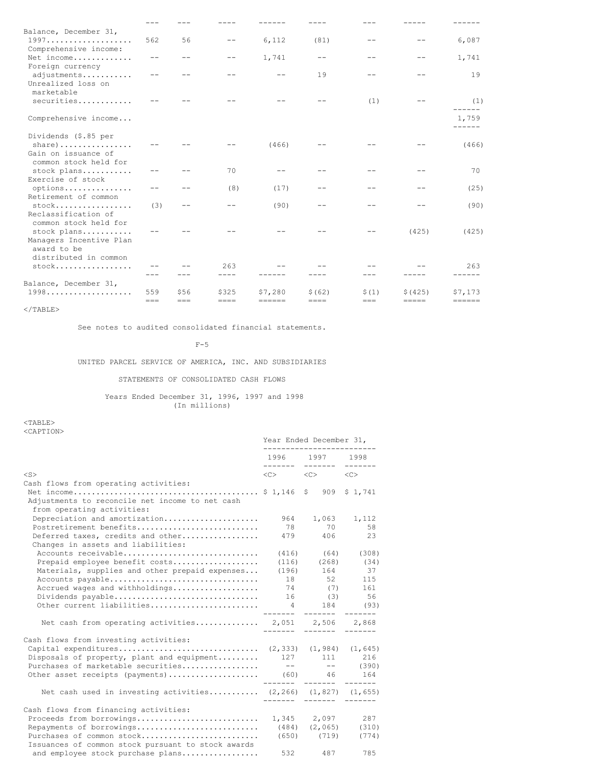| Balance, December 31,                                                               |       |      |                      |                                |                        |                  |         |                   |
|-------------------------------------------------------------------------------------|-------|------|----------------------|--------------------------------|------------------------|------------------|---------|-------------------|
| 1997<br>Comprehensive income:                                                       | 562   | 56   |                      | 6,112                          | (81)                   |                  |         | 6,087             |
| Net income<br>Foreign currency                                                      |       |      |                      | 1,741                          |                        |                  |         | 1,741             |
| adjustments<br>Unrealized loss on<br>marketable                                     |       |      |                      |                                | 19                     |                  |         | 19                |
| securities                                                                          |       |      |                      |                                |                        | (1)              |         | (1)               |
| Comprehensive income                                                                |       |      |                      |                                |                        |                  |         | 1,759             |
| Dividends (\$.85 per<br>share) $\ldots \ldots \ldots \ldots$<br>Gain on issuance of |       |      |                      | (466)                          |                        |                  |         | (466)             |
| common stock held for<br>stock plans<br>Exercise of stock                           |       |      | 70                   |                                |                        |                  |         | 70                |
| options<br>Retirement of common                                                     |       |      | (8)                  | (17)                           |                        |                  |         | (25)              |
| $stock$<br>Reclassification of<br>common stock held for                             | (3)   |      |                      | (90)                           |                        |                  |         | (90)              |
| stock plans<br>Managers Incentive Plan<br>award to be<br>distributed in common      |       |      |                      |                                |                        |                  | (425)   | (425)             |
| $stock$                                                                             |       |      | 263                  |                                |                        |                  |         | 263               |
|                                                                                     |       |      | ----                 |                                |                        |                  |         |                   |
| Balance, December 31,<br>$1998$                                                     | 559   | \$56 |                      |                                |                        |                  | \$(425) |                   |
|                                                                                     | $===$ | $==$ | \$325<br>$=$ $=$ $=$ | \$7,280<br>$=$ $=$ $=$ $=$ $=$ | \$ (62)<br>$=$ $=$ $=$ | \$(1)<br>$= = =$ | =====   | \$7,173<br>====== |

See notes to audited consolidated financial statements.

 $F-5$ 

UNITED PARCEL SERVICE OF AMERICA, INC. AND SUBSIDIARIES

## STATEMENTS OF CONSOLIDATED CASH FLOWS

Years Ended December 31, 1996, 1997 and 1998 (In millions)

|                                                                               | Year Ended December 31,                                     |                           |          |  |  |
|-------------------------------------------------------------------------------|-------------------------------------------------------------|---------------------------|----------|--|--|
|                                                                               |                                                             | 1996 1997 1998            |          |  |  |
| $<$ S $>$                                                                     | $\langle C \rangle$ $\langle C \rangle$ $\langle C \rangle$ |                           |          |  |  |
| Cash flows from operating activities:                                         |                                                             |                           |          |  |  |
| Adjustments to reconcile net income to net cash<br>from operating activities: |                                                             |                           |          |  |  |
| Depreciation and amortization                                                 |                                                             | 964 1,063 1,112           |          |  |  |
| Postretirement benefits                                                       |                                                             | 78 70                     | 58       |  |  |
| Deferred taxes, credits and other<br>Changes in assets and liabilities:       |                                                             | 479 406                   | 23       |  |  |
| Accounts receivable                                                           |                                                             | $(416)$ $(64)$ $(308)$    |          |  |  |
| Prepaid employee benefit costs                                                |                                                             | $(116)$ $(268)$ $(34)$    |          |  |  |
| Materials, supplies and other prepaid expenses                                |                                                             | $(196)$ 164               | 37       |  |  |
| Accounts payable                                                              |                                                             | 18 52 115                 |          |  |  |
| Accrued wages and withholdings                                                |                                                             | 74 (7) 161                |          |  |  |
|                                                                               |                                                             |                           |          |  |  |
| Other current liabilities                                                     | $4\overline{ }$                                             |                           | 184 (93) |  |  |
| Net cash from operating activities 2,051 2,506 2,868                          |                                                             |                           |          |  |  |
| Cash flows from investing activities:                                         |                                                             |                           |          |  |  |
|                                                                               |                                                             |                           |          |  |  |
| Disposals of property, plant and equipment 127 111 216                        |                                                             |                           |          |  |  |
| Purchases of marketable securities                                            |                                                             | $\frac{1}{1}$ -- (390)    |          |  |  |
| Other asset receipts (payments) (60) 46 164                                   |                                                             |                           |          |  |  |
|                                                                               |                                                             |                           |          |  |  |
| Net cash used in investing activities $(2, 266)$ $(1, 827)$ $(1, 655)$        |                                                             | ------- ------- ------    |          |  |  |
| Cash flows from financing activities:                                         |                                                             |                           |          |  |  |
|                                                                               |                                                             |                           |          |  |  |
| Repayments of borrowings                                                      |                                                             | $(484)$ $(2,065)$ $(310)$ |          |  |  |
| Purchases of common stock                                                     |                                                             | $(650)$ $(719)$           | (774)    |  |  |
| Issuances of common stock pursuant to stock awards                            |                                                             |                           |          |  |  |
| and employee stock purchase plans                                             | 532                                                         | 487                       | 785      |  |  |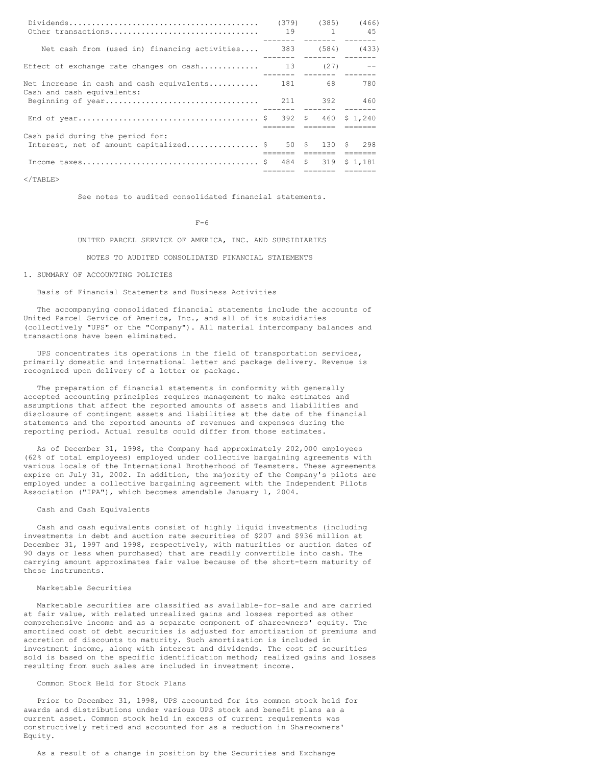| Other transactions                                                      |     |        | $(379)$ $(385)$ $(466)$<br>19 1 45 |
|-------------------------------------------------------------------------|-----|--------|------------------------------------|
| Net cash from (used in) financing activities                            | 383 |        | $(584)$ $(433)$                    |
| Effect of exchange rate changes on $cash$                               | 13  | (27)   | $\sim$ $-$                         |
| Net increase in cash and cash equivalents<br>Cash and cash equivalents: |     | 181 68 | 780                                |
|                                                                         |     |        | -------  -------  ------           |
|                                                                         |     |        |                                    |
| Cash paid during the period for:                                        |     |        |                                    |
| Interest, net of amount capitalized \$ 50 \$ 130 \$ 298                 |     |        |                                    |
|                                                                         |     |        | ;=====    =======     =======      |
|                                                                         |     |        |                                    |
|                                                                         |     |        |                                    |

 $\langle$ /TABLE>

See notes to audited consolidated financial statements.

 $F-6$ 

## UNITED PARCEL SERVICE OF AMERICA, INC. AND SUBSIDIARIES

NOTES TO AUDITED CONSOLIDATED FINANCIAL STATEMENTS

### 1. SUMMARY OF ACCOUNTING POLICIES

#### Basis of Financial Statements and Business Activities

The accompanying consolidated financial statements include the accounts of United Parcel Service of America, Inc., and all of its subsidiaries (collectively "UPS" or the "Company"). All material intercompany balances and transactions have been eliminated.

UPS concentrates its operations in the field of transportation services, primarily domestic and international letter and package delivery. Revenue is recognized upon delivery of a letter or package.

The preparation of financial statements in conformity with generally accepted accounting principles requires management to make estimates and assumptions that affect the reported amounts of assets and liabilities and disclosure of contingent assets and liabilities at the date of the financial statements and the reported amounts of revenues and expenses during the reporting period. Actual results could differ from those estimates.

As of December 31, 1998, the Company had approximately 202,000 employees (62% of total employees) employed under collective bargaining agreements with various locals of the International Brotherhood of Teamsters. These agreements expire on July 31, 2002. In addition, the majority of the Company's pilots are employed under a collective bargaining agreement with the Independent Pilots Association ("IPA"), which becomes amendable January 1, 2004.

## Cash and Cash Equivalents

Cash and cash equivalents consist of highly liquid investments (including investments in debt and auction rate securities of \$207 and \$936 million at December 31, 1997 and 1998, respectively, with maturities or auction dates of 90 days or less when purchased) that are readily convertible into cash. The carrying amount approximates fair value because of the short-term maturity of these instruments.

## Marketable Securities

Marketable securities are classified as available-for-sale and are carried at fair value, with related unrealized gains and losses reported as other comprehensive income and as a separate component of shareowners' equity. The amortized cost of debt securities is adjusted for amortization of premiums and accretion of discounts to maturity. Such amortization is included in investment income, along with interest and dividends. The cost of securities sold is based on the specific identification method; realized gains and losses resulting from such sales are included in investment income.

## Common Stock Held for Stock Plans

Prior to December 31, 1998, UPS accounted for its common stock held for awards and distributions under various UPS stock and benefit plans as a current asset. Common stock held in excess of current requirements was constructively retired and accounted for as a reduction in Shareowners' Equity.

As a result of a change in position by the Securities and Exchange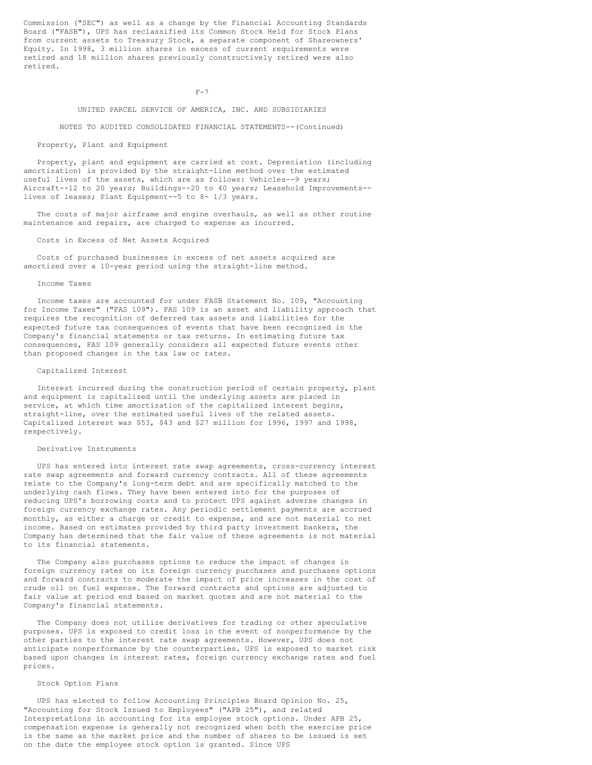Commission ("SEC") as well as a change by the Financial Accounting Standards Board ("FASB"), UPS has reclassified its Common Stock Held for Stock Plans from current assets to Treasury Stock, a separate component of Shareowners' Equity. In 1998, 3 million shares in excess of current requirements were retired and 18 million shares previously constructively retired were also retired.

 $F-7$ 

### UNITED PARCEL SERVICE OF AMERICA, INC. AND SUBSIDIARIES

NOTES TO AUDITED CONSOLIDATED FINANCIAL STATEMENTS--(Continued)

#### Property, Plant and Equipment

Property, plant and equipment are carried at cost. Depreciation (including amortization) is provided by the straight-line method over the estimated useful lives of the assets, which are as follows: Vehicles--9 years; Aircraft--12 to 20 years; Buildings--20 to 40 years; Leasehold Improvements- lives of leases; Plant Equipment--5 to 8- 1/3 years.

The costs of major airframe and engine overhauls, as well as other routine maintenance and repairs, are charged to expense as incurred.

## Costs in Excess of Net Assets Acquired

Costs of purchased businesses in excess of net assets acquired are amortized over a 10-year period using the straight-line method.

#### Income Taxes

Income taxes are accounted for under FASB Statement No. 109, "Accounting for Income Taxes" ("FAS 109"). FAS 109 is an asset and liability approach that requires the recognition of deferred tax assets and liabilities for the expected future tax consequences of events that have been recognized in the Company's financial statements or tax returns. In estimating future tax consequences, FAS 109 generally considers all expected future events other than proposed changes in the tax law or rates.

## Capitalized Interest

Interest incurred during the construction period of certain property, plant and equipment is capitalized until the underlying assets are placed in service, at which time amortization of the capitalized interest begins, straight-line, over the estimated useful lives of the related assets. Capitalized interest was \$53, \$43 and \$27 million for 1996, 1997 and 1998, respectively.

#### Derivative Instruments

UPS has entered into interest rate swap agreements, cross-currency interest rate swap agreements and forward currency contracts. All of these agreements relate to the Company's long-term debt and are specifically matched to the underlying cash flows. They have been entered into for the purposes of reducing UPS's borrowing costs and to protect UPS against adverse changes in foreign currency exchange rates. Any periodic settlement payments are accrued monthly, as either a charge or credit to expense, and are not material to net income. Based on estimates provided by third party investment bankers, the Company has determined that the fair value of these agreements is not material to its financial statements.

The Company also purchases options to reduce the impact of changes in foreign currency rates on its foreign currency purchases and purchases options and forward contracts to moderate the impact of price increases in the cost of crude oil on fuel expense. The forward contracts and options are adjusted to fair value at period end based on market quotes and are not material to the Company's financial statements.

The Company does not utilize derivatives for trading or other speculative purposes. UPS is exposed to credit loss in the event of nonperformance by the other parties to the interest rate swap agreements. However, UPS does not anticipate nonperformance by the counterparties. UPS is exposed to market risk based upon changes in interest rates, foreign currency exchange rates and fuel prices.

## Stock Option Plans

UPS has elected to follow Accounting Principles Board Opinion No. 25, "Accounting for Stock Issued to Employees" ("APB 25"), and related Interpretations in accounting for its employee stock options. Under APB 25, compensation expense is generally not recognized when both the exercise price is the same as the market price and the number of shares to be issued is set on the date the employee stock option is granted. Since UPS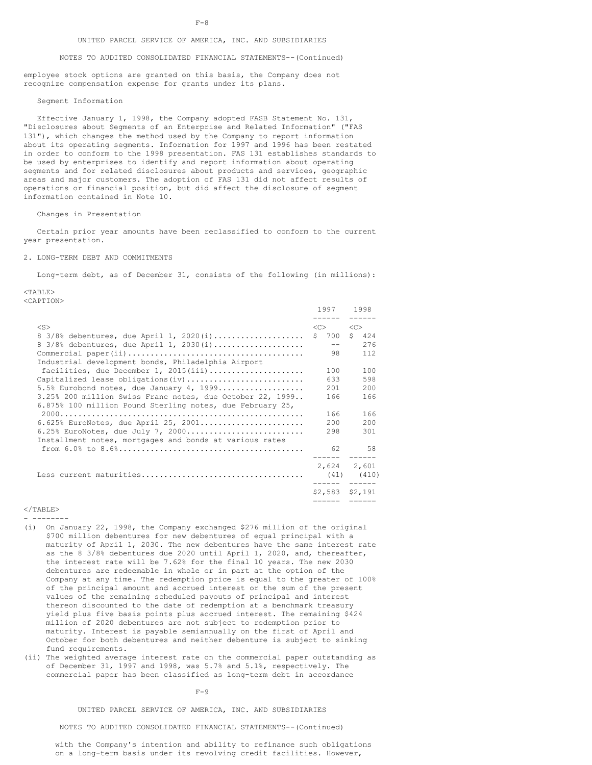### UNITED PARCEL SERVICE OF AMERICA, INC. AND SUBSIDIARIES

NOTES TO AUDITED CONSOLIDATED FINANCIAL STATEMENTS--(Continued)

employee stock options are granted on this basis, the Company does not recognize compensation expense for grants under its plans.

#### Segment Information

Effective January 1, 1998, the Company adopted FASB Statement No. 131, "Disclosures about Segments of an Enterprise and Related Information" ("FAS 131"), which changes the method used by the Company to report information about its operating segments. Information for 1997 and 1996 has been restated in order to conform to the 1998 presentation. FAS 131 establishes standards to be used by enterprises to identify and report information about operating segments and for related disclosures about products and services, geographic areas and major customers. The adoption of FAS 131 did not affect results of operations or financial position, but did affect the disclosure of segment information contained in Note 10.

#### Changes in Presentation

Certain prior year amounts have been reclassified to conform to the current year presentation.

#### 2. LONG-TERM DEBT AND COMMITMENTS

Long-term debt, as of December 31, consists of the following (in millions):

 $<$ TABLE>

<CAPTION>

|                                                           | 1997 1998<br>. <u>.</u> |                       |
|-----------------------------------------------------------|-------------------------|-----------------------|
| $<$ S>                                                    | < <sub></sub>           | $\langle C \rangle$   |
| $8\,3/8\$ debentures, due April 1, 2020(i)                | \$700                   | $\mathsf{S}^-$<br>424 |
| 8 3/8% debentures, due April 1, 2030(i)                   | $- -$                   | 276                   |
|                                                           | 98                      | 112                   |
| Industrial development bonds, Philadelphia Airport        |                         |                       |
| facilities, due December 1, 2015(iii)                     | 100                     | 100                   |
| Capitalized lease obligations (iv)                        | 633                     | 598                   |
| 5.5% Eurobond notes, due January 4, 1999                  | 201                     | 200                   |
| 3.25% 200 million Swiss Franc notes, due October 22, 1999 | 166                     | 166                   |
| 6.875% 100 million Pound Sterling notes, due February 25, |                         |                       |
|                                                           | 166                     | 166                   |
| $6.625$ % EuroNotes, due April 25, 2001                   | 200                     | 200                   |
| $6.25$ % EuroNotes, due July 7, 2000                      | 298                     | 301                   |
| Installment notes, mortgages and bonds at various rates   |                         |                       |
|                                                           | 62                      | 58                    |
|                                                           |                         | 2,624 2,601           |
|                                                           | $(41)$ $(410)$          |                       |
|                                                           | $$2,583$ $$2,191$       |                       |
|                                                           | ======                  | ======                |

 $<$ /TABLE> - --------

(i) On January 22, 1998, the Company exchanged \$276 million of the original \$700 million debentures for new debentures of equal principal with a maturity of April 1, 2030. The new debentures have the same interest rate as the 8 3/8% debentures due 2020 until April 1, 2020, and, thereafter, the interest rate will be 7.62% for the final 10 years. The new 2030 debentures are redeemable in whole or in part at the option of the Company at any time. The redemption price is equal to the greater of 100% of the principal amount and accrued interest or the sum of the present values of the remaining scheduled payouts of principal and interest thereon discounted to the date of redemption at a benchmark treasury yield plus five basis points plus accrued interest. The remaining \$424 million of 2020 debentures are not subject to redemption prior to maturity. Interest is payable semiannually on the first of April and October for both debentures and neither debenture is subject to sinking fund requirements.

(ii) The weighted average interest rate on the commercial paper outstanding as of December 31, 1997 and 1998, was 5.7% and 5.1%, respectively. The commercial paper has been classified as long-term debt in accordance

 $F-9$ 

UNITED PARCEL SERVICE OF AMERICA, INC. AND SUBSIDIARIES

NOTES TO AUDITED CONSOLIDATED FINANCIAL STATEMENTS--(Continued)

with the Company's intention and ability to refinance such obligations on a long-term basis under its revolving credit facilities. However,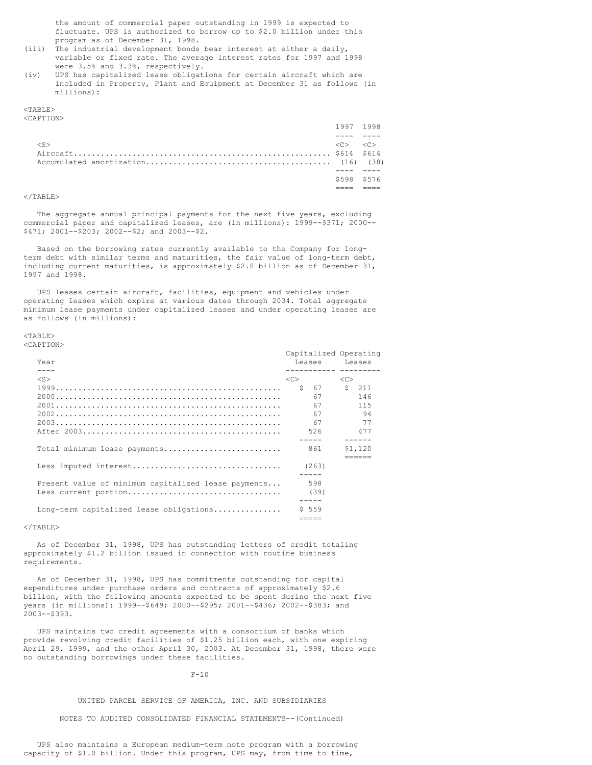the amount of commercial paper outstanding in 1999 is expected to fluctuate. UPS is authorized to borrow up to \$2.0 billion under this program as of December 31, 1998.

- (iii) The industrial development bonds bear interest at either a daily, variable or fixed rate. The average interest rates for 1997 and 1998 were 3.5% and 3.3%, respectively.
- (iv) UPS has capitalized lease obligations for certain aircraft which are included in Property, Plant and Equipment at December 31 as follows (in millions):

## $<$ TABLE>

<CAPTION>

|        | \$598 \$576            |                            |
|--------|------------------------|----------------------------|
|        |                        |                            |
|        |                        |                            |
|        |                        |                            |
| $<$ S> | $\langle \cap \rangle$ | $\langle$ $\cap$ $\rangle$ |
|        |                        |                            |
|        | 1997 1998              |                            |

## $<$ /TABLE>

The aggregate annual principal payments for the next five years, excluding commercial paper and capitalized leases, are (in millions): 1999--\$371; 2000-- \$471; 2001--\$203; 2002--\$2; and 2003--\$2.

Based on the borrowing rates currently available to the Company for longterm debt with similar terms and maturities, the fair value of long-term debt, including current maturities, is approximately \$2.8 billion as of December 31, 1997 and 1998.

UPS leases certain aircraft, facilities, equipment and vehicles under operating leases which expire at various dates through 2034. Total aggregate minimum lease payments under capitalized leases and under operating leases are as follows (in millions):

 $<$ TABLE> <CAPTION>

| Year<br>$- - -$                                     | Capitalized Operating<br>Leases Leases<br>----------- --------- |         |
|-----------------------------------------------------|-----------------------------------------------------------------|---------|
|                                                     |                                                                 |         |
| $<$ S>                                              | <<>                                                             | <<      |
|                                                     | \$ 67                                                           | $5$ 211 |
|                                                     | 67                                                              | 146     |
|                                                     | 67                                                              | 115     |
|                                                     | 67                                                              | 94      |
|                                                     | 67                                                              | -77     |
|                                                     | 526                                                             | 477     |
|                                                     |                                                                 |         |
|                                                     |                                                                 |         |
| Total minimum lease payments                        | 861                                                             | \$1,120 |
|                                                     |                                                                 |         |
|                                                     | (263)                                                           |         |
|                                                     |                                                                 |         |
| Present value of minimum capitalized lease payments | 598                                                             |         |
| Less current portion                                | (39)                                                            |         |
|                                                     |                                                                 |         |
|                                                     |                                                                 |         |
| Long-term capitalized lease obligations             | \$559                                                           |         |
|                                                     |                                                                 |         |

 $\langle$ /TABLE>

As of December 31, 1998, UPS has outstanding letters of credit totaling approximately \$1.2 billion issued in connection with routine business requirements.

As of December 31, 1998, UPS has commitments outstanding for capital expenditures under purchase orders and contracts of approximately \$2.6 billion, with the following amounts expected to be spent during the next five years (in millions): 1999--\$649; 2000--\$295; 2001--\$436; 2002--\$383; and 2003--\$393.

UPS maintains two credit agreements with a consortium of banks which provide revolving credit facilities of \$1.25 billion each, with one expiring April 29, 1999, and the other April 30, 2003. At December 31, 1998, there were no outstanding borrowings under these facilities.

#### $F-10$

## UNITED PARCEL SERVICE OF AMERICA, INC. AND SUBSIDIARIES

NOTES TO AUDITED CONSOLIDATED FINANCIAL STATEMENTS--(Continued)

UPS also maintains a European medium-term note program with a borrowing capacity of \$1.0 billion. Under this program, UPS may, from time to time,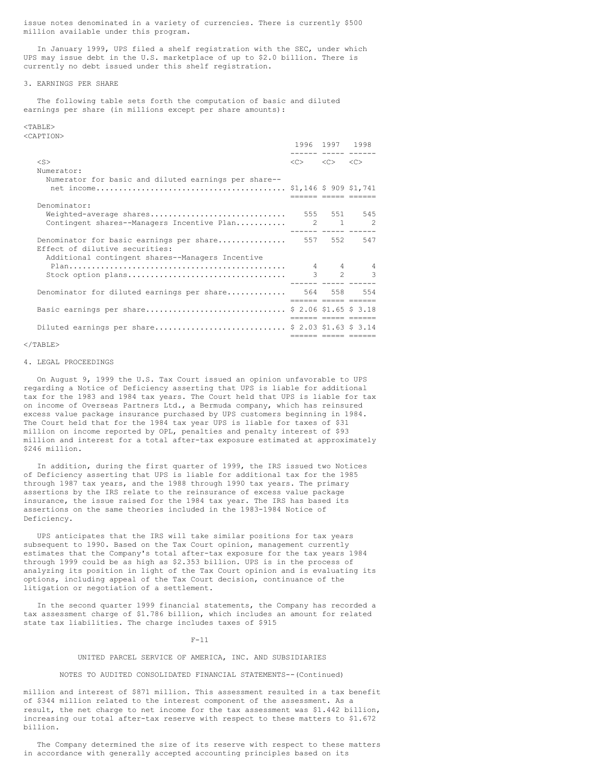issue notes denominated in a variety of currencies. There is currently \$500 million available under this program.

In January 1999, UPS filed a shelf registration with the SEC, under which UPS may issue debt in the U.S. marketplace of up to \$2.0 billion. There is currently no debt issued under this shelf registration.

### 3. EARNINGS PER SHARE

The following table sets forth the computation of basic and diluted earnings per share (in millions except per share amounts):

# <TABLE>

<CAPTION>

|                                                                                        | ------ ----- -----                                          | 1996 1997 1998 |                     |
|----------------------------------------------------------------------------------------|-------------------------------------------------------------|----------------|---------------------|
| $<$ S>                                                                                 | $\langle C \rangle$ $\langle C \rangle$ $\langle C \rangle$ |                |                     |
| Numerator:                                                                             |                                                             |                |                     |
| Numerator for basic and diluted earnings per share--                                   |                                                             |                | ------ cocco cocco  |
| Denominator:                                                                           |                                                             |                |                     |
| Weighted-average shares<br>Contingent shares--Managers Incentive Plan 2 1 2            | 555 551 545                                                 |                |                     |
| Denominator for basic earnings per share 557 552 547<br>Effect of dilutive securities: |                                                             |                |                     |
| Additional contingent shares--Managers Incentive                                       | $4$ $4$ $4$                                                 |                | $3 \t 2 \t 3$       |
| Denominator for diluted earnings per share 564 558 554                                 | ------ ----- -----                                          |                | ESSESS ESSES ESSESS |
| Basic earnings per share \$ 2.06 \$1.65 \$ 3.18                                        |                                                             |                |                     |
| Diluted earnings per share \$ 2.03 \$1.63 \$ 3.14                                      |                                                             |                | EEEEEE EEEEE EEEEEE |
|                                                                                        |                                                             |                | acada acada acada   |

## $\langle$ /TABLE>

#### 4. LEGAL PROCEEDINGS

On August 9, 1999 the U.S. Tax Court issued an opinion unfavorable to UPS regarding a Notice of Deficiency asserting that UPS is liable for additional tax for the 1983 and 1984 tax years. The Court held that UPS is liable for tax on income of Overseas Partners Ltd., a Bermuda company, which has reinsured excess value package insurance purchased by UPS customers beginning in 1984. The Court held that for the 1984 tax year UPS is liable for taxes of \$31 million on income reported by OPL, penalties and penalty interest of \$93 million and interest for a total after-tax exposure estimated at approximately \$246 million.

In addition, during the first quarter of 1999, the IRS issued two Notices of Deficiency asserting that UPS is liable for additional tax for the 1985 through 1987 tax years, and the 1988 through 1990 tax years. The primary assertions by the IRS relate to the reinsurance of excess value package insurance, the issue raised for the 1984 tax year. The IRS has based its assertions on the same theories included in the 1983-1984 Notice of Deficiency.

UPS anticipates that the IRS will take similar positions for tax years subsequent to 1990. Based on the Tax Court opinion, management currently estimates that the Company's total after-tax exposure for the tax years 1984 through 1999 could be as high as \$2.353 billion. UPS is in the process of analyzing its position in light of the Tax Court opinion and is evaluating its options, including appeal of the Tax Court decision, continuance of the litigation or negotiation of a settlement.

In the second quarter 1999 financial statements, the Company has recorded a tax assessment charge of \$1.786 billion, which includes an amount for related state tax liabilities. The charge includes taxes of \$915

#### $F-11$

## UNITED PARCEL SERVICE OF AMERICA, INC. AND SUBSIDIARIES

### NOTES TO AUDITED CONSOLIDATED FINANCIAL STATEMENTS--(Continued)

million and interest of \$871 million. This assessment resulted in a tax benefit of \$344 million related to the interest component of the assessment. As a result, the net charge to net income for the tax assessment was \$1.442 billion, increasing our total after-tax reserve with respect to these matters to \$1.672 billion.

The Company determined the size of its reserve with respect to these matters in accordance with generally accepted accounting principles based on its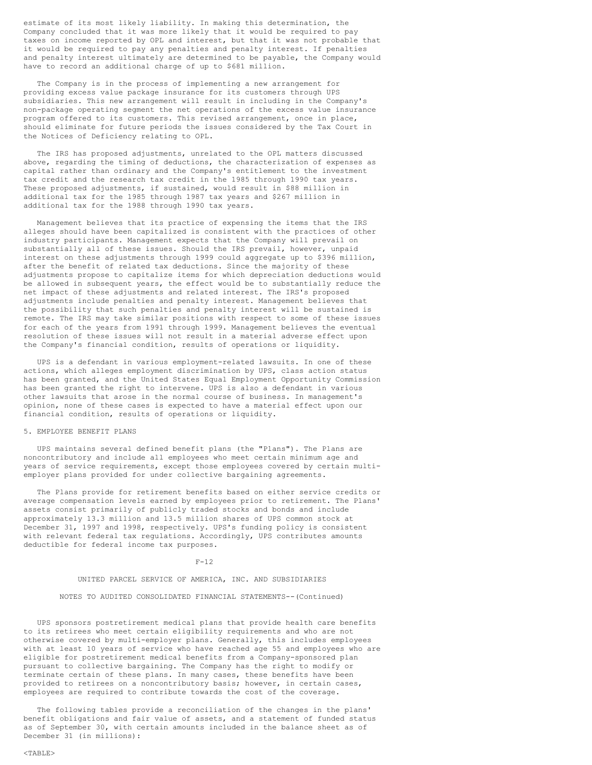estimate of its most likely liability. In making this determination, the Company concluded that it was more likely that it would be required to pay taxes on income reported by OPL and interest, but that it was not probable that it would be required to pay any penalties and penalty interest. If penalties and penalty interest ultimately are determined to be payable, the Company would have to record an additional charge of up to \$681 million.

The Company is in the process of implementing a new arrangement for providing excess value package insurance for its customers through UPS subsidiaries. This new arrangement will result in including in the Company's non-package operating segment the net operations of the excess value insurance program offered to its customers. This revised arrangement, once in place, should eliminate for future periods the issues considered by the Tax Court in the Notices of Deficiency relating to OPL.

The IRS has proposed adjustments, unrelated to the OPL matters discussed above, regarding the timing of deductions, the characterization of expenses as capital rather than ordinary and the Company's entitlement to the investment tax credit and the research tax credit in the 1985 through 1990 tax years. These proposed adjustments, if sustained, would result in \$88 million in additional tax for the 1985 through 1987 tax years and \$267 million in additional tax for the 1988 through 1990 tax years.

Management believes that its practice of expensing the items that the IRS alleges should have been capitalized is consistent with the practices of other industry participants. Management expects that the Company will prevail on substantially all of these issues. Should the IRS prevail, however, unpaid interest on these adjustments through 1999 could aggregate up to \$396 million, after the benefit of related tax deductions. Since the majority of these adjustments propose to capitalize items for which depreciation deductions would be allowed in subsequent years, the effect would be to substantially reduce the net impact of these adjustments and related interest. The IRS's proposed adjustments include penalties and penalty interest. Management believes that the possibility that such penalties and penalty interest will be sustained is remote. The IRS may take similar positions with respect to some of these issues for each of the years from 1991 through 1999. Management believes the eventual resolution of these issues will not result in a material adverse effect upon the Company's financial condition, results of operations or liquidity.

UPS is a defendant in various employment-related lawsuits. In one of these actions, which alleges employment discrimination by UPS, class action status has been granted, and the United States Equal Employment Opportunity Commission has been granted the right to intervene. UPS is also a defendant in various other lawsuits that arose in the normal course of business. In management's opinion, none of these cases is expected to have a material effect upon our financial condition, results of operations or liquidity.

## 5. EMPLOYEE BENEFIT PLANS

UPS maintains several defined benefit plans (the "Plans"). The Plans are noncontributory and include all employees who meet certain minimum age and years of service requirements, except those employees covered by certain multiemployer plans provided for under collective bargaining agreements.

The Plans provide for retirement benefits based on either service credits or average compensation levels earned by employees prior to retirement. The Plans' assets consist primarily of publicly traded stocks and bonds and include approximately 13.3 million and 13.5 million shares of UPS common stock at December 31, 1997 and 1998, respectively. UPS's funding policy is consistent with relevant federal tax regulations. Accordingly, UPS contributes amounts deductible for federal income tax purposes.

#### $F-12$

UNITED PARCEL SERVICE OF AMERICA, INC. AND SUBSIDIARIES

NOTES TO AUDITED CONSOLIDATED FINANCIAL STATEMENTS--(Continued)

UPS sponsors postretirement medical plans that provide health care benefits to its retirees who meet certain eligibility requirements and who are not otherwise covered by multi-employer plans. Generally, this includes employees with at least 10 years of service who have reached age 55 and employees who are eligible for postretirement medical benefits from a Company-sponsored plan pursuant to collective bargaining. The Company has the right to modify or terminate certain of these plans. In many cases, these benefits have been provided to retirees on a noncontributory basis; however, in certain cases, employees are required to contribute towards the cost of the coverage.

The following tables provide a reconciliation of the changes in the plans' benefit obligations and fair value of assets, and a statement of funded status as of September 30, with certain amounts included in the balance sheet as of December 31 (in millions):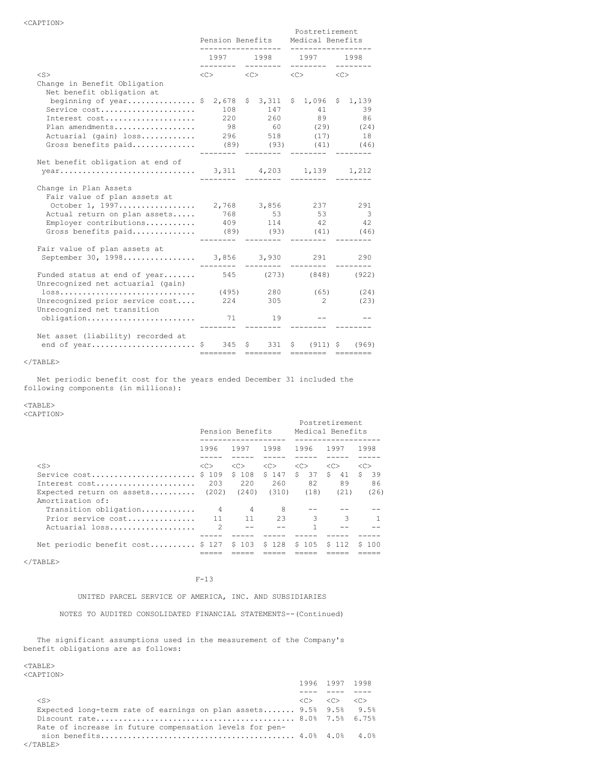|                                                                                                                                                                                                                 | Pension Benefits |                     |  | Postretirement<br>Medical Benefits<br>----------          |  |                                         |  |                          |
|-----------------------------------------------------------------------------------------------------------------------------------------------------------------------------------------------------------------|------------------|---------------------|--|-----------------------------------------------------------|--|-----------------------------------------|--|--------------------------|
|                                                                                                                                                                                                                 |                  | ---------           |  | ---------                                                 |  | 1997 1998 1997 1998<br>---------        |  | $- - - - - - - -$        |
| $<$ S><br>Change in Benefit Obligation                                                                                                                                                                          |                  | $\langle C \rangle$ |  | $\langle C \rangle$                                       |  | $\langle C \rangle$ $\langle C \rangle$ |  |                          |
| Net benefit obligation at<br>beginning of year \$ 2,678<br>Service cost<br>Interest cost<br>Plan amendments 98 60 (29) (24)<br>Actuarial (gain) loss 296 518 (17) 18<br>Gross benefits paid (89) (93) (41) (46) |                  | 108                 |  | $$3,311$ $$1,096$ $$1,139$<br>147<br>220 260<br>--------- |  | 89<br>---------                         |  | 41 39<br>86              |
| Net benefit obligation at end of                                                                                                                                                                                |                  | ---------           |  | ---------                                                 |  | ---------                               |  |                          |
| Change in Plan Assets<br>Fair value of plan assets at<br>October 1, 1997 2,768 3,856 237 291<br>Actual return on plan assets<br>Employer contributions 409 114 42 42<br>Gross benefits paid (89) (93) (41) (46) |                  | ---------           |  | 768 53 53                                                 |  |                                         |  | $\overline{\phantom{a}}$ |
| Fair value of plan assets at<br>September 30, 1998 3,856 3,930 291 290                                                                                                                                          |                  | ---------           |  | ---------                                                 |  | ---------                               |  | $- - - - - - - -$        |
| Funded status at end of year 545 (273) (848) (922)<br>Unrecognized net actuarial (gain)<br>Unrecognized prior service cost<br>Unrecognized net transition                                                       |                  |                     |  | 224 305<br>19                                             |  | $2^{\circ}$                             |  | (23)                     |
| Net asset (liability) recorded at                                                                                                                                                                               |                  |                     |  | -------- ------- -------- -------                         |  |                                         |  |                          |

Net periodic benefit cost for the years ended December 31 included the following components (in millions):

### <TABLE>

<CAPTION>

|                                   |               | Pension Benefits |               |                      | Postretirement<br>Medical Benefits |               |
|-----------------------------------|---------------|------------------|---------------|----------------------|------------------------------------|---------------|
|                                   | 1996          | 1997             | 1998          | 1996                 | 1997                               | 1998          |
|                                   |               |                  |               |                      |                                    |               |
| $<$ S $>$                         | < <sub></sub> | < <sub></sub>    | < <sub></sub> | < <sub></sub>        | < <sub></sub>                      | < <sub></sub> |
| Service cost                      | \$ 109        | \$108            | \$147         | $\mathsf{S}^-$<br>37 | \$<br>41                           | S.<br>39      |
| Interest cost                     | 203           | 220              | 260           | 82                   | 89                                 | 86            |
| Expected return on assets $(202)$ |               | (240)            | (310)         | (18)                 | (21)                               | (26)          |
| Amortization of:                  |               |                  |               |                      |                                    |               |
| Transition obligation             | 4             | 4                | 8             |                      |                                    |               |
| Prior service cost                |               | 11               | 23            | 3                    | 3                                  |               |
| Actuarial loss                    | $\mathcal{P}$ |                  |               |                      |                                    |               |
|                                   |               |                  |               |                      |                                    |               |
| Net periodic benefit cost \$ 127  |               | \$103            | \$128         | \$105                | S 112                              | S 100         |
|                                   |               |                  |               |                      |                                    |               |

 $<$ /TABLE $>$ 

## F-13

UNITED PARCEL SERVICE OF AMERICA, INC. AND SUBSIDIARIES

NOTES TO AUDITED CONSOLIDATED FINANCIAL STATEMENTS--(Continued)

The significant assumptions used in the measurement of the Company's benefit obligations are as follows:

|                                                                   | 1996 1997 1998                                              |  |
|-------------------------------------------------------------------|-------------------------------------------------------------|--|
|                                                                   |                                                             |  |
| $<$ S $>$                                                         | $\langle C \rangle$ $\langle C \rangle$ $\langle C \rangle$ |  |
| Expected long-term rate of earnings on plan assets 9.5% 9.5% 9.5% |                                                             |  |
|                                                                   |                                                             |  |
| Rate of increase in future compensation levels for pen-           |                                                             |  |
|                                                                   |                                                             |  |
| $\langle$ /TABLE>                                                 |                                                             |  |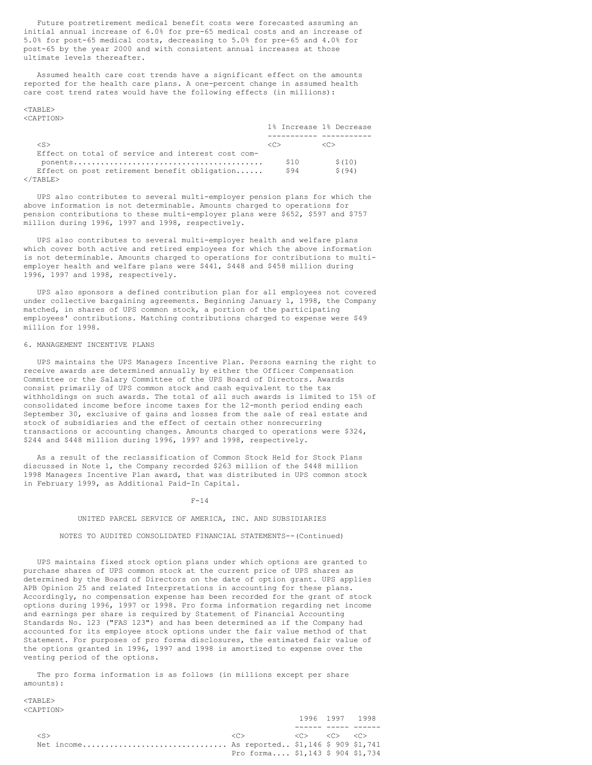Future postretirement medical benefit costs were forecasted assuming an initial annual increase of 6.0% for pre-65 medical costs and an increase of 5.0% for post-65 medical costs, decreasing to 5.0% for pre-65 and 4.0% for post-65 by the year 2000 and with consistent annual increases at those ultimate levels thereafter.

Assumed health care cost trends have a significant effect on the amounts reported for the health care plans. A one-percent change in assumed health care cost trend rates would have the following effects (in millions):

#### <TABLE> <CAPTION>

|                                                   |      | 1% Increase 1% Decrease |
|---------------------------------------------------|------|-------------------------|
|                                                   |      |                         |
| $<$ S $>$                                         |      | -10                     |
| Effect on total of service and interest cost com- |      |                         |
|                                                   | \$10 | \$(10)                  |
| Effect on post retirement benefit obligation      | S94  | S(94)                   |
| $\langle$ /TABLE>                                 |      |                         |

UPS also contributes to several multi-employer pension plans for which the above information is not determinable. Amounts charged to operations for pension contributions to these multi-employer plans were \$652, \$597 and \$757 million during 1996, 1997 and 1998, respectively.

UPS also contributes to several multi-employer health and welfare plans which cover both active and retired employees for which the above information is not determinable. Amounts charged to operations for contributions to multiemployer health and welfare plans were \$441, \$448 and \$458 million during 1996, 1997 and 1998, respectively.

UPS also sponsors a defined contribution plan for all employees not covered under collective bargaining agreements. Beginning January 1, 1998, the Company matched, in shares of UPS common stock, a portion of the participating employees' contributions. Matching contributions charged to expense were \$49 million for 1998.

## 6. MANAGEMENT INCENTIVE PLANS

UPS maintains the UPS Managers Incentive Plan. Persons earning the right to receive awards are determined annually by either the Officer Compensation Committee or the Salary Committee of the UPS Board of Directors. Awards consist primarily of UPS common stock and cash equivalent to the tax withholdings on such awards. The total of all such awards is limited to 15% of consolidated income before income taxes for the 12-month period ending each September 30, exclusive of gains and losses from the sale of real estate and stock of subsidiaries and the effect of certain other nonrecurring transactions or accounting changes. Amounts charged to operations were \$324, \$244 and \$448 million during 1996, 1997 and 1998, respectively.

As a result of the reclassification of Common Stock Held for Stock Plans discussed in Note 1, the Company recorded \$263 million of the \$448 million 1998 Managers Incentive Plan award, that was distributed in UPS common stock in February 1999, as Additional Paid-In Capital.

#### $F - 14$

#### UNITED PARCEL SERVICE OF AMERICA, INC. AND SUBSIDIARIES

### NOTES TO AUDITED CONSOLIDATED FINANCIAL STATEMENTS--(Continued)

UPS maintains fixed stock option plans under which options are granted to purchase shares of UPS common stock at the current price of UPS shares as determined by the Board of Directors on the date of option grant. UPS applies APB Opinion 25 and related Interpretations in accounting for these plans. Accordingly, no compensation expense has been recorded for the grant of stock options during 1996, 1997 or 1998. Pro forma information regarding net income and earnings per share is required by Statement of Financial Accounting Standards No. 123 ("FAS 123") and has been determined as if the Company had accounted for its employee stock options under the fair value method of that Statement. For purposes of pro forma disclosures, the estimated fair value of the options granted in 1996, 1997 and 1998 is amortized to expense over the vesting period of the options.

The pro forma information is as follows (in millions except per share amounts):

|                                               |                                                                                                             | 1996 1997 1998 |  |
|-----------------------------------------------|-------------------------------------------------------------------------------------------------------------|----------------|--|
|                                               |                                                                                                             |                |  |
| $\langle S \rangle$                           | $\langle C \rangle$ , $\langle C \rangle$ , $\langle C \rangle$ , $\langle C \rangle$ , $\langle C \rangle$ |                |  |
| Net income As reported \$1,146 \$ 909 \$1,741 |                                                                                                             |                |  |
|                                               | Pro forma \$1,143 \$ 904 \$1.734                                                                            |                |  |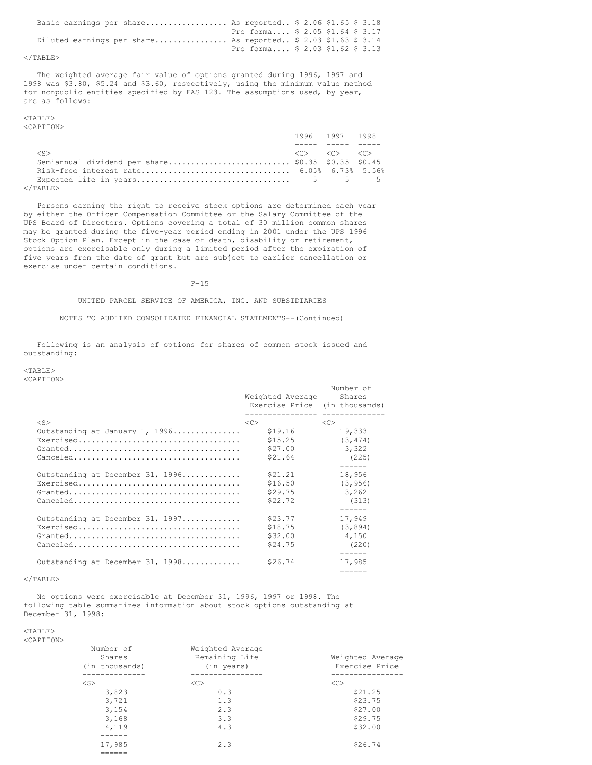| Basic earnings per share As reported $$2.06 $1.65 $3.18$      |                                  |  |  |  |
|---------------------------------------------------------------|----------------------------------|--|--|--|
|                                                               | Pro forma \$ 2.05 \$1.64 \$ 3.17 |  |  |  |
| Diluted earnings per share As reported \$ 2.03 \$1.63 \$ 3.14 |                                  |  |  |  |
|                                                               | Pro forma \$ 2.03 \$1.62 \$ 3.13 |  |  |  |

### $\langle$ /TABLE>

The weighted average fair value of options granted during 1996, 1997 and 1998 was \$3.80, \$5.24 and \$3.60, respectively, using the minimum value method for nonpublic entities specified by FAS 123. The assumptions used, by year, are as follows:

#### <TABLE> <CAPTION>

|                                                    | 1996 1997 1998 |                                                             |  |
|----------------------------------------------------|----------------|-------------------------------------------------------------|--|
|                                                    |                |                                                             |  |
| $\langle S \rangle$                                |                | $\langle C \rangle$ $\langle C \rangle$ $\langle C \rangle$ |  |
| Semiannual dividend per share \$0.35 \$0.35 \$0.45 |                |                                                             |  |
|                                                    |                |                                                             |  |
|                                                    |                |                                                             |  |
| ノ / ጥ ⊼ DT で \                                     |                |                                                             |  |

</TABLE>

Persons earning the right to receive stock options are determined each year by either the Officer Compensation Committee or the Salary Committee of the UPS Board of Directors. Options covering a total of 30 million common shares may be granted during the five-year period ending in 2001 under the UPS 1996 Stock Option Plan. Except in the case of death, disability or retirement, options are exercisable only during a limited period after the expiration of five years from the date of grant but are subject to earlier cancellation or exercise under certain conditions.

F-15

### UNITED PARCEL SERVICE OF AMERICA, INC. AND SUBSIDIARIES

NOTES TO AUDITED CONSOLIDATED FINANCIAL STATEMENTS--(Continued)

Following is an analysis of options for shares of common stock issued and outstanding:

<TABLE> <CAPTION>

|                                                                                  | Weighted Average<br>Exercise Price (in thousands)<br>-------------- | Number of<br>Shares |
|----------------------------------------------------------------------------------|---------------------------------------------------------------------|---------------------|
| $<$ S $>$                                                                        | <<                                                                  | <<                  |
| Outstanding at January 1, 1996                                                   | \$19.16                                                             | 19,333              |
| Exercised                                                                        | \$15.25                                                             | (3, 474)            |
|                                                                                  | \$27.00                                                             | 3,322               |
|                                                                                  | \$21.64                                                             | (225)               |
|                                                                                  |                                                                     | ------              |
| Outstanding at December 31, 1996                                                 | \$21.21                                                             | 18,956              |
|                                                                                  | \$16.50                                                             | (3, 956)            |
|                                                                                  | \$29.75                                                             | 3,262               |
| $Canceled \ldots \ldots \ldots \ldots \ldots \ldots \ldots \ldots \ldots \ldots$ | \$22.72                                                             | (313)               |
|                                                                                  |                                                                     |                     |
| Outstanding at December 31, 1997                                                 | \$23.77                                                             | 17,949              |
|                                                                                  | \$18.75                                                             | (3, 894)            |
|                                                                                  | \$32.00                                                             | 4,150               |
| $Canceled \ldots \ldots \ldots \ldots \ldots \ldots \ldots \ldots \ldots \ldots$ | \$24.75                                                             | (220)               |
|                                                                                  |                                                                     |                     |
| Outstanding at December 31, 1998                                                 | \$26.74                                                             | 17,985              |
|                                                                                  |                                                                     | ======              |

## $<$ /TABLE>

No options were exercisable at December 31, 1996, 1997 or 1998. The following table summarizes information about stock options outstanding at December 31, 1998:

## $<$ TABLE>

<CAPTION>

| Number of<br>Shares<br>(in thousands) | Weighted Average<br>Remaining Life<br>(in years) | Weighted Average<br>Exercise Price |
|---------------------------------------|--------------------------------------------------|------------------------------------|
|                                       |                                                  |                                    |
| $<$ S $>$                             | <<                                               | <<                                 |
| 3,823                                 | 0.3                                              | \$21.25                            |
| 3,721                                 | 1.3                                              | \$23.75                            |
| 3,154                                 | 2.3                                              | \$27.00                            |
| 3,168                                 | 3.3                                              | \$29.75                            |
| 4,119                                 | 4.3                                              | \$32.00                            |
|                                       |                                                  |                                    |
| 17,985                                | 2.3                                              | \$26.74                            |
|                                       |                                                  |                                    |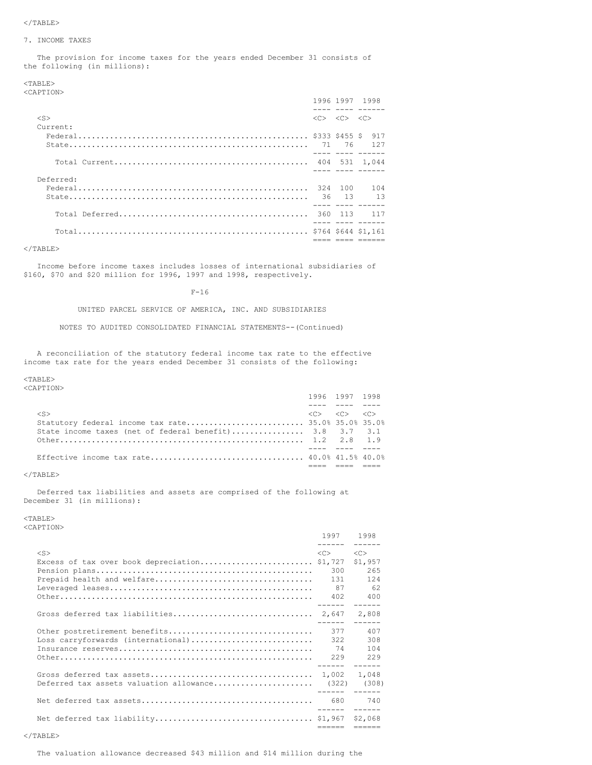#### 7. INCOME TAXES

The provision for income taxes for the years ended December 31 consists of the following (in millions):

<TABLE>

<CAPTION>

|           |                                                             | 1996 1997 1998 |
|-----------|-------------------------------------------------------------|----------------|
| $<$ S>    | $\langle C \rangle$ $\langle C \rangle$ $\langle C \rangle$ |                |
| Current:  |                                                             |                |
|           |                                                             | 917            |
|           |                                                             |                |
|           |                                                             |                |
| Deferred: |                                                             |                |
|           |                                                             |                |
|           |                                                             |                |

 $<$ /TABLE>

Income before income taxes includes losses of international subsidiaries of \$160, \$70 and \$20 million for 1996, 1997 and 1998, respectively.

F-16

UNITED PARCEL SERVICE OF AMERICA, INC. AND SUBSIDIARIES

NOTES TO AUDITED CONSOLIDATED FINANCIAL STATEMENTS--(Continued)

A reconciliation of the statutory federal income tax rate to the effective income tax rate for the years ended December 31 consists of the following:

#### <TABLE>

<CAPTION>

|                                                         | 1996 1997 1998                                              |  |
|---------------------------------------------------------|-------------------------------------------------------------|--|
|                                                         |                                                             |  |
| $\langle$ S>                                            | $\langle C \rangle$ $\langle C \rangle$ $\langle C \rangle$ |  |
|                                                         |                                                             |  |
| State income taxes (net of federal benefit) 3.8 3.7 3.1 |                                                             |  |
|                                                         |                                                             |  |
|                                                         |                                                             |  |
|                                                         |                                                             |  |
|                                                         |                                                             |  |

## $<$ /TABLE>

Deferred tax liabilities and assets are comprised of the following at December 31 (in millions):

## <TABLE>

<CAPTION>

| .                                                   | 1997 1998<br>------ ------ |                                                                                                                                                                                                                                                                                                                                                                                                                                                                                        |
|-----------------------------------------------------|----------------------------|----------------------------------------------------------------------------------------------------------------------------------------------------------------------------------------------------------------------------------------------------------------------------------------------------------------------------------------------------------------------------------------------------------------------------------------------------------------------------------------|
| $<$ S>                                              | <<<br>300<br>131<br>87     | < <sub><br/>\$1,957<br/>265<br/>124<br/>62<br/>400</sub>                                                                                                                                                                                                                                                                                                                                                                                                                               |
|                                                     |                            | 2,808                                                                                                                                                                                                                                                                                                                                                                                                                                                                                  |
| Loss carryforwards (international)                  | 377<br>322<br>74           | 407<br>308<br>104                                                                                                                                                                                                                                                                                                                                                                                                                                                                      |
| Deferred tax assets valuation allowance (322) (308) |                            | 1,048                                                                                                                                                                                                                                                                                                                                                                                                                                                                                  |
|                                                     |                            | 740                                                                                                                                                                                                                                                                                                                                                                                                                                                                                    |
|                                                     | ------                     | $\begin{array}{cccccccccc} \multicolumn{2}{c}{} & \multicolumn{2}{c}{} & \multicolumn{2}{c}{} & \multicolumn{2}{c}{} & \multicolumn{2}{c}{} & \multicolumn{2}{c}{} & \multicolumn{2}{c}{} & \multicolumn{2}{c}{} & \multicolumn{2}{c}{} & \multicolumn{2}{c}{} & \multicolumn{2}{c}{} & \multicolumn{2}{c}{} & \multicolumn{2}{c}{} & \multicolumn{2}{c}{} & \multicolumn{2}{c}{} & \multicolumn{2}{c}{} & \multicolumn{2}{c}{} & \multicolumn{2}{c}{} & \multicolumn{2}{c}{} & \mult$ |

The valuation allowance decreased \$43 million and \$14 million during the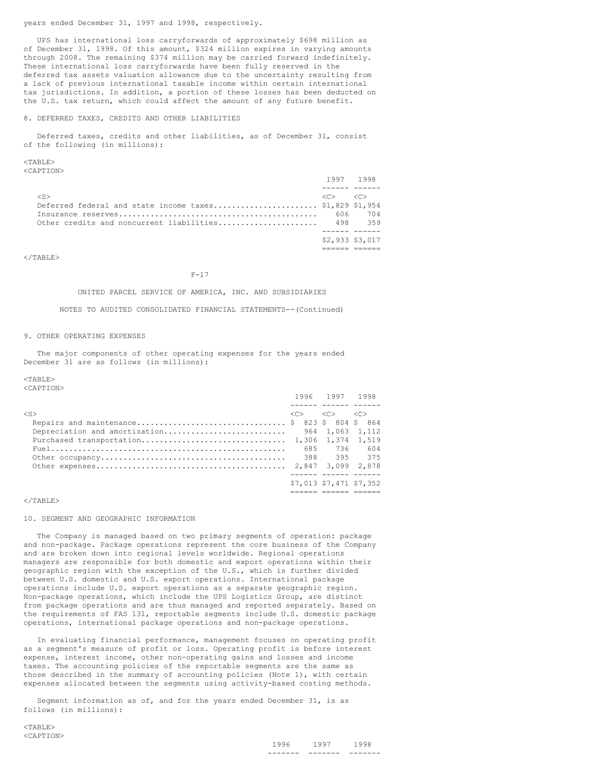years ended December 31, 1997 and 1998, respectively.

UPS has international loss carryforwards of approximately \$698 million as of December 31, 1998. Of this amount, \$324 million expires in varying amounts through 2008. The remaining \$374 million may be carried forward indefinitely. These international loss carryforwards have been fully reserved in the deferred tax assets valuation allowance due to the uncertainty resulting from a lack of previous international taxable income within certain international tax jurisdictions. In addition, a portion of these losses has been deducted on the U.S. tax return, which could affect the amount of any future benefit.

### 8. DEFERRED TAXES, CREDITS AND OTHER LIABILITIES

Deferred taxes, credits and other liabilities, as of December 31, consist of the following (in millions):

 $<$ TABLE>

<CAPTION>

|                                                         |                        | 1997 1998              |
|---------------------------------------------------------|------------------------|------------------------|
|                                                         |                        |                        |
| $<$ S>                                                  | $\langle \cap \rangle$ | $\langle \cap \rangle$ |
| Deferred federal and state income taxes \$1,829 \$1,954 |                        |                        |
|                                                         | 606                    | 704                    |
| Other credits and noncurrent liabilities                |                        | 498 359                |
|                                                         |                        |                        |
|                                                         |                        | \$2,933 \$3,017        |
|                                                         |                        |                        |

 $<$ /TABLE>

#### $F-17$

UNITED PARCEL SERVICE OF AMERICA, INC. AND SUBSIDIARIES

NOTES TO AUDITED CONSOLIDATED FINANCIAL STATEMENTS--(Continued)

### 9. OTHER OPERATING EXPENSES

The major components of other operating expenses for the years ended December 31 are as follows (in millions):

#### $<$ TABLE>

<CAPTION>

|                                              | 1996 1997 1998                                              |                         |
|----------------------------------------------|-------------------------------------------------------------|-------------------------|
|                                              |                                                             |                         |
| $\langle S \rangle$                          | $\langle C \rangle$ $\langle C \rangle$ $\langle C \rangle$ |                         |
| Repairs and maintenance \$ 823 \$ 804 \$ 864 |                                                             |                         |
|                                              |                                                             |                         |
|                                              |                                                             |                         |
|                                              | 685 736                                                     | 604                     |
|                                              |                                                             |                         |
|                                              |                                                             |                         |
|                                              |                                                             |                         |
|                                              |                                                             | \$7,013 \$7,471 \$7,352 |
|                                              |                                                             |                         |

#### $\langle$ /TABLE>

### 10. SEGMENT AND GEOGRAPHIC INFORMATION

The Company is managed based on two primary segments of operation: package and non-package. Package operations represent the core business of the Company and are broken down into regional levels worldwide. Regional operations managers are responsible for both domestic and export operations within their geographic region with the exception of the U.S., which is further divided between U.S. domestic and U.S. export operations. International package operations include U.S. export operations as a separate geographic region. Non-package operations, which include the UPS Logistics Group, are distinct from package operations and are thus managed and reported separately. Based on the requirements of FAS 131, reportable segments include U.S. domestic package operations, international package operations and non-package operations.

In evaluating financial performance, management focuses on operating profit as a segment's measure of profit or loss. Operating profit is before interest expense, interest income, other non-operating gains and losses and income taxes. The accounting policies of the reportable segments are the same as those described in the summary of accounting policies (Note 1), with certain expenses allocated between the segments using activity-based costing methods.

Segment information as of, and for the years ended December 31, is as follows (in millions):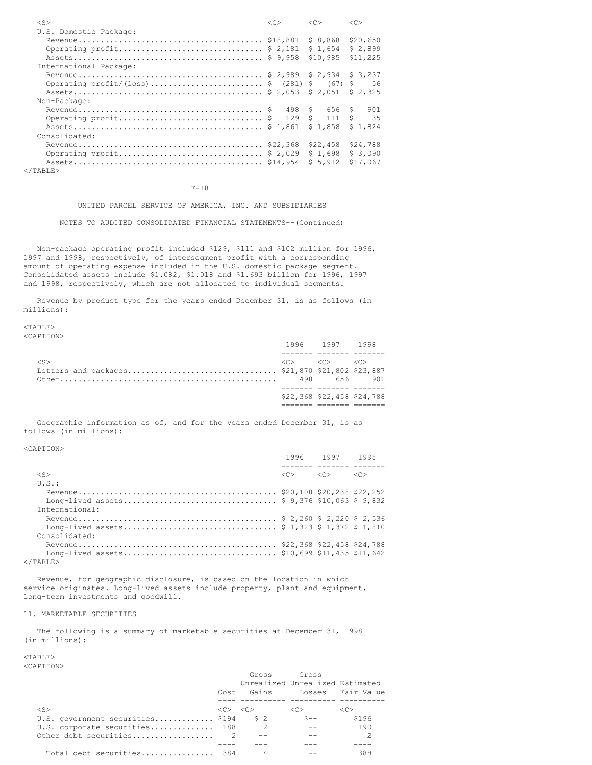| $<$ S>                                     | << | <<        | <<        |
|--------------------------------------------|----|-----------|-----------|
| U.S. Domestic Package:                     |    |           |           |
|                                            |    | \$18,868  | \$20,650  |
| Operating profit \$ 2,181                  |    | \$1.654   | \$2,899   |
|                                            |    | \$10,985  | \$11,225  |
| International Package:                     |    |           |           |
|                                            |    |           |           |
| Operating profit/(loss)\$ (281) \$ (67) \$ |    |           | 56        |
|                                            |    |           | \$2.325   |
| Non-Package:                               |    |           |           |
|                                            |    | S.<br>656 | 901<br>S. |
| Operating $profit$ \$ 129 \$               |    | 111       | 135<br>S. |
|                                            |    | \$1.858   | \$1.824   |
| Consolidated:                              |    |           |           |
|                                            |    | \$22,458  | \$24,788  |
| Operating profit \$ 2,029                  |    | \$1,698   | \$3,090   |
|                                            |    | \$15,912  | \$17,067  |
|                                            |    |           |           |

  |  |  |F-18

## UNITED PARCEL SERVICE OF AMERICA, INC. AND SUBSIDIARIES

NOTES TO AUDITED CONSOLIDATED FINANCIAL STATEMENTS--(Continued)

Non-package operating profit included \$129, \$111 and \$102 million for 1996, 1997 and 1998, respectively, of intersegment profit with a corresponding amount of operating expense included in the U.S. domestic package segment. Consolidated assets include \$1.082, \$1.018 and \$1.693 billion for 1996, 1997 and 1998, respectively, which are not allocated to individual segments.

Revenue by product type for the years ended December 31, is as follows (in millions):

<TABLE> <CAPTION>

|        | \$22,368 \$22,458 \$24,788                                  |  |
|--------|-------------------------------------------------------------|--|
|        |                                                             |  |
|        |                                                             |  |
|        |                                                             |  |
| $<$ S> | $\langle C \rangle$ $\langle C \rangle$ $\langle C \rangle$ |  |
|        |                                                             |  |
|        | 1996 1997 1998                                              |  |

1996 1997 1998

Geographic information as of, and for the years ended December 31, is as follows (in millions):

<CAPTION>

|  | $\langle C \rangle$                                                                    |
|--|----------------------------------------------------------------------------------------|
|  |                                                                                        |
|  |                                                                                        |
|  |                                                                                        |
|  |                                                                                        |
|  |                                                                                        |
|  |                                                                                        |
|  |                                                                                        |
|  |                                                                                        |
|  |                                                                                        |
|  |                                                                                        |
|  | $1990$ $1997$ $1998$<br>_____ _______ _____<br>$\langle C \rangle$ $\langle C \rangle$ |

Revenue, for geographic disclosure, is based on the location in which service originates. Long-lived assets include property, plant and equipment, long-term investments and goodwill.

### 11. MARKETABLE SECURITIES

The following is a summary of marketable securities at December 31, 1998 (in millions):

|                                  | Cost                                    | Gross | Gross<br>Unrealized Unrealized Estimated<br>Gains Losses Fair Value |         |
|----------------------------------|-----------------------------------------|-------|---------------------------------------------------------------------|---------|
|                                  |                                         |       |                                                                     |         |
| $\langle$ S>                     | $\langle C \rangle$ $\langle C \rangle$ |       | < <sub></sub>                                                       | <c></c> |
| U.S. government securities \$194 |                                         | S 2   | $S --$                                                              | \$196   |
| U.S. corporate securities 188    |                                         |       |                                                                     | 190     |
|                                  |                                         |       |                                                                     |         |
|                                  |                                         |       |                                                                     |         |
| Total debt securities 384        |                                         |       |                                                                     | 388     |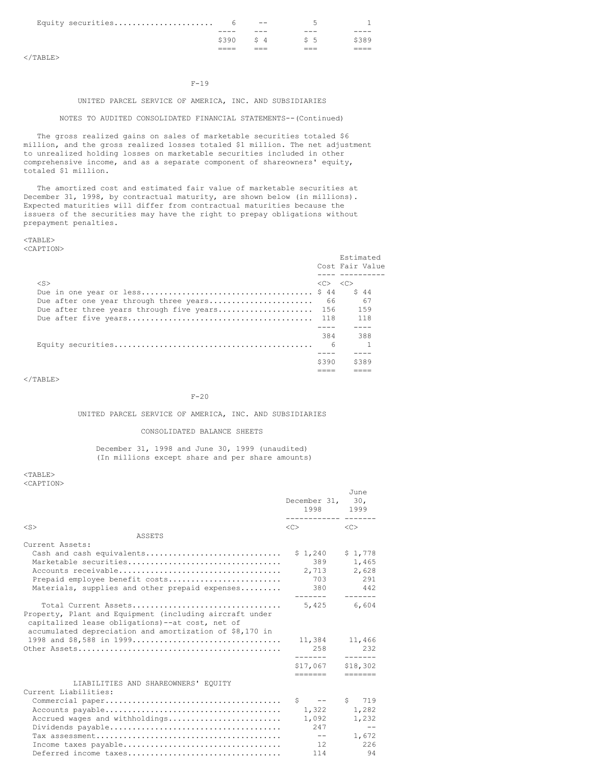| Equity securities |      | $- -$   |                |  |
|-------------------|------|---------|----------------|--|
|                   | ---- | ---     | ---            |  |
|                   | 5390 | $S_1$ 4 | S <sub>5</sub> |  |
|                   |      |         |                |  |

## F-19

## UNITED PARCEL SERVICE OF AMERICA, INC. AND SUBSIDIARIES

## NOTES TO AUDITED CONSOLIDATED FINANCIAL STATEMENTS--(Continued)

The gross realized gains on sales of marketable securities totaled \$6 million, and the gross realized losses totaled \$1 million. The net adjustment to unrealized holding losses on marketable securities included in other comprehensive income, and as a separate component of shareowners' equity, totaled \$1 million.

The amortized cost and estimated fair value of marketable securities at December 31, 1998, by contractual maturity, are shown below (in millions). Expected maturities will differ from contractual maturities because the issuers of the securities may have the right to prepay obligations without prepayment penalties.

### <TABLE> <CAPTION>

|                                          |                                         | Estimated<br>Cost Fair Value |
|------------------------------------------|-----------------------------------------|------------------------------|
|                                          |                                         |                              |
| $<$ S>                                   | $\langle C \rangle$ $\langle C \rangle$ |                              |
|                                          |                                         | S 44                         |
| Due after one year through three years   | 66                                      | 67                           |
| Due after three years through five years | - 156                                   | 159                          |
|                                          |                                         | 118                          |
|                                          |                                         |                              |
|                                          | 384                                     | 388                          |
|                                          | - 6                                     |                              |
|                                          |                                         |                              |
|                                          | \$390                                   | \$389                        |
|                                          |                                         |                              |

 $<$ /TABLE>

## $F-20$

## UNITED PARCEL SERVICE OF AMERICA, INC. AND SUBSIDIARIES

## CONSOLIDATED BALANCE SHEETS

## December 31, 1998 and June 30, 1999 (unaudited) (In millions except share and per share amounts)

|                                                                                                                                                                                               | December 31, 30,<br>1998<br>-------------            | June<br>1999                                        |
|-----------------------------------------------------------------------------------------------------------------------------------------------------------------------------------------------|------------------------------------------------------|-----------------------------------------------------|
| $<$ S $>$                                                                                                                                                                                     | <<                                                   | < <sub></sub>                                       |
| ASSETS                                                                                                                                                                                        |                                                      |                                                     |
| Current Assets:<br>Cash and cash equivalents<br>Marketable securities<br>Prepaid employee benefit costs<br>Materials, supplies and other prepaid expenses                                     | \$1,240<br>389<br>2,713<br>703<br>380 380<br>------- | \$1,778<br>1,465<br>2,628<br>291<br>442<br>-------- |
| Total Current Assets<br>Property, Plant and Equipment (including aircraft under<br>capitalized lease obligations)--at cost, net of<br>accumulated depreciation and amortization of \$8,170 in | 5.425                                                | 6,604                                               |
|                                                                                                                                                                                               | 11,384<br>2.58                                       | 11,466<br>2.32                                      |
|                                                                                                                                                                                               | \$17.067<br>=======                                  | -------<br>\$18,302<br>=======                      |
| LIABILITIES AND SHAREOWNERS' EOUITY<br>Current Liabilities:                                                                                                                                   |                                                      |                                                     |
| Accrued wages and withholdings                                                                                                                                                                | $S \t - -$<br>1,322<br>1,092                         | S<br>719<br>1,282<br>1,232                          |
| Income taxes payable                                                                                                                                                                          | 247<br>$- -$<br>12                                   | $- -$<br>1,672<br>226                               |
| Deferred income taxes                                                                                                                                                                         | 114                                                  | 94                                                  |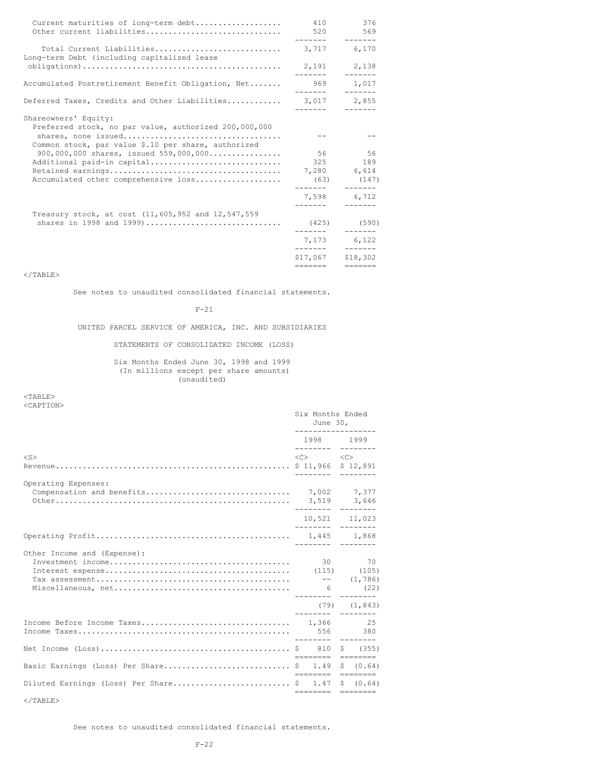| Current maturities of long-term debt<br>Other current liabilities                                                                                                                | 410<br>520                               | 376<br>569                       |
|----------------------------------------------------------------------------------------------------------------------------------------------------------------------------------|------------------------------------------|----------------------------------|
| Total Current Liabilities<br>Long-term Debt (including capitalized lease                                                                                                         | -----                                    | $- - - - - - -$<br>3,717 6,170   |
|                                                                                                                                                                                  | 2,191 2,138<br>--------                  | $- - - - - - -$                  |
| Accumulated Postretirement Benefit Obligation, Net                                                                                                                               | -------                                  | 969 1,017<br>-------             |
| Deferred Taxes, Credits and Other Liabilities                                                                                                                                    | 3,017 2,855                              | $- - - - - - -$                  |
| Shareowners' Equity:<br>Preferred stock, no par value, authorized 200,000,000<br>Common stock, par value \$.10 per share, authorized<br>900,000,000 shares, issued $559,000,000$ |                                          | 56 56                            |
| Additional paid-in capital<br>Accumulated other comprehensive loss                                                                                                               | 325<br>7,280 6,614<br>(63)               | 189<br>(147)<br>7,598 6,712      |
|                                                                                                                                                                                  | --------                                 | $- - - - - - -$                  |
| Treasury stock, at cost (11,605,952 and 12,547,559<br>shares in 1998 and 1999)                                                                                                   |                                          | $(425)$ (590)<br>$- - - - - - -$ |
|                                                                                                                                                                                  | 7.173                                    | 6,122                            |
|                                                                                                                                                                                  | ________<br>\$17,067 \$18,302<br>======= | $- - - - - - -$<br>=======       |

 $\rm <$  /TABLE>

See notes to unaudited consolidated financial statements.

F-21

UNITED PARCEL SERVICE OF AMERICA, INC. AND SUBSIDIARIES

STATEMENTS OF CONSOLIDATED INCOME (LOSS)

Six Months Ended June 30, 1998 and 1999 (In millions except per share amounts) (unaudited)

<TABLE> <CAPTION>

|                                           | Six Months Ended<br>June 30,<br>__________________ |                                         |  |                   |
|-------------------------------------------|----------------------------------------------------|-----------------------------------------|--|-------------------|
|                                           |                                                    | 1998 1999                               |  |                   |
| $<$ S $>$                                 |                                                    | $\langle C \rangle$ $\langle C \rangle$ |  |                   |
| Operating Expenses:                       |                                                    |                                         |  |                   |
|                                           |                                                    | 10,521 11,023<br>_________ _______      |  |                   |
|                                           |                                                    | --------- --------                      |  |                   |
| Other Income and (Expense):               |                                                    |                                         |  | 30 70<br>(22)     |
|                                           |                                                    |                                         |  | $(79)$ $(1, 843)$ |
|                                           |                                                    |                                         |  |                   |
|                                           |                                                    |                                         |  | \$ (355)          |
| Basic Earnings (Loss) Per Share \$ 1.49   |                                                    | - ======== ========                     |  | \$ (0.64)         |
| Diluted Earnings (Loss) Per Share \$ 1.47 |                                                    | ======== ========<br>======== ========  |  | \$ (0.64)         |

 $\rm <$  /TABLE>

See notes to unaudited consolidated financial statements.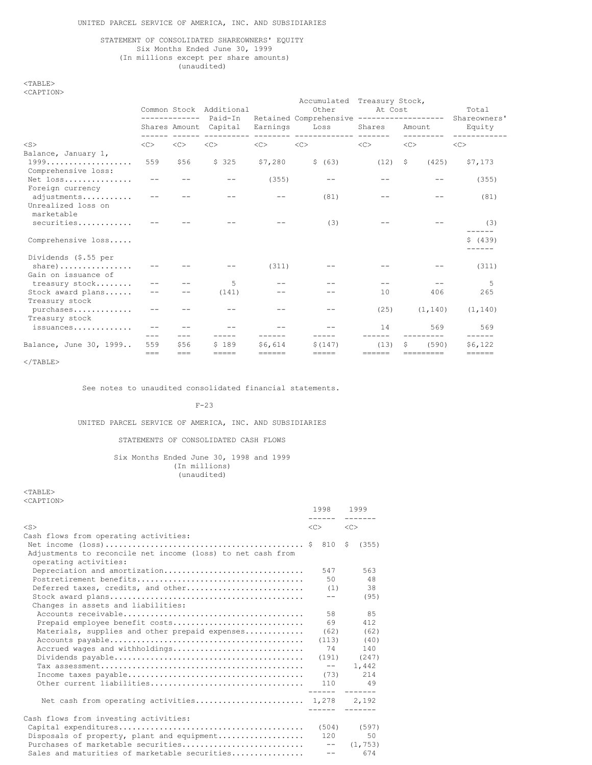## STATEMENT OF CONSOLIDATED SHAREOWNERS' EQUITY Six Months Ended June 30, 1999 (In millions except per share amounts) (unaudited)

<TABLE>  $\sim$ CAPT $\sim$ 

|  | A F I | $\cup$ |  |
|--|-------|--------|--|
|  |       |        |  |

|                                                 |          | ------------- | Common Stock Additional<br>Paid-In |                     | Accumulated Treasury Stock,<br>Other<br>Retained Comprehensive ------------------- | At Cost             |                     | Total<br>Shareowners' |  |
|-------------------------------------------------|----------|---------------|------------------------------------|---------------------|------------------------------------------------------------------------------------|---------------------|---------------------|-----------------------|--|
|                                                 |          |               | Shares Amount Capital              | Earnings            | Loss<br>_________ ______________ _____                                             | Shares              | Amount<br>--------- | Equity<br>----------  |  |
| $<$ S $>$                                       | <<       | <<            | <<                                 | <<                  | <<                                                                                 | $<<$ $<$ $<$ $>$    | <<                  | <<                    |  |
| Balance, January 1,<br>Comprehensive loss:      | 559      | \$56          | \$325                              | \$7,280             | \$ (63)                                                                            | (12)                | - \$<br>(425)       | \$7,173               |  |
| Net loss<br>Foreign currency                    |          |               |                                    | (355)               |                                                                                    |                     |                     | (355)                 |  |
| adjustments<br>Unrealized loss on<br>marketable |          |               |                                    |                     | (81)                                                                               |                     |                     | (81)                  |  |
| securities                                      |          |               |                                    |                     | (3)                                                                                |                     |                     | (3)                   |  |
| Comprehensive loss                              |          |               |                                    |                     |                                                                                    |                     |                     | \$ (439)<br>------    |  |
| Dividends (\$.55 per                            |          |               |                                    |                     |                                                                                    |                     |                     |                       |  |
| $share)$<br>Gain on issuance of                 |          |               |                                    | (311)               |                                                                                    |                     |                     | (311)                 |  |
| treasury stock                                  |          |               | 5                                  |                     |                                                                                    |                     |                     | 5                     |  |
| Stock award plans<br>Treasury stock             |          |               | (141)                              |                     |                                                                                    | 10                  | 406                 | 265                   |  |
| purchases<br>Treasury stock                     |          |               |                                    |                     |                                                                                    | (25)                | (1, 140)            | (1, 140)              |  |
| issuances                                       |          |               |                                    |                     |                                                                                    | 14                  | 569                 | 569<br>$- - - - -$    |  |
| Balance, June 30, 1999                          | 559      | \$56          | \$189                              | \$6,614             | \$(147)                                                                            | (13)                | (590)               | \$6,122               |  |
|                                                 | $= == =$ | $=$ $=$ $=$   | =====                              | $=$ $=$ $=$ $=$ $=$ | $=$ $=$ $=$ $=$                                                                    | $=$ $=$ $=$ $=$ $=$ | ----------          | ======                |  |

 $<$ /TABLE>

See notes to unaudited consolidated financial statements.

F-23

UNITED PARCEL SERVICE OF AMERICA, INC. AND SUBSIDIARIES

## STATEMENTS OF CONSOLIDATED CASH FLOWS

## Six Months Ended June 30, 1998 and 1999 (In millions) (unaudited)

|                                                                                                                                                             | 1998 1999<br>------- | -------                  |
|-------------------------------------------------------------------------------------------------------------------------------------------------------------|----------------------|--------------------------|
| $<$ S>                                                                                                                                                      | $\langle$ C> $\sim$  | $<<$ $C>$                |
| Cash flows from operating activities:<br>Net income $(\text{loss}) \dots \dots \dots \dots \dots \dots \dots \dots \dots \dots \dots \dots \dots$ \$ 810 \$ |                      | (355)                    |
| Adjustments to reconcile net income (loss) to net cash from<br>operating activities:                                                                        |                      |                          |
| Depreciation and amortization                                                                                                                               | 547                  | 563                      |
|                                                                                                                                                             | 50                   | 48                       |
| Deferred taxes, credits, and other                                                                                                                          | (1)                  | 38                       |
|                                                                                                                                                             | $- -$                | (95)                     |
| Changes in assets and liabilities:                                                                                                                          |                      |                          |
|                                                                                                                                                             | 58                   | 85                       |
| Prepaid employee benefit costs                                                                                                                              | 69                   | 412                      |
| Materials, supplies and other prepaid expenses                                                                                                              | (62)                 | (62)                     |
|                                                                                                                                                             | (113)                | (40)                     |
| Accrued wages and withholdings                                                                                                                              | 74                   | 140                      |
|                                                                                                                                                             |                      | $(191)$ $(247)$          |
|                                                                                                                                                             | $  \,$               | 1,442                    |
|                                                                                                                                                             | (73)                 | 214                      |
|                                                                                                                                                             |                      | 110 49<br>------ ------- |
| Net cash from operating activities 1,278 2,192                                                                                                              | -------              |                          |
| Cash flows from investing activities:                                                                                                                       |                      |                          |
|                                                                                                                                                             |                      | $(504)$ $(597)$          |
| Disposals of property, plant and equipment                                                                                                                  | $120 -$              | 50                       |
| Purchases of marketable securities                                                                                                                          |                      | $--$ (1,753)             |
| Sales and maturities of marketable securities                                                                                                               | $- -$                | 674                      |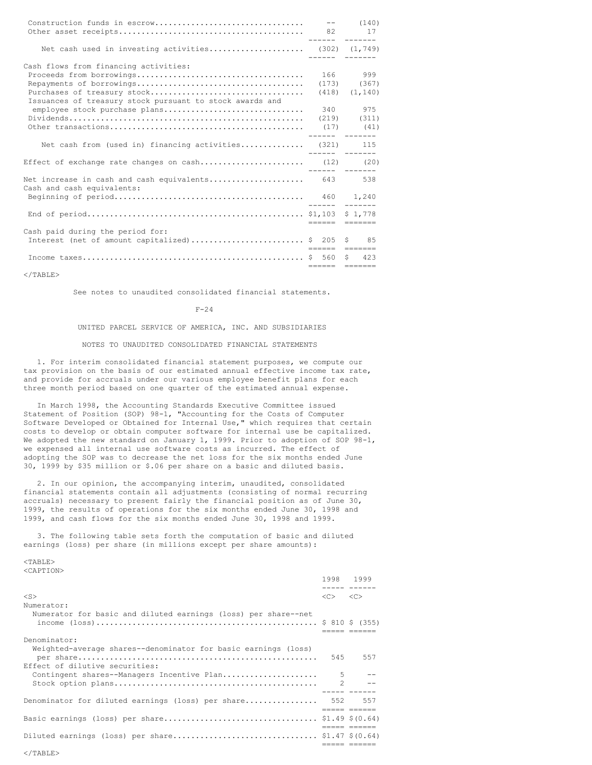| Net cash used in investing activities (302) (1,749)                             |                    |
|---------------------------------------------------------------------------------|--------------------|
| Cash flows from financing activities:                                           |                    |
|                                                                                 | 166 999            |
|                                                                                 | $(173)$ $(367)$    |
|                                                                                 | $(418)$ $(1, 140)$ |
| Issuances of treasury stock pursuant to stock awards and                        |                    |
| employee stock purchase plans                                                   | 340 975            |
|                                                                                 |                    |
|                                                                                 |                    |
|                                                                                 | ----- -------      |
| Net cash from (used in) financing activities (321) 115                          |                    |
| Effect of exchange rate changes on cash (12) (20)                               |                    |
|                                                                                 |                    |
| Net increase in cash and cash equivalents 643 538<br>Cash and cash equivalents: |                    |
|                                                                                 |                    |
|                                                                                 |                    |
|                                                                                 | eeesse eessese     |
| Cash paid during the period for:                                                |                    |
| Interest (net of amount capitalized) \$ 205 \$ 85                               | eesses eesses      |
|                                                                                 |                    |
|                                                                                 | ------ -------     |

See notes to unaudited consolidated financial statements.

 $F-24$ 

UNITED PARCEL SERVICE OF AMERICA, INC. AND SUBSIDIARIES

## NOTES TO UNAUDITED CONSOLIDATED FINANCIAL STATEMENTS

1. For interim consolidated financial statement purposes, we compute our tax provision on the basis of our estimated annual effective income tax rate, and provide for accruals under our various employee benefit plans for each three month period based on one quarter of the estimated annual expense.

In March 1998, the Accounting Standards Executive Committee issued Statement of Position (SOP) 98-1, "Accounting for the Costs of Computer Software Developed or Obtained for Internal Use," which requires that certain costs to develop or obtain computer software for internal use be capitalized. We adopted the new standard on January 1, 1999. Prior to adoption of SOP 98-1, we expensed all internal use software costs as incurred. The effect of adopting the SOP was to decrease the net loss for the six months ended June 30, 1999 by \$35 million or \$.06 per share on a basic and diluted basis.

2. In our opinion, the accompanying interim, unaudited, consolidated financial statements contain all adjustments (consisting of normal recurring accruals) necessary to present fairly the financial position as of June 30, 1999, the results of operations for the six months ended June 30, 1998 and 1999, and cash flows for the six months ended June 30, 1998 and 1999.

3. The following table sets forth the computation of basic and diluted earnings (loss) per share (in millions except per share amounts):

|                                                                | 1998 1999<br>. <u>.</u>                 |              |
|----------------------------------------------------------------|-----------------------------------------|--------------|
| $<$ S>                                                         | $\langle C \rangle$ $\langle C \rangle$ |              |
| Numerator:                                                     |                                         |              |
| Numerator for basic and diluted earnings (loss) per share--net |                                         |              |
| Denominator:                                                   |                                         |              |
| Weighted-average shares--denominator for basic earnings (loss) |                                         |              |
| Effect of dilutive securities:                                 |                                         | 545 557      |
| Contingent shares--Managers Incentive Plan                     | .5                                      |              |
|                                                                | $\mathcal{P}$                           |              |
|                                                                |                                         |              |
| Denominator for diluted earnings (loss) per share 552 557      |                                         | ----- ------ |
|                                                                |                                         |              |
|                                                                |                                         |              |
|                                                                |                                         |              |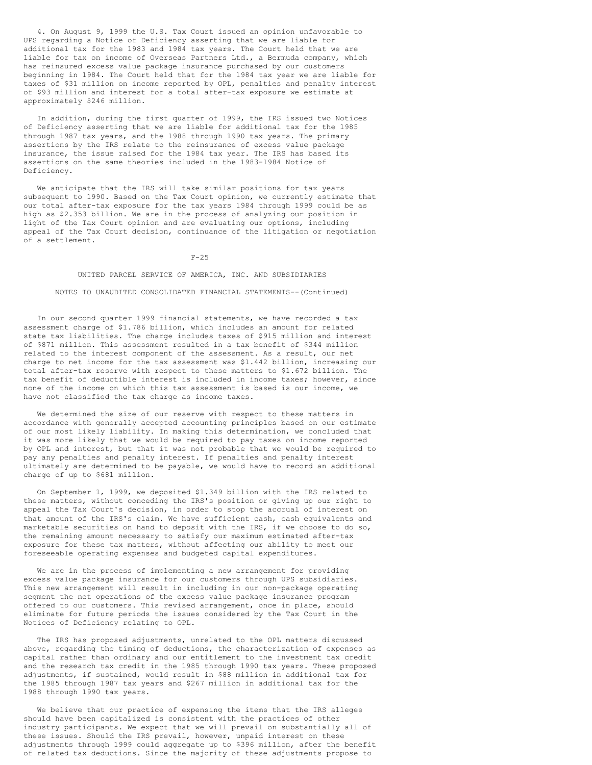4. On August 9, 1999 the U.S. Tax Court issued an opinion unfavorable to UPS regarding a Notice of Deficiency asserting that we are liable for additional tax for the 1983 and 1984 tax years. The Court held that we are liable for tax on income of Overseas Partners Ltd., a Bermuda company, which has reinsured excess value package insurance purchased by our customers beginning in 1984. The Court held that for the 1984 tax year we are liable for taxes of \$31 million on income reported by OPL, penalties and penalty interest of \$93 million and interest for a total after-tax exposure we estimate at approximately \$246 million.

In addition, during the first quarter of 1999, the IRS issued two Notices of Deficiency asserting that we are liable for additional tax for the 1985 through 1987 tax years, and the 1988 through 1990 tax years. The primary assertions by the IRS relate to the reinsurance of excess value package insurance, the issue raised for the 1984 tax year. The IRS has based its assertions on the same theories included in the 1983-1984 Notice of Deficiency.

We anticipate that the IRS will take similar positions for tax years subsequent to 1990. Based on the Tax Court opinion, we currently estimate that our total after-tax exposure for the tax years 1984 through 1999 could be as high as \$2.353 billion. We are in the process of analyzing our position in light of the Tax Court opinion and are evaluating our options, including appeal of the Tax Court decision, continuance of the litigation or negotiation of a settlement.

 $F-25$ 

## UNITED PARCEL SERVICE OF AMERICA, INC. AND SUBSIDIARIES

#### NOTES TO UNAUDITED CONSOLIDATED FINANCIAL STATEMENTS--(Continued)

In our second quarter 1999 financial statements, we have recorded a tax assessment charge of \$1.786 billion, which includes an amount for related state tax liabilities. The charge includes taxes of \$915 million and interest of \$871 million. This assessment resulted in a tax benefit of \$344 million related to the interest component of the assessment. As a result, our net charge to net income for the tax assessment was \$1.442 billion, increasing our total after-tax reserve with respect to these matters to \$1.672 billion. The tax benefit of deductible interest is included in income taxes; however, since none of the income on which this tax assessment is based is our income, we have not classified the tax charge as income taxes.

We determined the size of our reserve with respect to these matters in accordance with generally accepted accounting principles based on our estimate of our most likely liability. In making this determination, we concluded that it was more likely that we would be required to pay taxes on income reported by OPL and interest, but that it was not probable that we would be required to pay any penalties and penalty interest. If penalties and penalty interest ultimately are determined to be payable, we would have to record an additional charge of up to \$681 million.

On September 1, 1999, we deposited \$1.349 billion with the IRS related to these matters, without conceding the IRS's position or giving up our right to appeal the Tax Court's decision, in order to stop the accrual of interest on that amount of the IRS's claim. We have sufficient cash, cash equivalents and marketable securities on hand to deposit with the IRS, if we choose to do so, the remaining amount necessary to satisfy our maximum estimated after-tax exposure for these tax matters, without affecting our ability to meet our foreseeable operating expenses and budgeted capital expenditures.

We are in the process of implementing a new arrangement for providing excess value package insurance for our customers through UPS subsidiaries. This new arrangement will result in including in our non-package operating segment the net operations of the excess value package insurance program offered to our customers. This revised arrangement, once in place, should eliminate for future periods the issues considered by the Tax Court in the Notices of Deficiency relating to OPL.

The IRS has proposed adjustments, unrelated to the OPL matters discussed above, regarding the timing of deductions, the characterization of expenses as capital rather than ordinary and our entitlement to the investment tax credit and the research tax credit in the 1985 through 1990 tax years. These proposed adjustments, if sustained, would result in \$88 million in additional tax for the 1985 through 1987 tax years and \$267 million in additional tax for the 1988 through 1990 tax years.

We believe that our practice of expensing the items that the IRS alleges should have been capitalized is consistent with the practices of other industry participants. We expect that we will prevail on substantially all of these issues. Should the IRS prevail, however, unpaid interest on these adjustments through 1999 could aggregate up to \$396 million, after the benefit of related tax deductions. Since the majority of these adjustments propose to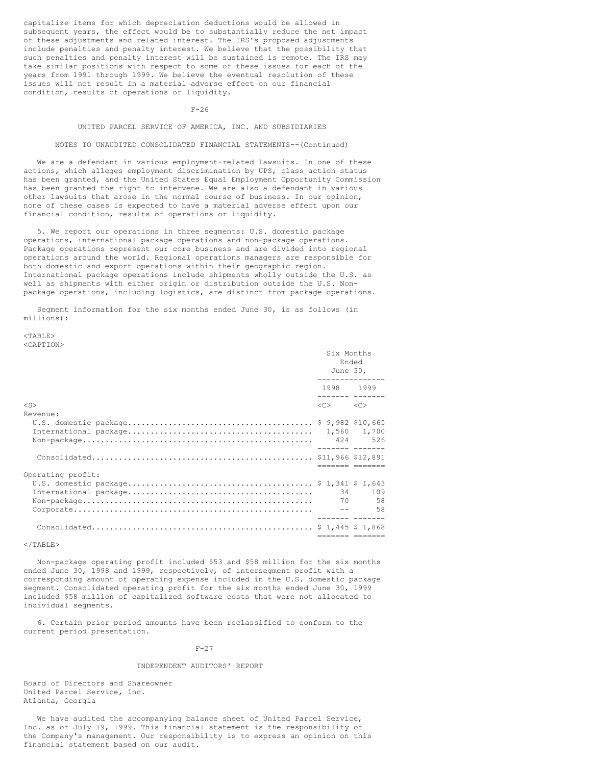capitalize items for which depreciation deductions would be allowed in subsequent years, the effect would be to substantially reduce the net impact of these adjustments and related interest. The IRS's proposed adjustments include penalties and penalty interest. We believe that the possibility that such penalties and penalty interest will be sustained is remote. The IRS may take similar positions with respect to some of these issues for each of the years from 1991 through 1999. We believe the eventual resolution of these issues will not result in a material adverse effect on our financial condition, results of operations or liquidity.

 $F-26$ 

## UNITED PARCEL SERVICE OF AMERICA, INC. AND SUBSIDIARIES

#### NOTES TO UNAUDITED CONSOLIDATED FINANCIAL STATEMENTS--(Continued)

We are a defendant in various employment-related lawsuits. In one of these actions, which alleges employment discrimination by UPS, class action status has been granted, and the United States Equal Employment Opportunity Commission has been granted the right to intervene. We are also a defendant in various other lawsuits that arose in the normal course of business. In our opinion, none of these cases is expected to have a material adverse effect upon our financial condition, results of operations or liquidity.

5. We report our operations in three segments: U.S. domestic package operations, international package operations and non-package operations. Package operations represent our core business and are divided into regional operations around the world. Regional operations managers are responsible for both domestic and export operations within their geographic region. International package operations include shipments wholly outside the U.S. as well as shipments with either origin or distribution outside the U.S. Nonpackage operations, including logistics, are distinct from package operations.

Segment information for the six months ended June 30, is as follows (in millions):

 $<$ TABLE> <CAPTION>

|                       | Six Months<br>Ended<br>June 30,<br>---------------   |                                    |
|-----------------------|------------------------------------------------------|------------------------------------|
|                       | 1998 1999<br>________ ______                         |                                    |
| $<$ S $>$<br>Revenue: | $\langle C \rangle$ . The set of $\langle C \rangle$ | < <sub></sub>                      |
|                       |                                                      |                                    |
|                       |                                                      | -------- -------                   |
| Operating profit:     |                                                      |                                    |
|                       |                                                      | 34 - 34<br>109<br>70 58<br>$--$ 58 |
|                       |                                                      | ________ ____                      |

 $\langle$ /TABLE>

Non-package operating profit included \$53 and \$58 million for the six months ended June 30, 1998 and 1999, respectively, of intersegment profit with a corresponding amount of operating expense included in the U.S. domestic package segment. Consolidated operating profit for the six months ended June 30, 1999 included \$58 million of capitalized software costs that were not allocated to individual segments.

6. Certain prior period amounts have been reclassified to conform to the current period presentation.

 $F-27$ 

### INDEPENDENT AUDITORS' REPORT

Board of Directors and Shareowner United Parcel Service, Inc. Atlanta, Georgia

We have audited the accompanying balance sheet of United Parcel Service, Inc. as of July 19, 1999. This financial statement is the responsibility of the Company's management. Our responsibility is to express an opinion on this financial statement based on our audit.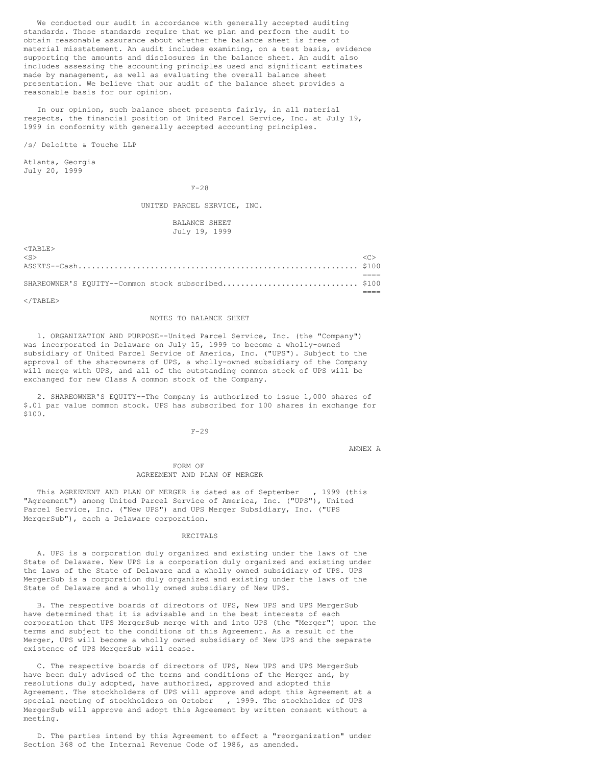We conducted our audit in accordance with generally accepted auditing standards. Those standards require that we plan and perform the audit to obtain reasonable assurance about whether the balance sheet is free of material misstatement. An audit includes examining, on a test basis, evidence supporting the amounts and disclosures in the balance sheet. An audit also includes assessing the accounting principles used and significant estimates made by management, as well as evaluating the overall balance sheet presentation. We believe that our audit of the balance sheet provides a reasonable basis for our opinion.

In our opinion, such balance sheet presents fairly, in all material respects, the financial position of United Parcel Service, Inc. at July 19, 1999 in conformity with generally accepted accounting principles.

/s/ Deloitte & Touche LLP

Atlanta, Georgia July 20, 1999

### F-28

UNITED PARCEL SERVICE, INC.

## BALANCE SHEET July 19, 1999

| $<$ TABLE $>$                                      |  |
|----------------------------------------------------|--|
| $<$ S $>$                                          |  |
|                                                    |  |
|                                                    |  |
| SHAREOWNER'S EQUITY--Common stock subscribed \$100 |  |
|                                                    |  |

 $\langle$ /TABLE>

## NOTES TO BALANCE SHEET

1. ORGANIZATION AND PURPOSE--United Parcel Service, Inc. (the "Company") was incorporated in Delaware on July 15, 1999 to become a wholly-owned subsidiary of United Parcel Service of America, Inc. ("UPS"). Subject to the approval of the shareowners of UPS, a wholly-owned subsidiary of the Company will merge with UPS, and all of the outstanding common stock of UPS will be exchanged for new Class A common stock of the Company.

2. SHAREOWNER'S EQUITY--The Company is authorized to issue 1,000 shares of \$.01 par value common stock. UPS has subscribed for 100 shares in exchange for \$100.

## F-29

ANNEX A

### FORM OF AGREEMENT AND PLAN OF MERGER

This AGREEMENT AND PLAN OF MERGER is dated as of September , 1999 (this "Agreement") among United Parcel Service of America, Inc. ("UPS"), United Parcel Service, Inc. ("New UPS") and UPS Merger Subsidiary, Inc. ("UPS MergerSub"), each a Delaware corporation.

### RECITALS

A. UPS is a corporation duly organized and existing under the laws of the State of Delaware. New UPS is a corporation duly organized and existing under the laws of the State of Delaware and a wholly owned subsidiary of UPS. UPS MergerSub is a corporation duly organized and existing under the laws of the State of Delaware and a wholly owned subsidiary of New UPS.

B. The respective boards of directors of UPS, New UPS and UPS MergerSub have determined that it is advisable and in the best interests of each corporation that UPS MergerSub merge with and into UPS (the "Merger") upon the terms and subject to the conditions of this Agreement. As a result of the Merger, UPS will become a wholly owned subsidiary of New UPS and the separate existence of UPS MergerSub will cease.

C. The respective boards of directors of UPS, New UPS and UPS MergerSub have been duly advised of the terms and conditions of the Merger and, by resolutions duly adopted, have authorized, approved and adopted this Agreement. The stockholders of UPS will approve and adopt this Agreement at a special meeting of stockholders on October , 1999. The stockholder of UPS MergerSub will approve and adopt this Agreement by written consent without a meeting.

D. The parties intend by this Agreement to effect a "reorganization" under Section 368 of the Internal Revenue Code of 1986, as amended.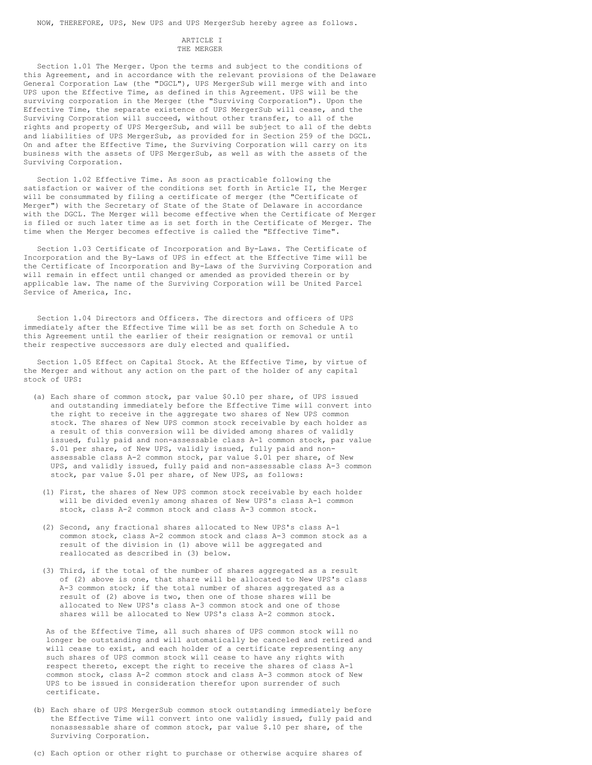NOW, THEREFORE, UPS, New UPS and UPS MergerSub hereby agree as follows.

#### ARTICLE I THE MERGER

Section 1.01 The Merger. Upon the terms and subject to the conditions of this Agreement, and in accordance with the relevant provisions of the Delaware General Corporation Law (the "DGCL"), UPS MergerSub will merge with and into UPS upon the Effective Time, as defined in this Agreement. UPS will be the surviving corporation in the Merger (the "Surviving Corporation"). Upon the Effective Time, the separate existence of UPS MergerSub will cease, and the Surviving Corporation will succeed, without other transfer, to all of the rights and property of UPS MergerSub, and will be subject to all of the debts and liabilities of UPS MergerSub, as provided for in Section 259 of the DGCL. On and after the Effective Time, the Surviving Corporation will carry on its business with the assets of UPS MergerSub, as well as with the assets of the Surviving Corporation.

Section 1.02 Effective Time. As soon as practicable following the satisfaction or waiver of the conditions set forth in Article II, the Merger will be consummated by filing a certificate of merger (the "Certificate of Merger") with the Secretary of State of the State of Delaware in accordance with the DGCL. The Merger will become effective when the Certificate of Merger is filed or such later time as is set forth in the Certificate of Merger. The time when the Merger becomes effective is called the "Effective Time".

Section 1.03 Certificate of Incorporation and By-Laws. The Certificate of Incorporation and the By-Laws of UPS in effect at the Effective Time will be the Certificate of Incorporation and By-Laws of the Surviving Corporation and will remain in effect until changed or amended as provided therein or by applicable law. The name of the Surviving Corporation will be United Parcel Service of America, Inc.

Section 1.04 Directors and Officers. The directors and officers of UPS immediately after the Effective Time will be as set forth on Schedule A to this Agreement until the earlier of their resignation or removal or until their respective successors are duly elected and qualified.

Section 1.05 Effect on Capital Stock. At the Effective Time, by virtue of the Merger and without any action on the part of the holder of any capital stock of UPS:

- (a) Each share of common stock, par value \$0.10 per share, of UPS issued and outstanding immediately before the Effective Time will convert into the right to receive in the aggregate two shares of New UPS common stock. The shares of New UPS common stock receivable by each holder as a result of this conversion will be divided among shares of validly issued, fully paid and non-assessable class A-1 common stock, par value \$.01 per share, of New UPS, validly issued, fully paid and nonassessable class A-2 common stock, par value \$.01 per share, of New UPS, and validly issued, fully paid and non-assessable class A-3 common stock, par value \$.01 per share, of New UPS, as follows:
	- (1) First, the shares of New UPS common stock receivable by each holder will be divided evenly among shares of New UPS's class A-1 common stock, class A-2 common stock and class A-3 common stock.
	- (2) Second, any fractional shares allocated to New UPS's class A-1 common stock, class A-2 common stock and class A-3 common stock as a result of the division in (1) above will be aggregated and reallocated as described in (3) below.
	- (3) Third, if the total of the number of shares aggregated as a result of (2) above is one, that share will be allocated to New UPS's class A-3 common stock; if the total number of shares aggregated as a result of (2) above is two, then one of those shares will be allocated to New UPS's class A-3 common stock and one of those shares will be allocated to New UPS's class A-2 common stock.

As of the Effective Time, all such shares of UPS common stock will no longer be outstanding and will automatically be canceled and retired and will cease to exist, and each holder of a certificate representing any such shares of UPS common stock will cease to have any rights with respect thereto, except the right to receive the shares of class A-1 common stock, class A-2 common stock and class A-3 common stock of New UPS to be issued in consideration therefor upon surrender of such certificate.

- (b) Each share of UPS MergerSub common stock outstanding immediately before the Effective Time will convert into one validly issued, fully paid and nonassessable share of common stock, par value \$.10 per share, of the Surviving Corporation.
- (c) Each option or other right to purchase or otherwise acquire shares of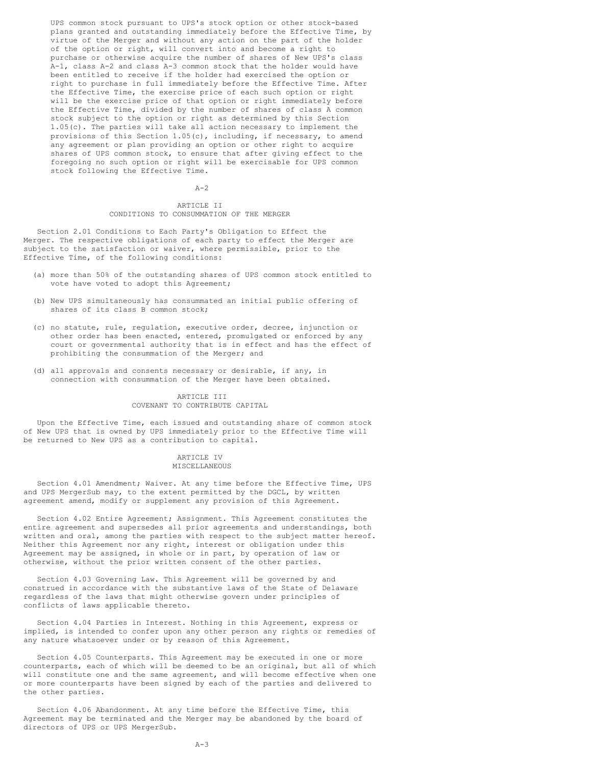UPS common stock pursuant to UPS's stock option or other stock-based plans granted and outstanding immediately before the Effective Time, by virtue of the Merger and without any action on the part of the holder of the option or right, will convert into and become a right to purchase or otherwise acquire the number of shares of New UPS's class A-1, class A-2 and class A-3 common stock that the holder would have been entitled to receive if the holder had exercised the option or right to purchase in full immediately before the Effective Time. After the Effective Time, the exercise price of each such option or right will be the exercise price of that option or right immediately before the Effective Time, divided by the number of shares of class A common stock subject to the option or right as determined by this Section 1.05(c). The parties will take all action necessary to implement the provisions of this Section  $1.05(c)$ , including, if necessary, to amend any agreement or plan providing an option or other right to acquire shares of UPS common stock, to ensure that after giving effect to the foregoing no such option or right will be exercisable for UPS common stock following the Effective Time.

 $A-2$ 

## ARTICLE II CONDITIONS TO CONSUMMATION OF THE MERGER

Section 2.01 Conditions to Each Party's Obligation to Effect the Merger. The respective obligations of each party to effect the Merger are subject to the satisfaction or waiver, where permissible, prior to the Effective Time, of the following conditions:

- (a) more than 50% of the outstanding shares of UPS common stock entitled to vote have voted to adopt this Agreement;
- (b) New UPS simultaneously has consummated an initial public offering of shares of its class B common stock;
- (c) no statute, rule, regulation, executive order, decree, injunction or other order has been enacted, entered, promulgated or enforced by any court or governmental authority that is in effect and has the effect of prohibiting the consummation of the Merger; and
- (d) all approvals and consents necessary or desirable, if any, in connection with consummation of the Merger have been obtained.

## ARTICLE III COVENANT TO CONTRIBUTE CAPITAL

Upon the Effective Time, each issued and outstanding share of common stock of New UPS that is owned by UPS immediately prior to the Effective Time will be returned to New UPS as a contribution to capital.

### ARTICLE IV MISCELLANEOUS

Section 4.01 Amendment; Waiver. At any time before the Effective Time, UPS and UPS MergerSub may, to the extent permitted by the DGCL, by written agreement amend, modify or supplement any provision of this Agreement.

Section 4.02 Entire Agreement; Assignment. This Agreement constitutes the entire agreement and supersedes all prior agreements and understandings, both written and oral, among the parties with respect to the subject matter hereof. Neither this Agreement nor any right, interest or obligation under this Agreement may be assigned, in whole or in part, by operation of law or otherwise, without the prior written consent of the other parties.

Section 4.03 Governing Law. This Agreement will be governed by and construed in accordance with the substantive laws of the State of Delaware regardless of the laws that might otherwise govern under principles of conflicts of laws applicable thereto.

Section 4.04 Parties in Interest. Nothing in this Agreement, express or implied, is intended to confer upon any other person any rights or remedies of any nature whatsoever under or by reason of this Agreement.

Section 4.05 Counterparts. This Agreement may be executed in one or more counterparts, each of which will be deemed to be an original, but all of which will constitute one and the same agreement, and will become effective when one or more counterparts have been signed by each of the parties and delivered to the other parties.

Section 4.06 Abandonment. At any time before the Effective Time, this Agreement may be terminated and the Merger may be abandoned by the board of directors of UPS or UPS MergerSub.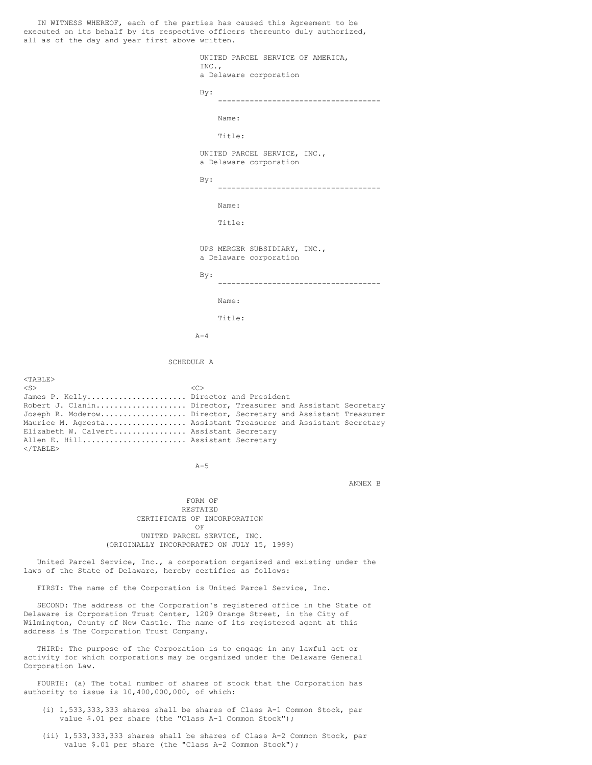IN WITNESS WHEREOF, each of the parties has caused this Agreement to be executed on its behalf by its respective officers thereunto duly authorized, all as of the day and year first above written. UNITED PARCEL SERVICE OF AMERICA, INC., a Delaware corporation By: ------------------------------------ Name: Title: UNITED PARCEL SERVICE, INC., a Delaware corporation By: ------------------------------------ Name: Title: UPS MERGER SUBSIDIARY, INC., a Delaware corporation By: ------------------------------------ Name: Title:  $A-4$ SCHEDULE A <TABLE>  $\langle$ S>  $\langle$ C> James P. Kelly........................... Director and President Robert J. Clanin.................... Director, Treasurer and Assistant Secretary Joseph R. Moderow................... Director, Secretary and Assistant Treasurer Maurice M. Agresta................... Assistant Treasurer and Assistant Secretary Elizabeth W. Calvert................ Assistant Secretary Allen E. Hill........................ Assistant Secretary  $<$ /TABLE>  $A-5$ ANNEX B FORM OF RESTATED CERTIFICATE OF INCORPORATION OF UNITED PARCEL SERVICE, INC. (ORIGINALLY INCORPORATED ON JULY 15, 1999) United Parcel Service, Inc., a corporation organized and existing under the laws of the State of Delaware, hereby certifies as follows: FIRST: The name of the Corporation is United Parcel Service, Inc. SECOND: The address of the Corporation's registered office in the State of Delaware is Corporation Trust Center, 1209 Orange Street, in the City of Wilmington, County of New Castle. The name of its registered agent at this address is The Corporation Trust Company.

THIRD: The purpose of the Corporation is to engage in any lawful act or activity for which corporations may be organized under the Delaware General Corporation Law.

FOURTH: (a) The total number of shares of stock that the Corporation has authority to issue is 10,400,000,000, of which:

- (i) 1,533,333,333 shares shall be shares of Class A-1 Common Stock, par value \$.01 per share (the "Class A-1 Common Stock");
- (ii) 1,533,333,333 shares shall be shares of Class A-2 Common Stock, par value \$.01 per share (the "Class A-2 Common Stock");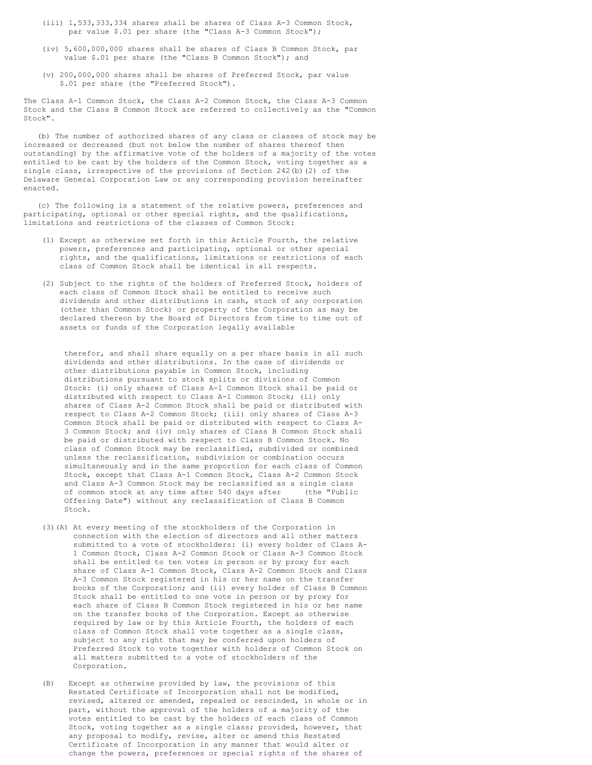- (iii) 1,533,333,334 shares shall be shares of Class A-3 Common Stock, par value \$.01 per share (the "Class A-3 Common Stock");
- (iv) 5,600,000,000 shares shall be shares of Class B Common Stock, par value \$.01 per share (the "Class B Common Stock"); and
- (v) 200,000,000 shares shall be shares of Preferred Stock, par value \$.01 per share (the "Preferred Stock").

The Class A-1 Common Stock, the Class A-2 Common Stock, the Class A-3 Common Stock and the Class B Common Stock are referred to collectively as the "Common Stock".

(b) The number of authorized shares of any class or classes of stock may be increased or decreased (but not below the number of shares thereof then outstanding) by the affirmative vote of the holders of a majority of the votes entitled to be cast by the holders of the Common Stock, voting together as a single class, irrespective of the provisions of Section 242(b)(2) of the Delaware General Corporation Law or any corresponding provision hereinafter enacted.

(c) The following is a statement of the relative powers, preferences and participating, optional or other special rights, and the qualifications, limitations and restrictions of the classes of Common Stock:

- (1) Except as otherwise set forth in this Article Fourth, the relative powers, preferences and participating, optional or other special rights, and the qualifications, limitations or restrictions of each class of Common Stock shall be identical in all respects.
- (2) Subject to the rights of the holders of Preferred Stock, holders of each class of Common Stock shall be entitled to receive such dividends and other distributions in cash, stock of any corporation (other than Common Stock) or property of the Corporation as may be declared thereon by the Board of Directors from time to time out of assets or funds of the Corporation legally available

therefor, and shall share equally on a per share basis in all such dividends and other distributions. In the case of dividends or other distributions payable in Common Stock, including distributions pursuant to stock splits or divisions of Common Stock: (i) only shares of Class A-1 Common Stock shall be paid or distributed with respect to Class A-1 Common Stock; (ii) only shares of Class A-2 Common Stock shall be paid or distributed with respect to Class A-2 Common Stock; (iii) only shares of Class A-3 Common Stock shall be paid or distributed with respect to Class A-3 Common Stock; and (iv) only shares of Class B Common Stock shall be paid or distributed with respect to Class B Common Stock. No class of Common Stock may be reclassified, subdivided or combined unless the reclassification, subdivision or combination occurs simultaneously and in the same proportion for each class of Common Stock, except that Class A-1 Common Stock, Class A-2 Common Stock and Class A-3 Common Stock may be reclassified as a single class of common stock at any time after 540 days after (the "Public Offering Date") without any reclassification of Class B Common Stock.

- (3)(A) At every meeting of the stockholders of the Corporation in connection with the election of directors and all other matters submitted to a vote of stockholders: (i) every holder of Class A-1 Common Stock, Class A-2 Common Stock or Class A-3 Common Stock shall be entitled to ten votes in person or by proxy for each share of Class A-1 Common Stock, Class A-2 Common Stock and Class A-3 Common Stock registered in his or her name on the transfer books of the Corporation; and (ii) every holder of Class B Common Stock shall be entitled to one vote in person or by proxy for each share of Class B Common Stock registered in his or her name on the transfer books of the Corporation. Except as otherwise required by law or by this Article Fourth, the holders of each class of Common Stock shall vote together as a single class, subject to any right that may be conferred upon holders of Preferred Stock to vote together with holders of Common Stock on all matters submitted to a vote of stockholders of the Corporation.
- (B) Except as otherwise provided by law, the provisions of this Restated Certificate of Incorporation shall not be modified, revised, altered or amended, repealed or rescinded, in whole or in part, without the approval of the holders of a majority of the votes entitled to be cast by the holders of each class of Common Stock, voting together as a single class; provided, however, that any proposal to modify, revise, alter or amend this Restated Certificate of Incorporation in any manner that would alter or change the powers, preferences or special rights of the shares of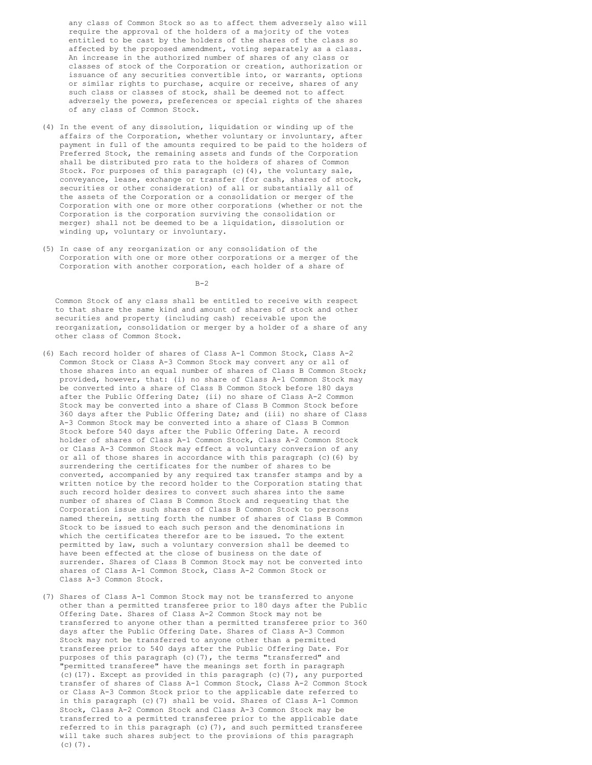any class of Common Stock so as to affect them adversely also will require the approval of the holders of a majority of the votes entitled to be cast by the holders of the shares of the class so affected by the proposed amendment, voting separately as a class. An increase in the authorized number of shares of any class or classes of stock of the Corporation or creation, authorization or issuance of any securities convertible into, or warrants, options or similar rights to purchase, acquire or receive, shares of any such class or classes of stock, shall be deemed not to affect adversely the powers, preferences or special rights of the shares of any class of Common Stock.

- (4) In the event of any dissolution, liquidation or winding up of the affairs of the Corporation, whether voluntary or involuntary, after payment in full of the amounts required to be paid to the holders of Preferred Stock, the remaining assets and funds of the Corporation shall be distributed pro rata to the holders of shares of Common Stock. For purposes of this paragraph (c)(4), the voluntary sale, conveyance, lease, exchange or transfer (for cash, shares of stock, securities or other consideration) of all or substantially all of the assets of the Corporation or a consolidation or merger of the Corporation with one or more other corporations (whether or not the Corporation is the corporation surviving the consolidation or merger) shall not be deemed to be a liquidation, dissolution or winding up, voluntary or involuntary.
- (5) In case of any reorganization or any consolidation of the Corporation with one or more other corporations or a merger of the Corporation with another corporation, each holder of a share of

 $B-2$ 

Common Stock of any class shall be entitled to receive with respect to that share the same kind and amount of shares of stock and other securities and property (including cash) receivable upon the reorganization, consolidation or merger by a holder of a share of any other class of Common Stock.

- (6) Each record holder of shares of Class A-1 Common Stock, Class A-2 Common Stock or Class A-3 Common Stock may convert any or all of those shares into an equal number of shares of Class B Common Stock; provided, however, that: (i) no share of Class A-1 Common Stock may be converted into a share of Class B Common Stock before 180 days after the Public Offering Date; (ii) no share of Class A-2 Common Stock may be converted into a share of Class B Common Stock before 360 days after the Public Offering Date; and (iii) no share of Class A-3 Common Stock may be converted into a share of Class B Common Stock before 540 days after the Public Offering Date. A record holder of shares of Class A-1 Common Stock, Class A-2 Common Stock or Class A-3 Common Stock may effect a voluntary conversion of any or all of those shares in accordance with this paragraph (c)(6) by surrendering the certificates for the number of shares to be converted, accompanied by any required tax transfer stamps and by a written notice by the record holder to the Corporation stating that such record holder desires to convert such shares into the same number of shares of Class B Common Stock and requesting that the Corporation issue such shares of Class B Common Stock to persons named therein, setting forth the number of shares of Class B Common Stock to be issued to each such person and the denominations in which the certificates therefor are to be issued. To the extent permitted by law, such a voluntary conversion shall be deemed to have been effected at the close of business on the date of surrender. Shares of Class B Common Stock may not be converted into shares of Class A-1 Common Stock, Class A-2 Common Stock or Class A-3 Common Stock.
- (7) Shares of Class A-1 Common Stock may not be transferred to anyone other than a permitted transferee prior to 180 days after the Public Offering Date. Shares of Class A-2 Common Stock may not be transferred to anyone other than a permitted transferee prior to 360 days after the Public Offering Date. Shares of Class A-3 Common Stock may not be transferred to anyone other than a permitted transferee prior to 540 days after the Public Offering Date. For purposes of this paragraph (c)(7), the terms "transferred" and "permitted transferee" have the meanings set forth in paragraph (c)(17). Except as provided in this paragraph (c)(7), any purported transfer of shares of Class A-1 Common Stock, Class A-2 Common Stock or Class A-3 Common Stock prior to the applicable date referred to in this paragraph (c)(7) shall be void. Shares of Class A-1 Common Stock, Class A-2 Common Stock and Class A-3 Common Stock may be transferred to a permitted transferee prior to the applicable date referred to in this paragraph (c)(7), and such permitted transferee will take such shares subject to the provisions of this paragraph  $(c)$  $(7)$ .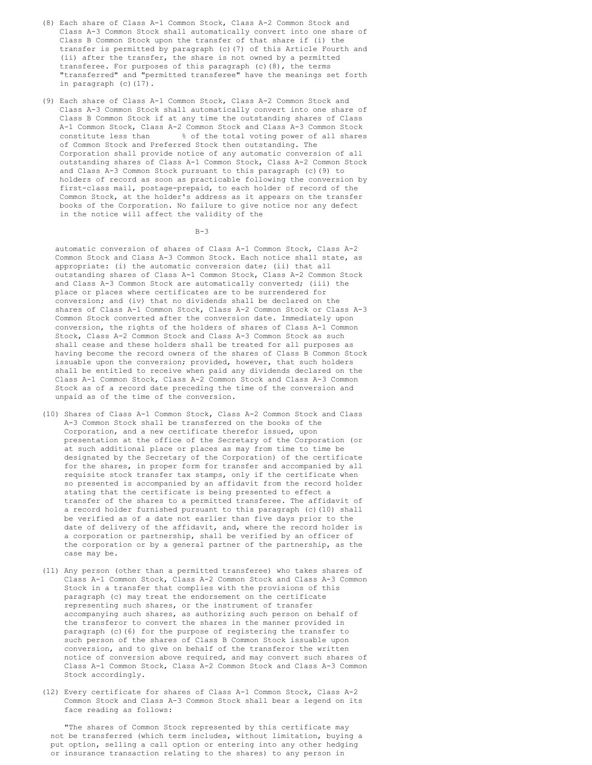- (8) Each share of Class A-1 Common Stock, Class A-2 Common Stock and Class A-3 Common Stock shall automatically convert into one share of Class B Common Stock upon the transfer of that share if (i) the transfer is permitted by paragraph (c)(7) of this Article Fourth and (ii) after the transfer, the share is not owned by a permitted transferee. For purposes of this paragraph (c)(8), the terms "transferred" and "permitted transferee" have the meanings set forth in paragraph (c)(17).
- (9) Each share of Class A-1 Common Stock, Class A-2 Common Stock and Class A-3 Common Stock shall automatically convert into one share of Class B Common Stock if at any time the outstanding shares of Class A-1 Common Stock, Class A-2 Common Stock and Class A-3 Common Stock constitute less than % of the total voting power of all shares of Common Stock and Preferred Stock then outstanding. The Corporation shall provide notice of any automatic conversion of all outstanding shares of Class A-1 Common Stock, Class A-2 Common Stock and Class A-3 Common Stock pursuant to this paragraph (c)(9) to holders of record as soon as practicable following the conversion by first-class mail, postage-prepaid, to each holder of record of the Common Stock, at the holder's address as it appears on the transfer books of the Corporation. No failure to give notice nor any defect in the notice will affect the validity of the

 $B-3$ 

automatic conversion of shares of Class A-1 Common Stock, Class A-2 Common Stock and Class A-3 Common Stock. Each notice shall state, as appropriate: (i) the automatic conversion date; (ii) that all outstanding shares of Class A-1 Common Stock, Class A-2 Common Stock and Class A-3 Common Stock are automatically converted; (iii) the place or places where certificates are to be surrendered for conversion; and (iv) that no dividends shall be declared on the shares of Class A-1 Common Stock, Class A-2 Common Stock or Class A-3 Common Stock converted after the conversion date. Immediately upon conversion, the rights of the holders of shares of Class A-1 Common Stock, Class A-2 Common Stock and Class A-3 Common Stock as such shall cease and these holders shall be treated for all purposes as having become the record owners of the shares of Class B Common Stock issuable upon the conversion; provided, however, that such holders shall be entitled to receive when paid any dividends declared on the Class A-1 Common Stock, Class A-2 Common Stock and Class A-3 Common Stock as of a record date preceding the time of the conversion and unpaid as of the time of the conversion.

- (10) Shares of Class A-1 Common Stock, Class A-2 Common Stock and Class A-3 Common Stock shall be transferred on the books of the Corporation, and a new certificate therefor issued, upon presentation at the office of the Secretary of the Corporation (or at such additional place or places as may from time to time be designated by the Secretary of the Corporation) of the certificate for the shares, in proper form for transfer and accompanied by all requisite stock transfer tax stamps, only if the certificate when so presented is accompanied by an affidavit from the record holder stating that the certificate is being presented to effect a transfer of the shares to a permitted transferee. The affidavit of a record holder furnished pursuant to this paragraph (c)(10) shall be verified as of a date not earlier than five days prior to the date of delivery of the affidavit, and, where the record holder is a corporation or partnership, shall be verified by an officer of the corporation or by a general partner of the partnership, as the case may be.
- (11) Any person (other than a permitted transferee) who takes shares of Class A-1 Common Stock, Class A-2 Common Stock and Class A-3 Common Stock in a transfer that complies with the provisions of this paragraph (c) may treat the endorsement on the certificate representing such shares, or the instrument of transfer accompanying such shares, as authorizing such person on behalf of the transferor to convert the shares in the manner provided in paragraph (c)(6) for the purpose of registering the transfer to such person of the shares of Class B Common Stock issuable upon conversion, and to give on behalf of the transferor the written notice of conversion above required, and may convert such shares of Class A-1 Common Stock, Class A-2 Common Stock and Class A-3 Common Stock accordingly.
- (12) Every certificate for shares of Class A-1 Common Stock, Class A-2 Common Stock and Class A-3 Common Stock shall bear a legend on its face reading as follows:

"The shares of Common Stock represented by this certificate may not be transferred (which term includes, without limitation, buying a put option, selling a call option or entering into any other hedging or insurance transaction relating to the shares) to any person in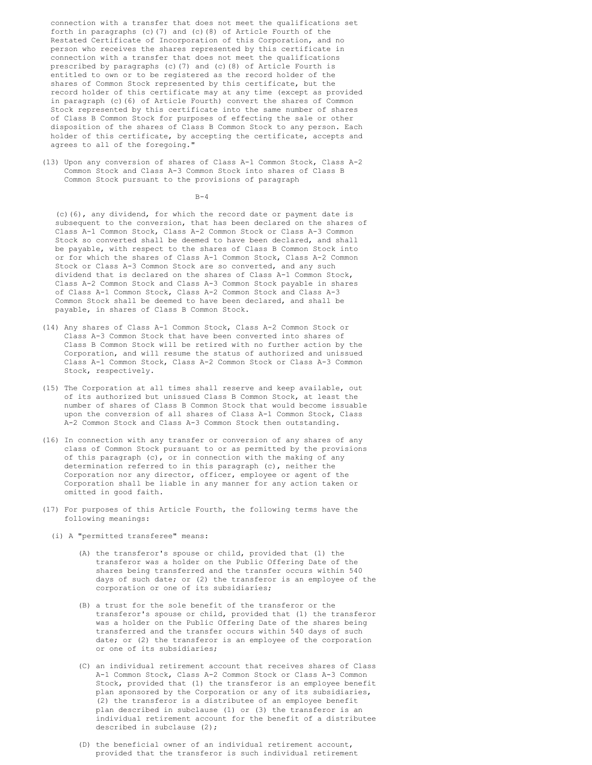connection with a transfer that does not meet the qualifications set forth in paragraphs (c)(7) and (c)(8) of Article Fourth of the Restated Certificate of Incorporation of this Corporation, and no person who receives the shares represented by this certificate in connection with a transfer that does not meet the qualifications prescribed by paragraphs (c)(7) and (c)(8) of Article Fourth is entitled to own or to be registered as the record holder of the shares of Common Stock represented by this certificate, but the record holder of this certificate may at any time (except as provided in paragraph (c)(6) of Article Fourth) convert the shares of Common Stock represented by this certificate into the same number of shares of Class B Common Stock for purposes of effecting the sale or other disposition of the shares of Class B Common Stock to any person. Each holder of this certificate, by accepting the certificate, accepts and agrees to all of the foregoing."

(13) Upon any conversion of shares of Class A-1 Common Stock, Class A-2 Common Stock and Class A-3 Common Stock into shares of Class B Common Stock pursuant to the provisions of paragraph

 $B-4$ 

(c)(6), any dividend, for which the record date or payment date is subsequent to the conversion, that has been declared on the shares of Class A-1 Common Stock, Class A-2 Common Stock or Class A-3 Common Stock so converted shall be deemed to have been declared, and shall be payable, with respect to the shares of Class B Common Stock into or for which the shares of Class A-1 Common Stock, Class A-2 Common Stock or Class A-3 Common Stock are so converted, and any such dividend that is declared on the shares of Class A-1 Common Stock, Class A-2 Common Stock and Class A-3 Common Stock payable in shares of Class A-1 Common Stock, Class A-2 Common Stock and Class A-3 Common Stock shall be deemed to have been declared, and shall be payable, in shares of Class B Common Stock.

- (14) Any shares of Class A-1 Common Stock, Class A-2 Common Stock or Class A-3 Common Stock that have been converted into shares of Class B Common Stock will be retired with no further action by the Corporation, and will resume the status of authorized and unissued Class A-1 Common Stock, Class A-2 Common Stock or Class A-3 Common Stock, respectively.
- (15) The Corporation at all times shall reserve and keep available, out of its authorized but unissued Class B Common Stock, at least the number of shares of Class B Common Stock that would become issuable upon the conversion of all shares of Class A-1 Common Stock, Class A-2 Common Stock and Class A-3 Common Stock then outstanding.
- (16) In connection with any transfer or conversion of any shares of any class of Common Stock pursuant to or as permitted by the provisions of this paragraph (c), or in connection with the making of any determination referred to in this paragraph (c), neither the Corporation nor any director, officer, employee or agent of the Corporation shall be liable in any manner for any action taken or omitted in good faith.
- (17) For purposes of this Article Fourth, the following terms have the following meanings:
	- (i) A "permitted transferee" means:
		- (A) the transferor's spouse or child, provided that (1) the transferor was a holder on the Public Offering Date of the shares being transferred and the transfer occurs within 540 days of such date; or (2) the transferor is an employee of the corporation or one of its subsidiaries;
		- (B) a trust for the sole benefit of the transferor or the transferor's spouse or child, provided that (1) the transferor was a holder on the Public Offering Date of the shares being transferred and the transfer occurs within 540 days of such date; or (2) the transferor is an employee of the corporation or one of its subsidiaries;
		- (C) an individual retirement account that receives shares of Class A-1 Common Stock, Class A-2 Common Stock or Class A-3 Common Stock, provided that (1) the transferor is an employee benefit plan sponsored by the Corporation or any of its subsidiaries, (2) the transferor is a distributee of an employee benefit plan described in subclause (1) or (3) the transferor is an individual retirement account for the benefit of a distributee described in subclause (2);
		- (D) the beneficial owner of an individual retirement account, provided that the transferor is such individual retirement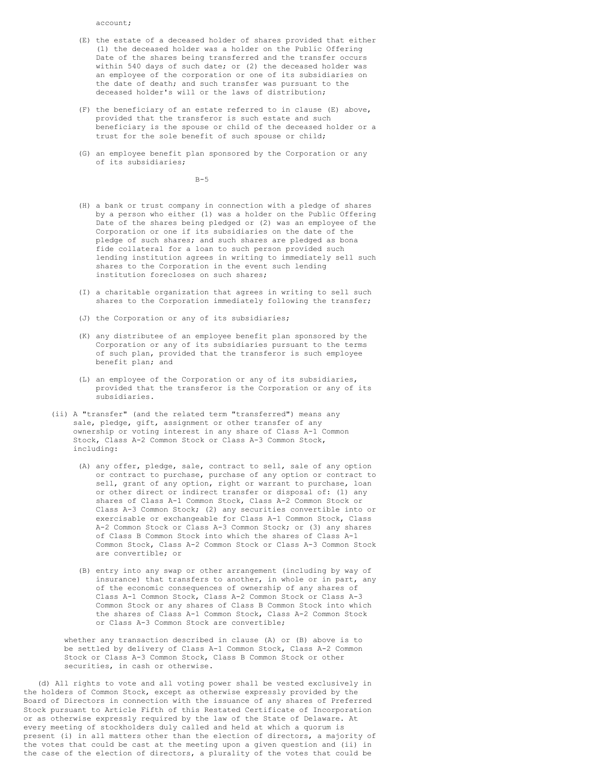account;

- (E) the estate of a deceased holder of shares provided that either (1) the deceased holder was a holder on the Public Offering Date of the shares being transferred and the transfer occurs within 540 days of such date; or (2) the deceased holder was an employee of the corporation or one of its subsidiaries on the date of death; and such transfer was pursuant to the deceased holder's will or the laws of distribution;
- (F) the beneficiary of an estate referred to in clause (E) above, provided that the transferor is such estate and such beneficiary is the spouse or child of the deceased holder or a trust for the sole benefit of such spouse or child;
- (G) an employee benefit plan sponsored by the Corporation or any of its subsidiaries;

 $B-5$ 

- (H) a bank or trust company in connection with a pledge of shares by a person who either (1) was a holder on the Public Offering Date of the shares being pledged or (2) was an employee of the Corporation or one if its subsidiaries on the date of the pledge of such shares; and such shares are pledged as bona fide collateral for a loan to such person provided such lending institution agrees in writing to immediately sell such shares to the Corporation in the event such lending institution forecloses on such shares;
- (I) a charitable organization that agrees in writing to sell such shares to the Corporation immediately following the transfer;
- (J) the Corporation or any of its subsidiaries;
- (K) any distributee of an employee benefit plan sponsored by the Corporation or any of its subsidiaries pursuant to the terms of such plan, provided that the transferor is such employee benefit plan; and
- (L) an employee of the Corporation or any of its subsidiaries, provided that the transferor is the Corporation or any of its subsidiaries.
- (ii) A "transfer" (and the related term "transferred") means any sale, pledge, gift, assignment or other transfer of any ownership or voting interest in any share of Class A-1 Common Stock, Class A-2 Common Stock or Class A-3 Common Stock, including:
	- (A) any offer, pledge, sale, contract to sell, sale of any option or contract to purchase, purchase of any option or contract to sell, grant of any option, right or warrant to purchase, loan or other direct or indirect transfer or disposal of: (1) any shares of Class A-1 Common Stock, Class A-2 Common Stock or Class A-3 Common Stock; (2) any securities convertible into or exercisable or exchangeable for Class A-1 Common Stock, Class A-2 Common Stock or Class A-3 Common Stock; or (3) any shares of Class B Common Stock into which the shares of Class A-1 Common Stock, Class A-2 Common Stock or Class A-3 Common Stock are convertible; or
	- (B) entry into any swap or other arrangement (including by way of insurance) that transfers to another, in whole or in part, any of the economic consequences of ownership of any shares of Class A-1 Common Stock, Class A-2 Common Stock or Class A-3 Common Stock or any shares of Class B Common Stock into which the shares of Class A-1 Common Stock, Class A-2 Common Stock or Class A-3 Common Stock are convertible;

whether any transaction described in clause (A) or (B) above is to be settled by delivery of Class A-1 Common Stock, Class A-2 Common Stock or Class A-3 Common Stock, Class B Common Stock or other securities, in cash or otherwise.

(d) All rights to vote and all voting power shall be vested exclusively in the holders of Common Stock, except as otherwise expressly provided by the Board of Directors in connection with the issuance of any shares of Preferred Stock pursuant to Article Fifth of this Restated Certificate of Incorporation or as otherwise expressly required by the law of the State of Delaware. At every meeting of stockholders duly called and held at which a quorum is present (i) in all matters other than the election of directors, a majority of the votes that could be cast at the meeting upon a given question and (ii) in the case of the election of directors, a plurality of the votes that could be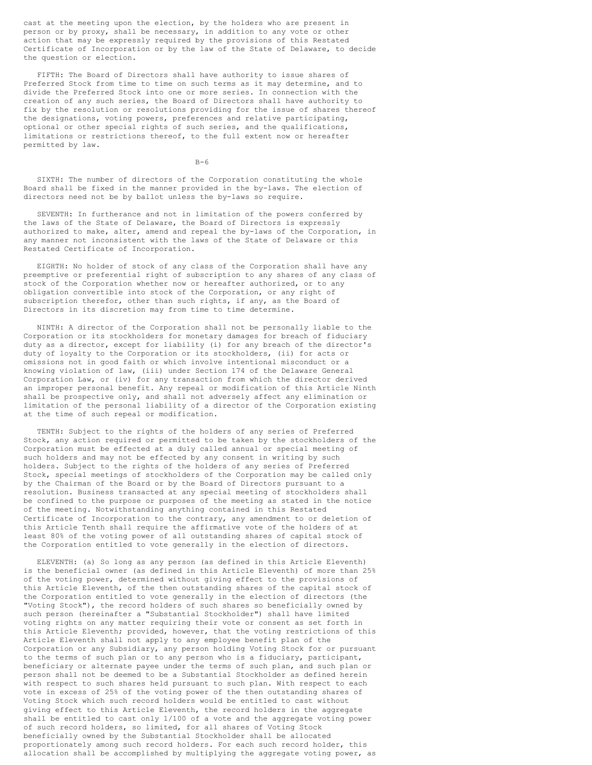cast at the meeting upon the election, by the holders who are present in person or by proxy, shall be necessary, in addition to any vote or other action that may be expressly required by the provisions of this Restated Certificate of Incorporation or by the law of the State of Delaware, to decide the question or election.

FIFTH: The Board of Directors shall have authority to issue shares of Preferred Stock from time to time on such terms as it may determine, and to divide the Preferred Stock into one or more series. In connection with the creation of any such series, the Board of Directors shall have authority to fix by the resolution or resolutions providing for the issue of shares thereof the designations, voting powers, preferences and relative participating, optional or other special rights of such series, and the qualifications, limitations or restrictions thereof, to the full extent now or hereafter permitted by law.

 $B-6$ 

SIXTH: The number of directors of the Corporation constituting the whole Board shall be fixed in the manner provided in the by-laws. The election of directors need not be by ballot unless the by-laws so require.

SEVENTH: In furtherance and not in limitation of the powers conferred by the laws of the State of Delaware, the Board of Directors is expressly authorized to make, alter, amend and repeal the by-laws of the Corporation, in any manner not inconsistent with the laws of the State of Delaware or this Restated Certificate of Incorporation.

EIGHTH: No holder of stock of any class of the Corporation shall have any preemptive or preferential right of subscription to any shares of any class of stock of the Corporation whether now or hereafter authorized, or to any obligation convertible into stock of the Corporation, or any right of subscription therefor, other than such rights, if any, as the Board of Directors in its discretion may from time to time determine.

NINTH: A director of the Corporation shall not be personally liable to the Corporation or its stockholders for monetary damages for breach of fiduciary duty as a director, except for liability (i) for any breach of the director's duty of loyalty to the Corporation or its stockholders, (ii) for acts or omissions not in good faith or which involve intentional misconduct or a knowing violation of law, (iii) under Section 174 of the Delaware General Corporation Law, or (iv) for any transaction from which the director derived an improper personal benefit. Any repeal or modification of this Article Ninth shall be prospective only, and shall not adversely affect any elimination or limitation of the personal liability of a director of the Corporation existing at the time of such repeal or modification.

TENTH: Subject to the rights of the holders of any series of Preferred Stock, any action required or permitted to be taken by the stockholders of the Corporation must be effected at a duly called annual or special meeting of such holders and may not be effected by any consent in writing by such holders. Subject to the rights of the holders of any series of Preferred Stock, special meetings of stockholders of the Corporation may be called only by the Chairman of the Board or by the Board of Directors pursuant to a resolution. Business transacted at any special meeting of stockholders shall be confined to the purpose or purposes of the meeting as stated in the notice of the meeting. Notwithstanding anything contained in this Restated Certificate of Incorporation to the contrary, any amendment to or deletion of this Article Tenth shall require the affirmative vote of the holders of at least 80% of the voting power of all outstanding shares of capital stock of the Corporation entitled to vote generally in the election of directors.

ELEVENTH: (a) So long as any person (as defined in this Article Eleventh) is the beneficial owner (as defined in this Article Eleventh) of more than 25% of the voting power, determined without giving effect to the provisions of this Article Eleventh, of the then outstanding shares of the capital stock of the Corporation entitled to vote generally in the election of directors (the "Voting Stock"), the record holders of such shares so beneficially owned by such person (hereinafter a "Substantial Stockholder") shall have limited voting rights on any matter requiring their vote or consent as set forth in this Article Eleventh; provided, however, that the voting restrictions of this Article Eleventh shall not apply to any employee benefit plan of the Corporation or any Subsidiary, any person holding Voting Stock for or pursuant to the terms of such plan or to any person who is a fiduciary, participant, beneficiary or alternate payee under the terms of such plan, and such plan or person shall not be deemed to be a Substantial Stockholder as defined herein with respect to such shares held pursuant to such plan. With respect to each vote in excess of 25% of the voting power of the then outstanding shares of Voting Stock which such record holders would be entitled to cast without giving effect to this Article Eleventh, the record holders in the aggregate shall be entitled to cast only 1/100 of a vote and the aggregate voting power of such record holders, so limited, for all shares of Voting Stock beneficially owned by the Substantial Stockholder shall be allocated proportionately among such record holders. For each such record holder, this allocation shall be accomplished by multiplying the aggregate voting power, as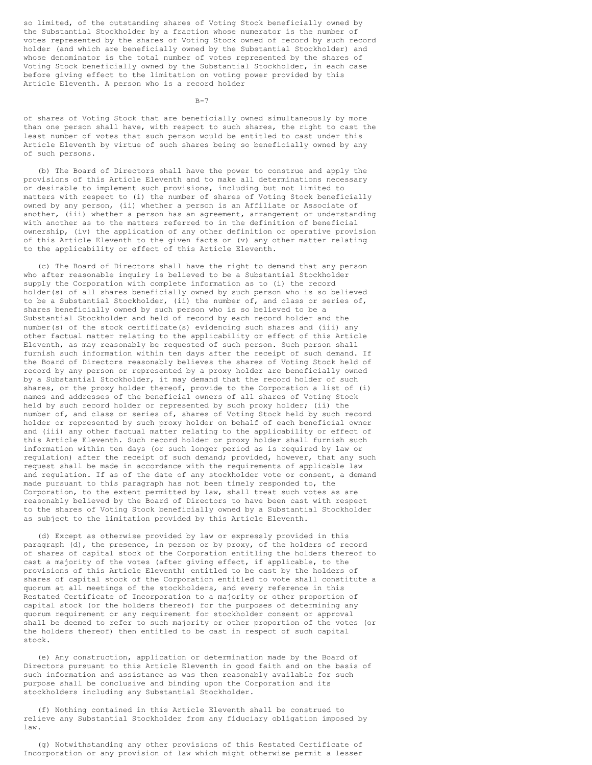so limited, of the outstanding shares of Voting Stock beneficially owned by the Substantial Stockholder by a fraction whose numerator is the number of votes represented by the shares of Voting Stock owned of record by such record holder (and which are beneficially owned by the Substantial Stockholder) and whose denominator is the total number of votes represented by the shares of Voting Stock beneficially owned by the Substantial Stockholder, in each case before giving effect to the limitation on voting power provided by this Article Eleventh. A person who is a record holder

B-7

of shares of Voting Stock that are beneficially owned simultaneously by more than one person shall have, with respect to such shares, the right to cast the least number of votes that such person would be entitled to cast under this Article Eleventh by virtue of such shares being so beneficially owned by any of such persons.

(b) The Board of Directors shall have the power to construe and apply the provisions of this Article Eleventh and to make all determinations necessary or desirable to implement such provisions, including but not limited to matters with respect to (i) the number of shares of Voting Stock beneficially owned by any person, (ii) whether a person is an Affiliate or Associate of another, (iii) whether a person has an agreement, arrangement or understanding with another as to the matters referred to in the definition of beneficial ownership, (iv) the application of any other definition or operative provision of this Article Eleventh to the given facts or (v) any other matter relating to the applicability or effect of this Article Eleventh.

(c) The Board of Directors shall have the right to demand that any person who after reasonable inquiry is believed to be a Substantial Stockholder supply the Corporation with complete information as to (i) the record holder(s) of all shares beneficially owned by such person who is so believed to be a Substantial Stockholder, (ii) the number of, and class or series of, shares beneficially owned by such person who is so believed to be a Substantial Stockholder and held of record by each record holder and the number(s) of the stock certificate(s) evidencing such shares and (iii) any other factual matter relating to the applicability or effect of this Article Eleventh, as may reasonably be requested of such person. Such person shall furnish such information within ten days after the receipt of such demand. If the Board of Directors reasonably believes the shares of Voting Stock held of record by any person or represented by a proxy holder are beneficially owned by a Substantial Stockholder, it may demand that the record holder of such shares, or the proxy holder thereof, provide to the Corporation a list of (i) names and addresses of the beneficial owners of all shares of Voting Stock held by such record holder or represented by such proxy holder; (ii) the number of, and class or series of, shares of Voting Stock held by such record holder or represented by such proxy holder on behalf of each beneficial owner and (iii) any other factual matter relating to the applicability or effect of this Article Eleventh. Such record holder or proxy holder shall furnish such information within ten days (or such longer period as is required by law or regulation) after the receipt of such demand; provided, however, that any such request shall be made in accordance with the requirements of applicable law and regulation. If as of the date of any stockholder vote or consent, a demand made pursuant to this paragraph has not been timely responded to, the Corporation, to the extent permitted by law, shall treat such votes as are reasonably believed by the Board of Directors to have been cast with respect to the shares of Voting Stock beneficially owned by a Substantial Stockholder as subject to the limitation provided by this Article Eleventh.

(d) Except as otherwise provided by law or expressly provided in this paragraph (d), the presence, in person or by proxy, of the holders of record of shares of capital stock of the Corporation entitling the holders thereof to cast a majority of the votes (after giving effect, if applicable, to the provisions of this Article Eleventh) entitled to be cast by the holders of shares of capital stock of the Corporation entitled to vote shall constitute a quorum at all meetings of the stockholders, and every reference in this Restated Certificate of Incorporation to a majority or other proportion of capital stock (or the holders thereof) for the purposes of determining any quorum requirement or any requirement for stockholder consent or approval shall be deemed to refer to such majority or other proportion of the votes (or the holders thereof) then entitled to be cast in respect of such capital stock.

(e) Any construction, application or determination made by the Board of Directors pursuant to this Article Eleventh in good faith and on the basis of such information and assistance as was then reasonably available for such purpose shall be conclusive and binding upon the Corporation and its stockholders including any Substantial Stockholder.

(f) Nothing contained in this Article Eleventh shall be construed to relieve any Substantial Stockholder from any fiduciary obligation imposed by law.

(g) Notwithstanding any other provisions of this Restated Certificate of Incorporation or any provision of law which might otherwise permit a lesser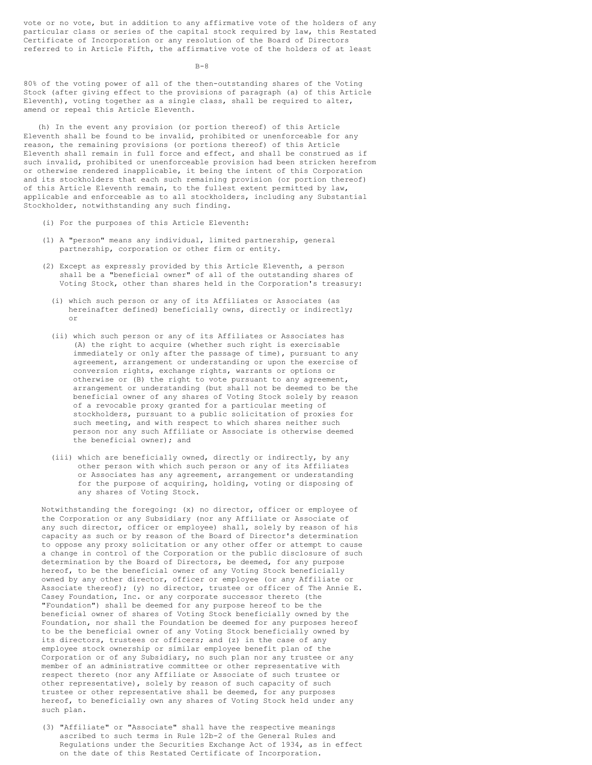vote or no vote, but in addition to any affirmative vote of the holders of any particular class or series of the capital stock required by law, this Restated Certificate of Incorporation or any resolution of the Board of Directors referred to in Article Fifth, the affirmative vote of the holders of at least

 $B - 8$ 

80% of the voting power of all of the then-outstanding shares of the Voting Stock (after giving effect to the provisions of paragraph (a) of this Article Eleventh), voting together as a single class, shall be required to alter, amend or repeal this Article Eleventh.

(h) In the event any provision (or portion thereof) of this Article Eleventh shall be found to be invalid, prohibited or unenforceable for any reason, the remaining provisions (or portions thereof) of this Article Eleventh shall remain in full force and effect, and shall be construed as if such invalid, prohibited or unenforceable provision had been stricken herefrom or otherwise rendered inapplicable, it being the intent of this Corporation and its stockholders that each such remaining provision (or portion thereof) of this Article Eleventh remain, to the fullest extent permitted by law, applicable and enforceable as to all stockholders, including any Substantial Stockholder, notwithstanding any such finding.

- (i) For the purposes of this Article Eleventh:
- (1) A "person" means any individual, limited partnership, general partnership, corporation or other firm or entity.
- (2) Except as expressly provided by this Article Eleventh, a person shall be a "beneficial owner" of all of the outstanding shares of Voting Stock, other than shares held in the Corporation's treasury:
	- (i) which such person or any of its Affiliates or Associates (as hereinafter defined) beneficially owns, directly or indirectly; or
	- (ii) which such person or any of its Affiliates or Associates has (A) the right to acquire (whether such right is exercisable immediately or only after the passage of time), pursuant to any agreement, arrangement or understanding or upon the exercise of conversion rights, exchange rights, warrants or options or otherwise or (B) the right to vote pursuant to any agreement, arrangement or understanding (but shall not be deemed to be the beneficial owner of any shares of Voting Stock solely by reason of a revocable proxy granted for a particular meeting of stockholders, pursuant to a public solicitation of proxies for such meeting, and with respect to which shares neither such person nor any such Affiliate or Associate is otherwise deemed the beneficial owner); and
	- (iii) which are beneficially owned, directly or indirectly, by any other person with which such person or any of its Affiliates or Associates has any agreement, arrangement or understanding for the purpose of acquiring, holding, voting or disposing of any shares of Voting Stock.

Notwithstanding the foregoing: (x) no director, officer or employee of the Corporation or any Subsidiary (nor any Affiliate or Associate of any such director, officer or employee) shall, solely by reason of his capacity as such or by reason of the Board of Director's determination to oppose any proxy solicitation or any other offer or attempt to cause a change in control of the Corporation or the public disclosure of such determination by the Board of Directors, be deemed, for any purpose hereof, to be the beneficial owner of any Voting Stock beneficially owned by any other director, officer or employee (or any Affiliate or Associate thereof); (y) no director, trustee or officer of The Annie E. Casey Foundation, Inc. or any corporate successor thereto (the "Foundation") shall be deemed for any purpose hereof to be the beneficial owner of shares of Voting Stock beneficially owned by the Foundation, nor shall the Foundation be deemed for any purposes hereof to be the beneficial owner of any Voting Stock beneficially owned by its directors, trustees or officers; and (z) in the case of any employee stock ownership or similar employee benefit plan of the Corporation or of any Subsidiary, no such plan nor any trustee or any member of an administrative committee or other representative with respect thereto (nor any Affiliate or Associate of such trustee or other representative), solely by reason of such capacity of such trustee or other representative shall be deemed, for any purposes hereof, to beneficially own any shares of Voting Stock held under any such plan.

(3) "Affiliate" or "Associate" shall have the respective meanings ascribed to such terms in Rule 12b-2 of the General Rules and Regulations under the Securities Exchange Act of 1934, as in effect on the date of this Restated Certificate of Incorporation.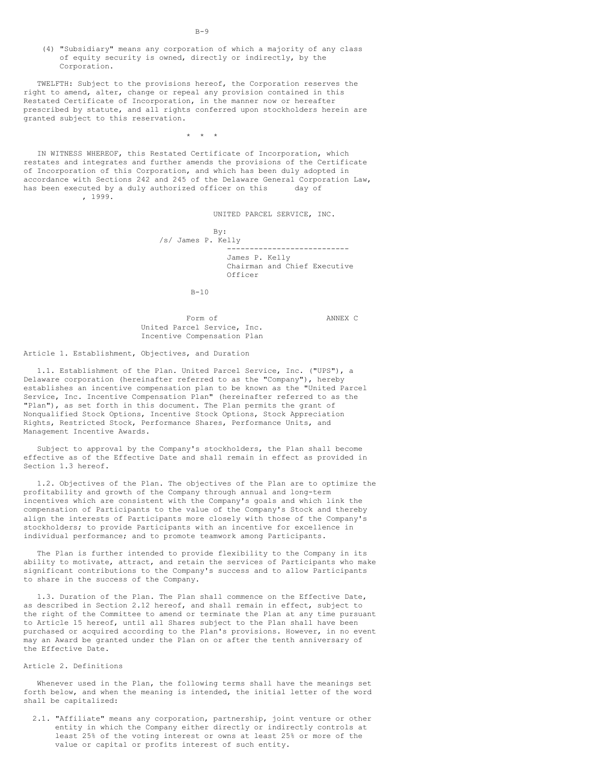(4) "Subsidiary" means any corporation of which a majority of any class of equity security is owned, directly or indirectly, by the Corporation.

TWELFTH: Subject to the provisions hereof, the Corporation reserves the right to amend, alter, change or repeal any provision contained in this Restated Certificate of Incorporation, in the manner now or hereafter prescribed by statute, and all rights conferred upon stockholders herein are granted subject to this reservation.

 $\star$   $\star$   $\star$ 

IN WITNESS WHEREOF, this Restated Certificate of Incorporation, which restates and integrates and further amends the provisions of the Certificate of Incorporation of this Corporation, and which has been duly adopted in accordance with Sections 242 and 245 of the Delaware General Corporation Law, has been executed by a duly authorized officer on this day of , 1999.

UNITED PARCEL SERVICE, INC.

By: /s/ James P. Kelly --------------------------- James P. Kelly Chairman and Chief Executive Officer

 $B-10$ 

Form of **ANNEX C** United Parcel Service, Inc. Incentive Compensation Plan

Article 1. Establishment, Objectives, and Duration

1.1. Establishment of the Plan. United Parcel Service, Inc. ("UPS"), a Delaware corporation (hereinafter referred to as the "Company"), hereby establishes an incentive compensation plan to be known as the "United Parcel Service, Inc. Incentive Compensation Plan" (hereinafter referred to as the "Plan"), as set forth in this document. The Plan permits the grant of Nonqualified Stock Options, Incentive Stock Options, Stock Appreciation Rights, Restricted Stock, Performance Shares, Performance Units, and Management Incentive Awards.

Subject to approval by the Company's stockholders, the Plan shall become effective as of the Effective Date and shall remain in effect as provided in Section 1.3 hereof.

1.2. Objectives of the Plan. The objectives of the Plan are to optimize the profitability and growth of the Company through annual and long-term incentives which are consistent with the Company's goals and which link the compensation of Participants to the value of the Company's Stock and thereby align the interests of Participants more closely with those of the Company's stockholders; to provide Participants with an incentive for excellence in individual performance; and to promote teamwork among Participants.

The Plan is further intended to provide flexibility to the Company in its ability to motivate, attract, and retain the services of Participants who make significant contributions to the Company's success and to allow Participants to share in the success of the Company.

1.3. Duration of the Plan. The Plan shall commence on the Effective Date, as described in Section 2.12 hereof, and shall remain in effect, subject to the right of the Committee to amend or terminate the Plan at any time pursuant to Article 15 hereof, until all Shares subject to the Plan shall have been purchased or acquired according to the Plan's provisions. However, in no event may an Award be granted under the Plan on or after the tenth anniversary of the Effective Date.

## Article 2. Definitions

Whenever used in the Plan, the following terms shall have the meanings set forth below, and when the meaning is intended, the initial letter of the word shall be capitalized:

2.1. "Affiliate" means any corporation, partnership, joint venture or other entity in which the Company either directly or indirectly controls at least 25% of the voting interest or owns at least 25% or more of the value or capital or profits interest of such entity.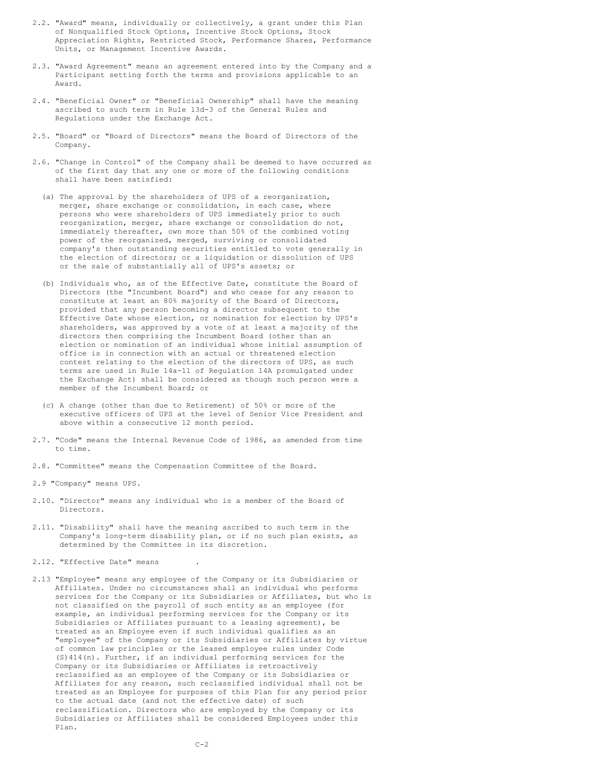- 2.2. "Award" means, individually or collectively, a grant under this Plan of Nonqualified Stock Options, Incentive Stock Options, Stock Appreciation Rights, Restricted Stock, Performance Shares, Performance Units, or Management Incentive Awards.
- 2.3. "Award Agreement" means an agreement entered into by the Company and a Participant setting forth the terms and provisions applicable to an Award.
- 2.4. "Beneficial Owner" or "Beneficial Ownership" shall have the meaning ascribed to such term in Rule 13d-3 of the General Rules and Regulations under the Exchange Act.
- 2.5. "Board" or "Board of Directors" means the Board of Directors of the Company.
- 2.6. "Change in Control" of the Company shall be deemed to have occurred as of the first day that any one or more of the following conditions shall have been satisfied:
	- (a) The approval by the shareholders of UPS of a reorganization, merger, share exchange or consolidation, in each case, where persons who were shareholders of UPS immediately prior to such reorganization, merger, share exchange or consolidation do not, immediately thereafter, own more than 50% of the combined voting power of the reorganized, merged, surviving or consolidated company's then outstanding securities entitled to vote generally in the election of directors; or a liquidation or dissolution of UPS or the sale of substantially all of UPS's assets; or
	- (b) Individuals who, as of the Effective Date, constitute the Board of Directors (the "Incumbent Board") and who cease for any reason to constitute at least an 80% majority of the Board of Directors, provided that any person becoming a director subsequent to the Effective Date whose election, or nomination for election by UPS's shareholders, was approved by a vote of at least a majority of the directors then comprising the Incumbent Board (other than an election or nomination of an individual whose initial assumption of office is in connection with an actual or threatened election contest relating to the election of the directors of UPS, as such terms are used in Rule 14a-11 of Regulation 14A promulgated under the Exchange Act) shall be considered as though such person were a member of the Incumbent Board; or
	- (c) A change (other than due to Retirement) of 50% or more of the executive officers of UPS at the level of Senior Vice President and above within a consecutive 12 month period.
- 2.7. "Code" means the Internal Revenue Code of 1986, as amended from time to time.
- 2.8. "Committee" means the Compensation Committee of the Board.
- 2.9 "Company" means UPS.
- 2.10. "Director" means any individual who is a member of the Board of Directors.
- 2.11. "Disability" shall have the meaning ascribed to such term in the Company's long-term disability plan, or if no such plan exists, as determined by the Committee in its discretion.
- 2.12. "Effective Date" means
- 2.13 "Employee" means any employee of the Company or its Subsidiaries or Affiliates. Under no circumstances shall an individual who performs services for the Company or its Subsidiaries or Affiliates, but who is not classified on the payroll of such entity as an employee (for example, an individual performing services for the Company or its Subsidiaries or Affiliates pursuant to a leasing agreement), be treated as an Employee even if such individual qualifies as an "employee" of the Company or its Subsidiaries or Affiliates by virtue of common law principles or the leased employee rules under Code (S)414(n). Further, if an individual performing services for the Company or its Subsidiaries or Affiliates is retroactively reclassified as an employee of the Company or its Subsidiaries or Affiliates for any reason, such reclassified individual shall not be treated as an Employee for purposes of this Plan for any period prior to the actual date (and not the effective date) of such reclassification. Directors who are employed by the Company or its Subsidiaries or Affiliates shall be considered Employees under this Plan.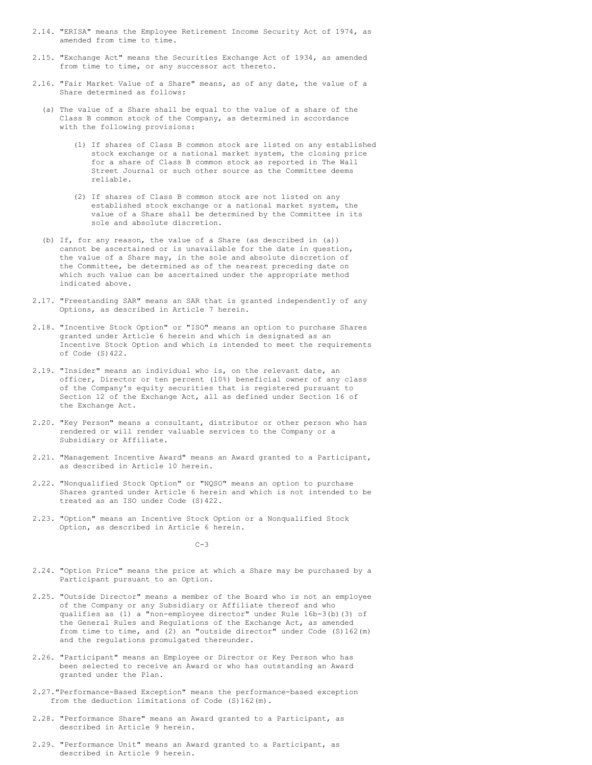- 2.14. "ERISA" means the Employee Retirement Income Security Act of 1974, as amended from time to time.
- 2.15. "Exchange Act" means the Securities Exchange Act of 1934, as amended from time to time, or any successor act thereto.
- 2.16. "Fair Market Value of a Share" means, as of any date, the value of a Share determined as follows:
	- (a) The value of a Share shall be equal to the value of a share of the Class B common stock of the Company, as determined in accordance with the following provisions:
		- (1) If shares of Class B common stock are listed on any established stock exchange or a national market system, the closing price for a share of Class B common stock as reported in The Wall Street Journal or such other source as the Committee deems reliable.
		- (2) If shares of Class B common stock are not listed on any established stock exchange or a national market system, the value of a Share shall be determined by the Committee in its sole and absolute discretion.
	- (b) If, for any reason, the value of a Share (as described in (a)) cannot be ascertained or is unavailable for the date in question, the value of a Share may, in the sole and absolute discretion of the Committee, be determined as of the nearest preceding date on which such value can be ascertained under the appropriate method indicated above.
- 2.17. "Freestanding SAR" means an SAR that is granted independently of any Options, as described in Article 7 herein.
- 2.18. "Incentive Stock Option" or "ISO" means an option to purchase Shares granted under Article 6 herein and which is designated as an Incentive Stock Option and which is intended to meet the requirements of Code (S)422.
- 2.19. "Insider" means an individual who is, on the relevant date, an officer, Director or ten percent (10%) beneficial owner of any class of the Company's equity securities that is registered pursuant to Section 12 of the Exchange Act, all as defined under Section 16 of the Exchange Act.
- 2.20. "Key Person" means a consultant, distributor or other person who has rendered or will render valuable services to the Company or a Subsidiary or Affiliate.
- 2.21. "Management Incentive Award" means an Award granted to a Participant, as described in Article 10 herein.
- 2.22. "Nonqualified Stock Option" or "NQSO" means an option to purchase Shares granted under Article 6 herein and which is not intended to be treated as an ISO under Code (S)422.
- 2.23. "Option" means an Incentive Stock Option or a Nonqualified Stock Option, as described in Article 6 herein.

 $C-3$ 

- 2.24. "Option Price" means the price at which a Share may be purchased by a Participant pursuant to an Option.
- 2.25. "Outside Director" means a member of the Board who is not an employee of the Company or any Subsidiary or Affiliate thereof and who qualifies as (1) a "non-employee director" under Rule 16b-3(b)(3) of the General Rules and Regulations of the Exchange Act, as amended from time to time, and (2) an "outside director" under Code (S)162(m) and the regulations promulgated thereunder.
- 2.26. "Participant" means an Employee or Director or Key Person who has been selected to receive an Award or who has outstanding an Award granted under the Plan.
- 2.27."Performance-Based Exception" means the performance-based exception from the deduction limitations of Code (S)162(m).
- 2.28. "Performance Share" means an Award granted to a Participant, as described in Article 9 herein.
- 2.29. "Performance Unit" means an Award granted to a Participant, as described in Article 9 herein.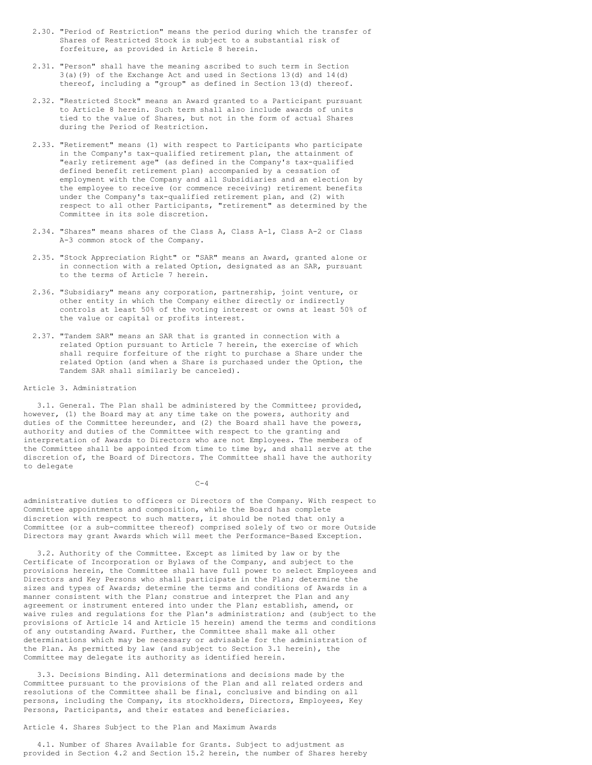- 2.30. "Period of Restriction" means the period during which the transfer of Shares of Restricted Stock is subject to a substantial risk of forfeiture, as provided in Article 8 herein.
- 2.31. "Person" shall have the meaning ascribed to such term in Section 3(a)(9) of the Exchange Act and used in Sections 13(d) and 14(d) thereof, including a "group" as defined in Section 13(d) thereof.
- 2.32. "Restricted Stock" means an Award granted to a Participant pursuant to Article 8 herein. Such term shall also include awards of units tied to the value of Shares, but not in the form of actual Shares during the Period of Restriction.
- 2.33. "Retirement" means (1) with respect to Participants who participate in the Company's tax-qualified retirement plan, the attainment of "early retirement age" (as defined in the Company's tax-qualified defined benefit retirement plan) accompanied by a cessation of employment with the Company and all Subsidiaries and an election by the employee to receive (or commence receiving) retirement benefits under the Company's tax-qualified retirement plan, and (2) with respect to all other Participants, "retirement" as determined by the Committee in its sole discretion.
- 2.34. "Shares" means shares of the Class A, Class A-1, Class A-2 or Class A-3 common stock of the Company.
- 2.35. "Stock Appreciation Right" or "SAR" means an Award, granted alone or in connection with a related Option, designated as an SAR, pursuant to the terms of Article 7 herein.
- 2.36. "Subsidiary" means any corporation, partnership, joint venture, or other entity in which the Company either directly or indirectly controls at least 50% of the voting interest or owns at least 50% of the value or capital or profits interest.
- 2.37. "Tandem SAR" means an SAR that is granted in connection with a related Option pursuant to Article 7 herein, the exercise of which shall require forfeiture of the right to purchase a Share under the related Option (and when a Share is purchased under the Option, the Tandem SAR shall similarly be canceled).

## Article 3. Administration

3.1. General. The Plan shall be administered by the Committee; provided, however, (1) the Board may at any time take on the powers, authority and duties of the Committee hereunder, and (2) the Board shall have the powers, authority and duties of the Committee with respect to the granting and interpretation of Awards to Directors who are not Employees. The members of the Committee shall be appointed from time to time by, and shall serve at the discretion of, the Board of Directors. The Committee shall have the authority to delegate

 $C-4$ 

administrative duties to officers or Directors of the Company. With respect to Committee appointments and composition, while the Board has complete discretion with respect to such matters, it should be noted that only a Committee (or a sub-committee thereof) comprised solely of two or more Outside Directors may grant Awards which will meet the Performance-Based Exception.

3.2. Authority of the Committee. Except as limited by law or by the Certificate of Incorporation or Bylaws of the Company, and subject to the provisions herein, the Committee shall have full power to select Employees and Directors and Key Persons who shall participate in the Plan; determine the sizes and types of Awards; determine the terms and conditions of Awards in a manner consistent with the Plan; construe and interpret the Plan and any agreement or instrument entered into under the Plan; establish, amend, or waive rules and regulations for the Plan's administration; and (subject to the provisions of Article 14 and Article 15 herein) amend the terms and conditions of any outstanding Award. Further, the Committee shall make all other determinations which may be necessary or advisable for the administration of the Plan. As permitted by law (and subject to Section 3.1 herein), the Committee may delegate its authority as identified herein.

3.3. Decisions Binding. All determinations and decisions made by the Committee pursuant to the provisions of the Plan and all related orders and resolutions of the Committee shall be final, conclusive and binding on all persons, including the Company, its stockholders, Directors, Employees, Key Persons, Participants, and their estates and beneficiaries.

# Article 4. Shares Subject to the Plan and Maximum Awards

4.1. Number of Shares Available for Grants. Subject to adjustment as provided in Section 4.2 and Section 15.2 herein, the number of Shares hereby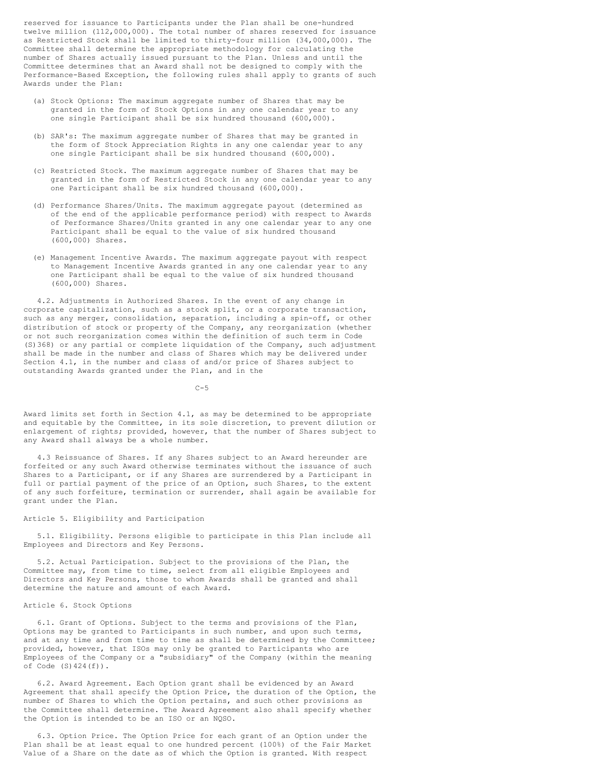reserved for issuance to Participants under the Plan shall be one-hundred twelve million (112,000,000). The total number of shares reserved for issuance as Restricted Stock shall be limited to thirty-four million (34,000,000). The Committee shall determine the appropriate methodology for calculating the number of Shares actually issued pursuant to the Plan. Unless and until the Committee determines that an Award shall not be designed to comply with the Performance-Based Exception, the following rules shall apply to grants of such Awards under the Plan:

- (a) Stock Options: The maximum aggregate number of Shares that may be granted in the form of Stock Options in any one calendar year to any one single Participant shall be six hundred thousand (600,000).
- (b) SAR's: The maximum aggregate number of Shares that may be granted in the form of Stock Appreciation Rights in any one calendar year to any one single Participant shall be six hundred thousand (600,000).
- (c) Restricted Stock. The maximum aggregate number of Shares that may be granted in the form of Restricted Stock in any one calendar year to any one Participant shall be six hundred thousand (600,000).
- (d) Performance Shares/Units. The maximum aggregate payout (determined as of the end of the applicable performance period) with respect to Awards of Performance Shares/Units granted in any one calendar year to any one Participant shall be equal to the value of six hundred thousand (600,000) Shares.
- (e) Management Incentive Awards. The maximum aggregate payout with respect to Management Incentive Awards granted in any one calendar year to any one Participant shall be equal to the value of six hundred thousand (600,000) Shares.

4.2. Adjustments in Authorized Shares. In the event of any change in corporate capitalization, such as a stock split, or a corporate transaction, such as any merger, consolidation, separation, including a spin-off, or other distribution of stock or property of the Company, any reorganization (whether or not such reorganization comes within the definition of such term in Code (S)368) or any partial or complete liquidation of the Company, such adjustment shall be made in the number and class of Shares which may be delivered under Section 4.1, in the number and class of and/or price of Shares subject to outstanding Awards granted under the Plan, and in the

 $C-5$ 

Award limits set forth in Section 4.1, as may be determined to be appropriate and equitable by the Committee, in its sole discretion, to prevent dilution or enlargement of rights; provided, however, that the number of Shares subject to any Award shall always be a whole number.

4.3 Reissuance of Shares. If any Shares subject to an Award hereunder are forfeited or any such Award otherwise terminates without the issuance of such Shares to a Participant, or if any Shares are surrendered by a Participant in full or partial payment of the price of an Option, such Shares, to the extent of any such forfeiture, termination or surrender, shall again be available for grant under the Plan.

#### Article 5. Eligibility and Participation

5.1. Eligibility. Persons eligible to participate in this Plan include all Employees and Directors and Key Persons.

5.2. Actual Participation. Subject to the provisions of the Plan, the Committee may, from time to time, select from all eligible Employees and Directors and Key Persons, those to whom Awards shall be granted and shall determine the nature and amount of each Award.

### Article 6. Stock Options

6.1. Grant of Options. Subject to the terms and provisions of the Plan, Options may be granted to Participants in such number, and upon such terms, and at any time and from time to time as shall be determined by the Committee; provided, however, that ISOs may only be granted to Participants who are Employees of the Company or a "subsidiary" of the Company (within the meaning of Code  $(S)$  424 $(f)$ ).

6.2. Award Agreement. Each Option grant shall be evidenced by an Award Agreement that shall specify the Option Price, the duration of the Option, the number of Shares to which the Option pertains, and such other provisions as the Committee shall determine. The Award Agreement also shall specify whether the Option is intended to be an ISO or an NQSO.

6.3. Option Price. The Option Price for each grant of an Option under the Plan shall be at least equal to one hundred percent (100%) of the Fair Market Value of a Share on the date as of which the Option is granted. With respect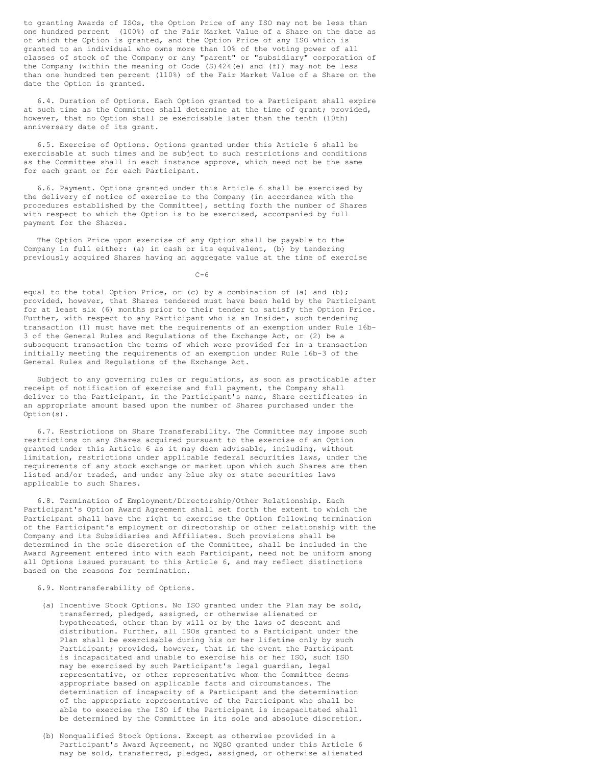to granting Awards of ISOs, the Option Price of any ISO may not be less than one hundred percent (100%) of the Fair Market Value of a Share on the date as of which the Option is granted, and the Option Price of any ISO which is granted to an individual who owns more than 10% of the voting power of all classes of stock of the Company or any "parent" or "subsidiary" corporation of the Company (within the meaning of Code  $(S)$  424(e) and  $(f)$ ) may not be less than one hundred ten percent (110%) of the Fair Market Value of a Share on the date the Option is granted.

6.4. Duration of Options. Each Option granted to a Participant shall expire at such time as the Committee shall determine at the time of grant; provided, however, that no Option shall be exercisable later than the tenth (10th) anniversary date of its grant.

6.5. Exercise of Options. Options granted under this Article 6 shall be exercisable at such times and be subject to such restrictions and conditions as the Committee shall in each instance approve, which need not be the same for each grant or for each Participant.

6.6. Payment. Options granted under this Article 6 shall be exercised by the delivery of notice of exercise to the Company (in accordance with the procedures established by the Committee), setting forth the number of Shares with respect to which the Option is to be exercised, accompanied by full payment for the Shares.

The Option Price upon exercise of any Option shall be payable to the Company in full either: (a) in cash or its equivalent, (b) by tendering previously acquired Shares having an aggregate value at the time of exercise

C-6

equal to the total Option Price, or (c) by a combination of (a) and (b); provided, however, that Shares tendered must have been held by the Participant for at least six (6) months prior to their tender to satisfy the Option Price. Further, with respect to any Participant who is an Insider, such tendering transaction (1) must have met the requirements of an exemption under Rule 16b-3 of the General Rules and Regulations of the Exchange Act, or (2) be a subsequent transaction the terms of which were provided for in a transaction initially meeting the requirements of an exemption under Rule 16b-3 of the General Rules and Regulations of the Exchange Act.

Subject to any governing rules or regulations, as soon as practicable after receipt of notification of exercise and full payment, the Company shall deliver to the Participant, in the Participant's name, Share certificates in an appropriate amount based upon the number of Shares purchased under the Option(s).

6.7. Restrictions on Share Transferability. The Committee may impose such restrictions on any Shares acquired pursuant to the exercise of an Option granted under this Article 6 as it may deem advisable, including, without limitation, restrictions under applicable federal securities laws, under the requirements of any stock exchange or market upon which such Shares are then listed and/or traded, and under any blue sky or state securities laws applicable to such Shares.

6.8. Termination of Employment/Directorship/Other Relationship. Each Participant's Option Award Agreement shall set forth the extent to which the Participant shall have the right to exercise the Option following termination of the Participant's employment or directorship or other relationship with the Company and its Subsidiaries and Affiliates. Such provisions shall be determined in the sole discretion of the Committee, shall be included in the Award Agreement entered into with each Participant, need not be uniform among all Options issued pursuant to this Article 6, and may reflect distinctions based on the reasons for termination.

# 6.9. Nontransferability of Options.

- (a) Incentive Stock Options. No ISO granted under the Plan may be sold, transferred, pledged, assigned, or otherwise alienated or hypothecated, other than by will or by the laws of descent and distribution. Further, all ISOs granted to a Participant under the Plan shall be exercisable during his or her lifetime only by such Participant; provided, however, that in the event the Participant is incapacitated and unable to exercise his or her ISO, such ISO may be exercised by such Participant's legal guardian, legal representative, or other representative whom the Committee deems appropriate based on applicable facts and circumstances. The determination of incapacity of a Participant and the determination of the appropriate representative of the Participant who shall be able to exercise the ISO if the Participant is incapacitated shall be determined by the Committee in its sole and absolute discretion.
- (b) Nonqualified Stock Options. Except as otherwise provided in a Participant's Award Agreement, no NQSO granted under this Article 6 may be sold, transferred, pledged, assigned, or otherwise alienated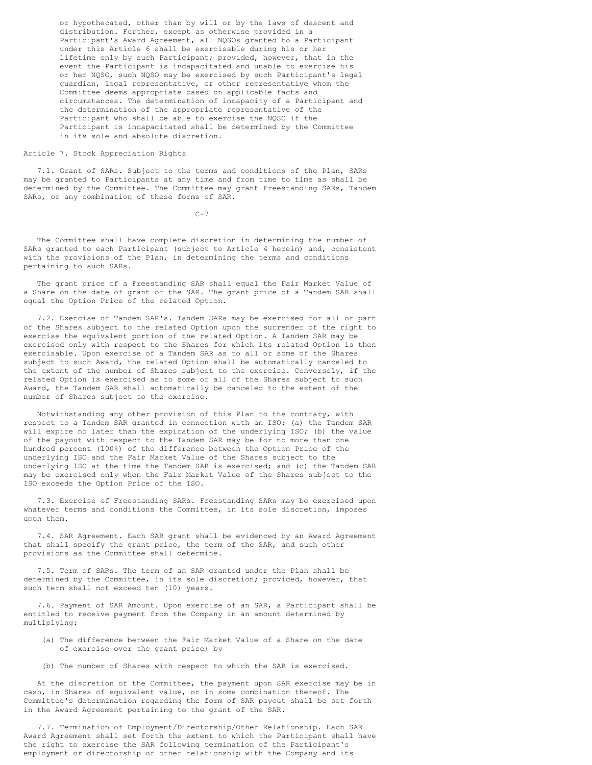or hypothecated, other than by will or by the laws of descent and distribution. Further, except as otherwise provided in a Participant's Award Agreement, all NQSOs granted to a Participant under this Article 6 shall be exercisable during his or her lifetime only by such Participant; provided, however, that in the event the Participant is incapacitated and unable to exercise his or her NQSO, such NQSO may be exercised by such Participant's legal guardian, legal representative, or other representative whom the Committee deems appropriate based on applicable facts and circumstances. The determination of incapacity of a Participant and the determination of the appropriate representative of the Participant who shall be able to exercise the NQSO if the Participant is incapacitated shall be determined by the Committee in its sole and absolute discretion.

# Article 7. Stock Appreciation Rights

7.1. Grant of SARs. Subject to the terms and conditions of the Plan, SARs may be granted to Participants at any time and from time to time as shall be determined by the Committee. The Committee may grant Freestanding SARs, Tandem SARs, or any combination of these forms of SAR.

C-7

The Committee shall have complete discretion in determining the number of SARs granted to each Participant (subject to Article 4 herein) and, consistent with the provisions of the Plan, in determining the terms and conditions pertaining to such SARs.

The grant price of a Freestanding SAR shall equal the Fair Market Value of a Share on the date of grant of the SAR. The grant price of a Tandem SAR shall equal the Option Price of the related Option.

7.2. Exercise of Tandem SAR's. Tandem SARs may be exercised for all or part of the Shares subject to the related Option upon the surrender of the right to exercise the equivalent portion of the related Option. A Tandem SAR may be exercised only with respect to the Shares for which its related Option is then exercisable. Upon exercise of a Tandem SAR as to all or some of the Shares subject to such Award, the related Option shall be automatically canceled to the extent of the number of Shares subject to the exercise. Conversely, if the related Option is exercised as to some or all of the Shares subject to such Award, the Tandem SAR shall automatically be canceled to the extent of the number of Shares subject to the exercise.

Notwithstanding any other provision of this Plan to the contrary, with respect to a Tandem SAR granted in connection with an ISO: (a) the Tandem SAR will expire no later than the expiration of the underlying ISO; (b) the value of the payout with respect to the Tandem SAR may be for no more than one hundred percent (100%) of the difference between the Option Price of the underlying ISO and the Fair Market Value of the Shares subject to the underlying ISO at the time the Tandem SAR is exercised; and (c) the Tandem SAR may be exercised only when the Fair Market Value of the Shares subject to the ISO exceeds the Option Price of the ISO.

7.3. Exercise of Freestanding SARs. Freestanding SARs may be exercised upon whatever terms and conditions the Committee, in its sole discretion, imposes upon them.

7.4. SAR Agreement. Each SAR grant shall be evidenced by an Award Agreement that shall specify the grant price, the term of the SAR, and such other provisions as the Committee shall determine.

7.5. Term of SARs. The term of an SAR granted under the Plan shall be determined by the Committee, in its sole discretion; provided, however, that such term shall not exceed ten (10) years.

7.6. Payment of SAR Amount. Upon exercise of an SAR, a Participant shall be entitled to receive payment from the Company in an amount determined by multiplying:

- (a) The difference between the Fair Market Value of a Share on the date of exercise over the grant price; by
- (b) The number of Shares with respect to which the SAR is exercised.

At the discretion of the Committee, the payment upon SAR exercise may be in cash, in Shares of equivalent value, or in some combination thereof. The Committee's determination regarding the form of SAR payout shall be set forth in the Award Agreement pertaining to the grant of the SAR.

7.7. Termination of Employment/Directorship/Other Relationship. Each SAR Award Agreement shall set forth the extent to which the Participant shall have the right to exercise the SAR following termination of the Participant's employment or directorship or other relationship with the Company and its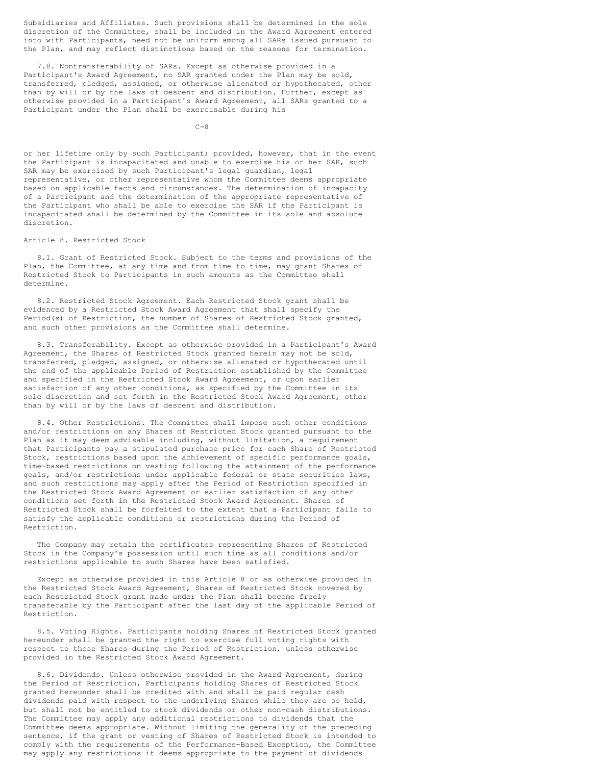Subsidiaries and Affiliates. Such provisions shall be determined in the sole discretion of the Committee, shall be included in the Award Agreement entered into with Participants, need not be uniform among all SARs issued pursuant to the Plan, and may reflect distinctions based on the reasons for termination.

7.8. Nontransferability of SARs. Except as otherwise provided in a Participant's Award Agreement, no SAR granted under the Plan may be sold, transferred, pledged, assigned, or otherwise alienated or hypothecated, other than by will or by the laws of descent and distribution. Further, except as otherwise provided in a Participant's Award Agreement, all SARs granted to a Participant under the Plan shall be exercisable during his

 $C-8$ 

or her lifetime only by such Participant; provided, however, that in the event the Participant is incapacitated and unable to exercise his or her SAR, such SAR may be exercised by such Participant's legal guardian, legal representative, or other representative whom the Committee deems appropriate based on applicable facts and circumstances. The determination of incapacity of a Participant and the determination of the appropriate representative of the Participant who shall be able to exercise the SAR if the Participant is incapacitated shall be determined by the Committee in its sole and absolute discretion.

# Article 8. Restricted Stock

8.1. Grant of Restricted Stock. Subject to the terms and provisions of the Plan, the Committee, at any time and from time to time, may grant Shares of Restricted Stock to Participants in such amounts as the Committee shall determine.

8.2. Restricted Stock Agreement. Each Restricted Stock grant shall be evidenced by a Restricted Stock Award Agreement that shall specify the Period(s) of Restriction, the number of Shares of Restricted Stock granted, and such other provisions as the Committee shall determine.

8.3. Transferability. Except as otherwise provided in a Participant's Award Agreement, the Shares of Restricted Stock granted herein may not be sold, transferred, pledged, assigned, or otherwise alienated or hypothecated until the end of the applicable Period of Restriction established by the Committee and specified in the Restricted Stock Award Agreement, or upon earlier satisfaction of any other conditions, as specified by the Committee in its sole discretion and set forth in the Restricted Stock Award Agreement, other than by will or by the laws of descent and distribution.

8.4. Other Restrictions. The Committee shall impose such other conditions and/or restrictions on any Shares of Restricted Stock granted pursuant to the Plan as it may deem advisable including, without limitation, a requirement that Participants pay a stipulated purchase price for each Share of Restricted Stock, restrictions based upon the achievement of specific performance goals, time-based restrictions on vesting following the attainment of the performance goals, and/or restrictions under applicable federal or state securities laws, and such restrictions may apply after the Period of Restriction specified in the Restricted Stock Award Agreement or earlier satisfaction of any other conditions set forth in the Restricted Stock Award Agreement. Shares of Restricted Stock shall be forfeited to the extent that a Participant fails to satisfy the applicable conditions or restrictions during the Period of Restriction.

The Company may retain the certificates representing Shares of Restricted Stock in the Company's possession until such time as all conditions and/or restrictions applicable to such Shares have been satisfied.

Except as otherwise provided in this Article 8 or as otherwise provided in the Restricted Stock Award Agreement, Shares of Restricted Stock covered by each Restricted Stock grant made under the Plan shall become freely transferable by the Participant after the last day of the applicable Period of Restriction.

8.5. Voting Rights. Participants holding Shares of Restricted Stock granted hereunder shall be granted the right to exercise full voting rights with respect to those Shares during the Period of Restriction, unless otherwise provided in the Restricted Stock Award Agreement.

8.6. Dividends. Unless otherwise provided in the Award Agreement, during the Period of Restriction, Participants holding Shares of Restricted Stock granted hereunder shall be credited with and shall be paid regular cash dividends paid with respect to the underlying Shares while they are so held, but shall not be entitled to stock dividends or other non-cash distributions. The Committee may apply any additional restrictions to dividends that the Committee deems appropriate. Without limiting the generality of the preceding sentence, if the grant or vesting of Shares of Restricted Stock is intended to comply with the requirements of the Performance-Based Exception, the Committee may apply any restrictions it deems appropriate to the payment of dividends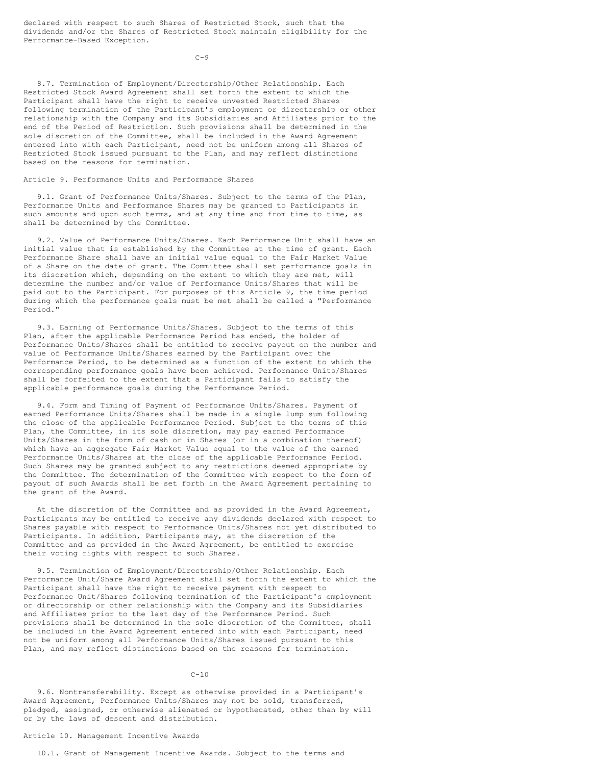declared with respect to such Shares of Restricted Stock, such that the dividends and/or the Shares of Restricted Stock maintain eligibility for the Performance-Based Exception.

 $C-9$ 

8.7. Termination of Employment/Directorship/Other Relationship. Each Restricted Stock Award Agreement shall set forth the extent to which the Participant shall have the right to receive unvested Restricted Shares following termination of the Participant's employment or directorship or other relationship with the Company and its Subsidiaries and Affiliates prior to the end of the Period of Restriction. Such provisions shall be determined in the sole discretion of the Committee, shall be included in the Award Agreement entered into with each Participant, need not be uniform among all Shares of Restricted Stock issued pursuant to the Plan, and may reflect distinctions based on the reasons for termination.

Article 9. Performance Units and Performance Shares

9.1. Grant of Performance Units/Shares. Subject to the terms of the Plan, Performance Units and Performance Shares may be granted to Participants in such amounts and upon such terms, and at any time and from time to time, as shall be determined by the Committee.

9.2. Value of Performance Units/Shares. Each Performance Unit shall have an initial value that is established by the Committee at the time of grant. Each Performance Share shall have an initial value equal to the Fair Market Value of a Share on the date of grant. The Committee shall set performance goals in its discretion which, depending on the extent to which they are met, will determine the number and/or value of Performance Units/Shares that will be paid out to the Participant. For purposes of this Article 9, the time period during which the performance goals must be met shall be called a "Performance Period."

9.3. Earning of Performance Units/Shares. Subject to the terms of this Plan, after the applicable Performance Period has ended, the holder of Performance Units/Shares shall be entitled to receive payout on the number and value of Performance Units/Shares earned by the Participant over the Performance Period, to be determined as a function of the extent to which the corresponding performance goals have been achieved. Performance Units/Shares shall be forfeited to the extent that a Participant fails to satisfy the applicable performance goals during the Performance Period.

9.4. Form and Timing of Payment of Performance Units/Shares. Payment of earned Performance Units/Shares shall be made in a single lump sum following the close of the applicable Performance Period. Subject to the terms of this Plan, the Committee, in its sole discretion, may pay earned Performance Units/Shares in the form of cash or in Shares (or in a combination thereof) which have an aggregate Fair Market Value equal to the value of the earned Performance Units/Shares at the close of the applicable Performance Period. Such Shares may be granted subject to any restrictions deemed appropriate by the Committee. The determination of the Committee with respect to the form of payout of such Awards shall be set forth in the Award Agreement pertaining to the grant of the Award.

At the discretion of the Committee and as provided in the Award Agreement, Participants may be entitled to receive any dividends declared with respect to Shares payable with respect to Performance Units/Shares not yet distributed to Participants. In addition, Participants may, at the discretion of the Committee and as provided in the Award Agreement, be entitled to exercise their voting rights with respect to such Shares.

9.5. Termination of Employment/Directorship/Other Relationship. Each Performance Unit/Share Award Agreement shall set forth the extent to which the Participant shall have the right to receive payment with respect to Performance Unit/Shares following termination of the Participant's employment or directorship or other relationship with the Company and its Subsidiaries and Affiliates prior to the last day of the Performance Period. Such provisions shall be determined in the sole discretion of the Committee, shall be included in the Award Agreement entered into with each Participant, need not be uniform among all Performance Units/Shares issued pursuant to this Plan, and may reflect distinctions based on the reasons for termination.

#### $C - 10$

9.6. Nontransferability. Except as otherwise provided in a Participant's Award Agreement, Performance Units/Shares may not be sold, transferred, pledged, assigned, or otherwise alienated or hypothecated, other than by will or by the laws of descent and distribution.

### Article 10. Management Incentive Awards

10.1. Grant of Management Incentive Awards. Subject to the terms and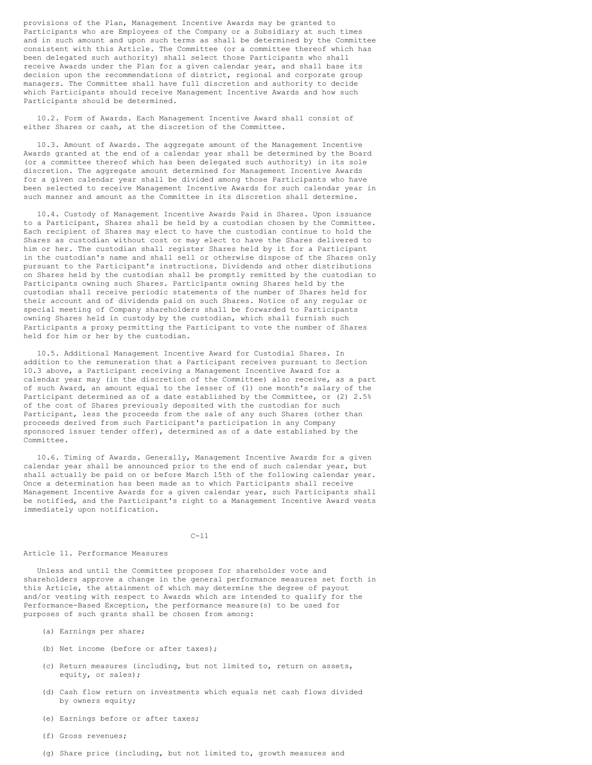provisions of the Plan, Management Incentive Awards may be granted to Participants who are Employees of the Company or a Subsidiary at such times and in such amount and upon such terms as shall be determined by the Committee consistent with this Article. The Committee (or a committee thereof which has been delegated such authority) shall select those Participants who shall receive Awards under the Plan for a given calendar year, and shall base its decision upon the recommendations of district, regional and corporate group managers. The Committee shall have full discretion and authority to decide which Participants should receive Management Incentive Awards and how such Participants should be determined.

10.2. Form of Awards. Each Management Incentive Award shall consist of either Shares or cash, at the discretion of the Committee.

10.3. Amount of Awards. The aggregate amount of the Management Incentive Awards granted at the end of a calendar year shall be determined by the Board (or a committee thereof which has been delegated such authority) in its sole discretion. The aggregate amount determined for Management Incentive Awards for a given calendar year shall be divided among those Participants who have been selected to receive Management Incentive Awards for such calendar year in such manner and amount as the Committee in its discretion shall determine.

10.4. Custody of Management Incentive Awards Paid in Shares. Upon issuance to a Participant, Shares shall be held by a custodian chosen by the Committee. Each recipient of Shares may elect to have the custodian continue to hold the Shares as custodian without cost or may elect to have the Shares delivered to him or her. The custodian shall register Shares held by it for a Participant in the custodian's name and shall sell or otherwise dispose of the Shares only pursuant to the Participant's instructions. Dividends and other distributions on Shares held by the custodian shall be promptly remitted by the custodian to Participants owning such Shares. Participants owning Shares held by the custodian shall receive periodic statements of the number of Shares held for their account and of dividends paid on such Shares. Notice of any regular or special meeting of Company shareholders shall be forwarded to Participants owning Shares held in custody by the custodian, which shall furnish such Participants a proxy permitting the Participant to vote the number of Shares held for him or her by the custodian.

10.5. Additional Management Incentive Award for Custodial Shares. In addition to the remuneration that a Participant receives pursuant to Section 10.3 above, a Participant receiving a Management Incentive Award for a calendar year may (in the discretion of the Committee) also receive, as a part of such Award, an amount equal to the lesser of (1) one month's salary of the Participant determined as of a date established by the Committee, or (2) 2.5% of the cost of Shares previously deposited with the custodian for such Participant, less the proceeds from the sale of any such Shares (other than proceeds derived from such Participant's participation in any Company sponsored issuer tender offer), determined as of a date established by the Committee.

10.6. Timing of Awards. Generally, Management Incentive Awards for a given calendar year shall be announced prior to the end of such calendar year, but shall actually be paid on or before March 15th of the following calendar year. Once a determination has been made as to which Participants shall receive Management Incentive Awards for a given calendar year, such Participants shall be notified, and the Participant's right to a Management Incentive Award vests immediately upon notification.

# $C - 11$

#### Article 11. Performance Measures

Unless and until the Committee proposes for shareholder vote and shareholders approve a change in the general performance measures set forth in this Article, the attainment of which may determine the degree of payout and/or vesting with respect to Awards which are intended to qualify for the Performance-Based Exception, the performance measure(s) to be used for purposes of such grants shall be chosen from among:

- (a) Earnings per share;
- (b) Net income (before or after taxes);
- (c) Return measures (including, but not limited to, return on assets, equity, or sales);
- (d) Cash flow return on investments which equals net cash flows divided by owners equity;
- (e) Earnings before or after taxes;
- (f) Gross revenues;
- (g) Share price (including, but not limited to, growth measures and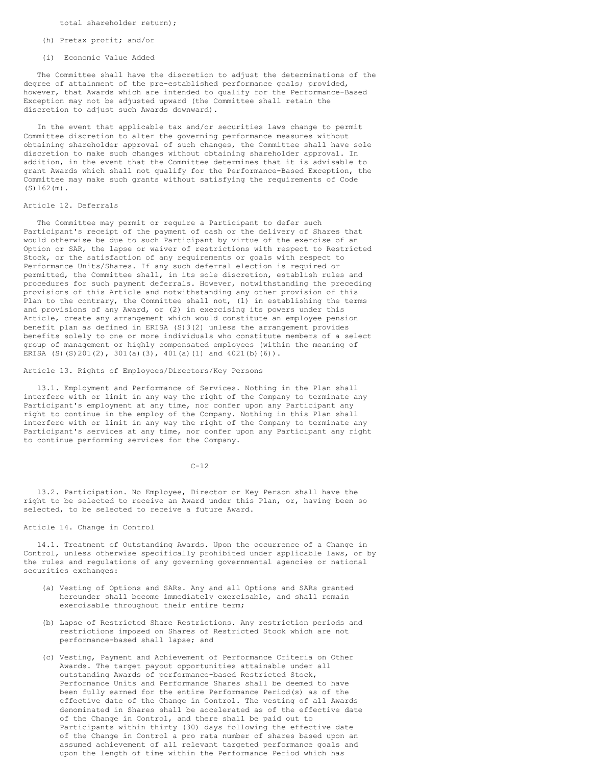total shareholder return);

(h) Pretax profit; and/or

(i) Economic Value Added

The Committee shall have the discretion to adjust the determinations of the degree of attainment of the pre-established performance goals; provided, however, that Awards which are intended to qualify for the Performance-Based Exception may not be adjusted upward (the Committee shall retain the discretion to adjust such Awards downward).

In the event that applicable tax and/or securities laws change to permit Committee discretion to alter the governing performance measures without obtaining shareholder approval of such changes, the Committee shall have sole discretion to make such changes without obtaining shareholder approval. In addition, in the event that the Committee determines that it is advisable to grant Awards which shall not qualify for the Performance-Based Exception, the Committee may make such grants without satisfying the requirements of Code (S)162(m).

#### Article 12. Deferrals

The Committee may permit or require a Participant to defer such Participant's receipt of the payment of cash or the delivery of Shares that would otherwise be due to such Participant by virtue of the exercise of an Option or SAR, the lapse or waiver of restrictions with respect to Restricted Stock, or the satisfaction of any requirements or goals with respect to Performance Units/Shares. If any such deferral election is required or permitted, the Committee shall, in its sole discretion, establish rules and procedures for such payment deferrals. However, notwithstanding the preceding provisions of this Article and notwithstanding any other provision of this Plan to the contrary, the Committee shall not, (1) in establishing the terms and provisions of any Award, or (2) in exercising its powers under this Article, create any arrangement which would constitute an employee pension benefit plan as defined in ERISA (S)3(2) unless the arrangement provides benefits solely to one or more individuals who constitute members of a select group of management or highly compensated employees (within the meaning of ERISA (S)(S)201(2), 301(a)(3), 401(a)(1) and 4021(b)(6)).

Article 13. Rights of Employees/Directors/Key Persons

13.1. Employment and Performance of Services. Nothing in the Plan shall interfere with or limit in any way the right of the Company to terminate any Participant's employment at any time, nor confer upon any Participant any right to continue in the employ of the Company. Nothing in this Plan shall interfere with or limit in any way the right of the Company to terminate any Participant's services at any time, nor confer upon any Participant any right to continue performing services for the Company.

 $C-12$ 

13.2. Participation. No Employee, Director or Key Person shall have the right to be selected to receive an Award under this Plan, or, having been so selected, to be selected to receive a future Award.

Article 14. Change in Control

14.1. Treatment of Outstanding Awards. Upon the occurrence of a Change in Control, unless otherwise specifically prohibited under applicable laws, or by the rules and regulations of any governing governmental agencies or national securities exchanges:

- (a) Vesting of Options and SARs. Any and all Options and SARs granted hereunder shall become immediately exercisable, and shall remain exercisable throughout their entire term;
- (b) Lapse of Restricted Share Restrictions. Any restriction periods and restrictions imposed on Shares of Restricted Stock which are not performance-based shall lapse; and
- (c) Vesting, Payment and Achievement of Performance Criteria on Other Awards. The target payout opportunities attainable under all outstanding Awards of performance-based Restricted Stock, Performance Units and Performance Shares shall be deemed to have been fully earned for the entire Performance Period(s) as of the effective date of the Change in Control. The vesting of all Awards denominated in Shares shall be accelerated as of the effective date of the Change in Control, and there shall be paid out to Participants within thirty (30) days following the effective date of the Change in Control a pro rata number of shares based upon an assumed achievement of all relevant targeted performance goals and upon the length of time within the Performance Period which has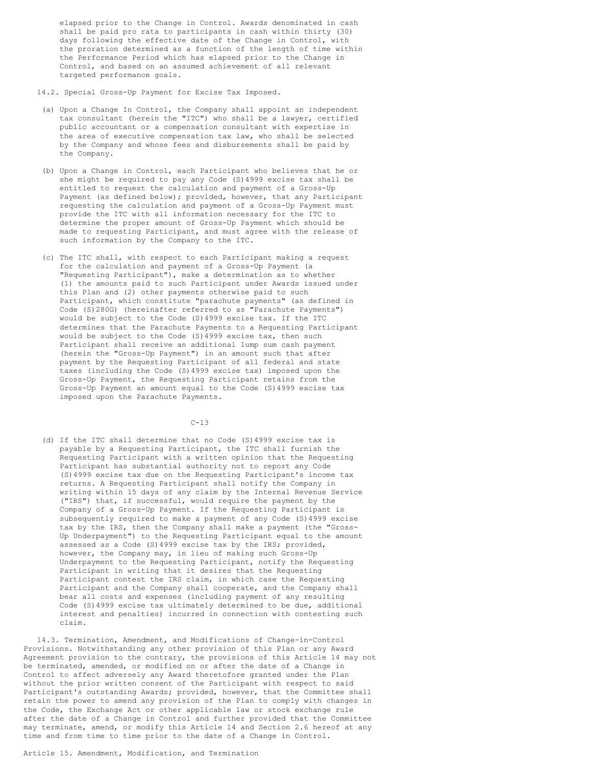elapsed prior to the Change in Control. Awards denominated in cash shall be paid pro rata to participants in cash within thirty (30) days following the effective date of the Change in Control, with the proration determined as a function of the length of time within the Performance Period which has elapsed prior to the Change in Control, and based on an assumed achievement of all relevant targeted performance goals.

14.2. Special Gross-Up Payment for Excise Tax Imposed.

- (a) Upon a Change In Control, the Company shall appoint an independent tax consultant (herein the "ITC") who shall be a lawyer, certified public accountant or a compensation consultant with expertise in the area of executive compensation tax law, who shall be selected by the Company and whose fees and disbursements shall be paid by the Company.
- (b) Upon a Change in Control, each Participant who believes that he or she might be required to pay any Code (S)4999 excise tax shall be entitled to request the calculation and payment of a Gross-Up Payment (as defined below); provided, however, that any Participant requesting the calculation and payment of a Gross-Up Payment must provide the ITC with all information necessary for the ITC to determine the proper amount of Gross-Up Payment which should be made to requesting Participant, and must agree with the release of such information by the Company to the ITC.
- (c) The ITC shall, with respect to each Participant making a request for the calculation and payment of a Gross-Up Payment (a "Requesting Participant"), make a determination as to whether (1) the amounts paid to such Participant under Awards issued under this Plan and (2) other payments otherwise paid to such Participant, which constitute "parachute payments" (as defined in Code (S)280G) (hereinafter referred to as "Parachute Payments") would be subject to the Code (S)4999 excise tax. If the ITC determines that the Parachute Payments to a Requesting Participant would be subject to the Code (S)4999 excise tax, then such Participant shall receive an additional lump sum cash payment (herein the "Gross-Up Payment") in an amount such that after payment by the Requesting Participant of all federal and state taxes (including the Code (S)4999 excise tax) imposed upon the Gross-Up Payment, the Requesting Participant retains from the Gross-Up Payment an amount equal to the Code (S)4999 excise tax imposed upon the Parachute Payments.

 $C - 13$ 

(d) If the ITC shall determine that no Code (S)4999 excise tax is payable by a Requesting Participant, the ITC shall furnish the Requesting Participant with a written opinion that the Requesting Participant has substantial authority not to report any Code (S)4999 excise tax due on the Requesting Participant's income tax returns. A Requesting Participant shall notify the Company in writing within 15 days of any claim by the Internal Revenue Service ("IRS") that, if successful, would require the payment by the Company of a Gross-Up Payment. If the Requesting Participant is subsequently required to make a payment of any Code (S)4999 excise tax by the IRS, then the Company shall make a payment (the "Gross-Up Underpayment") to the Requesting Participant equal to the amount assessed as a Code (S)4999 excise tax by the IRS; provided, however, the Company may, in lieu of making such Gross-Up Underpayment to the Requesting Participant, notify the Requesting Participant in writing that it desires that the Requesting Participant contest the IRS claim, in which case the Requesting Participant and the Company shall cooperate, and the Company shall bear all costs and expenses (including payment of any resulting Code (S)4999 excise tax ultimately determined to be due, additional interest and penalties) incurred in connection with contesting such claim.

14.3. Termination, Amendment, and Modifications of Change-in-Control Provisions. Notwithstanding any other provision of this Plan or any Award Agreement provision to the contrary, the provisions of this Article 14 may not be terminated, amended, or modified on or after the date of a Change in Control to affect adversely any Award theretofore granted under the Plan without the prior written consent of the Participant with respect to said Participant's outstanding Awards; provided, however, that the Committee shall retain the power to amend any provision of the Plan to comply with changes in the Code, the Exchange Act or other applicable law or stock exchange rule after the date of a Change in Control and further provided that the Committee may terminate, amend, or modify this Article 14 and Section 2.6 hereof at any time and from time to time prior to the date of a Change in Control.

### Article 15. Amendment, Modification, and Termination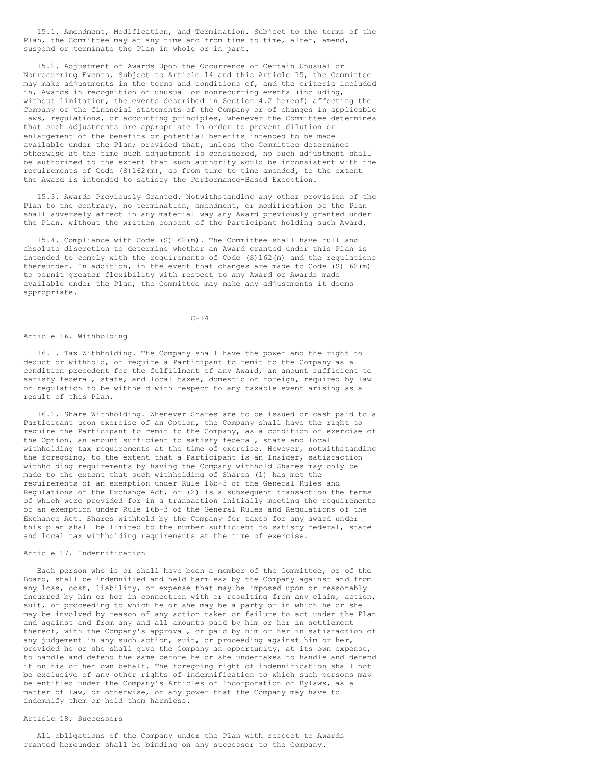15.1. Amendment, Modification, and Termination. Subject to the terms of the Plan, the Committee may at any time and from time to time, alter, amend, suspend or terminate the Plan in whole or in part.

15.2. Adjustment of Awards Upon the Occurrence of Certain Unusual or Nonrecurring Events. Subject to Article 14 and this Article 15, the Committee may make adjustments in the terms and conditions of, and the criteria included in, Awards in recognition of unusual or nonrecurring events (including, without limitation, the events described in Section 4.2 hereof) affecting the Company or the financial statements of the Company or of changes in applicable laws, regulations, or accounting principles, whenever the Committee determines that such adjustments are appropriate in order to prevent dilution or enlargement of the benefits or potential benefits intended to be made available under the Plan; provided that, unless the Committee determines otherwise at the time such adjustment is considered, no such adjustment shall be authorized to the extent that such authority would be inconsistent with the requirements of Code (S)162(m), as from time to time amended, to the extent the Award is intended to satisfy the Performance-Based Exception.

15.3. Awards Previously Granted. Notwithstanding any other provision of the Plan to the contrary, no termination, amendment, or modification of the Plan shall adversely affect in any material way any Award previously granted under the Plan, without the written consent of the Participant holding such Award.

15.4. Compliance with Code (S)162(m). The Committee shall have full and absolute discretion to determine whether an Award granted under this Plan is intended to comply with the requirements of Code (S)162(m) and the regulations thereunder. In addition, in the event that changes are made to Code (S)162(m) to permit greater flexibility with respect to any Award or Awards made available under the Plan, the Committee may make any adjustments it deems appropriate.

# $C-14$

#### Article 16. Withholding

16.1. Tax Withholding. The Company shall have the power and the right to deduct or withhold, or require a Participant to remit to the Company as a condition precedent for the fulfillment of any Award, an amount sufficient to satisfy federal, state, and local taxes, domestic or foreign, required by law or regulation to be withheld with respect to any taxable event arising as a result of this Plan.

16.2. Share Withholding. Whenever Shares are to be issued or cash paid to a Participant upon exercise of an Option, the Company shall have the right to require the Participant to remit to the Company, as a condition of exercise of the Option, an amount sufficient to satisfy federal, state and local withholding tax requirements at the time of exercise. However, notwithstanding the foregoing, to the extent that a Participant is an Insider, satisfaction withholding requirements by having the Company withhold Shares may only be made to the extent that such withholding of Shares (1) has met the requirements of an exemption under Rule 16b-3 of the General Rules and Regulations of the Exchange Act, or (2) is a subsequent transaction the terms of which were provided for in a transaction initially meeting the requirements of an exemption under Rule 16b-3 of the General Rules and Regulations of the Exchange Act. Shares withheld by the Company for taxes for any award under this plan shall be limited to the number sufficient to satisfy federal, state and local tax withholding requirements at the time of exercise.

# Article 17. Indemnification

Each person who is or shall have been a member of the Committee, or of the Board, shall be indemnified and held harmless by the Company against and from any loss, cost, liability, or expense that may be imposed upon or reasonably incurred by him or her in connection with or resulting from any claim, action, suit, or proceeding to which he or she may be a party or in which he or she may be involved by reason of any action taken or failure to act under the Plan and against and from any and all amounts paid by him or her in settlement thereof, with the Company's approval, or paid by him or her in satisfaction of any judgement in any such action, suit, or proceeding against him or her, provided he or she shall give the Company an opportunity, at its own expense, to handle and defend the same before he or she undertakes to handle and defend it on his or her own behalf. The foregoing right of indemnification shall not be exclusive of any other rights of indemnification to which such persons may be entitled under the Company's Articles of Incorporation of Bylaws, as a matter of law, or otherwise, or any power that the Company may have to indemnify them or hold them harmless.

# Article 18. Successors

All obligations of the Company under the Plan with respect to Awards granted hereunder shall be binding on any successor to the Company.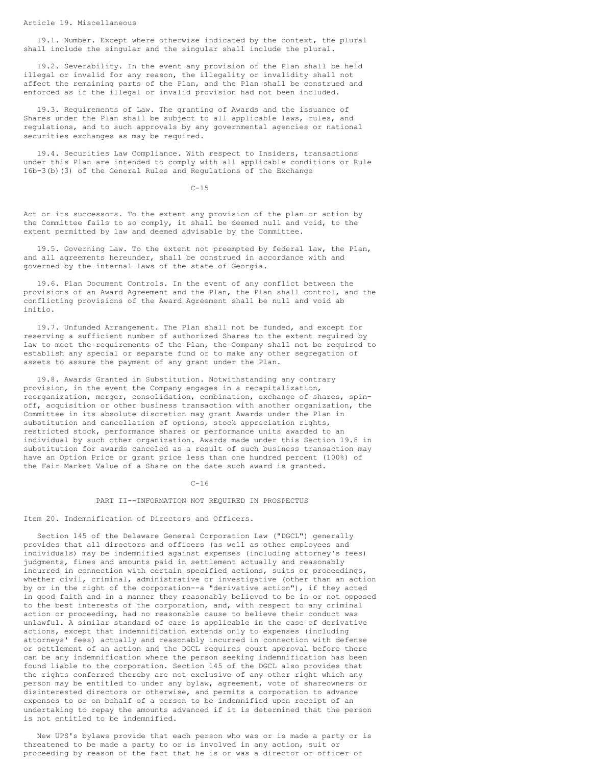Article 19. Miscellaneous

19.1. Number. Except where otherwise indicated by the context, the plural shall include the singular and the singular shall include the plural.

19.2. Severability. In the event any provision of the Plan shall be held illegal or invalid for any reason, the illegality or invalidity shall not affect the remaining parts of the Plan, and the Plan shall be construed and enforced as if the illegal or invalid provision had not been included.

19.3. Requirements of Law. The granting of Awards and the issuance of Shares under the Plan shall be subject to all applicable laws, rules, and regulations, and to such approvals by any governmental agencies or national securities exchanges as may be required.

19.4. Securities Law Compliance. With respect to Insiders, transactions under this Plan are intended to comply with all applicable conditions or Rule 16b-3(b)(3) of the General Rules and Regulations of the Exchange

 $C - 15$ 

Act or its successors. To the extent any provision of the plan or action by the Committee fails to so comply, it shall be deemed null and void, to the extent permitted by law and deemed advisable by the Committee.

19.5. Governing Law. To the extent not preempted by federal law, the Plan, and all agreements hereunder, shall be construed in accordance with and governed by the internal laws of the state of Georgia.

19.6. Plan Document Controls. In the event of any conflict between the provisions of an Award Agreement and the Plan, the Plan shall control, and the conflicting provisions of the Award Agreement shall be null and void ab initio.

19.7. Unfunded Arrangement. The Plan shall not be funded, and except for reserving a sufficient number of authorized Shares to the extent required by law to meet the requirements of the Plan, the Company shall not be required to establish any special or separate fund or to make any other segregation of assets to assure the payment of any grant under the Plan.

19.8. Awards Granted in Substitution. Notwithstanding any contrary provision, in the event the Company engages in a recapitalization, reorganization, merger, consolidation, combination, exchange of shares, spinoff, acquisition or other business transaction with another organization, the Committee in its absolute discretion may grant Awards under the Plan in substitution and cancellation of options, stock appreciation rights, restricted stock, performance shares or performance units awarded to an individual by such other organization. Awards made under this Section 19.8 in substitution for awards canceled as a result of such business transaction may have an Option Price or grant price less than one hundred percent (100%) of the Fair Market Value of a Share on the date such award is granted.

 $C-16$ 

#### PART II--INFORMATION NOT REQUIRED IN PROSPECTUS

Item 20. Indemnification of Directors and Officers.

Section 145 of the Delaware General Corporation Law ("DGCL") generally provides that all directors and officers (as well as other employees and individuals) may be indemnified against expenses (including attorney's fees) judgments, fines and amounts paid in settlement actually and reasonably incurred in connection with certain specified actions, suits or proceedings, whether civil, criminal, administrative or investigative (other than an action by or in the right of the corporation--a "derivative action"), if they acted in good faith and in a manner they reasonably believed to be in or not opposed to the best interests of the corporation, and, with respect to any criminal action or proceeding, had no reasonable cause to believe their conduct was unlawful. A similar standard of care is applicable in the case of derivative actions, except that indemnification extends only to expenses (including attorneys' fees) actually and reasonably incurred in connection with defense or settlement of an action and the DGCL requires court approval before there can be any indemnification where the person seeking indemnification has been found liable to the corporation. Section 145 of the DGCL also provides that the rights conferred thereby are not exclusive of any other right which any person may be entitled to under any bylaw, agreement, vote of shareowners or disinterested directors or otherwise, and permits a corporation to advance expenses to or on behalf of a person to be indemnified upon receipt of an undertaking to repay the amounts advanced if it is determined that the person is not entitled to be indemnified.

New UPS's bylaws provide that each person who was or is made a party or is threatened to be made a party to or is involved in any action, suit or proceeding by reason of the fact that he is or was a director or officer of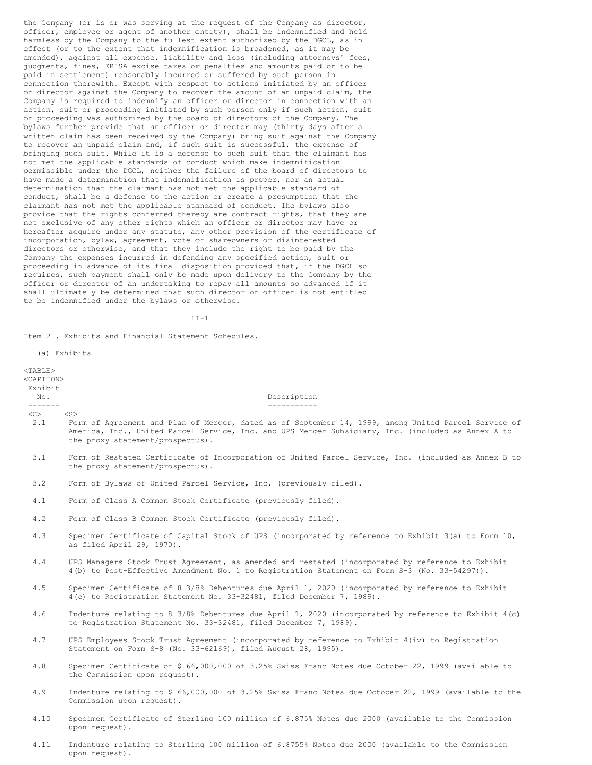the Company (or is or was serving at the request of the Company as director, officer, employee or agent of another entity), shall be indemnified and held harmless by the Company to the fullest extent authorized by the DGCL, as in effect (or to the extent that indemnification is broadened, as it may be amended), against all expense, liability and loss (including attorneys' fees, judgments, fines, ERISA excise taxes or penalties and amounts paid or to be paid in settlement) reasonably incurred or suffered by such person in connection therewith. Except with respect to actions initiated by an officer or director against the Company to recover the amount of an unpaid claim, the Company is required to indemnify an officer or director in connection with an action, suit or proceeding initiated by such person only if such action, suit or proceeding was authorized by the board of directors of the Company. The bylaws further provide that an officer or director may (thirty days after a written claim has been received by the Company) bring suit against the Company to recover an unpaid claim and, if such suit is successful, the expense of bringing such suit. While it is a defense to such suit that the claimant has not met the applicable standards of conduct which make indemnification permissible under the DGCL, neither the failure of the board of directors to have made a determination that indemnification is proper, nor an actual determination that the claimant has not met the applicable standard of conduct, shall be a defense to the action or create a presumption that the claimant has not met the applicable standard of conduct. The bylaws also provide that the rights conferred thereby are contract rights, that they are not exclusive of any other rights which an officer or director may have or hereafter acquire under any statute, any other provision of the certificate of incorporation, bylaw, agreement, vote of shareowners or disinterested directors or otherwise, and that they include the right to be paid by the Company the expenses incurred in defending any specified action, suit or proceeding in advance of its final disposition provided that, if the DGCL so requires, such payment shall only be made upon delivery to the Company by the officer or director of an undertaking to repay all amounts so advanced if it shall ultimately be determined that such director or officer is not entitled to be indemnified under the bylaws or otherwise.

II-1

Item 21. Exhibits and Financial Statement Schedules.

(a) Exhibits <TABLE> <CAPTION> Exhibit No. **No. No. No. No. Description** ------- -----------  $\langle$ C>  $\langle$ S> 2.1 Form of Agreement and Plan of Merger, dated as of September 14, 1999, among United Parcel Service of America, Inc., United Parcel Service, Inc. and UPS Merger Subsidiary, Inc. (included as Annex A to the proxy statement/prospectus). 3.1 Form of Restated Certificate of Incorporation of United Parcel Service, Inc. (included as Annex B to the proxy statement/prospectus). 3.2 Form of Bylaws of United Parcel Service, Inc. (previously filed). 4.1 Form of Class A Common Stock Certificate (previously filed). 4.2 Form of Class B Common Stock Certificate (previously filed). 4.3 Specimen Certificate of Capital Stock of UPS (incorporated by reference to Exhibit 3(a) to Form 10, as filed April 29, 1970). 4.4 UPS Managers Stock Trust Agreement, as amended and restated (incorporated by reference to Exhibit 4(b) to Post-Effective Amendment No. 1 to Registration Statement on Form S-3 (No. 33-54297)). 4.5 Specimen Certificate of 8 3/8% Debentures due April 1, 2020 (incorporated by reference to Exhibit 4(c) to Registration Statement No. 33-32481, filed December 7, 1989). 4.6 Indenture relating to 8 3/8% Debentures due April 1, 2020 (incorporated by reference to Exhibit 4(c) to Registration Statement No. 33-32481, filed December 7, 1989). 4.7 UPS Employees Stock Trust Agreement (incorporated by reference to Exhibit 4(iv) to Registration Statement on Form S-8 (No. 33-62169), filed August 28, 1995). 4.8 Specimen Certificate of \$166,000,000 of 3.25% Swiss Franc Notes due October 22, 1999 (available to the Commission upon request). 4.9 Indenture relating to \$166,000,000 of 3.25% Swiss Franc Notes due October 22, 1999 (available to the Commission upon request). 4.10 Specimen Certificate of Sterling 100 million of 6.875% Notes due 2000 (available to the Commission upon request).

4.11 Indenture relating to Sterling 100 million of 6.8755% Notes due 2000 (available to the Commission upon request).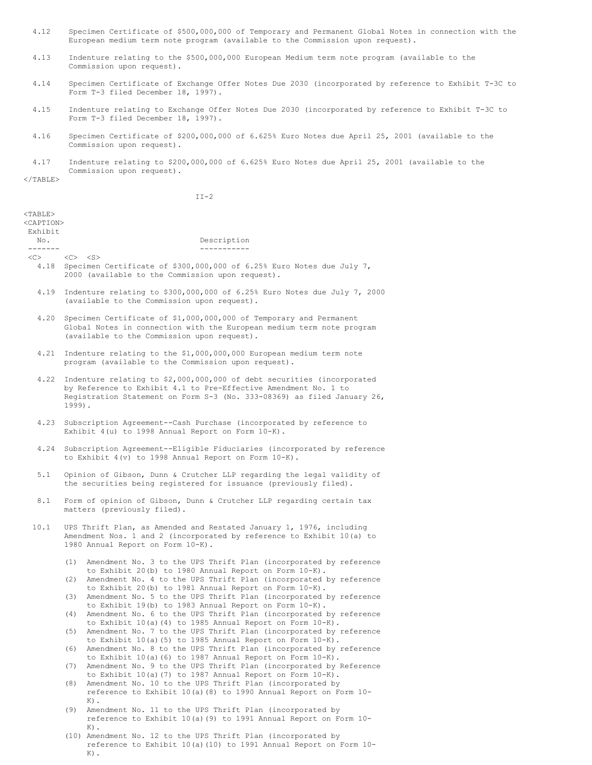- 4.12 Specimen Certificate of \$500,000,000 of Temporary and Permanent Global Notes in connection with the European medium term note program (available to the Commission upon request).
- 4.13 Indenture relating to the \$500,000,000 European Medium term note program (available to the Commission upon request).
- 4.14 Specimen Certificate of Exchange Offer Notes Due 2030 (incorporated by reference to Exhibit T-3C to Form T-3 filed December 18, 1997).
- 4.15 Indenture relating to Exchange Offer Notes Due 2030 (incorporated by reference to Exhibit T-3C to Form T-3 filed December 18, 1997).
- 4.16 Specimen Certificate of \$200,000,000 of 6.625% Euro Notes due April 25, 2001 (available to the Commission upon request).
- 4.17 Indenture relating to \$200,000,000 of 6.625% Euro Notes due April 25, 2001 (available to the Commission upon request).

</TABLE>

 $K$ ).

 $II-2$ 

| $<$ TABLE $>$<br><caption></caption> |                                                                                                                                                                                                                                        |  |  |
|--------------------------------------|----------------------------------------------------------------------------------------------------------------------------------------------------------------------------------------------------------------------------------------|--|--|
| Exhibit                              |                                                                                                                                                                                                                                        |  |  |
| No.                                  | Description                                                                                                                                                                                                                            |  |  |
| -------                              | -----------<br>$<\heartsuit$ < $<\heartsuit$ < $<\heartsuit$                                                                                                                                                                           |  |  |
|                                      | 4.18 Specimen Certificate of \$300,000,000 of 6.25% Euro Notes due July 7,<br>2000 (available to the Commission upon request).                                                                                                         |  |  |
| 4.19                                 | Indenture relating to \$300,000,000 of 6.25% Euro Notes due July 7, 2000<br>(available to the Commission upon request).                                                                                                                |  |  |
| 4.20                                 | Specimen Certificate of \$1,000,000,000 of Temporary and Permanent<br>Global Notes in connection with the European medium term note program<br>(available to the Commission upon request).                                             |  |  |
|                                      | 4.21 Indenture relating to the \$1,000,000,000 European medium term note<br>program (available to the Commission upon request).                                                                                                        |  |  |
|                                      | 4.22 Indenture relating to \$2,000,000,000 of debt securities (incorporated<br>by Reference to Exhibit 4.1 to Pre-Effective Amendment No. 1 to<br>Registration Statement on Form S-3 (No. 333-08369) as filed January 26,<br>$1999$ ). |  |  |
| 4.23                                 | Subscription Agreement--Cash Purchase (incorporated by reference to<br>Exhibit 4(u) to 1998 Annual Report on Form 10-K).                                                                                                               |  |  |
| 4.24                                 | Subscription Agreement--Eligible Fiduciaries (incorporated by reference<br>to Exhibit 4(v) to 1998 Annual Report on Form 10-K).                                                                                                        |  |  |
| 5.1                                  | Opinion of Gibson, Dunn & Crutcher LLP regarding the legal validity of<br>the securities being registered for issuance (previously filed).                                                                                             |  |  |
| 8.1                                  | Form of opinion of Gibson, Dunn & Crutcher LLP regarding certain tax<br>matters (previously filed).                                                                                                                                    |  |  |
| 10.1                                 | UPS Thrift Plan, as Amended and Restated January 1, 1976, including<br>Amendment Nos. 1 and 2 (incorporated by reference to Exhibit 10(a) to<br>1980 Annual Report on Form 10-K).                                                      |  |  |
|                                      | Amendment No. 3 to the UPS Thrift Plan (incorporated by reference<br>(1)<br>to Exhibit 20(b) to 1980 Annual Report on Form $10-K$ ).                                                                                                   |  |  |
|                                      | Amendment No. 4 to the UPS Thrift Plan (incorporated by reference<br>(2)<br>to Exhibit 20(b) to 1981 Annual Report on Form 10-K).                                                                                                      |  |  |
|                                      | Amendment No. 5 to the UPS Thrift Plan (incorporated by reference<br>(3)<br>to Exhibit 19(b) to 1983 Annual Report on Form 10-K).<br>Amendment No. 6 to the UPS Thrift Plan (incorporated by reference<br>(4)                          |  |  |
|                                      | to Exhibit 10(a)(4) to 1985 Annual Report on Form 10-K).                                                                                                                                                                               |  |  |
|                                      | Amendment No. 7 to the UPS Thrift Plan (incorporated by reference<br>(5)<br>to Exhibit 10(a)(5) to 1985 Annual Report on Form 10-K).                                                                                                   |  |  |
|                                      | Amendment No. 8 to the UPS Thrift Plan (incorporated by reference<br>(6)<br>to Exhibit $10(a)$ (6) to 1987 Annual Report on Form $10-K$ ).                                                                                             |  |  |
|                                      | Amendment No. 9 to the UPS Thrift Plan (incorporated by Reference<br>(7)<br>to Exhibit $10(a)$ (7) to 1987 Annual Report on Form $10-K$ ).                                                                                             |  |  |
|                                      | Amendment No. 10 to the UPS Thrift Plan (incorporated by<br>(8)<br>reference to Exhibit 10(a) (8) to 1990 Annual Report on Form 10-                                                                                                    |  |  |
|                                      | $K)$ .<br>Amendment No. 11 to the UPS Thrift Plan (incorporated by<br>(9)<br>reference to Exhibit 10(a) (9) to 1991 Annual Report on Form 10-<br>$K)$ .                                                                                |  |  |
|                                      | (10) Amendment No. 12 to the UPS Thrift Plan (incorporated by<br>reference to Exhibit 10(a) (10) to 1991 Annual Report on Form 10-                                                                                                     |  |  |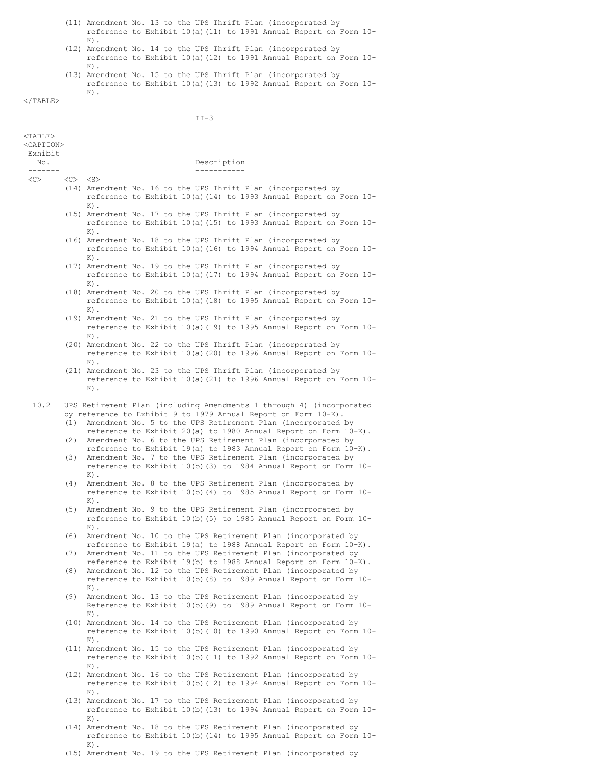- (11) Amendment No. 13 to the UPS Thrift Plan (incorporated by reference to Exhibit 10(a)(11) to 1991 Annual Report on Form 10- K).
- (12) Amendment No. 14 to the UPS Thrift Plan (incorporated by reference to Exhibit 10(a)(12) to 1991 Annual Report on Form 10-  $K$ ).
- (13) Amendment No. 15 to the UPS Thrift Plan (incorporated by reference to Exhibit 10(a)(13) to 1992 Annual Report on Form 10-  $K$ ).

 $<$ /TABLE>

# II-3

| $<$ TABLE><br><caption><br/>Exhibit</caption> |                               |                                                                                                                                                                                                                                                                          |  |
|-----------------------------------------------|-------------------------------|--------------------------------------------------------------------------------------------------------------------------------------------------------------------------------------------------------------------------------------------------------------------------|--|
| No.                                           |                               | Description                                                                                                                                                                                                                                                              |  |
| -------<br>$<<$ $>$                           | $<\heartsuit$ < $<\heartsuit$ | -----------                                                                                                                                                                                                                                                              |  |
|                                               |                               | (14) Amendment No. 16 to the UPS Thrift Plan (incorporated by<br>reference to Exhibit 10(a) (14) to 1993 Annual Report on Form 10-<br>$K)$ .                                                                                                                             |  |
|                                               |                               | (15) Amendment No. 17 to the UPS Thrift Plan (incorporated by<br>reference to Exhibit 10(a) (15) to 1993 Annual Report on Form 10-<br>$K)$ .                                                                                                                             |  |
|                                               |                               | (16) Amendment No. 18 to the UPS Thrift Plan (incorporated by<br>reference to Exhibit 10(a) (16) to 1994 Annual Report on Form 10-<br>$K)$ .                                                                                                                             |  |
|                                               |                               | (17) Amendment No. 19 to the UPS Thrift Plan (incorporated by<br>reference to Exhibit 10(a) (17) to 1994 Annual Report on Form 10-<br>$K)$ .                                                                                                                             |  |
|                                               |                               | (18) Amendment No. 20 to the UPS Thrift Plan (incorporated by<br>reference to Exhibit 10(a) (18) to 1995 Annual Report on Form 10-<br>$K)$ .                                                                                                                             |  |
|                                               |                               | (19) Amendment No. 21 to the UPS Thrift Plan (incorporated by<br>reference to Exhibit 10(a) (19) to 1995 Annual Report on Form 10-<br>$K)$ .                                                                                                                             |  |
|                                               |                               | (20) Amendment No. 22 to the UPS Thrift Plan (incorporated by<br>reference to Exhibit 10(a) (20) to 1996 Annual Report on Form 10-<br>$K)$ .                                                                                                                             |  |
|                                               |                               | (21) Amendment No. 23 to the UPS Thrift Plan (incorporated by<br>reference to Exhibit 10(a) (21) to 1996 Annual Report on Form 10-<br>$K$ ).                                                                                                                             |  |
| 10.2                                          | (1)                           | UPS Retirement Plan (including Amendments 1 through 4) (incorporated<br>by reference to Exhibit 9 to 1979 Annual Report on Form 10-K).<br>Amendment No. 5 to the UPS Retirement Plan (incorporated by<br>reference to Exhibit 20(a) to 1980 Annual Report on Form 10-K). |  |
|                                               | (2)<br>(3)                    | Amendment No. 6 to the UPS Retirement Plan (incorporated by<br>reference to Exhibit 19(a) to 1983 Annual Report on Form 10-K).<br>Amendment No. 7 to the UPS Retirement Plan (incorporated by<br>reference to Exhibit 10(b) (3) to 1984 Annual Report on Form 10-        |  |
|                                               | (4)                           | $K)$ .<br>Amendment No. 8 to the UPS Retirement Plan (incorporated by<br>reference to Exhibit 10(b) (4) to 1985 Annual Report on Form 10-<br>$K)$ .                                                                                                                      |  |
|                                               | (5)                           | Amendment No. 9 to the UPS Retirement Plan (incorporated by<br>reference to Exhibit 10(b) (5) to 1985 Annual Report on Form 10-<br>$K)$ .                                                                                                                                |  |
|                                               | (6)                           | Amendment No. 10 to the UPS Retirement Plan (incorporated by<br>reference to Exhibit 19(a) to 1988 Annual Report on Form 10-K).                                                                                                                                          |  |
|                                               | (7)<br>(8)                    | Amendment No. 11 to the UPS Retirement Plan (incorporated by<br>reference to Exhibit 19(b) to 1988 Annual Report on Form 10-K).<br>Amendment No. 12 to the UPS Retirement Plan (incorporated by                                                                          |  |
|                                               |                               | reference to Exhibit 10(b) (8) to 1989 Annual Report on Form 10-<br>$K)$ .<br>Amendment No. 13 to the UPS Retirement Plan (incorporated by                                                                                                                               |  |
|                                               | (9)                           | Reference to Exhibit 10(b) (9) to 1989 Annual Report on Form 10-<br>$K$ ).                                                                                                                                                                                               |  |
|                                               |                               | (10) Amendment No. 14 to the UPS Retirement Plan (incorporated by<br>reference to Exhibit 10(b) (10) to 1990 Annual Report on Form 10-<br>$K)$ .                                                                                                                         |  |
|                                               |                               | (11) Amendment No. 15 to the UPS Retirement Plan (incorporated by<br>reference to Exhibit 10(b) (11) to 1992 Annual Report on Form 10-<br>$K)$ .                                                                                                                         |  |
|                                               |                               | (12) Amendment No. 16 to the UPS Retirement Plan (incorporated by<br>reference to Exhibit 10(b) (12) to 1994 Annual Report on Form 10-<br>$K)$ .                                                                                                                         |  |
|                                               |                               | (13) Amendment No. 17 to the UPS Retirement Plan (incorporated by<br>reference to Exhibit 10(b) (13) to 1994 Annual Report on Form 10-<br>$K$ ).                                                                                                                         |  |

- (14) Amendment No. 18 to the UPS Retirement Plan (incorporated by reference to Exhibit 10(b)(14) to 1995 Annual Report on Form 10- K).
- (15) Amendment No. 19 to the UPS Retirement Plan (incorporated by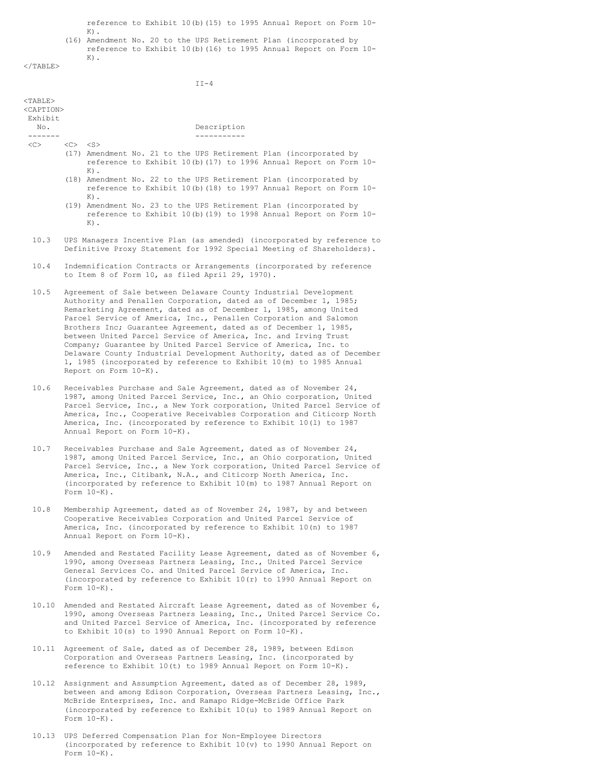reference to Exhibit 10(b)(15) to 1995 Annual Report on Form 10-

K). (16) Amendment No. 20 to the UPS Retirement Plan (incorporated by reference to Exhibit 10(b)(16) to 1995 Annual Report on Form 10- K).

 $<$ /TABLE>

 $\mathtt{II-4}$ 

| $<$ TABLE $>$<br><caption><br/>Exhibit</caption> |                                                                                                                                                                                                                                                                                                                                                                                                                                                                                                                                                                                                                                                                    |                  |                              |                                                                                                                                                                                                                                                                                                                                                                   |
|--------------------------------------------------|--------------------------------------------------------------------------------------------------------------------------------------------------------------------------------------------------------------------------------------------------------------------------------------------------------------------------------------------------------------------------------------------------------------------------------------------------------------------------------------------------------------------------------------------------------------------------------------------------------------------------------------------------------------------|------------------|------------------------------|-------------------------------------------------------------------------------------------------------------------------------------------------------------------------------------------------------------------------------------------------------------------------------------------------------------------------------------------------------------------|
| No.                                              |                                                                                                                                                                                                                                                                                                                                                                                                                                                                                                                                                                                                                                                                    |                  |                              | Description                                                                                                                                                                                                                                                                                                                                                       |
| -------<br>$<<$ $>$                              | $<\heartsuit>$ $<\heartsuit>$                                                                                                                                                                                                                                                                                                                                                                                                                                                                                                                                                                                                                                      |                  |                              | -----------<br>(17) Amendment No. 21 to the UPS Retirement Plan (incorporated by<br>reference to Exhibit 10(b) (17) to 1996 Annual Report on Form 10-                                                                                                                                                                                                             |
|                                                  |                                                                                                                                                                                                                                                                                                                                                                                                                                                                                                                                                                                                                                                                    | $K)$ .<br>$K)$ . |                              | (18) Amendment No. 22 to the UPS Retirement Plan (incorporated by<br>reference to Exhibit 10(b) (18) to 1997 Annual Report on Form 10-                                                                                                                                                                                                                            |
|                                                  |                                                                                                                                                                                                                                                                                                                                                                                                                                                                                                                                                                                                                                                                    | $K)$ .           |                              | (19) Amendment No. 23 to the UPS Retirement Plan (incorporated by<br>reference to Exhibit 10(b) (19) to 1998 Annual Report on Form 10-                                                                                                                                                                                                                            |
| 10.3                                             |                                                                                                                                                                                                                                                                                                                                                                                                                                                                                                                                                                                                                                                                    |                  |                              | UPS Managers Incentive Plan (as amended) (incorporated by reference to<br>Definitive Proxy Statement for 1992 Special Meeting of Shareholders).                                                                                                                                                                                                                   |
| 10.4                                             |                                                                                                                                                                                                                                                                                                                                                                                                                                                                                                                                                                                                                                                                    |                  |                              | Indemnification Contracts or Arrangements (incorporated by reference<br>to Item 8 of Form 10, as filed April 29, 1970).                                                                                                                                                                                                                                           |
| 10.5                                             | Agreement of Sale between Delaware County Industrial Development<br>Authority and Penallen Corporation, dated as of December 1, 1985;<br>Remarketing Agreement, dated as of December 1, 1985, among United<br>Parcel Service of America, Inc., Penallen Corporation and Salomon<br>Brothers Inc; Guarantee Agreement, dated as of December 1, 1985,<br>between United Parcel Service of America, Inc. and Irving Trust<br>Company; Guarantee by United Parcel Service of America, Inc. to<br>Delaware County Industrial Development Authority, dated as of December<br>1, 1985 (incorporated by reference to Exhibit 10(m) to 1985 Annual<br>Report on Form 10-K). |                  |                              |                                                                                                                                                                                                                                                                                                                                                                   |
| 10.6                                             |                                                                                                                                                                                                                                                                                                                                                                                                                                                                                                                                                                                                                                                                    |                  | Annual Report on Form 10-K). | Receivables Purchase and Sale Agreement, dated as of November 24,<br>1987, among United Parcel Service, Inc., an Ohio corporation, United<br>Parcel Service, Inc., a New York corporation, United Parcel Service of<br>America, Inc., Cooperative Receivables Corporation and Citicorp North<br>America, Inc. (incorporated by reference to Exhibit 10(1) to 1987 |
| 10.7                                             |                                                                                                                                                                                                                                                                                                                                                                                                                                                                                                                                                                                                                                                                    | Form $10-K$ ).   |                              | Receivables Purchase and Sale Agreement, dated as of November 24,<br>1987, among United Parcel Service, Inc., an Ohio corporation, United<br>Parcel Service, Inc., a New York corporation, United Parcel Service of<br>America, Inc., Citibank, N.A., and Citicorp North America, Inc.<br>(incorporated by reference to Exhibit 10(m) to 1987 Annual Report on    |
| 10.8                                             |                                                                                                                                                                                                                                                                                                                                                                                                                                                                                                                                                                                                                                                                    |                  | Annual Report on Form 10-K). | Membership Agreement, dated as of November 24, 1987, by and between<br>Cooperative Receivables Corporation and United Parcel Service of<br>America, Inc. (incorporated by reference to Exhibit 10(n) to 1987                                                                                                                                                      |
| 10.9                                             |                                                                                                                                                                                                                                                                                                                                                                                                                                                                                                                                                                                                                                                                    | Form $10-K$ ).   |                              | Amended and Restated Facility Lease Agreement, dated as of November 6,<br>1990, among Overseas Partners Leasing, Inc., United Parcel Service<br>General Services Co. and United Parcel Service of America, Inc.<br>(incorporated by reference to Exhibit 10(r) to 1990 Annual Report on                                                                           |
| 10.10                                            |                                                                                                                                                                                                                                                                                                                                                                                                                                                                                                                                                                                                                                                                    |                  |                              | Amended and Restated Aircraft Lease Agreement, dated as of November 6,<br>1990, among Overseas Partners Leasing, Inc., United Parcel Service Co.<br>and United Parcel Service of America, Inc. (incorporated by reference<br>to Exhibit $10(s)$ to 1990 Annual Report on Form $10-K$ ).                                                                           |
| 10.11                                            |                                                                                                                                                                                                                                                                                                                                                                                                                                                                                                                                                                                                                                                                    |                  |                              | Agreement of Sale, dated as of December 28, 1989, between Edison<br>Corporation and Overseas Partners Leasing, Inc. (incorporated by<br>reference to Exhibit 10(t) to 1989 Annual Report on Form 10-K).                                                                                                                                                           |
|                                                  |                                                                                                                                                                                                                                                                                                                                                                                                                                                                                                                                                                                                                                                                    |                  |                              | 10.12 Assignment and Assumption Agreement, dated as of December 28, 1989,<br>between and among Edison Corporation. Overseas Partners Leasing, Inc.,                                                                                                                                                                                                               |

- between and among Edison Corporation, Overseas Partners Leasing, Inc., McBride Enterprises, Inc. and Ramapo Ridge-McBride Office Park (incorporated by reference to Exhibit 10(u) to 1989 Annual Report on Form 10-K).
- 10.13 UPS Deferred Compensation Plan for Non-Employee Directors (incorporated by reference to Exhibit 10(v) to 1990 Annual Report on Form  $10-K$ ).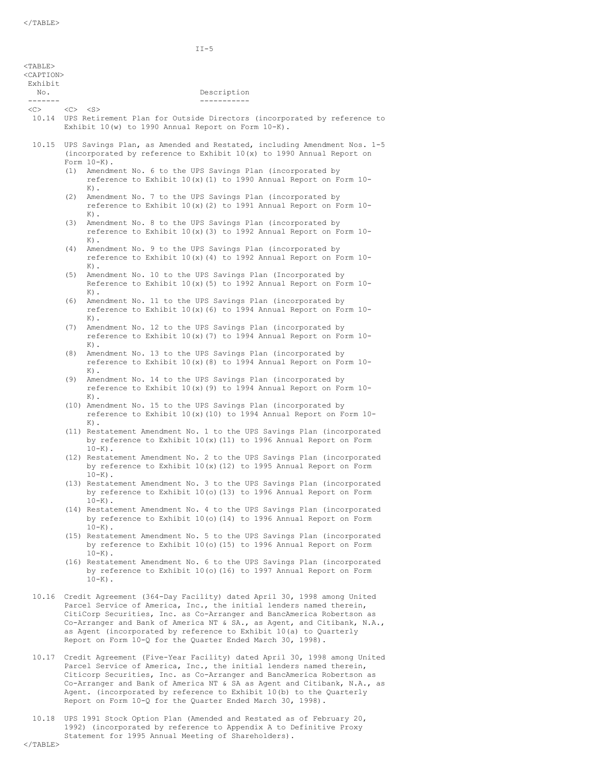|                                                                   | $II-5$                                                                                                                                                                                                                                                                                                                                                                                                                                                                                                                                                                                                                                                                                                                                                                                                                                                                                                                                                                                                                                                                                                                                                                                                                                                                                                                                                                                                                                                                                                                                                                                                                                                                                                                                                                                                                                                                                                                                                                                                                                                                                                                                                                                                                                                                                                                                                                                                                                                                                                                                                                                                                                                                           |
|-------------------------------------------------------------------|----------------------------------------------------------------------------------------------------------------------------------------------------------------------------------------------------------------------------------------------------------------------------------------------------------------------------------------------------------------------------------------------------------------------------------------------------------------------------------------------------------------------------------------------------------------------------------------------------------------------------------------------------------------------------------------------------------------------------------------------------------------------------------------------------------------------------------------------------------------------------------------------------------------------------------------------------------------------------------------------------------------------------------------------------------------------------------------------------------------------------------------------------------------------------------------------------------------------------------------------------------------------------------------------------------------------------------------------------------------------------------------------------------------------------------------------------------------------------------------------------------------------------------------------------------------------------------------------------------------------------------------------------------------------------------------------------------------------------------------------------------------------------------------------------------------------------------------------------------------------------------------------------------------------------------------------------------------------------------------------------------------------------------------------------------------------------------------------------------------------------------------------------------------------------------------------------------------------------------------------------------------------------------------------------------------------------------------------------------------------------------------------------------------------------------------------------------------------------------------------------------------------------------------------------------------------------------------------------------------------------------------------------------------------------------|
| $<$ TABLE><br><caption><br/>Exhibit<br/>No.<br/>-------</caption> | Description<br>___________                                                                                                                                                                                                                                                                                                                                                                                                                                                                                                                                                                                                                                                                                                                                                                                                                                                                                                                                                                                                                                                                                                                                                                                                                                                                                                                                                                                                                                                                                                                                                                                                                                                                                                                                                                                                                                                                                                                                                                                                                                                                                                                                                                                                                                                                                                                                                                                                                                                                                                                                                                                                                                                       |
| $\langle C \rangle$                                               | $\langle C \rangle$ $\langle S \rangle$<br>10.14 UPS Retirement Plan for Outside Directors (incorporated by reference to<br>Exhibit $10(w)$ to 1990 Annual Report on Form $10-K$ ).                                                                                                                                                                                                                                                                                                                                                                                                                                                                                                                                                                                                                                                                                                                                                                                                                                                                                                                                                                                                                                                                                                                                                                                                                                                                                                                                                                                                                                                                                                                                                                                                                                                                                                                                                                                                                                                                                                                                                                                                                                                                                                                                                                                                                                                                                                                                                                                                                                                                                              |
|                                                                   | 10.15 UPS Savings Plan, as Amended and Restated, including Amendment Nos. 1-5<br>(incorporated by reference to Exhibit 10(x) to 1990 Annual Report on<br>Form $10-K$ ).<br>(1)<br>Amendment No. 6 to the UPS Savings Plan (incorporated by<br>reference to Exhibit $10(x)(1)$ to 1990 Annual Report on Form $10-$<br>$K)$ .<br>(2)<br>Amendment No. 7 to the UPS Savings Plan (incorporated by<br>reference to Exhibit $10(x)(2)$ to 1991 Annual Report on Form $10-$<br>$K)$ .<br>(3)<br>Amendment No. 8 to the UPS Savings Plan (incorporated by<br>reference to Exhibit $10(x)(3)$ to 1992 Annual Report on Form $10-$<br>$K)$ .<br>(4)<br>Amendment No. 9 to the UPS Savings Plan (incorporated by<br>reference to Exhibit $10(x)$ (4) to 1992 Annual Report on Form $10-$<br>$K)$ .<br>(5)<br>Amendment No. 10 to the UPS Savings Plan (Incorporated by<br>Reference to Exhibit $10(x)(5)$ to 1992 Annual Report on Form $10-$<br>$K)$ .<br>(6)<br>Amendment No. 11 to the UPS Savings Plan (incorporated by<br>reference to Exhibit $10(x)$ (6) to 1994 Annual Report on Form $10-$<br>$K)$ .<br>(7)<br>Amendment No. 12 to the UPS Savings Plan (incorporated by<br>reference to Exhibit $10(x)(7)$ to 1994 Annual Report on Form $10-$<br>$K)$ .<br>(8)<br>Amendment No. 13 to the UPS Savings Plan (incorporated by<br>reference to Exhibit $10(x)$ (8) to 1994 Annual Report on Form $10-$<br>$K)$ .<br>(9)<br>Amendment No. 14 to the UPS Savings Plan (incorporated by<br>reference to Exhibit $10(x)$ (9) to 1994 Annual Report on Form $10-$<br>$K)$ .<br>(10) Amendment No. 15 to the UPS Savings Plan (incorporated by<br>reference to Exhibit $10(x)$ (10) to 1994 Annual Report on Form $10-$<br>$K$ ).<br>(11) Restatement Amendment No. 1 to the UPS Savings Plan (incorporated<br>by reference to Exhibit $10(x)$ (11) to 1996 Annual Report on Form<br>$10-K$ ).<br>(12) Restatement Amendment No. 2 to the UPS Savings Plan (incorporated<br>by reference to Exhibit 10(x) (12) to 1995 Annual Report on Form<br>$10-K$ ).<br>(13) Restatement Amendment No. 3 to the UPS Savings Plan (incorporated<br>by reference to Exhibit 10(o) (13) to 1996 Annual Report on Form<br>$10-K$ ).<br>(14) Restatement Amendment No. 4 to the UPS Savings Plan (incorporated<br>by reference to Exhibit 10(o) (14) to 1996 Annual Report on Form<br>$10-K$ ).<br>(15) Restatement Amendment No. 5 to the UPS Savings Plan (incorporated<br>by reference to Exhibit 10(o) (15) to 1996 Annual Report on Form<br>$10-K$ ).<br>(16) Restatement Amendment No. 6 to the UPS Savings Plan (incorporated<br>by reference to Exhibit 10(o) (16) to 1997 Annual Report on Form |
|                                                                   | $10 - K$ ).<br>10.16 Credit Agreement (364-Day Facility) dated April 30, 1998 among United<br>Parcel Service of America, Inc., the initial lenders named therein,<br>CitiCorp Securities, Inc. as Co-Arranger and BancAmerica Robertson as<br>Co-Arranger and Bank of America NT & SA., as Agent, and Citibank, N.A.,<br>as Agent (incorporated by reference to Exhibit 10(a) to Quarterly<br>Report on Form 10-Q for the Quarter Ended March 30, 1998).<br>10.17 Credit Agreement (Five-Year Facility) dated April 30, 1998 among United                                                                                                                                                                                                                                                                                                                                                                                                                                                                                                                                                                                                                                                                                                                                                                                                                                                                                                                                                                                                                                                                                                                                                                                                                                                                                                                                                                                                                                                                                                                                                                                                                                                                                                                                                                                                                                                                                                                                                                                                                                                                                                                                        |

- Parcel Service of America, Inc., the initial lenders named therein, Citicorp Securities, Inc. as Co-Arranger and BancAmerica Robertson as Co-Arranger and Bank of America NT & SA as Agent and Citibank, N.A., as Agent. (incorporated by reference to Exhibit 10(b) to the Quarterly Report on Form 10-Q for the Quarter Ended March 30, 1998).
- 10.18 UPS 1991 Stock Option Plan (Amended and Restated as of February 20, 1992) (incorporated by reference to Appendix A to Definitive Proxy Statement for 1995 Annual Meeting of Shareholders).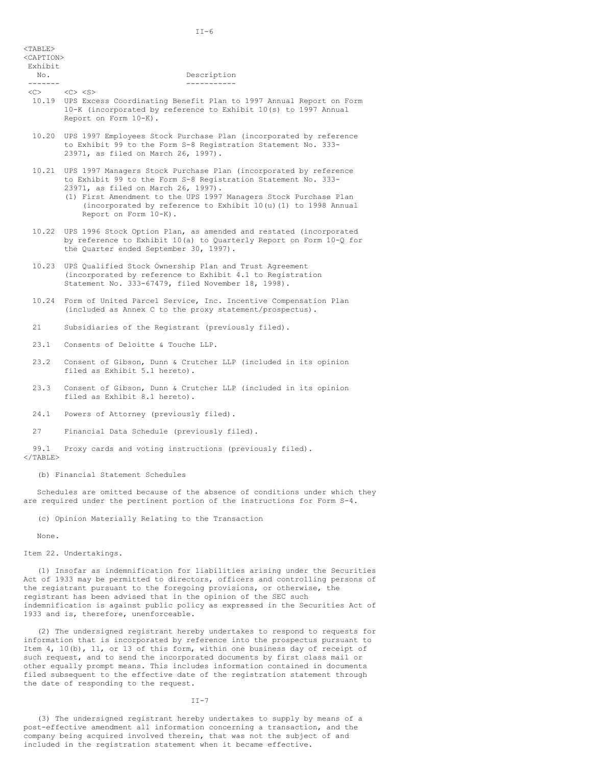| $<$ TABLE><br><caption><br/>Exhibit</caption> |                                                                                                                                                                                                   |
|-----------------------------------------------|---------------------------------------------------------------------------------------------------------------------------------------------------------------------------------------------------|
| No.                                           | Description                                                                                                                                                                                       |
|                                               |                                                                                                                                                                                                   |
| <<>                                           | $\langle$ C> $\langle$ S><br>10.19 UPS Excess Coordinating Benefit Plan to 1997 Annual Report on Form<br>10-K (incorporated by reference to Exhibit 10(s) to 1997 Annual<br>Report on Form 10-K). |
|                                               | 10.20 UPS 1997 Employees Stock Purchase Plan (incorporated by reference<br>to Exhibit 99 to the Form S-8 Registration Statement No. 333-<br>23971, as filed on March 26, 1997).                   |
|                                               | 10.21 UPS 1997 Managers Stock Purchase Plan (incorporated by reference                                                                                                                            |

- to Exhibit 99 to the Form S-8 Registration Statement No. 333- 23971, as filed on March 26, 1997). (1) First Amendment to the UPS 1997 Managers Stock Purchase Plan (incorporated by reference to Exhibit 10(u)(1) to 1998 Annual Report on Form 10-K).
- 10.22 UPS 1996 Stock Option Plan, as amended and restated (incorporated by reference to Exhibit 10(a) to Quarterly Report on Form 10-Q for the Quarter ended September 30, 1997).
- 10.23 UPS Qualified Stock Ownership Plan and Trust Agreement (incorporated by reference to Exhibit 4.1 to Registration Statement No. 333-67479, filed November 18, 1998).
- 10.24 Form of United Parcel Service, Inc. Incentive Compensation Plan (included as Annex C to the proxy statement/prospectus).
- 21 Subsidiaries of the Registrant (previously filed).
- 23.1 Consents of Deloitte & Touche LLP.
- 23.2 Consent of Gibson, Dunn & Crutcher LLP (included in its opinion filed as Exhibit 5.1 hereto).
- 23.3 Consent of Gibson, Dunn & Crutcher LLP (included in its opinion filed as Exhibit 8.1 hereto).
- 24.1 Powers of Attorney (previously filed).
- 27 Financial Data Schedule (previously filed).

99.1 Proxy cards and voting instructions (previously filed).  $\langle$ /TABLE>

(b) Financial Statement Schedules

Schedules are omitted because of the absence of conditions under which they are required under the pertinent portion of the instructions for Form S-4.

(c) Opinion Materially Relating to the Transaction

None.

Item 22. Undertakings.

(1) Insofar as indemnification for liabilities arising under the Securities Act of 1933 may be permitted to directors, officers and controlling persons of the registrant pursuant to the foregoing provisions, or otherwise, the registrant has been advised that in the opinion of the SEC such indemnification is against public policy as expressed in the Securities Act of 1933 and is, therefore, unenforceable.

(2) The undersigned registrant hereby undertakes to respond to requests for information that is incorporated by reference into the prospectus pursuant to Item 4, 10(b), 11, or 13 of this form, within one business day of receipt of such request, and to send the incorporated documents by first class mail or other equally prompt means. This includes information contained in documents filed subsequent to the effective date of the registration statement through the date of responding to the request.

 $II-7$ 

(3) The undersigned registrant hereby undertakes to supply by means of a post-effective amendment all information concerning a transaction, and the company being acquired involved therein, that was not the subject of and included in the registration statement when it became effective.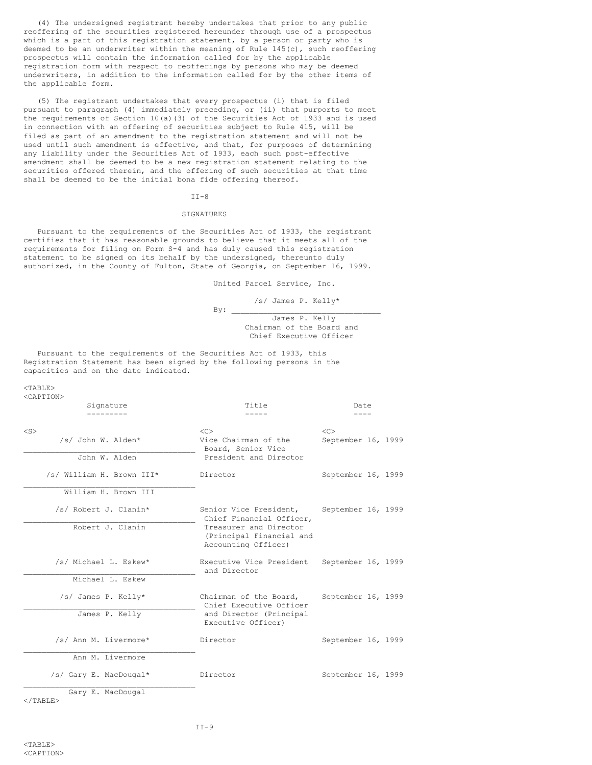(4) The undersigned registrant hereby undertakes that prior to any public reoffering of the securities registered hereunder through use of a prospectus which is a part of this registration statement, by a person or party who is deemed to be an underwriter within the meaning of Rule 145(c), such reoffering prospectus will contain the information called for by the applicable registration form with respect to reofferings by persons who may be deemed underwriters, in addition to the information called for by the other items of the applicable form.

(5) The registrant undertakes that every prospectus (i) that is filed pursuant to paragraph (4) immediately preceding, or (ii) that purports to meet the requirements of Section 10(a)(3) of the Securities Act of 1933 and is used in connection with an offering of securities subject to Rule 415, will be filed as part of an amendment to the registration statement and will not be used until such amendment is effective, and that, for purposes of determining any liability under the Securities Act of 1933, each such post-effective amendment shall be deemed to be a new registration statement relating to the securities offered therein, and the offering of such securities at that time shall be deemed to be the initial bona fide offering thereof.

### $II-8$

### SIGNATURES

Pursuant to the requirements of the Securities Act of 1933, the registrant certifies that it has reasonable grounds to believe that it meets all of the requirements for filing on Form S-4 and has duly caused this registration statement to be signed on its behalf by the undersigned, thereunto duly authorized, in the County of Fulton, State of Georgia, on September 16, 1999.

United Parcel Service, Inc.

/s/ James P. Kelly\*  $By:$ James P. Kelly Chairman of the Board and Chief Executive Officer

Pursuant to the requirements of the Securities Act of 1933, this Registration Statement has been signed by the following persons in the capacities and on the date indicated.

<TABLE>

|           | <caption></caption>                    |                                                                           |                    |  |  |
|-----------|----------------------------------------|---------------------------------------------------------------------------|--------------------|--|--|
|           | Signature                              | Title                                                                     | Date               |  |  |
|           |                                        |                                                                           |                    |  |  |
| $<$ S $>$ |                                        | < <sub></sub>                                                             | < <sub></sub>      |  |  |
|           | /s/ John W. Alden*                     | Vice Chairman of the<br>Board, Senior Vice                                | September 16, 1999 |  |  |
|           | John W. Alden                          | President and Director                                                    |                    |  |  |
|           | /s/ William H. Brown III*              | Director                                                                  | September 16, 1999 |  |  |
|           | William H. Brown III                   |                                                                           |                    |  |  |
|           | /s/ Robert J. Clanin*                  | Senior Vice President,<br>Chief Financial Officer,                        | September 16, 1999 |  |  |
|           | Robert J. Clanin                       | Treasurer and Director<br>(Principal Financial and<br>Accounting Officer) |                    |  |  |
|           | /s/ Michael L. Eskew*                  | Executive Vice President<br>and Director                                  | September 16, 1999 |  |  |
|           | Michael L. Eskew                       |                                                                           |                    |  |  |
|           | /s/ James P. Kelly*                    | Chairman of the Board,<br>Chief Executive Officer                         | September 16, 1999 |  |  |
|           | James P. Kelly                         | and Director (Principal<br>Executive Officer)                             |                    |  |  |
|           | /s/ Ann M. Livermore*                  | Director                                                                  | September 16, 1999 |  |  |
|           | Ann M. Livermore                       |                                                                           |                    |  |  |
|           | /s/ Gary E. MacDougal*                 | Director                                                                  | September 16, 1999 |  |  |
|           | Gary E. MacDougal<br>$\langle$ /TABLE> |                                                                           |                    |  |  |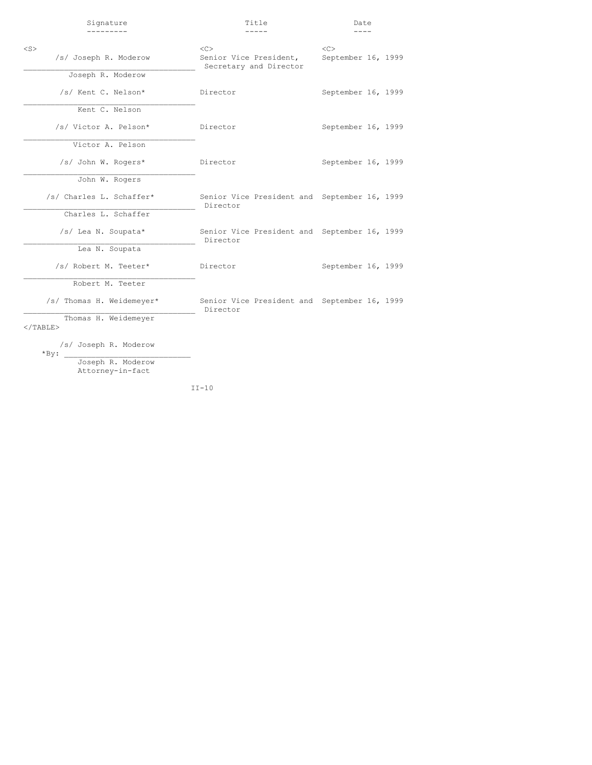| Signature                             | Title                                                    | Date               |  |
|---------------------------------------|----------------------------------------------------------|--------------------|--|
|                                       |                                                          |                    |  |
| $<$ S $>$                             | < <sub></sub>                                            |                    |  |
| /s/ Joseph R. Moderow                 | Senior Vice President,<br>Secretary and Director         | September 16, 1999 |  |
| Joseph R. Moderow                     |                                                          |                    |  |
| /s/ Kent C. Nelson*                   | Director                                                 | September 16, 1999 |  |
| Kent C. Nelson                        |                                                          |                    |  |
| /s/ Victor A. Pelson*                 | Director                                                 | September 16, 1999 |  |
| Victor A. Pelson                      |                                                          |                    |  |
| /s/ John W. Rogers*                   | Director                                                 | September 16, 1999 |  |
| John W. Rogers                        |                                                          |                    |  |
| /s/ Charles L. Schaffer*              | Senior Vice President and September 16, 1999<br>Director |                    |  |
| Charles L. Schaffer                   |                                                          |                    |  |
| /s/ Lea N. Soupata*                   | Senior Vice President and September 16, 1999<br>Director |                    |  |
| Lea N. Soupata                        |                                                          |                    |  |
| /s/ Robert M. Teeter*                 | Director                                                 | September 16, 1999 |  |
| Robert M. Teeter                      |                                                          |                    |  |
| /s/ Thomas H. Weidemeyer*             | Senior Vice President and September 16, 1999<br>Director |                    |  |
| Thomas H. Weidemeyer<br>$<$ /TABLE>   |                                                          |                    |  |
| /s/ Joseph R. Moderow<br>$*$ By:      |                                                          |                    |  |
| Joseph R. Moderow<br>Attorney-in-fact |                                                          |                    |  |

II-10